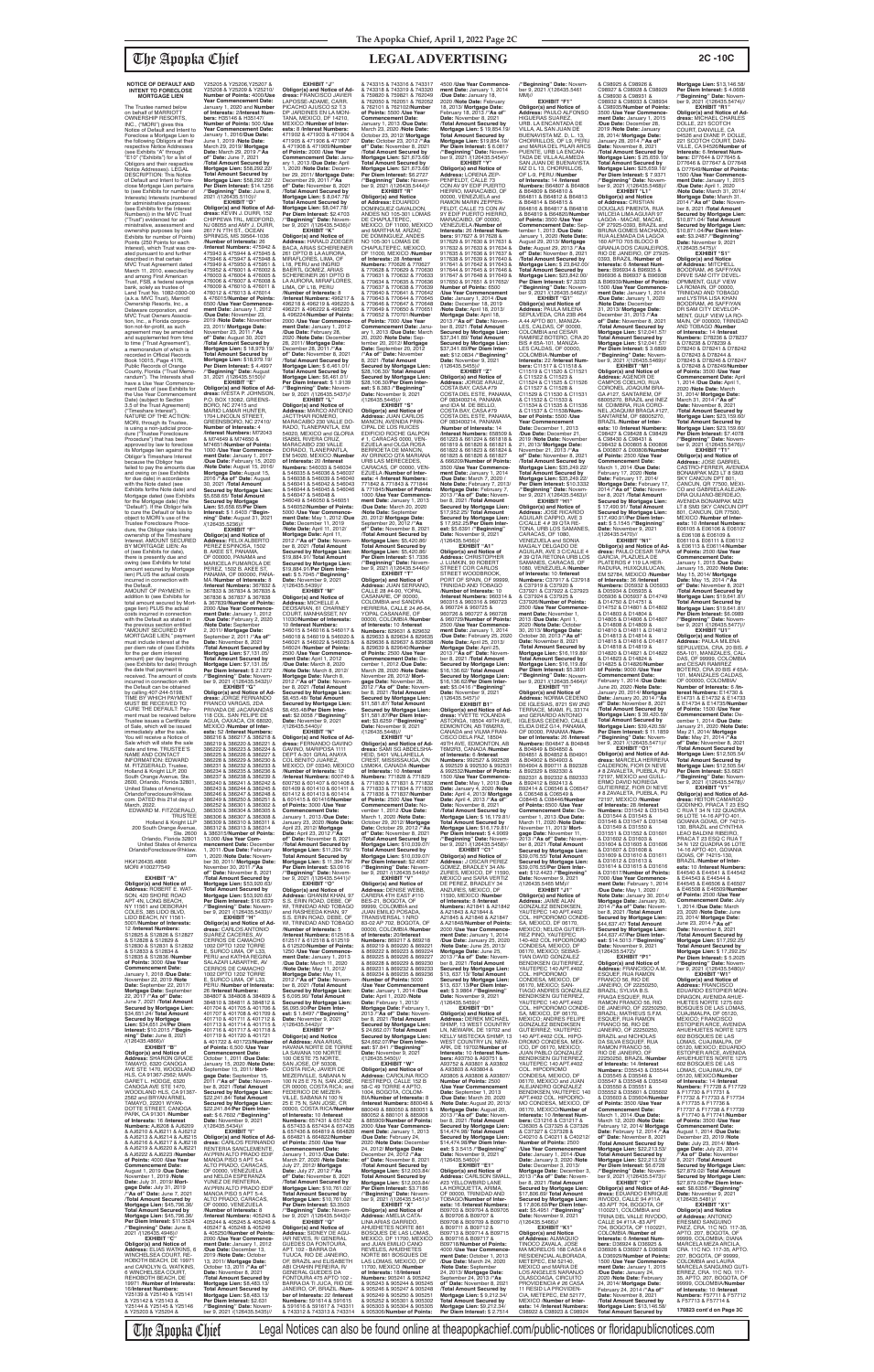The Trustee named below on behalf of MARRIOTT OWNERSHIP RESORTS, INC., ("MORI") gives this Notice of Default and Intent to Foreclose a Mortgage Lien to the following Obligors at their respective Notice Addresses (see Exhibits "A" through "E10" ("Exhibits") for a list of Obligors and their respective Notice Addresses). LEGAL DESCRIPTION: This Notice of Default and Intent to Foreclose Mortgage Lien pertains to (see Exhibits for number of Interests) Interests (number of for administrative purposes: (see Exhibits for the Interest Numbers)) in the MVC Trust ("Trust") evidenced for ad-ministrative, assessment and ownership purposes by (see Exhibits for number of Points) Points (250 Points for each Interest), which Trust was created pursuant to and further described in that certain MVC Trust Agreement dated March 11, 2010, executed by and among First American Trust, FSB, a federal savings bank, solely as trustee of Land Trust No. 1082-0300-00 (a.k.a. MVC Trust), Marriott Ownership Resorts, Inc., a Delaware corporation, and MVC Trust Owners Association, Inc., a Florida corpora-<br>tion not-for-profit, as such<br>agreement may be amended and supplemented from time to time ("Trust Agreement"), a memorandum of which is recorded in Official Records<br>Book 10015, Page 4176,<br>Public Records of Orange County, Florida ("Trust Memorandum"). The Interests shall have a Use Year Commence ment Date of (see Exhibits for the Use Year Commencement Date) (subject to Section 3.5 of the Trust Agreement) ("Timeshare Interest"). NATURE OF THE ACTION: MORI, through its Trustee, is using a non-judicial proce-dure ("Trustee Foreclosure Procedure") that has been approved by law to foreclose its Mortgage lien against the Obligor's Timeshare Interest because the Obligor has failed to pay the amounts due and owing on (see Exhibits for due date) in accordance with the Note dated (see Exhibits forthe Note date) and Mortgage dated (see Exhibits for the Mortgage date) (the "Default"). If the Obligor fails to cure the Default or fails to object to MORI's use of the Trustee Foreclosure Procedure, the Obligor risks losing ownership of the Timeshare Interest. AMOUNT SECURED BY MORTGAGE LIEN: As of (see Exhibits for date), there is presently due and owing (see Exhibits for total amount secured by Mortgage lien) PLUS the actual costs incurred in connection with the Default. AMOUNT OF PAYMENT: In addition to (see Exhibits for total amount secured by Mort-gage lien) PLUS the actual costs incurred in connection with the Default as stated in the previous section entitled "AMOUNT SECURED BY MORTGAGE LIEN," payment must include interest at the per diem rate of (see Exhibits for the per diem interest amount) per day beginning (see Exhibits for date) through the date that payment is received. The amount of costs incurred in connection with the Default can be obtained by calling 407-244-5198. TIME BY WHICH PAYMENT MUST BE RECEIVED TO CURE THE DEFAULT: Payment must be received before Trustee issues a Certificate<br>of Sale, which will be issued

**NOTICE OF DEFAULT AND INTENT TO FORECLOSE MORTGAGE LIEN**

immediately after the sale. You will receive a Notice of Sale which will state the sale date and time. TRUSTEE'S NAME AND CONTACT INFORMATION: EDWARD M. FITZGERALD, Trustee

Y25205 & Y25206,Y25207 & Y25208 & Y25209 & Y25210/ **Number of Points:** 4000/**Use Year Commencement Date:** January 1, 2020 and **Number of Interests:** 2/**Interest Numbers:** H35146 & H35147/ **Number of Points:** 500 /**Use Year Commencement Date:** January 1, 2016/**Due Date:** June 1, 2019 /**Note Date:** March 29, 2019/ **Mortgage Date:** March 29, 2019 /**"As of" Date:** June 7, 2021 /**Total Amount Secured by Mortgage Lien:** \$58,292.22/ **Total Amount Secured by Mortgage Lien:** \$58,292.22/ **Per Diem Interest:** \$14.1256 /**"Beginning" Date:** June 8, 2021 /(126435.5110)// **EXHIBIT "D" Obligor(s) and Notice of Ad-dress:** KEVIN J. DURR, 152 CHIPPEWA TRL, MEDFORD, NJ 08055 and AMY J. DURR,<br>2617 N 7TH ST., OCEAN<br>SPRINGS, MS 39564-1036 /**Number of Interests:** 26 /**Interest Numbers:** 475942 & 475943 & 475944 & 475945 & 475946 & 475947 & 475948 & 475949 & 475950 & 475951 & 475952 & 476001 & 476002 & 476003 & 476004 & 476005 & 476006 & 476007 & 476008 & 476009 & 476010 & 476011 & 476012 & 476013 & 476014 & 476015/**Number of Points:** 6500 /**Use Year Commencement Date:** January 1, 2012 /**Due Date:** November 23, 2019 Mote Date: November<br>23, 2011/ Mortgage Date:<br>23, 2011/ Mortgage Date:<br>November 23, 2011 / "As<br>of" Date: August 30, 2021<br>Mortgage Lien: \$ 18,979.19/<br>Mortgage Lien: \$ 18,979.19/<br>Mortgage Lien: \$ 18,979.19/<br>Mortgage Lien

**EXHIBIT "J" Obligor(s) and Notice of Ad-<br><b>dress:** FRANCISCO JAVIER<br>LAPOSSE-ADAME, CARR.<br>PICACHO AJUSCO 52 T.3 DP JARDINES EN LA MON-TANA, MEXICO, DF 14210, MEXICO /**Number of Interests:** 8 /**Interest Numbers:** 471902 & 471903 & 471904 & 471905 & 471906 & 471907 & 471908 & 471909/**Number of Points:** 2000 /**Use Year Commencement Date: Janu-**<br>
Ary 1, 2013 /**Due Date: April**<br>
1, 2020 /**Note Date: Decem-<br>
ber 29, 2011/ <b>Mortgage Date:**<br>
December 29, 2011 /**"As<br>
of" Date:** November 8, 2021

Holland & Knight LLP, 200 South Orange 2600, Orlando, Florida 32801, United States of America, OrlandoForeclosure@hklaw. com. DATED this 21st day of March, 2022. EDWARD M. FITZGERALD, TRUSTEE Holland & Knight LLP 200 South Orange Avenue, Ste. 2600 Orlando, Florida 32801 United States of America OrlandoForeclosure@hklaw. com HK#126435.4866 MORI #100277549 **EXHIBIT "A" Obligor(s) and Notice of Address:** ROBERT E. WAT-SON, 420 SHORE ROAD APT 4N, LONG BEACH, NY 11561 and DEBORAH COLES, 385 LIDO BLVD, LIDO BEACH, NY 11561- 5001/**Number of Interests:** 12 /**Interest Numbers:** S12825 & S12826 & S12827 & S12828 & S12829 & S12830 & S12831 & S12832 & S12833 & S12834 & S12835 & S12836 /**Number of Points:** 3000 /**Use Year Commencement Date:** January 1, 2018 /**Due Date:** November 22, 2019 /**Note Date:** September 22, 2017/ **Mortgage Date:** September 22, 2017 /**"As of" Date:** June 7, 2021 /**Total Amount Secured by Mortgage Lien:** \$34,651.24/ **Total Amount Secured by Mortgage Lien:** \$34,651.24/**Per Diem Interest:** \$10.2015 /**"Beginning" Date:** June 8, 2021<br>/(126435.4866)// **EXHIBIT "B" Obligor(s) and Notice of Address:** SHARON GRACE TAMAYO, 6320 CANOGA AVE STE 1470, WOODLAND HLS, CA 91367-2562; MAR-GARET L. HODGE, 6320 CANOGA AVE STE 1470, WOODLAND HLS, CA 91367- 2562 and BRYAN ARNEL TAMAYO, 22201 WYAN-DOTTE STREET, CANOGA PARK, CA 91301 /**Number of Interests:** 16 /**Interest Numbers:** AJ6208 & AJ6209 & AJ6210 & AJ6211 & AJ6212 & AJ6213 & AJ6214 & AJ6215 & AJ6216 & AJ6217 & AJ6218 & AJ6219 & AJ6220 & AJ6221 & AJ6222 & AJ6223 /**Number of Points:** 4000 /**Use Year Commencement Date:** August 1, 2019 /**Due Date:** November 1, 2019 /**Note Date:** July 31, 2019/ **Mortgage Date:** July 31, 2019<br>/**"As of" Date:** June 7, 2021 /**Total Amount Secured by Mortgage Lien:** \$45,796.36/ **Total Amount Secured by Mortgage Lien:** \$45,796.36/ **Per Diem Interest:** \$11.5524 /**"Beginning" Date:** June 8, 2021 /(126435.4946)// **EXHIBIT "C" Obligor(s) and Notice of Address:** ELIAS WATKINS, 6 WINCHELSEA COURT, RE-HOBOTH BEACH, DE 19971 and CAROLYN G. WATKINS, 6 WINCHELSEA COURT, REHOBOTH BEACH, DE 19971 /**Number of Interests:** 16/**Interest Numbers:** Y25139 & Y25140 & Y25141 & Y25142 & Y25143 & Y25144 & Y25145 & Y25146 & Y25203 & Y25204 & 386246 & 386247 & 386248 & 386249 & 386250 & 386251 & 386252 & 386301 & 386302 & 386303 & 386304 & 386305 & 386306 & 386307 & 386308 & 386309 & 386310 & 386311 & 386312 & 386313 & 386314 & 386315/**Number of Points:** 13,000 /**Use Year Com-mencement Date:** December 1, 2011 /**Due Date:** February 1, 2020 /**Note Date:** November 30, 2011/ Mortgage Date:<br>November 30, 2011/ "As<br>of" Date: November 8, 2021<br>Total Amount Secured by<br>Mortgage Lien: \$53,920.63/<br>Total Amount Secured by<br>Mortgage Lien: \$53,920.63/<br>Mortgage Lien: \$53,920.63/ /**"Beginning" Date:** Novem-ber 9, 2021 /(126435.5433)// **EXHIBIT "H" Obligor(s) and Notice of Ad-dress:** CARLOS ANTONIO SUAREZ CACERES, AV CERROS DE CAMACHO 1002 DPTO 1202 TORRE E, SURCO LIMA, OF L33, PERU and KATHIA REGINA SALAZAR LABARTHE, AV CERROS DE CAMACHO 1002 DPTO 1202 TORRE E, SURCO LIMA, OF L33, PERU /**Number of Interests:** 26 /**Interest Numbers:** 384807 & 384808 & 384809 & 384810 & 384811 & 384812 & 401704 & 401705 & 401706 & 401707 & 401708 & 401709 & 401710 & 401711 & 401712 & 401713 & 401714 & 401715 & 401716 & 401717 & 401718 & 401719 & 401720 & 401721 & 401722 & 401723/**Number of Points:** 6,500 /**Use Year Commencement Date:** October 1, 2011 /**Due Date:** January 15, 2020 /**Note Date:** September 15, 2011/ **Mort-gage Date:** September 15, 2011 /**"As of" Date:** November 8, 2021 /**Total Amount Secured by Mortgage Lien:** \$22,241.84/ **Total Amount Secured by Mortgage Lien:** \$22,241.84/**Per Diem Inter-est:** \$ 6.7602 /**"Beginning" Date:** November 9, 2021 /(126435.5434)// **EXHIBIT "I" Obligor(s) and Notice of Ad-dress:** CARLOS FERNANDO RENTERIA SANCLEMENTE, AV.PRIN ALTO PRADO EDIF MANOA PISO 5 APT 5-4. ALTO PRADO, CARACAS, OF 00000, VENEZUELA and NELDA ESPERANZA YUNEZ DE RENTERIA, AV.PRIN ALTO PRADO EDIF MANOA PISO 5 APT 5-4. ALTO PRADO, CARACAS, OF 00000, VENEZUELA /**Number of Interests:** 8 /**Interest Numbers:** 405243 & 405244 & 405245 & 405246 & 405247 & 405248 & 405249 & 405250/**Number of Points:** 2000 /**Use Year Commence-ment Date:** January 1, 2012 /**Due Date:** December 13, 2019 /**Note Date:** October 13, 2011/ **Mortgage Date:** October 13, 2011 /**"As of" Date:** November 8, 2021 /**Total Amount Secured by Mortgage Lien:** \$8,483.13/ **Total Amount Secured by Mortgage Lien:** \$8,483.13/ **Per Diem Interest:** \$2.631 /**"Beginning" Date:** Novem-ber 9, 2021 /(126435.5435)//

/**"Beginning" Date:** August 31, 2021 /(126435.5150)// **EXHIBIT "E" Obligor(s) and Notice of Ad-dress:** IVESTA P. JOHNSON, P.O. BOX 13082, GREENS-BORO, NC 27415 and MARIO LAMAR HUNTER, 1704 LINCOLN STREET, GREENSBORO, NC 27410/ **Number of Interests: 4<br>/Interest Numbers: M72043** /**Interest Numbers:** M72043 & M74649 & M74650 & M74651/**Number of Points:** 1000 /**Use Year Commencement Date:** January 1, 2017 /**Due Date:** February 15, 2020 /**Note Date:** August 15, 2016/ **Mortgage Date:** August 15, 2016 /**"As of" Date:** August 30, 2021 /**Total Amount Secured by Mortgage Lien:** \$5,658.65/ **Total Amount Secured by Mortgage Lien:** \$5,658.65/**Per Diem Interest:** \$ 1.6403 /**"Beginning" Date:** August 31, 2021 /(126435.5236)// **EXHIBIT "F" Obligor(s) and Notice of Address:** FELIX ALBERTO PEREZ ESPINOSA, 1502 B. AKEE ST, PANAMA, OF 000000, PANAMA and<br>MARICELA FUMAROLA DE MARICELA FUMAROLA DE PEREZ, 1502 B. AKEE ST, PANAMA, OF 000000, PANA-MA /**Number of Interests:** 8 /**Interest Numbers:** 367832 & 367833 & 367834 & 367835 & 367836 & 367837 & 367838 & 367839/**Number of Points:** 2000 /**Use Year Commencement Date:** January 1, 2012 /**Due Date:** February 2, 2020 /**Note Date:** September 2, 2011/ **Mortgage Date:** September 2, 2011 /**"As of" Date:** November 8, 2021 /**Total Amount Secured by Mortgage Lien:** \$7,131.05/ **Total Amount Secured by Mortgage Lien:** \$7,131.05/ **Per Diem Interest:** \$ 2.1272 /**"Beginning" Date:** Novem-ber 9, 2021 /(126435.5432)// **EXHIBIT "G" Obligor(s) and Notice of Ad-dress:** JORGE FERNANDO FRANCO VARGAS, 2DA PRIVADA DE JACARANDAS 118 COL. SAN FELIPE DE AGUA, OAXACA, OX 68020, MEXICO /**Number of Inter-ests:** 52 /**Interest Numbers:** 386216 & 386217 & 386218 & 386219 & 386220 & 386221 & 386222 & 386223 & 386224 & 386225 & 386226 & 386227 & 386228 & 386229 & 386230 & 386231 & 386232 & 386233 & 386234 & 386235 & 386236 & 386237 & 386238 & 386239 & 386240 & 386241 & 386242 & 386243 & 386244 & 386245 &

HIERRO, MARACAIBO, OF 00000, VENEZUELA and RAMON MARIN ZEPPEN-FELDT, CALLE 73 CON AV 9Y EDIF PUERTO HIERRO, MARACAIBO, OF 00000, & B64809 & B64810 & B64811 & B64812 & B64813 & B64814 & B64815 & B64816 & B64817 & B64818 & B64819 & B64820/**Number of Points:** 3500 /**Use Year Commencement Date:** September 1, 2013 /**Due Date:** January 1, 2020 /**Note Date:** August 29, 2013/ **Mortgage Date:** August 29, 2013 /**"As**  of" Date: November 8, 2021<br>Total Amount Secured by<br>Mortgage Lien: \$ 23,842.00/<br>Total Amount Secured by<br>Mortgage Lien: \$23,842.00/<br>Mortgage Lien: \$23,842.00/<br>Per Dieminig" Date: November<br>Deginning" Date: November<br>2021/(1264

/**Total Amount Secured by Mortgage Lien:** \$ 8,047.78/ **Total Amount Secured by Mortgage Lien:** \$8,047.78/ **Per Diem Interest:** \$2.4703 /**"Beginning" Date:** Novem-ber 9, 2021 /(126435.5436)// **EXHIBIT "K"**

**Obligor(s) and Notice of<br><b>Address:** HARALD ZOEGER<br>BACA, ARIAS SCHEREINER 261 DPTO B LA AURORA, MIRAFLORES, LIMA, OF<br>L18, PERU and INGRID L18, PERU and INGRID<br>BAERTL GOMEZ, ARIAS<br>SCHEREINER 261 DPTO B<br>LA AURORA, MIRAFLORES, LIMA, OF L18, PERU /**Number of Interests:** 8 /**Interest Numbers:** 496217 & 496218 & 496219 & 496220 & 496221 & 496222 & 496223 & 496224/**Number of Points:** 2000 /**Use Year Commence ment Date:** January 1, 2012 /**Due Date:** February 28, 2020 /**Note Date:** December 28, 2011/ **Mortgage Date:** December 28, 2011 /**"As of" Date:** November 8, 2021 /**Total Amount Secured by Mortgage Lien:** \$ 6,461.01/ **Total Amount Secured by Mortgage Lien:** \$6,461.01/ **Per Diem Interest:** \$ 1.9139 /**"Beginning" Date:** Novem-ber 9, 2021 /(126435.5437)// **Secured by Mortgage Lien:** \$28,106.30/**Per Diem Interest:** \$ 8.383 /**"Beginning" Date:** November 9, 2021<br>/(126435.5445)//

11030/**Number of Interests:** 10 /**Interest Numbers:** 546015 & 546016 & 546017 & 546018 & 546019 & 546020 & 546021 & 546022 & 546023 & 546024 /**Number of Points:** 2500 /**Use Year Commencement Date:** April 1, 2012 /**Due Date:** March 8, 2020 /**Note Date:** March 8, 2012/ **Mortgage Date:** March 8, 2012 /**"As of" Date:** November 8, 2021 /**Total Amount Secured by Mortgage Lien:** \$8,455.48/ **Total Amount Secured by Mortgage Lien:** \$8,455.48/**Per Diem Inter-** SEPULVEDA, CRA 23B #64<br>A 44 APTO 801, MANIZA-A 44 APTO 801, MANIZA-<br>LES, CALDAS, OF 00000,<br>COLOMBIA and CESAR<br>RAMIREZ BOTERO, CRA 20<br>BIS # 65A-101, MANIZA-<br>LES CALDAS, OF 00000, COLOMBIA /**Number of Interests:** 22 /**Interest Num-bers:** C11517 & C11518 & C11519 & C11520 & C11521 & C11522 & C11523 & C11524 & C11525 & C11526 & C11527 & C11528 & C11529 & C11530 & C11531 & C11532 & C11533 & C11534 & C11535 & C11536

> **EXHIBIT "I1" Obligor(s) and Notice of<br>Address: NORMA CEDENO Address:** NORMA CEDENO<br>DE IGLESIAS, 8721 SW 2ND<br>TERRACE, MIAMI, FL 33174<br>and GERARDO ANTONIO

B92331 & B92332 & B92333 & B92412 & B92413 & B92414 & C06546 & C06547 & C06548 & C06549 & C08445 & C08446/**Number of Points:** 6500 /**Use Year Commencement Date:** De-cember 1, 2013 /**Due Date:** March 11, 2020 /**Note Date:** November 11, 2013/ **Mort-gage Date:** November 11, 2013 /**"As of" Date:** November 8, 2021 /**Total Amount Secured by Mortgage Lien:** \$39,076.55/ **Total Amount Secured by Mortgage Lien:** \$39,076.55/**Per Diem Interest:** \$12.4423 /**"Beginning" Date:** November 9, 2021<br>/(126435.5465 MM)// **EXHIBIT "J1" Obligor(s) and Notice of Address:** JAIME ALAN GONZALEZ BENDIKSEN, YAUTEPEC 140 APT.#402 COL. HIPODROMO CONDE-SA, MEXICO, DF 06170, MEXICO; NELIDA GUTIER-<br>REZ PINO, YAUTEPEC REZ PINO, YAUTEPEC 140-402 COL HIPODROMO CONDESA, MEXICO, DF 06170, MEXICO; SEBAS-TIAN DAVID GONZALEZ BENDIKSEN GUTIERREZ, YAUTEPEC 140 APT.#402 COL. HIPODROMO CONDESA, MEXICO, DF 06170, MEXICO; SAN-TIAGO ANDRES GONZALEZ BENDIKSEN GUTIERREZ<br>YAUTEPEC 140 APT.#402 YAUTEPEC 140 APT.#402 COL. HIPODROMO CONDE-SA, MEXICO, DF 06170, MEXICO; ANDRES FELIPE GONZALEZ BENDIKSEN GUTIERREZ; YAUTEPEC 140 APT.#402 COL. HIPO-DROMO CONDESA, MEX-ICO, DF 06170, MEXICO; JUAN PABLO GONZALEZ BENDIKSEN GUTIERREZ, YAUTEPEC 140 APT.#402 COL. HIPODROMO<br>CONDESA, MEXICO, DF<br>06170, MEXICO and JUAN<br>ALEJANDRO GONZALEZ BENDIKSEN,YAUTEPEC 140 APT.#402 COL. HIPODRO-MO CONDESA, MEXICO, DF 06170, MEXICO/**Number of Interests:** 10 /**Interest Num-bers:** C31216 & C31217 & C36305 & C37325 & C37326 & C37327 & C37328 & C40210 & C40211 & C40212/ **Number of Points:** 2500 /**Use Year Commencement Date:** January 1, 2014 /**Due Date:** January 3, 2020 /**Note Date:** December 3, 2013/ **Mortgage Date:** December 3, 2013 /**"As of" Date:** Novem-ber 8, 2021 /**Total Amount Secured by Mortgage Lien:** \$17,806.69/ **Total Amount Secured by Mortgage Lien:** \$ 17,806.69/**Per Diem Interest:** \$5.4951 /**"Beginning"**<br>**Date:** November 9, 2021<br>/(126435.5466)// **EXHIBIT "K1"<br><b>Obligor(s) and Notice**<br>**of Address:** ALMAQUIO<br>TINOCO ZAVALA, JOSE<br>MA MORELOS 168 CASA 6 RESIDENCIAL ALBORADA, METEPEC, EM 52140, MEXICO and MARIA DE LOS ANGELES NARANJO OLASCOAGA, CIRCUITO<br>PROVIDENCIA # 26 CASA

**EXHIBIT "L" Obligor(s) and Notice of Address:** MARCO ANTONIO JACTTHAR ROMERO, MARACAIBO 230 VALLE DO-RADO, TLANEPANTLA, EM 54020, MEXICO and GLORIA ISABEL RIVERA CRUZ, MARACAIBO 230 VALLE DORADO, TLANEPANTLA, EM 54020, MEXICO /**Number<br><b>of Interests:** 20 /**Interest**<br>**Number**s: 546033 & 546034<br>& 546035 & 546039 & 546037<br>& 546038 & 546039 & 546040<br>& 546041 & 546042 & 546043 & 546044 & 546045 & 546046 & 546047 & 546048 & 546049 & 546050 & 546051 & 546052/**Number of Points:** 5000 /**Use Year Commence-ment Date:** May 1, 2012 /**Due Date:** December 11, 2019 /**Note Date:** April 11, 2012/ **Mortgage Date:** April 11, 2012 /**"As of" Date:** Novem-ber 8, 2021 /**Total Amount Secured by Mortgage Lien:** \$19,884.91/ **Total Amount Secured by Mortgage Lien:** \$19,884.91/**Per Diem Inter-est:** \$ 5.7045 /**"Beginning" Date:** November 9, 2021 /(126435.5439)// **EXHIBIT "M" Obligor(s) and Notice of Address:** MICHELLE A DEOSARAN, 61 CHARNEY COURT, MANHASSET, NY September 20, 2012 /**"As**  CALLE 28 #4-90, YOPAL

& C98925 & C98926 & C98927 & C98928 & C98929 & C98930 & C98931 & C98932 & C98933 & C98934 & C98935/**Number of Points:** 3500 /**Use Year Commencement Date:** January 1, 2015 /**Due Date:** December 28, 2019 /**Note Date:** January 28, 2014/ **Mortgage Date:** January 28, 2014 /**"As of" Date:** November 8, 2021 /**Total Amount Secured by Mortgage Lien:** \$ 25,659.10/ **Total Amount Secured by Mortgage Lien:** \$25,659.10/ **Per Diem Interest:** \$ 7.9371 /**"Beginning" Date:** Novem-ber 9, 2021 /(126435.5468)// **EXHIBIT "L1" Obligor(s) and Notice<br><b>of Address:** CRISTIAN<br>DOUGLAS PIMENTA, RUA WILCEIA LIMA AGUIAR 97 LAGOA - MACAE, MACAE, OF 27925-0393, BRAZIL and BRUNA GOMES MACHADO, RUA ALEMADA DA LAGOA 160 APTO 705 BLOCO B GRANJA DOS CAVALEIROS, RIO DE JANEIRO, OF 27925- 0393, BRAZIL /**Number of Interests:** 6 /**Interest Num-bers:** B96934 & B96935 & B96936 & B96937 & B96938 & B96939/**Number of Points:** 1500 /**Use Year Commencement Date:** January 1, 2014 /**Due Date:** January 1, 2020 /**Note Date:** December 31, 2013/ **Mortgage Date:** December 31, 2013 /**"As**  of" Date: November 8, 2021<br>Mortgage Lien: \$12,041.57/<br>Mortgage Lien: \$12,041.57/<br>Total Amount Secured by<br>Mortgage Lien: \$12,041.57/<br>Per Diem Interest: \$ 3.6899<br>"Beginning" Date: Novem-<br>ber 9, 2021 /(126435.5469)//

**est:** \$2.0058 /**"Beginning" Date:** November 9, 2021 /(126435.5440)//<br>"EXHIBIT "N **EXHIBIT "N" Obligor(s) and Notice of Ad-dress:** FERNANDO GAVINO GAVINO, MARIPOSA 1111 DEPT A-301 GRAL ANAYA COL BENITO JUAREZ, MEXICO, DF 03340, MEXICO /**Number of Interests:** 12 /**Interest Numbers:** 600749 & 600750 & 601407 & 601408 & 601409 & 601410 & 601411 & 601412 & 601413 & 601414 & 601415 & 601416/**Number of Points:** 3000 /**Use Year Commencement Date:** January 1, 2013 /**Due Date:** January 23, 2020 /**Note Date:** April 23, 2012/ **Mortgage Date:** April 23, 2012 /**"As of" Date:** November 8, 2021 /**Total Amount Secured by Mortgage Lien:** \$11,394.79/ **Total Amount Secured by Mortgage Lien:** \$ 11,394.79/ **Per Diem Interest:** \$3.0916 /**"Beginning" Date:** November 9, 2021 /(126435.5441)// **EXHIBIT "O" Obligor(s) and Notice of Address:** GHANIM KHAN, 97 S.S. ERIN ROAD, DEBE, OF Wl, TRINIDAD AND TOBAGO and RASHEEDA KHAN, 97 S.S. ERIN ROAD, DEBE, OF WI, TRINIDAD AND TOBAGO<br>/Number of Interests: 5 /**Number of Interests:** 5 /**Interest Numbers:** 612516 & 612517 & 612518 & 612519 & 612520/**Number of Points:** 1250 /**Use Year Commencement Date:** January 1, 2013 /**Due Date:** March 11, 2020 /**Note Date:** May 11, 2012/ **Mortgage Date:** May 11, 2012 /**"As of" Date:** Novem-ber 8, 2021 /**Total Amount Secured by Mortgage Lien:** \$ 6,095.90/ **Total Amount Secured by Mortgage Lien:** \$6,095.90/**Per Diem Inter-est:** \$ 1.8497 /**"Beginning" Date:** November 9, 2021 /(126435.5442)// **EXHIBIT "P" Obligor(s) and Notice<br><b>of Address:** ANA ARIAS,<br>HAVANA NORTE DE TORRE<br>LA SAVANA 100 NORTE 100 OESTE 75 NORTE, SAN JOSE, OF 50308, COSTA RICA; JAVIER DE MEZERVILLE, SABANA N 100 N 25 E 75 N, SAN JOSE, CR 00000, COSTA RICA; and FEDERICO DE MEZER-VILLE, SABANA N 100 N 25 E 75 N, SAN JOSE, CR 00000, COSTA RICA/**Number of Interests:** 10 /**Interest Numbers:** 657431 & 657432 & 657433 & 657434 & 657435 & 657436 & 664819 & 664820 & 664821 & 664822/**Number of Points:** 2500 /**Use Year Commencement Date:** January 1, 2013 /**Due Date:** March 27, 2020 /**Note Date:** July 27, 2012/ **Mortgage Date:** July 27, 2012 /**"As of" Date:** November 8, 2021 /**Total Amount Secured by Mortgage Lien:** \$10,761.02/ **Total Amount Secured by Mortgage Lien:** \$10,761.02/ **Per Diem Interest:** \$3.3503 /**"Beginning" Date:** Novem-ber 9, 2021 /(126435.5443)// **EXHIBIT "Q" Obligor(s) and Notice of Address:** SIDNEY DE AGU-IAR NEVES, R/ GENERAL GUEDES DA FONTOURA,<br>APT. 102 - BARRA DA<br>TIJUCA, RIO DE JANEIRO, OF, BRAZIL and ELISABETH ABI CHAHIN PEREIRA, R/ GENERAL GUEDES DA FONTOURA 475 APTO 102 - BARRA DA TI JUCA, RIO DE JANEIRO, OF, BRAZIL /**Number of Interests:** 22 /**Interest Numbers:** 591614 & 591615 & 591616 & 591617 & 743311 & 743312 & 743313 & 743314 & 905306/**Number of Points:**

**EXHIBIT "S" Obligor(s) and Notice of Address:** JUAN CARLOS MANCIN, AVENIDA PRIN-

# 1, CARACAS 0000, VEN-EZUELA and OLGA ROSA BERROETA DE MANCIN,

/**Note Date:** September 20, 2012/ **Mortgage Date:**

**EXHIBIT "T"**

**of Points:** 2500 /**Use Year** 

& 743315 & 743316 & 743317 & 743318 & 743319 & 743320 & 759820 & 759821 & 762049 & 762050 & 762051 & 762052 & 762101 & 762102/**Number of Points:** 5500 /**Use Year Commencement Date:** January 1, 2013 /**Due Date:** March 23, 2020 /**Note Date:** October 23, 2012/ **Mortgage Date:** October 23, 2012 /**"As of" Date:** November 8, 2021 /**Total Amount Secured by Mortgage Lien:** \$21,673.68/ **Total Amount Secured by Mortgage Lien:** \$21,673.68/ **Per Diem Interest:** \$6.2727 /**"Beginning" Date:** Novem-ber 9, 2021 /(126435.5444)// **EXHIBIT "R" Obligor(s) and Notice of Address:** EDUARDO DOMINGUEZ GAVALDON, ANDES NO 105-301 LOMAS DE CHAPULTEPEC, MEXICO, DF 11000, MEXICO and MARTHA M. ARZAC DE DOMINGUEZ, ANDES NO 105-301 LOMAS DE CHAPULTEPEC, MEXICO, DF 11000, MEXICO /**Number of Interests:** 28 /**Interest Numbers:** 770626 & 770627 & 770628 & 770629 & 770630 & 770631 & 770632 & 770633 & 770634 & 770635 & 770636 & 770637 & 770638 & 770639 & 770640 & 770641 & 770642 & 770643 & 770644 & 770645 & 770646 & 770647 & 770648 & 770649 & 770650 & 770651 & 770652 & 770701/**Number of Points:** 7000 /**Use Year Commencement Date:** Janu-ary 1, 2013 /**Due Date:** March 20, 2020 /**Note Date:** September 20, 2012/ **Mortgage Date:** September 20, 2012 /**"As of" Date:** November 8, 2021 /**Total Amount Secured by Mortgage Lien:** \$28,106.30/ **Total Amount**  4500 /**Use Year Commence-Date:** November 8, 2021

**EXHIBIT "U"**

January 21, 2020 /Note Date:<br>May 21, 2014 / Mortgage<br>Date: May 21, 2014 /"As<br>of" Date: November 8, 2021<br>Total Amount Secured by<br>Mortgage Lien: \$12,505.54/<br>Total Amount Secured by **Mortgage Lien:** \$12,505.54/ **Per Diem Interest:** \$3.6621 /**"Beginning" Date:** Novem-

**of Interests:** 10 /**Interest Numbers:** 771828 & 771829 & 771830 & 771831 & 771832 & 771833 & 771834 & 771835 & 771836 & 771837/**Number of Points:** 2500 /**Use Year Commencement Date:** November 1, 2012 /**Due Date:** March 1, 2020 /**Note Date:** October 29, 2012/ **Mortgage Date:** October 29, 2012 /**"As of" Date:** November 8, 2021 /**Total Amount Secured by Mortgage Lien:** \$10,039.07/ **Total Amount Secured by Mortgage Lien:** \$10,039.07/ **Per Diem Interest:** \$2.4067 /**"Beginning" Date:** Novem-ber 9, 2021 /(126435.5449)// **EXHIBIT "V" Obligor(s) and Notice of Address:** DENISE WEBB, CARERA 4TH EAST #110 BES-21, BOGOTA, OF 99999, COLOMBIA and JUAN EMILIO POSADA, TRANSVERSAL 1 NRO 83-02 AP 702, BOGOTA, OF 00000, COLOMBIA /**Number of Interests:** 20/**Interest Numbers:** 869217 & 869218 & 869219 & 869220 & 869221 & 869222 & 869223 & 869224 & 869225 & 869226 & 869227 & 869228 & 869229 & 869230 & 869231 & 869232 & 869233 & 869234 & 869235 & 869236 /**Number of Points:** 5000 /**Use Year Commencement Date:** January 1, 2014 /**Due Date:** April 1, 2020 /**Note Date:** February 1, 2013/ **Mortgage Date:** February 1, 2013 /**"As of" Date:** Novem-ber 8, 2021 /**Total Amount Secured by Mortgage Lien:** \$ 24,662.07/ **Total Amount Secured by Mortgage Lien:** \$24,662.07/**Per Diem Inter-est:** \$7.841 /**"Beginning" Date:** November 9, 2021 /(126435.5450)// **EXHIBIT "W" Obligor(s) and Notice of Address:** CAROLINA RICO RESTREPO, CALLE 152 B 58-C 49 TORRE 4 APTO. 1004, BOGOTA, COLOM-BIA/**Number of Interests:** 8 /**Interest Numbers:** 880048 & 880049 & 880050 & 880051 & 880052 & 880101 & 885908 & 885909/**Number of Points:** 2000 /**Use Year Commence-ment Date:** January 1, 2013 /**Due Date:** February 24, 2020 /**Note Date:** December 24, 2012/ **Mortgage Date:** December 24, 2012 /**"As of" Date:** November 8, 2021 /**Total Amount Secured by Mortgage Lien:** \$12,003.84/ **Total Amount Secured by Mortgage Lien:** \$12,003.84/ **Per Diem Interest:** \$3.7186 /**"Beginning" Date:** Novem-ber 9, 2021 /(126435.5451)// **EXHIBIT "X" Obligor(s) and Notice of Address:** AMELIA CATA-LINA ARIAS GARRIDO, AHUEHETES NORTE 861 BOSQUES DE LAS LOMAS, MEXICO, DF 11700, MEXICO and JUAN EMILIO CANO REVELES, AHUEHETES NORTE 861 BOSQUES DE LAS LOMAS, MEXICO, DF 11700, MEXICO /**Number of Interests:** 18/**Interest Numbers:** 905241 & 905242 & 905243 & 905244 & 905245 & 905246 & 905247 & 905248 & 905249 & 905250 & 905251 & 905252 & 905301 & 905302 & 905303 & 905304 & 905305

CIPAL DE LOS RUICES EDIFICIO ROCHE GALPON AV ORINICO QTA MARIANA URB LAS MERECEDES, CARACAS, OF 00000, VEN-EZUELA /**Number of Interests:** 4 /**Interest Numbers:** 771842 & 771843 & 771844 & 771845/**Number of Points:** 1000 /**Use Year Commence-ment Date:** January 1, 2013 /**Due Date:** March 20, 2020 **of" Date:** November 8, 2021 /**Total Amount Secured by Mortgage Lien:** \$5,420.86/ **Total Amount Secured by Mortgage Lien:** \$5,420.86/ **Per Diem Interest:** \$1.7336 /**"Beginning" Date:** Novem-ber 9, 2021 /(126435.5446)// **Obligor(s) and Notice of Address:** JUAN SERRANO, CASANARE, OF 00000,<br>COLOMBIA and SANDRA<br>HERRERA, CALLE 24 #6-64,<br>YOPAL CASANARE, OF 00000, COLOMBIA /**Number of Interests:** 10 /**Interest**<br>**Numbers:** 829631 & 829632<br>& 829633 & 829634 & 829635 & 829636 & 829637 & 829638 & 829639 & 829640/**Number Commencement Date:** De-cember 1, 2012 /**Due Date:** March 28, 2020 /**Note Date:** November 28, 2012/ **Mort-gage Date:** November 28, 2012 /**"As of" Date:** Novem-VENEZUELA /**Number of Interests:** 26 /**Interest Num-bers:** 917627 & 917628 & 917629 & 917630 & 917631 & 917632 & 917633 & 917634 & 917635 & 917636 & 917637 & 917638 & 917639 & 917640 & 917641 & 917642 & 917643 & 917644 & 917645 & 917646 & 917647 & 917648 & 917649 & 917650 & 917651 & 917652/ **Number of Points:** 6500 /**Use Year Commencement Date:** January 1, 2014 /**Due Date:** December 18, 2019 /**Note Date:** April 18, 2013/ **Mortgage Date:** April 18, 2013 /**"As of" Date:** Novem-ber 8, 2021 /**Total Amount Secured by Mortgage Lien:** \$37,341.89/ **Total Amount Secured by Mortgage Lien:** \$37,341.89/**Per Diem Interest:** \$12.0834 /**"Beginning" Date:** November 9, 2021<br>/(126435.5455)// **EXHIBIT "Z" Obligor(s) and Notice of Address:** JORGE ARAUZ, COSTA BAY, CASA #79 COSTA DEL ESTE, PANAMA, OF 083400214, PANAMA and IDA M. DE BELLO, COSTA BAY, CASA #79 COSTA DEL ESTE, PANAMA, OF 083400214, PANAMA /**Number of Interests:** 14 /**Interest Numbers:** 658509 & 661223 & 661224 & 661818 & 661819 & 661820 & 661821 & 661822 & 661823 & 661824 & 661825 & 661826 & 661827 & 666209/**Number of Points:** 3500 /**Use Year Commence-ment Date:** January 1, 2014 /**Due Date:** March 7, 2020 / **Note Date:** February 7, 2013/ **Mortgage Date:** February 7, 2013 /**"As of" Date:** Novem-ber 8, 2021 /**Total Amount Secured by Mortgage Lien:** \$17,952.25/ **Total Amount Secured by Mortgage Lien:** \$ 17,952.25/**Per Diem Interest:** \$5.6391 /**"Beginning" Date:** November 9, 2021 /(126435.5456)// **EXHIBIT "A1" Obligor(s) and Notice of Address:** CHRISTOPHER J. LUMKIN, 90 ROBERT STREET COR CARLOS TREET WOODBROOK PORT OF SPAIN, OF 99999, TRINIDAD AND TOBAGO /**Number of Interests:** 10 /**Interest Numbers:** 960314 & 960315 & 960316 & 960723 & 960724 & 960725 & 960726 & 960727 & 960728 & 960729/**Number of Points:** 2500 /**Use Year Commencement Date:** January 1, 2014 /**Due Date:** February 25, 2020 /**Note Date:** April 25, 2013/ **Mortgage Date:** April 25, 2013 /**"As of" Date:** November 8, 2021 /**Total Amount Secured by Mortgage Lien:** \$16,136.62/ **Total Amount Secured by Mortgage Lien:** \$16,136.62/**Per Diem Interest:** \$5.0416 /**"Beginning" Date:** November 9, 2021<br>/(126435.5457)// **EXHIBIT B1"**

**ment Date:** January 1, 2014 /**Due Date:** January 18, 2020 /**Note Date:** February 18, 2013/ **Mortgage Date:** February 18, 2013 /**"As of"**  /**Total Amount Secured by Mortgage Lien:** \$ 19,854.19/ **Total Amount Secured by Mortgage Lien: \$19,854.19/<br><b>Per Diem Interest: \$** 6.0817<br>/**"Beginning" Date:** Novem-<br>ber 9, 2021 /(126435.5454)// **EXHIBIT "Y" Obligor(s) and Notice of Address:** LORENA ZEP-PENFELDT, CALLE 73 CON AV 9Y EDIF PUERTO /**"Beginning" Date:** Novem-<br>ber 9, 2021 /(126435.5461<br>MM)// **EXHIBIT "F1" Obligor(s) and Notice of Address:** PAULO ALFONSO HIGUERAS SUAREZ, URB. LA ENCANTADA DE VILLA, AL SAN JUAN DE<br>BUENAVISTA MZ. D, L. 13,<br>CHORRILLOS, OF L9, PERU and MARIA DEL PILAR ARCS PUENTE, URB LA ENCAN-TADA DE VILLA ALAMEDA SAN JUAN DE BUENAVISTA MZ D L 13, CHORRILLOS, OF L-9, PERU /**Number of Interests:** 14 /**Interest Numbers:** B64807 & B64808

ber 8, 2021 /**Total Amount Secured by Mortgage Lien:** \$11,581.87/ **Total Amount Secured by Mortgage Lien:** \$11,581.87/**Per Diem Interest:** \$3.6259 /**"Beginning" Date:** November 9, 2021<br>/(126435.5448)// **Obligor(s) and Notice of Ad-dress:** SAMI SG ABDELSHA-HEID, 5401 VALLAHELLA CREST, MISSISSAUGA, ON L5M0K4, CANADA /**Number Obligor(s) and Notice of Ad-dress:** YVETTE YOLANDA ASTORGA, 18504 49TH AVE, EDMONTON, AB T6M2R3,<br>CANADA and VILMA FRAN-CANADA and VILMA FRAN-CISCO DELA PAZ, 18504 49TH AVE, EDMONTON, AB T6M2R3, CANADA /**Number of Interests:** 6 /**Interest Numbers:** 992527 & 992528 & 992529 & 992530 & 992531 & 992532/**Number of Points:** 1500 /**Use Year Commencement Date:** May 1, 2013 /**Due Date:** January 4, 2020 /**Note Date:** April 4, 2013/ **Mortgage Date:** April 4, 2013 /**"As of" Date:** November 8, 2021 /**Total Amount Secured by Mortgage Lien:** \$ 16,179.81/ **Total Amount Secured by Mortgage Lien:** \$16,179.81/ **Per Diem Interest:** \$ 4.9069 /**"Beginning" Date:** November 9, 2021 /(126435.5458)// **EXHIBIT "C1" Obligor(s) and Notice of Address:** J OSCAR PEREZ GOMEZ, BRADLEY 34 AN-ZURES, MEXICO, DF 11590, MEXICO and SARA VERTIZ DE PEREZ, BRADLEY 34 ANZURES, MEXICO, DF 11590, MEXICO /**Number of Interests:** 8 /**Interest Numbers:** A21841 & A21842 & A21843 & A21844 & A21845 & A21846 & A21847 & A21848/**Number of Points:** 2000 /**Use Year Commence-ment Date:** January 1, 2014 /**Due Date:** January 25, 2020 /**Note Date:** June 25, 2013/ **Mortgage Date:** June 25, 2013 /**"As of" Date:** November 8, 2021 /**Total Amount Secured by Mortgage Lien:** \$13, 637.13/ **Total Amount Secured by Mortgage Lien:** \$13, 637.13/**Per Diem Interest:** \$ 3.9864 /**"Beginning" Date:** November 9, 2021 /(126435.5459)// **EXHIBIT "D1" Obligor(s) and Notice of Address:** DEREK MICHAEL SHIMP, 13 WEST COUNTRY LN, NEWARK, DE 19702 and<br>KELLY MISTECKA SHIMP 13 KELLY MISTECKA SHIMP, 13 WEST COUNTRY LN, NEW-ARK, DE 19702/**Number of Interests:** 10 /**Interest Numbers:** A93750 & A93751 & A93752 & A93801 & A93802 & A93803 & A93804 & A93805 & A93806 & A93807/ **Number of Points:** 2500 /**Use Year Commencement Date:** September 1, 2013 /**Due Date:** March 20, 2020 /**Note Date:** August 20, 2013/ **Mortgage Date:** August 20, 2013 /**"As of" Date:** Novem-ber 8, 2021 /**Total Amount Secured by Mortgage Lien:** \$14,474.98/ **Total Amount Secured by Mortgage Lien:** \$14,474.98/**Per Diem Inter-est:** \$ 3.5415 /**"Beginning" Date:** November 9, 2021 /(126435.5460)// **EXHIBIT "E1" Obligor(s) and Notice of<br><b>Address:** CARLSON SMALL,<br>#23 YELLOWBIRD LANE LA HORQUETTA, ARIMA OF 00000, TRINIDAD AND TOBAGO/**Number of Interests:** 16 /**Interest Numbers:** B09703 & B09704 & B09705 & B09706 & B09707 & B09708 & B09709 & B09710 & B09711 & B09712 & B09713 & B09714 & B09715 & B09716 & B09717 & B09718/**Number of Points:** 4000 /**Use Year Commence-ment Date:** October 1, 2013 /**Due Date:** March 24, 2020 /**Note Date:** September 24, 2013/ **Mortgage Date:** September 24, 2013 /**"As of" Date:** November 8, 2021 /**Total Amount Secured by Mortgage Lien:** \$ 9,212.34/ **Total Amount Secured by Mortgage Lien:** \$9,212.34/ **Per Diem Interest:** \$ 2.7514 **ests:** 14 /**Interest Numbers:** C98922 & C98923 & C98924

```
& C11537 & C11538/Num-
ber of Points: 5500 /Use 
Year Commencement 
 Date: December 1, 2013 
/Due Date: December 21, 
2019 /Note Date: Nov
 21, 2013/ Mortgage Date:
November 21, 2013 /"As 
of" Date: November 8, 2021
 /Total Amount Secured by 
Mortgage Lien: $35,249.22/ 
Total Amount Secured by 
 Mortgage Lien: $35,249.22/
Per Diem Interest: $10.3332 
 /"Beginning" Date: Novem-
ber 9, 2021 /(126435.5463)//
EXHIBIT "H1"
```
**Obligor(s) and Notice of Address:** JOSE RICARDO AGUILAR CARPIO, AVE 3 C/CALLE 4 # 39 QTA RE-TONA, URB LOS SAMANES, CARACAS, OF 1080, VENEZUELA and SONIA MAGALY DELGADO DE<br>AGUILAR, AVE 3 C/CALLE 4<br># 39 QTA RETONA URB LOS SAMANES, CARACAS, OF<br>1080, VENEZUELA **/Number<br>of Interests: 10** */***Interest<br>Numbers: C37917 & C37918<br>& C37919 & C37920 &** C37921 & C37922 & C37923 & C37924 & C37925 & C37926/**Number of Points:** 2500 /**Use Year Commencement Date:** November 1, 2013 /**Due Date:** April 1,

2020 /**Note Date:** October 30, 2013/ **Mortgage Date:** October 30, 2013 /**"As of" Date:** November 8, 2021 /**Total Amount Secured by Mortgage Lien:** \$16,119.89/ **Total Amount Secured by Mortgage Lien:** \$16,119.89/ **Per Diem Interest:** \$5.3891 /**"Beginning" Date:** Novem-ber 9, 2021 /(126435.5464)//

IGLESIAS CEDENO, CALLE ELIDA DIEZ G14, PANAMA, OF 00000, PANAMA /**Num-ber of Interests:** 26 /**Interest Numbers:** B04847 & B04848 & B04849 & B04850 & B04851 & B04852 & B04901 & B04902 & B04903 & B04904 & B90711 & B92328 & B92329 & B92330 &

**EXHIBIT "M1" Obligor(s) and Notice of Address:** AGENOR DE CAMPOS COELHO, RUA CORONEL JOAQUIM BRA-GA #127, SANTAREM, OF 68005270, BRAZIL and INEZ M. COIMBRA, RUA CORO-NEL JOAQUIM BRAGA #127, SANTAREM, OF 68005270, BRAZIL /**Number of Interests:** 10 /**Interest Numbers:** C98427 & C98428 & C98429 & C98430 & C98431 & C98432 & D00805 & D00806 & D00807 & D00808/**Number of Points:** 2500 /**Use Year Commencement Date:** March 1, 2014 /**Due Date:** February 17, 2020 /**Note Date:** February 17, 2014/ **Mortgage Date:** February 17, 2014 /**"As of" Date:** November 8, 2021 /**Total Amount Secured by Mortgage Lien:** \$ 17,490.91/ **Total Amount Secured by Mortgage Lien:** \$17,490.91/**Per Diem Inter-**

**est:** \$ 5.1545 /**"Beginning" Date:** November 9, 2021 /(126435.5470)// **EXHIBIT "N1" Obligor(s) and Notice of Ad-dress:** PAULO CESAR TAPIA GARCIA, PLAZUELA DE

PLATEROS # 119 LA HER-RADURA, HUIXQUILUCAN, EM 52784, MEXICO /**Number of Interests:** 36 /**Interest Numbers:** D05932 & D05933 & D05934 & D05935 & D05936 & D05937 & D14749<br>& D14750 & D14751 & & D14750 & D14751 & D14752 & D14801 & D14802 & D14803 & D14804 & D14805 & D14806 & D14807 & D14808 & D14809 & D14810 & D14811 & D14812<br>& D14813 & D14814 & & D14813 & D14814 & D14815 & D14816 & D14817 & D14818 & D14819 & D14820 & D14821 & D14822 & D14823 & D14824 & D14825 & D14826/**Number of Points:** 9000 /**Use Year Commencement Date:** February 1, 2014 /**Due Date:** June 20, 2020 /**Note Date:** January 20, 2014/ **Mortgage Date:** January 20, 2014 /**"As of" Date:** November 8, 2021 /**Total Amount Secured by** 

11 RESID LA PROVIDEN-CIA, METEPEC, EM 52177, MEXICO /**Number of Inter-**72197, MEXICO and GUILL-ERMO DAVID NORIEGA GUTIERREZ, FIOR DI NEVE # 8 ZAVALETA, PUEBLA, PU 72197, MEXICO /**Number**<br>of Interests: 28 /Interes **of Interests:** 28 /**Interest Numbers:** D31542 & D31543 & D31544 & D31545 & D31546 & D31547 & D31548 & D31549 & D31550 & D31551 & D31552 & D31601 & D31602 & D31603 & D31604 & D31605 & D31606 & D31607 & D31608 & D31609 & D31610 & D31611 & D31612 & D31613 & D31614 & D31615 & D31616 & D31617/**Number of Points:** 7000 /**Use Year Commence-ment Date:** February 1, 2014 /**Due Date:** May 1, 2020 / **Note Date:** January 30, 2014/ **Mortgage Date:** January 30, 2014 /**"As of" Date:** November 8, 2021 /**Total Amount Secured by Mortgage Lien:** \$44,637.47/ **Total Amount Secured by Mortgage Lien:** \$44,637.47/**Per Diem Interest:** \$14.5013 /**"Beginning" Date:** November 9, 2021<br>/(126435.5472)/ **EXHIBIT "P1" Obligor(s) and Notice of Address:** FRANCISCO A.M. ESQUEF, RUA RAMON FRANCO 56, RIO DE JANEIRO, OF 22250250, BRAZIL; SYLVIA B.S. FRAGA ESQUEF, RUA RAMON FRANCO 56, RIO DE JANEIRO, OF 22250250, BRAZIL; MATHEUS S.F.M. ESQUEF, RUA RAMON FRANCO 56, RIO DE JANEIRO, OF 22250250, BRAZIL and NICHOLAS DI MELLE AND NICHOLAS RAMON FRANCO 56, RIO DE JANEIRO, OF 22250250, BRAZIL /**Number of Interests:** 14 /**Interest<br><b>Numbers:** D35543 & D35544<br>& D35545 & D35546 & D35547 & D35548 & D35549 & D35550 & D35551 & D35552 & D35601 & D35602 & D35603 & D35604/**Number of Points:** 3500 /**Use Year Commencement Date:** March 1, 2014 /**Due Date:** March 12, 2020 /**Note Date:** February 12, 2014/ **Mortgage**<br> **Date:** February 12, 2014 /**"As<br>
of" Date:** November 8, 2021<br> **/Total Amount Secured by<br>
<b>Mortgage Lien:** \$22,213.53/<br> **Total Amount Secured by Mortgage Lien: \$22,213.53/<br><b>Per Diem Interest: \$**6.6728<br>/**"Beginning" Date:** Novem-<br>ber 9, 2021 /(126435.5473)// **EXHIBIT "Q1" Obligor(s) and Notice of Ad-dress:** EDUARDO ENRIQUE RIVODO, CALLE 94 #11A -83 APT 704, BOGOTA, OF 1100221, COLOMBIA and TRINA DEL VALLE RIVODO, CALLE 94 #11A -83 APT 704, BOGOTA, OF 1100221, COLOMBIA /**Number of Interests:** 6 /**Interest Num-bers:** D36924 & D36925 & D36926 & D36927 & D36928 & D36929/**Number of Points:** 1500 /**Use Year Commence**ment Date: January 1, 2015<br>/Due Date: January 24. /**Due Date:** January 24, 2020 /**Note Date:** February 24, 2014/ **Mortgage Date:** February 24, 2014 /**"As of" Date:** November 8, 2021 /**Total Amount Secured by** 

**Mortgage Lien:** \$ 39,420.59/ **Total Amount Secured by Mortgage Lien:** \$39,420.59/ **Per Diem Interest:** \$ 11.1859 /**"Beginning" Date:** Novem-ber 9, 2021 /(126435.5471)// **EXHIBIT "O1"**

**Obligor(s) and Notice of Ad-dress:** MARCELA HERRERA CALDERON, FIOR DI NEVE # 8 ZAVALETA, PUEBLA, PU

**Mortgage Lien:** \$13,146.58/ **Total Amount Secured by** 

**Mortgage Lien:** \$13,146.58/ **Per Diem Interest:** \$ 4.0668 /**"Beginning" Date:** Novem-ber 9, 2021 /(126435.5474)// **EXHIBIT "R1"**

**Obligor(s) and Notice of Ad-dress:** MICHAEL CHARLES DOLLE, 221 SCOTCH COURT, DANVILLE, CA 94526 and DIANE P. DOLLE, 221 SCOTCH COURT, DAN-VILLE, CA 94526/**Number of Interests:** 6 /**Interest Numbers:** D77644 & D77645 & D77646 & D77647 & D77648 & D77649/**Number of Points:** 1500 /Use Year Commence **ment Date:** January 1, 2015 /**Due Date:** April 1, 2020 /**Note Date:** March 31, 2014/ **Mortgage Date:** March 31, 2014 /**"As of" Date:** Novem-ber 8, 2021 /**Total Amount Secured by Mortgage Lien:** \$10,871.04/ **Total Amount Secured by Mortgage Lien:** \$10,871.04/**Per Diem Inter-est:** \$3.2487 /**"Beginning" Date:** November 9, 2021 /(126435.5475)// **EXHIBIT "S1"**

**Obligor(s) and Notice<br><b>of Address:** MITCHELL<br>BOODRAM, #6 SAFFIYAN<br>DRIVE SAM CITY DEVEL-OPMMENT, GULF VIEW LA ROMAIN, OF 00000, TRINIDAD AND TOBAGO and LYSTRA LISA KHAN<br>BOODRAM, #6 SAFFIYAN<br>DR SAM CITY DEVELOP-MENT, GULF VIEW LA RO-MAIN, OF 000000, TRINIDAD AND TOBAGO /**Number of Interests:** 14 /**Interest Numbers:** D78236 & D78237 & D78238 & D78239 & D78240 & D78241 & D78242 & D78243 & D78244 & D78245 & D78246 & D78247 & D78248 & D78249/**Number of Points:** 3500 /**Use Year Commencement Date:** April 1, 2014 /**Due Date:** April 1, 2020 /**Note Date:** March 31, 2014/ **Mortgage Date:** March 31, 2014 /**"As of" Date:** November 8, 2021 /**Total Amount Secured by Mortgage Lien:** \$23,159.60/ **Total Amount Secured by Mortgage Lien: \$23,159.60/<br><b>Per Diem Interest: \$**7.4078<br>/**"Beginning" Date:** Novem-<br>ber 9, 2021 /(126435.5476)//

**EXHIBIT "T1"<br><b>Obligor(s) and Notice of<br><b>Address**: JOSE GABRIEL<br>CASTRO-FERRER, AVENIDA<br>BONAMPAK MZ3 LT 8 SM3<br>SKY CANCUN DPT 801, CANCUN, QR 77500, MEXI-CO and GABRIELA ALEJAN-DRA QUIJANO-BERDEJO, AVENIDA BONAMPAK MZ3 LT 8 SM3 SKY CANCUN DPT 801, CANCUN, QR 77500, MEXICO /**Number of Interests:** 10 /**Interest Numbers:** E06105 & E06106 & E06107 & E06108 & E06109 & E06110 & E06111 & E06112  $&$  E06113 & E06114/**Numbe of Points:** 2500 /**Use Year Commencement Date:** January 1, 2015 /**Due Date:** January 15, 2020 /**Note Date:** May 15, 2014/ **Mortgage Date:** May 15, 2014 /**"As of" Date:** November 8, 2021 /**Total Amount Secured by Mortgage Lien:** \$19,641.81/ **Total Amount Secured by Mortgage Lien: \$19,641.81/<br><b>Per Diem Interest: \$**6.0989<br>/**"Beginning" Date:** Novem-<br>ber 9, 2021 /(126435.5477)//

**EXHIBIT "U1" Obligor(s) and Notice of Address:** PAULA MILENA SEPULVEDA, CRA. 20 BIS. # 65A-101, MANIZALES, CAL-DAS, OF 99999, COLOMBIA and CESAR RAMIREZ<br>BOTERO, CRA 20 BIS # 65A-<br>101, MANIZALES CALDAS, OF 000000, COLOMBIA/ **Number of Interests:** 6 /**Interest Numbers:** E14730 & E14731 & E14732 & E14733 & E14734 & E14735/**Number of Points:** 1500 /**Use Year Commencement Date:** De-cember 1, 2014 /**Due Date:**

ber 9, 2021 /(126435.5478)// **EXHIBIT "V1"**

**Obligor(s) and Notice of Address:** HEITOR CAMARGO<br>GODINHO, PRACA T 23 ESQ C RUA T 34 N 122 QUADRA 96 LOTE 14-16 APTO 401, GOIANIA GOIAS, OF 74215- 130, BRAZIL and CYNTHIA LEAO BALDINI RIBEIRO,<br>PRACA T 23 ESQ C RUA T<br>34 N 122 QUADRA 96 LOTE 14-16 APTO 401, GOIANIA GOIAS, OF 74215-130, BRAZIL /**Number of Interests:** 10 /**Interest Numbers:** E44540 & E44541 & E44542 & E44543 & E44544 & E44545 & E46506 & E46507 & E46508 & E46509/**Number of Points:** 2500 /**Use Year Commencement Date:** July 1, 2014 /**Due Date:** March 23, 2020 /**Note Date:** June 23, 2014/ **Mortgage Date:** June 23, 2014 /**"As of" Date:** November 8, 2021 /**Total Amount Secured by Mortgage Lien:** \$17,292.25/ **Total Amount Secured by Mortgage Lien:** \$ 17,292.25/ **Per Diem Interest:** \$ 5.2025 /**"Beginning" Date:** Novem-ber 9, 2021 /(126435.5480)// **EXHIBIT "W1" Obligor(s) and Notice of Address:** FRANCISCO EDUARDO ESTOPIER MON-DRAGON, AVENIDA AHUE-HUETES NORTE 1275 602 BOSQUES DE LAS LOMAS, CUAJIMALPA, DF 05120, MEXICO; FRANCISCO ESTOPIER ARCE, AVENIDA AHUEHUETES NORTE 1275 602 BOSQUES DE LAS LOMAS, CUAJIMALPA, DF 05120, MEXICO; EDUARDO ESTOPIER ARCE, AVENIDA AHUEHUETES NORTE 1275 602 BOSQUES DE LAS LOMAS, CUAJIMALPA, DF 05120, MEXICO/**Number of Interests:** 14 /**Interest Numbers:** F17728 & F17729 & F17730 & F17731 & F17732 & F17733 & F17734 & F17735 & F17736 & F17737 & F17738 & F17739 & F17740 & F17741/**Number of Points:** 3500 /**Use Year Commencement Date:** August 1, 2014 /**Due Date:** December 23, 2019 /**Note Date:** July 23, 2014/ **Mortgage Date:** July 23, 2014 /**"As of" Date:** November 8, 2021 /**Total Amount Secured by Mortgage Lien:** \$27,879.02/ **Total Amount Secured by Mortgage Lien:** \$27,879.02/**Per Diem Interest:** \$8.6356 /**"Beginning" Date:** November 9, 2021 /(126435.5481)// **EXHIBIT "X1" Obligor(s) and Notice of Address:** ANTONIO ERESMID SANGUINO PAEZ, CRA. 11C NO. 117-35, APTO. 207, BOGOTA, OF 99999, COLOMBIA; DIANA<br>MARCELA MEZA ARCILA,<br>CRA. 11C NO. 117-35, APTO.<br>207, BOGOTA, OF 99999, COLOMBIA and LAURA MARCELA SANGUINO GUTI-ERREZ, CRA. 11C NO. 117- 35, APTO. 207, BOGOTA, OF 99999, COLOMBIA/**Number of Interests:** 10 /**Interest Numbers:** F57711 & F57712 & F57713 & F57714 &

**170823 cont'd on Page 3C**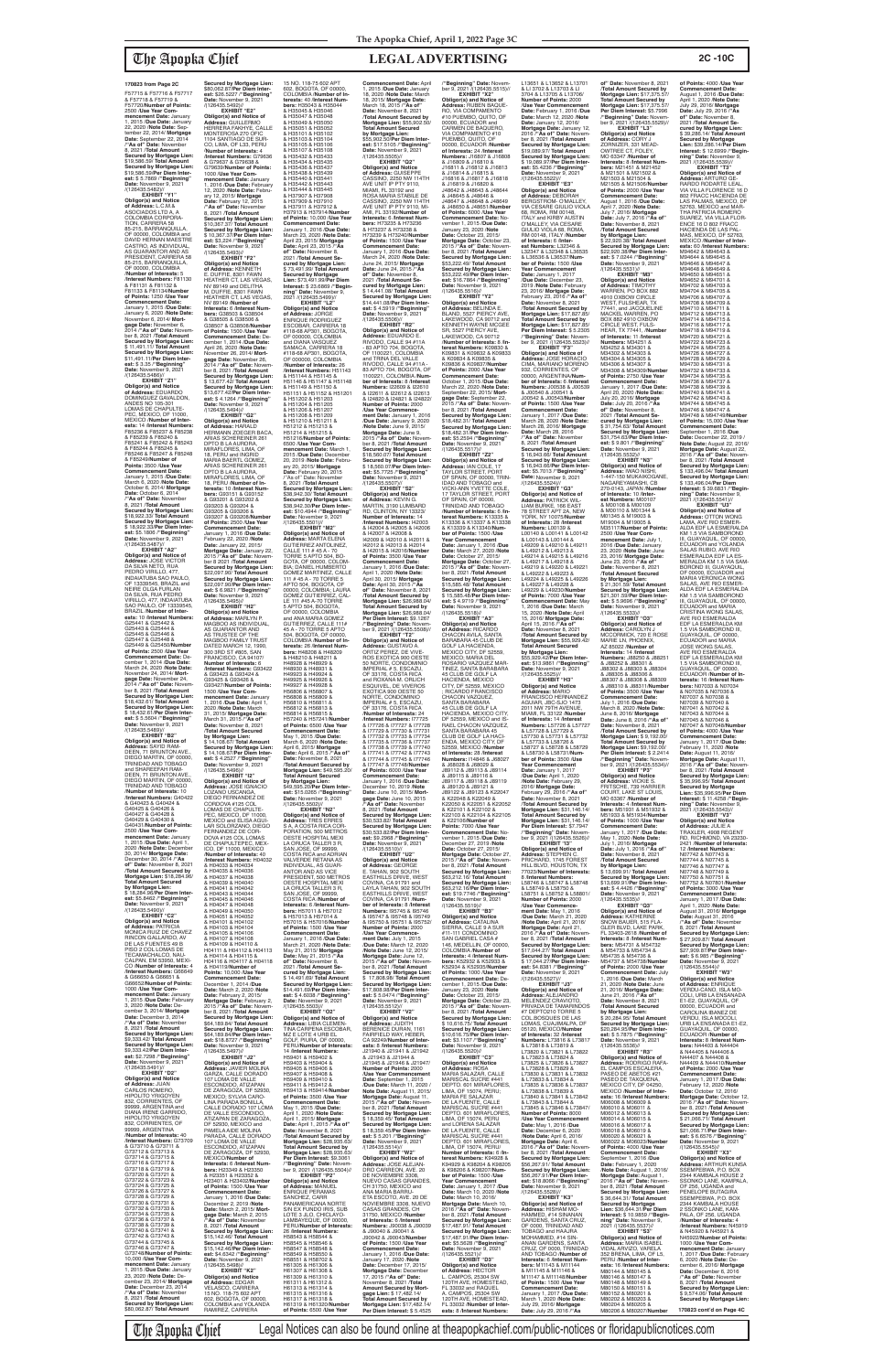F57715 & F57716 & F57717 & F57718 & F57719 & F57720/**Number of Points:** 2500 /**Use Year Com-mencement Date:** January 1, 2015 /**Due Date:** January 22, 2020 /**Note Date:** Sep-tember 22, 2014/ **Mortgage Date:** September 22, 2014 /**"As of" Date:** November 8, 2021 /**Total Amount Secured by Mortgage Lien:** \$19,586.59/ **Total Amount Secured by Mortgage Lien:** \$19,586.59/**Per Diem Inter-est:** \$ 5.7869 /**"Beginning" Date:** November 9, 2021 /(126435.5482)// **EXHIBIT "Y1"**

**Obligor(s) and Notice of Address:** L.C.M.& ASOCIADOS LTD A, A COLOMBIA CORPORA-TION, CARRERA 58 85-215, BARRANQUILLA, OF 00000, COLOMBIA and DAVID HERNAN MAESTRE CASTRO, AS INDIVIDUAL<mark>,</mark><br>AS GUARANTOR AND AS AS GUARANTOR AND AS PRESIDENT, CARRERA 58 85-215, BARRANQUILLA, OF 00000, COLOMBIA /**Number of Interests:** 5 /**Interest Numbers:** F81130 & F81131 & F81132 & F81133 & F81134/**Number of Points:** 1250 /**Use Year Commencement Date:** January 1, 2015 /**Due Date:** January 6, 2020 /**Note Date:** November 6, 2014/ **Mortgage Date:** November 6, 2014 /**"As of" Date:** November 8, 2021 /**Total Amount Secured by Mortgage Lien:**<br>\$11.491.11/ Total Amount \$ 11,491.11/ **Total Amount Secured by Mortgage Lien:** \$11,491.11/**Per Diem Inter-est:** \$ 3.35 /**"Beginning" Date:** November 9, 2021 /(126435.5486)//

/(126435.5487)// **EXHIBIT "A2" Obligor(s) and Notice of<br><b>Address:** JOSE VICTOR<br>DA SILVA NETO, RUA<br>PEDRO VIRILLO, 477, INDAIATUBA SAO PAULO, OF 13339545, BRAZIL and NEIRE OLGA FURLAN<br>DA SILVA, RUA PEDRO<br>VIRILLO, 477, INDAIATUBA SAO PAULO, OF 13339545, BRAZIL /**Number of Interests:** 10 /**Interest Numbers:** G25441 & G25442 & G25443 & G25444 & G25445 & G25446 & G25447 & G25448 & G25449 & G25450/**Number of Points:** 2500 /**Use Year Commencement Date:** December 1, 2014 /**Due Date:** March 24, 2020 /**Note Date:** November 24, 2014/ **Mortgage Date:** November 24, 2014 /**"As of" Date:** November 8, 2021 /**Total Amount Secured by Mortgage Lien:** \$18,432.61/ **Total Amount Secured by Mortgage Lien:** \$ 18,432.61/**Per Diem Inter-est:** \$ 5.5604 /**"Beginning" Date:** November 9, 2021 /(126435.5489)// **EXHIBIT "B2"**

**EXHIBIT "Z1" Obligor(s) and Notice of Address:** EDUARDO DOMINGUEZ GAVALDON, ANDES NO 105-301 LOMAS DE CHAPULTE-PEC, MEXICO, DF 11000, MEXICO /**Number of Interests:** 14 /**Interest Numbers:** F85236 & F85237 & F85238 & F85239 & F85240 & F85241 & F85242 & F85243 & F85244 & F85245 & F85246 & F85247 & F85248 & F85249/**Number of Points:** 3500 /**Use Year Commencement Date:** January 1, 2015 /**Due Date:** March 6, 2020 /**Note Date:** October 6, 2014/ **Mortgage Date:** October 6, 2014 /**"As of" Date:** November 8, 2021 /**Total Amount Secured by Mortgage Lien:** \$18,922.33/ **Total Amount Secured by Mortgage Lien:** \$ 18,922.33/**Per Diem Inter-est:** \$5.1806 /**"Beginning" Date:** November 9, 2021 ber 8, 2021 /**Total Amount Secured by Mortgage Lien:** \$ 13,677.42/ **Total Amount Secured by Mortgage Lien:** \$13,677.42/**Per Diem Interest:** \$ 4.1264 /**"Beginning" Date:** November 9, 2021<br>/(126435.5494)// **Obligor(s) and Notice of Address:** HARALD HERMANN ZOEGER BACA, ARIAS SCHEREINER 261 DPTO B LA AURORA, MIRAFLORES, LIMA, OF 18, PERU and INGRID MARIA BAERTL GOMEZ, ARIAS SCHEREINER 261 DPTO B LA AURORA,<br>MIRAFLORES, LIMA, OF 18, PERU /**Number of In-terests:** 10 /**Interest Num-bers:** G93151 & G93152 & G93201 & G93202 & G93203 & G93204 & G93205 & G93206 & G93207 & G93208/**Number of Points:** 2500 /**Use Year Commencement Date:** January 1, 2016 /**Due Date:** February 22, 2020 /**Note** 

**Obligor(s) and Notice of Address:** SAYID RAM-DEEN, 71 BRUNTON AVE. DIEGO MARTIN, OF 00000, TRINIDAD AND TOBAGO and SHAREEFAH RAM-DEEN, 71 BRUNTON AVE.,<br>DIEGO MARTIN, OF 00000 GO MARTIN, I TRINIDAD AND TOBAGO /**Number of Interests:** 10 /**Interest Numbers:** G40422 & G40423 & G40424 & G40425 & G40426 & G40427 & G40428 & G40429 & G40430 & G40431/**Number of Points:** 2500 /**Use Year Com-mencement Date:** January 1, 2015 /**Due Date:** April 1, 2020 /**Note Date:** Decembe 30, 2014/ **Mortgage Date:** December 30, 2014 /**"As of" Date:** November 8, 2021 /**Total Amount Secured by Mortgage Lien:** \$18,284.96/ **Total Amount Secured by Mortgage Lien:<br>\$ 18 284 96/Per Diem Inter-**\$ 18,284.96/**Per Diem Inter-est:** \$5.8462 /**"Beginning" Date:** November 9, 2021 /(126435.5490)// **EXHIBIT "C2" Obligor(s) and Notice<br><b>of Address:** PATRICIA<br>MONICA RUIZ DE CHAVEZ<br>RINCON GALLARDO, AV DE LAS FUENTES 49 B PISO 2 COL LOMAS DE TECAMACHALCO, NAU-CALPAN, EM 53950, MEXI-CO /**Number of Interests:** 4 /**Interest Numbers:** G66649 & G66650 & G66651 & G66652/**Number of Points:** 1000 /**Use Year Commencement Date:** January 1, 2015 /**Due Date:** February 3, 2020 /**Note Date:** December 3, 2014/ **Mortgage Date:** December 3, 2014 /**"As of" Date:** November 8, 2021 /**Total Amount Secured by Mortgage Lien:** \$9,333.42/ **Total Amount Secured by Mortgage Lien:** \$9,333.42/**Per Diem Interest:** \$2.7298 /"**Beginning"**<br>**Date:** November 9, 2021<br>/(126435.5491)// **EXHIBIT "D2" Obligor(s) and Notice of Address:** JUAN CARLOS ROMERO, HIPOLITO YRIGOYEN<br>832, CORRIENTES, OF 99999, ARGENTINA and DIANA IRENE GARRIDO, HIPOLITO YRIGOYEN 832, CORRIENTES, OF 99999, ARGENTINA /**Number of Interests:** 40 /**Interest Numbers:** G73709 & G73710 & G73711 & G73712 & G73713 & G73714 & G73715 & G73716 & G73717 & G73718 & G73719 & G73720 & G73721 & G73722 & G73723 & G73724 & G73725 & G73726 & G73727 & G73728 & G73729 & G73730 & G73731 & G73732 & G73733 & G73734 & G73735 & G73736 & G73737 & G73738 & G73739 & G73740 & G73741 & G73742 & G73743 & G73744 & G73745 & G73746 & G73747 & G73748/**Number of Points:** 10,000 /**Use Year Commencement Date:** January 1, 2015 /**Due Date:** January 23, 2020 /**Note Date:** December 23, 2014/ **Mortgage Date:** December 23, 2014 /**"As of" Date:** November 8, 2021 /**Total Amount Secured by Mortgage Lien:** \$80,062.87/ **Total Amount**  /**Total Amount Secured by Mortgage Lien:** \$ 14,108.67/ **Total Amount Secured by Mortgage Lien:** \$ 14,108.67/**Per Diem Inter-est:** \$ 4.2527 /**"Beginning" Date:** November 9, 2021

**Secured by Mortgage Lien:** \$80,062.87/**Per Diem Inter-est:** \$26.5227 /**"Beginning" Date:** November 9, 2021 /(126435.5492)// **EXHIBIT "E2" Obligor(s) and Notice of Address:** GUILLERMO<br>HERRERA FAKHYE, CALLE MONTEROSA 270 ÓFIC<br>1104 SANTIAGO DE SUR 1104 SANTIAGO DE SUR-<br>CO, LIMA, OF L33, PERU<br>**/Number of Interests**: 4<br>**/Interest Numbers**: G79636<br>& G79637 & G79638 & G79639/**Number of Points:** 1000 /**Use Year Commencement Date:** January 1, 2016 /**Due Date:** February 12, 2020 /**Note Date:** February 12, 2015/ **Mortgage Date:** February 12, 2015 /**"As of" Date:** November 8, 2021 /**Total Amount Secured by Mortgage Lien:** \$10,367.37/ **Total Amount Secured by Mortgage Lien:** \$ 10,367.37/**Per Diem Inter-est:** \$3,224 /**"Beginning" Date:** November 9, 2021 /(126435.5493)// **EXHIBIT "F2" Obligor(s) and Notice of Address:** KENNETH<br>E. DUFFIE, 8301 FAWN HEATHER CT, LAS VEGAS, NV 89149 and DELITHA M. DUFFIE, 8301 FAWN HEATHER CT. LAS VEGAS NV 89149 /**Number of Interests:** 6 /**Interest Numbers:** G38503 & G38504

& G38505 & G38506 & G38507 & G38508/**Number of Points:** 1500 /**Use Year Commencement Date:** De-cember 1, 2014 /**Due Date:** April 26, 2020 /**Note Date:** November 26, 2014/ **Mort-gage Date:** November 26, 2014 /**"As of" Date:** Novem-

**EXHIBIT "G2"**

**Date:** January 22, 2015/ **Mortgage Date:** January 22, 2015 /**"As of" Date:** Novem-ber 8 2021 /**Total Amount Secured by Mortgage Lien:** \$22,097.90/ **Total Amount Secured by Mortgage Lien:** \$22,097.90/**Per Diem Inter-est:** \$ 6.9821 /**"Beginning" Date:** November 9, 2021

/(126435.5495)// **EXHIBIT "H2" Obligor(s) and Notice<br><b>of Address:** MARLYN P.<br>MAGBOO AS INDIVIDUAL, AS GUARANTOR AND AS TRUSTEE OF THE<br>MAGBOO FAMILY TRUST DATED MARCH 12, 1990,<br>300 3RD ST #805, SAN<br>FRANCISCO, CA 94107/ **Number of Interests:** 6 /**Interest Numbers:** G93422 & G93423 & G93424 & G93425 & G93426 & G93427/**Number of Points:** 1500 /**Use Year Commencement Date:** January 1, 2016 /**Due Date:** April 1, 2020 /**Note Date:** March 31, 2015/ **Mortgage Date:** March 31, 2015 /**"As of" Date:** November 8, 2021

/(126435.5496)// **EXHIBIT** "I2"<br>**EXHIBIT** "I2"<br>Obligor(s) and Notice of **Obligor(s) and Notice of Address:** JOSE IGNACIO LOZANO USCANGA, DIEGO FERNANDEZ DE CORDOVA #125 COL<br>LOMAS DE CHAPULTE-PEC, MEXICO, DF 11000, MEXICO and ELISA AGUI-LAR SOLORZANO, DIEGO FERNANDEZ DE COR-DOVA #125 COL LOMAS<br>DE CHAPULTEPEC, MEX-ICO, DF 11000, MEXICO<br>/**Number of Interests:** 40<br>/**Interest Numbers:** H04032<br>& H04033 & H04034 & H04035 & H04036 & H04037 & H04038 & H04039 & H04040<br>& H04041 & H04042<br>& H04043 & H04044<br>& H04045 & H04046 & H04047 & H04048 & H04049 & H04050 & H04051 & H04052 & H04101 & H04102 & H04103 & H04104 & H04105 & H04106 & H04107 & H04108 & H04109 & H04110 & H04111 & H04112 & H04113 & H04114 & H04115 & H04116 & H04117 & H04118 & H04119/**Number of Points:** 10,000 /**Use Year**  Commencement Date:<br>December 1, 2014 /Due<br>Date: March 2, 2020 /Note<br>Date: February 2, 2015/<br>Mortgage Date: February 2,<br>2015 /"As of" Date: Novem-<br>Der 8, 2021 /Total Amount **Secured by Mortgage Lien:** \$64,189.84/ **Total Amount Secured by Mortgage Lien:** \$64,189.84/**Per Diem Interest:** \$18.8727 /**"Beginning" Date:** November 9, 2021 /(126435.5497)// **EXHIBIT "J2" Obligor(s) and Notice of Address:** JAVIER MOLINA GARZA, CALLE DORADO 107 LOMA DE VALLE ESCONDIDO, ATIZAPAN<br>DE ZARAGOZA, DF 52930, MEXICO; SYLVIA CARO-LINA PARADA BONILLA, CALLE DORADO 107 LOMA DE VALLE ESCONDIDO, ATIZAPAN DE ZARAGOZA,<br>DE 52930, MEXICO and DF 52930, MEXICO and PAMELA AIDE MOLINA PARADA, CALLE DORADO 107 LOMA DE VALLE ESCONDIDO, ATIZAPAN DE ZARAGOZA, DF 52930,<br>MEXICO/**Number of**<br>**Interests:** 6 /I<mark>nterest Num-</mark> **bers:** H23349 & H23350 & H23351 & H23352 & H23401 & H23402/**Numbe of Points:** 1500 /**Use Year Commencement Date:** January 1, 2016 /**Due Date:** December 2, 2019 /**Note Date:** March 2, 2015/ **Mort**gage Date: March 2, 2015<br>"As of "Date: November<br>8, 2021 /Total Amount<br>Secured by Mortgage Lien:<br>\$15,142.46/Total Amount<br>Secured by Mortgage Lien:<br>St5,142.46/Per Diem Inter**est:** \$4.6342 /**"Beginning"**<br>**Date:** November 9, 2021<br>/(126435.5498)// **EXHIBIT "K2" Obligor(s) and Notice of Address:** EDGAR VELASCO, CARRERA<br>15 NO. 118-75 602 APT 602, BOGOTA, OF 00000, COLOMBIA and YOLANDA RAMIREZ, CARRERA

**ncement Date: April** 1, 2015 /**Due Date:** January 18, 2020 /**Note Date:** March 18, 2015/ **Mortgage Date:** March 18, 2015 /**"As of" Date:** November 8, 2021 /**Total Amount Secured by Mortgage Lien:** \$55,902.50/ **Total Amount Secured**  \$55,902.50/**Per Diem Inter-est:** \$17.5105 /**"Beginning" Date:** November 9, 2021 **Obligor(s) and Notice<br><b>of Address:** GUISEPPE<br>CASSINO, 2250 NW 114TH AVE UNIT IP PTY 9110, MIAMI, FL 33192 and ROSA MARIA STABILE DE CASSINO, 2250 NW 114TH AVE UNIT IP PTY 9110, MI-AMI, FL 33192/**Number of Interests:** 6 /**Interest Numbers:** H73235 & H73236 & H73237 & H73238 & H73239 & H73240/**Numbe of Points:** 1500 /**Use Year Commencement Date:** January 1, 2016 /**Due Date:** March 24, 2020 /**Note Date:** June 24, 2015/ **Mortgage Date:** June 24, 2015 /**"As of" Date:** November 8,<br>2021 /**Total Amount Se-<br>cured by Mortgage Lien:<br>\$ 14,441.08/ Total Amount<br>Secured by Mortgage Lien:<br>\$14,441.08/Per Diem Interest:** \$ 4.5919 /**"Beginning" Date:** November 9, 2021 /(126435.5506)// **EXHIBIT "R2" Obligor(s) and Notice of**  Address: EDUARDO E.<br>RIVODO, CALLE 94 #11A<br>- 83 APTO 704, BOGOTA,<br>OF 1100221, COLOMBIA<br>and TRINA DEL VALLE<br>RIVODO, CALLE 94 #11A -<br>RIVODO, CALLE 94 #11A -<br>83 APTO 704, BOGOTA, OF 1100221, COLOMBIA /**Num-ber of Interests:** 8 /**Interest Numbers:** I22609 & I22610 & I22611 & I22612 & I22613 & I24820 & I24821 & I24822/ **Number of Points:** 2000 /**Use Year Commence-ment Date:** January 1, 2016 /**Due Date:** January 9, 2020 /**Note Date:** June 9, 2015/ **Mortgage Date:** June 9, 2015 /**"As of" Date:** Novem-ber 8, 2021 /**Total Amount Secured by Mortgage Lien:** \$18,560.07/ **Total Amount Secured by Mortgage Lien:** \$ 18,560.07/**Per Diem Interest:** \$5.7725 /**"Beginning"<br><b>Date:** November 9, 2021<br>/(126435.5507)//<br>**EXHIBIT "S2"** MARTIN, 3190 LUMBARD RD, CLINTON, NY 13323/ **Number of Interests:** 14 /**Interest Numbers:** I42003 & I42004 & I42005 & I42006 I42009 & I42010 & I42011 & I42012 & I42013 & I42014 & I42015 & I42016/**Number of Points:** 3500 /**Use Year Commencement Date:** January 1, 2016 /**Due Date:** April 1, 2020 /**Note Date:** April 30, 2015/ **Mortgage Date:** April 30, 2015 /**"As of" Date:** November 8, 2021 /**Total Amount Secured by Mortgage Lien:** \$26,988.04/ **Total Amount Secured by Mortgage Lien:** \$26,988.04/ **Per Diem Interest:** \$9.1267 /**"Beginning" Date:** Novem-ber 9, 2021 /(126435.5508)// **EXHIBIT "T2" Obligor(s) and Notice of Address:** GUSTAVO A. ORTIZ PEREZ, DE VIVE-ROS EXOTICA 900 OESTE 50 NORTE, CONDOMINIO IMPERIAL # 5, ESCAZU, OF 33176, COSTA RICA<br>and ROXANA M. ORLICH and ROXANA M. ORLICH ESQUIVEL, DE VIVEROS EXOTICA 900 OESTE 50 NORTE, CONDOMINIO IMPERIAL # 5, ESCAZU, OF 33176, COSTA RICA /**Number of Interests:** 24 /**Interest Numbers:** I77725 & I77726 & I77727 & I77728 & I77729 & I77730 & I77731 & I77732 & I77733 & I77734 & I77735 & I77736 & I77737 & I77738 & I77739 & I77740 & I77741 & I77742 & I77743 & I77744 & I77745 & I77746 & I77747 & I77748/**Number of Points:** 6000 /**Use Year Commencement Date:** January 1, 2016 /**Due Date:** December 10, 2019 /**Note Date:** June 10, 2015/ **Mortgage Date:** June 10, 2015 /**"As of" Date:** November 8, 2021 /**Total Amount Secured by Mortgage Lien:** \$30,533.82/ **Total Amount Secured by Mortgage Lien:** \$30,533.82/**Per Diem Interest:** \$9.2968 /**"Beginning" Date:** November 9, 2021 E. TAHAN, 902 SOUTH<br>EASTHILLS DRIVE, WEST COVINA, CA 91791 and LAYLA TAHAN, 902 SOUTH EASTHILLS DRIVE, WEST COVINA, CA 91791 /**Number of Interests:** 8 /**Interest Numbers:** I95745 & I95746 & I95747 & I95748 & I95749 & I95750 & I95751 & I95752/ **Number of Points:** 2000 **ment Date:** July 1, 2015 /**Due Date:** March 12, 2020 /**Note Date:** June 12, 2015/ **Mortgage Date:** June 12, 2015 /**"As of" Date:** Novem-ber 8, 2021 /**Total Amount Secured by Mortgage Lien:** \$ 17,808.98/ **Total Amount Secured by Mortgage Lien:** \$17,808.98/**Per Diem Inter-est:** \$ 5.0474 /**"Beginning" Date:** November 9, 2021 **EXHIBIT "V2" Obligor(s) and Notice of Address:** JUDITH BERENICE DURAN, 1161 FAIRFIELD WAY, HEBER, CA 92249/**Number of Inter-ests:** 8 /**Interest Numbers:** J21940 & J21941 & J21942 & J21943 & J21944 & J21945 & J21946 & J21947/ **Number of Points:** 2000 /**Use Year Commencement Date:** September 1, 2015 /**Due Date:** March 11, 2020 / **Note Date:** August 11, 2015/ **Mortgage Date:** August 11, 2015 /**"As of" Date:** November 8, 2021 /**Total Amount Secured by Mortgage Lien:** \$ 18,359.45/ **Total Amount Secured by Mortgage Lien:** \$ 18,359.45/**Per Diem Interest:** \$ 5.201 /**"Beginning" Date:** November 9, 2021<br>/(126435.5514)// **EXHIBIT "W2" Obligor(s) and Notice of Address:** JOSE ALEJAN-DRO CARREON, AVE. 20 DE NOVIEMBRE 3308,<br>NUEVO CASAS GRANDES, CH 31750, MEXICO and ANA MARIA BARRU-ETA ESCOTO, AVE. 20 DE NOVIEMBRE 3308, NUEVO CASAS GRANDES, CH 31750, MEXICO /**Number of Interests:** 6 /**Interest<br><b>Numbers:** J90038 & J90039<br>& J90040 & J90043/**Number**<br>J90042 & J90043/**Number of Points:** 1500 /**Use Year Commencement Date:** January 1, 2016 /**Due Date:** January 17, 2020 /**Note Date:** December 17, 2015/ **Mortgage Date:** December 17, 2015 /**"As of" Date:** November 8, 2021 /**Total Amount Secured by Mort-gage Lien:** \$ 17,482.14/ **Total Amount Secured by Mortgage Lien:** \$17,482.14/ **Per Diem Interest:** \$ 5.4525 /**"Beginning" Date:** Novem-ber 9, 2021 /(126435.5515)// **EXHIBIT "X2" Obligor(s) and Notice of Address:** RUBEN BAQUE-RO, VIA COMPAMENTO #10 PUEMBO, QUITO, OF 00000, ECUADOR and CARMEN DE BAQUERO, VIA COMPAMENTO #10 PUEMBO, QUITO, OF<br>00000, ECUADOR / Number 00000, ECUADOR /**Number of Interests:** 24 /**Interest Numbers:** J16807 & J16808 & J16809 & J16810 & J16811 & J16812 & J16813 & J16814 & J16815 & J16816 & J16817 & J16818 & J16819 & J16820 & J48642 & J48643 & J48644 & J48645 & J48646 & J48647 & J48648 & J48649 & J48650 & J48651/**Number**<br>**of Points:** 6000 /**Use Year of Points:** 6000 /**Use Year Commencement Date:** No-vember 1, 2015 /**Due Date:** January 23, 2020 /**Note Date:** October 23, 2015/ **Mortgage Date:** October 23, 2015 /**"As of" Date:** Novem-ber 8, 2021 /**Total Amount Secured by Mortgage Lien:** \$53,222.49/ **Total Amount Secured by Mortgage Lien:** \$53,222.49/**Per Diem Inter-est:** \$16.7864 /**"Beginning" Date:** November 9, 2021 /(126435.5516)// **EXHIBIT "Y2" Obligor(s) and Notice<br><b>of Address:** BELINDA E.<br>BLAND, 5527 PIERCY AVE, LAKEWOOD, CA 90712 KENNETH WAYNE MCGEE SR, 5527 PIERCY AVE,<br>LAKEWOOD, CA 90712 LAKEWOOD, CA 90712 /**Number of Interests:** 8 /**In-terest Numbers:** K09830 & K09831 & K09832 & K09833 & K09834 & K09835 & K09836 & K09837/**Number of Points:** 2000 /**Use Year Commencement Date:** October 1, 2015 /**Due Date:** March 22, 2020 /**Note Date:** September 22, 2015/ **Mort-gage Date:** September 22, 2015 /**"As of" Date:** November 8, 2021 /**Total Amount Secured by Mortgage Lien:** \$18,482.31/ **Total Amount Secured by Mortgage Lien:** \$18,482.31/**Per Diem Interest:** \$5.2594 /**"Beginning"**<br>**Date:** November 9, 2021<br>/(126435.5517)// **EXHIBIT "Z2" Obligor(s) and Notice of Address:** IAN COLE, 17 TAYLOR STREET, PORT OF SPAIN, OF 00000, TRIN-IDAD AND TOBAGO and VICKI-ANN YVETTE COLE, 17 TAYLOR STREET, PORT OF SPAIN, OF 00000 TRINIDAD AND TOBAGO /**Number of Interests:** 6 /**Interest Numbers:** K13335 & K13336 & K13337 & K13338 & K13339 & K13340/**Number of Points:** 1500 /**Use Year Commencement Date:** January 1, 2016 /**Due Date:** March 27, 2020 /**Note Date:** October 27, 2015/ **Mortgage Date:** October 27, 2015 /**"As of" Date:** November 8, 2021 /**Total Amount Secured by Mortgage Lien:** \$15,585.48/ **Total Amount Secured by Mortgage Lien:** \$ 15,585.48/**Per Diem Interest:** \$ 4.9719 /**"Beginning" Date:** November 9, 2021 /(126435.5518)// **EXHIBIT "A3" Obligor(s) and Notice of Address:** RICARDO CHACON AVILA, SANTA BARABARA 45 CLUB DE GOLF LA HACIENDA, MEXICO CITY, DF 52559, MEXICO; MARIA DEL ROSARIO VAZQUEZ MAR-TINEZ, SANTA BARABARA 45 CLÚB DE GOLF LA<br>HACIENDA. MEXICO HACIENDA, MEXICO CITY, DF 52559, MEXICO ; RICARDO FRANCISCO CHACON VAZQUEZ, SANTA BARABARA 45 CLUB DE GOLF LA HACIENDA, MEXICO CITY, 52559, MEXICO and IS RAEL CHACON VAZQUEZ,<br>SANTA BARABARA 45 CLUB DE GOLF LA HACI-ENDA, MEXICO CITY, DF 52559, MEXICO /**Number of Interests:** 28 /**Interest Numbers:** I14846 & J68027 & J68028 & J68029 & J89112 & J89113 & J89114 & J89115 & J89116 & J89117 & J89118 & J89119 & J89120 & J89121 & J89122 & J89123 & K22047 & K22048 & K22049 & K22050 & K22051 & K22052 & K22101 & K22102 & K22103 & K22104 & K22105 & K22106/**Number of Points:** 7000 /**Use Year Commencement Date:** November 1, 2015 /**Due Date:** December 27, 2019 /**Note Date:** October 27, 2015/ **Mortgage Date:** October 27, 2015 /**"As of" Date:** Novem-ber 8, 2021 /**Total Amount Secured by Mortgage Lien:** \$63,212.16/ **Total Amount Secured by Mortgage Lien:** \$63,212.16/**Per Diem Inter-est:** \$19.7746 /**"Beginning" Date:** November 9, 2021 /(126435.5519)// **EXHIBIT "B3" Obligor(s) and Notice of Address:** CATALINA SIERRA, CALLE 9 A SUR #11-111 CONDOMINIO SAN GABRIEL CASA #<br>146. MEDELLIN. OF 00000. 146, MEDELLIN, OF 00000, COLOMBIA /**Number of Interests:** 4 /**Interest Num-bers:** K52932 & K52933 & K52934 & K52935/**Number of Points:** 1000 /**Use Year Commencement Date:** December 1, 2015 /**Due Date:** January 23, 2020 /**Note Date:** October 23, 2015/ **Mortgage Date:** October 23, 2015 /**"As of" Date:** Novem-ber 8, 2021 /**Total Amount Secured by Mortgage Lien:** \$ 10,616.75/ **Total Amount Secured by Mortgage Lien:** \$10,616.75/**Per Diem Interest:** \$3.1107 /**"Beginning" Date:** November 9, 2021 /(126435.5520)// **EXHIBIT "C3" Obligor(s) and Notice of Address:** ROSA MARIA SALAZAR, CALLE MARISCAL SUCRE #441 DEPTO. 601 MIRAFLORES,<br>LIMA, OF 15074, PERU;<br>MARIA FE SALAZAR<br>DE LA FUENTE, CALLE MARISCAL SUCRE #441 DEPTO. 601 MIRAFLORES, LIMA, OF 15074, PERU and LORENA SALAZAR<br>DE LA FUENTE, CALLE<br>MARISCAL SUCRE #441 DEPTO. 601 MIRAFLORES, LIMA, OF 15074, PERU/ **Number of Interests:** 6 /**In-terest Numbers:** K94928 & K94929 & K98204 & K98205 & K98206 & K98207/**Number of Points:** 1500 /**Use Year Commencement Date:** January 1, 2017 /**Due Date:** March 10, 2020 /**Note Date:** March 10, 2016/ **Mortgage Date:** March 10, 2016 /**"As of" Date:** Novem-ber 8, 2021 /**Total Amount Secured by Mortgage Lien:** \$17,487.91/ **Total Amount Secured by Mortgage Lien:** \$17,487.91/**Per Diem Interest:** \$5.5628 /**"Beginning" Date:** November 9, 2021 /(126435.5521)// **EXHIBIT "D3" Obligor(s) and Notice of Address:** HECTOR L. CAMPOS, 25304 SW<br>120TH AVE, HOMESTEAD, FL 33032 and RAQUEL<br>A. CAMPOS, 25304 SW<br>120TH AVE, HOMESTEAD, FL 33032 /**Number of Interests:** 8 /**Interest Numbers:**

15 NO. 118-75 602 APT 602, BOGOTA, OF 00000, COLOMBIA /**Number of Interests:** 40 /**Interest Numbers:** H35043 & H35044 & H35045 & H35046 & H35047 & H35048 & H35049 & H35050 & H35051 & H35052 & H35101 & H35102 & H35103 & H35104 & H35105 & H35106 & H35107 & H35108 & H35432 & H35433 & H35434 & H35435 & H35436 & H35437 & H35438 & H35439 & H35440 & H35441 & H35442 & H35443 & H35444 & H35445 & H37907 & H37908 & H37909 & H37910 & H37911 & H37912 & H37913 & H37914/**Number of Points:** 10,000 /**Use Year Commencement Date:** January 1, 2016 /**Due Date:** March 23, 2020 /**Note Date:** April 23, 2015/ **Mortgage Date:** April 23, 2015 /**"As of" Date:** November 8, 2021 /**Total Amount Secured by Mortgage Lien:** \$ 73,491.99/ **Total Amount Secured by Mortgage Lien:** \$73,491.99/**Per Diem Interest:** \$ 23.6869 /**"Beginning" Date:** November 9, 2021 /(126435.5499)// **EXHIBIT "L2" Obligor(s) and Notice<br><b>of Address:** JORGE<br>ENRIQUE RODRIGUEZ<br>ESCOBAR, CARRERA 18 #118-68 AP301, BOGOTA, OF 000000, COLOMBIA and DIANA VASQUEZ<br>SAMACA, CARRERA 18<br>#118-68 AP301, BOGOTA,<br>OF 000000, COLOMBIA /**Number of Interests:** 26 /**Interest Numbers:** H51143 & H51144 & H51145 & H51146 & H51147 & H51148 & H51149 & H51150 & H51151 & H51152 & H51201 & H51202 & H51203 & H51204 & H51205<br>& H51204 & H51205<br>& H51206 & H51207 & H51206 & H51207<br>& H51208 & H51209<br>& H51210 & H51211 &<br>H51212 & H51213 & H51214 & H51215 & H51216/**Number of Points:** 6500 /**Use Year Commencement Date:** March 1, 2015 /**Due Date:** December 20, 2019 /**Note Date:** February 20, 2015/ **Mortgage Date:** February 20, 2015 /''As of'' Date: November 8, 2021 /**Total Amount Secured by Mortgage Lien:** \$38,942.30/ **Total Amount Secured by Mortgage Lien:** \$38,942.30/**Per Diem Inter-est:** \$10.4944 /**"Beginning" Date:** November 9, 2021 /(126435.5501)// **EXHIBIT "M2" Obligor(s) and Notice of<br><b>Address**: MARTA ELENA<br>GUTIERREZ ANTOLINEZ,<br>CALLE 111 # 45 A - 70<br>TORRE 5 APTO 504, BO-<br>GOTA, OF 00000, COLOM-BIA; DANIEL HUMBERTO GOMEZ MARTINEZ, CALLE 111 # 45 A - 70 TORRE 5 APTO 504, BOGOTA, OF 00000, COLOMBIA; LAURA GOMEZ GUTIERREZ, CAL-LE 111 #45 A-70 TORRE 5 APTO 504, BOGOTA, OF 00000, COLOMBIA<br>and ANA MARIA GOMEZ<br>GUTIERREZ, CALLE 111#<br>45 A - 70 TORRE 5 APTO 504, BOGOTA, OF 00000, COLOMBIA /**Number of Interests:** 26 /**Interest Num-bers:** H48208 & H48209 & H48210 & H48211 & H48928 & H48929 & H48930 & H48931 & H49923 & H49924 &<br>H49925 & H49926 & H49925 & H49926 & H49927 & H49928 & H56806 & H56807 & H56808 & H56809 & H56810 & H56811 & H56812 & H56813 & H56814 & H56815 & H57240 & H57241/**Number of Points:** 6500 /**Use Year Commencement Date:** May 1, 2015 /**Due Date:** March 6, 2020 /**Note Date:** April 6, 2015/ **Mortgage Date:** April 6, 2015 /**"As of" Date:** November 8, 2021 /**Total Amount Secured by Mortgage Lien:** \$49,595.20/ **Total Amount Secured by Mortgage Lien:** \$49,595.20/**Per Diem Inter-est:** \$15.0265 /**"Beginning" Date:** November 9, 2021 /(126435.5502)// **EXHIBIT "N2" Obligor(s) and Notice of Address:** TRES ERRES S A, A COSTA RICA COR-PORATION, 500 METROS OESTE HOSPITAL MEXI LA ORUCA TALLER 3 R,<br>SAN JOSE. OF 99999. SAN JOSE, OF 99999,<br>COSTA RICA and ADRIAN<br>VALVERDE RETANA AS INDIVIDUAL, AS GUAR-ANTOR AND AS VICE PRESIDENT, 500 METROS OESTE HOSPITAL MEXI LA ORUCA TALLER 3 R, SAN JOSE, OF 99999, COSTA RICA /**Number of Interests:** 6 /**Interest Num-bers:** H57011 & H57012 & H57013 & H57014 & H57015 & H57016/**Number of Points:** 1500 /**Use Year Commencement Date:** January 1, 2016 /**Due Date:** March 21, 2020 /**Note Date:** May 21, 2015/ **Mortgage Date:** May 21, 2015 /**"As of" Date:** November 8, 2021 /**Total Amount Secured by Mortgage Lien:** \$ 14,491.69/ **Total Amount Secured by Mortgage Lien:** \$14,491.69/**Per Diem Inter-est:** \$ 4.6038 /**"Beginning" Date:** November 9, 2021 /(126435.5503)// **EXHIBIT "O2" Obligor(s) and Notice of<br><b>Address:** LIBIA CLEMEN-<br>TINA CARPENA ESCOBAR,<br>MZ E LOTE 4 URB EL GOLF, PIURA, OF 00000, PERU/**Number of Interests:** 14 /**Interest Numbers:** H59401 & H59402 & H59403 & H59404 & H59405 & H59406 & H59407 & H59408 & H59409 & H59410 &<br>H59411 & H59412 & H59411 & H59412 & H59413 & H59414/**Number of Points:** 3500 /**Use Year Commencement Date:** May 1, 2015 /**Due Date:** April 1, 2020 /**Note Date:** April 1, 2015/ **Mortgage Date:** April 1, 2015 /**"As of" Date:** November 8, 2021 /**Total Amount Secured by Mortgage Lien:** \$28,935.63/ **Total Amount Secured by Mortgage Lien: \$28,935.63/<br><b>Per Diem Interest: \$**9.3061<br>/**"Beginning" Date:** Novem-<br>ber 9, 2021 /(126435.5504)// **EXHIBIT "P2" Obligor(s) and Notice of Address:** MANUEL ENRIQUE PERAMAS SANCHEZ, CARR PANAMERICANA NORTE<br>S/N EX FUNDO IRIS, SUB LOTE 3 JLO, CHICLAYO-LAMBAYEQUE, OF 00000, PERU/**Number of Interests:** 26 /**Interest Numbers:** H58543 & H58544 & H58545 & H58546 & H58547 & H58548 & H58549 & H58550 & H58551 & H58702 & H61305 & H61306 & H61307 & H61308 & H61309 & H61310 & H61311 & H61312 & H61313 & H61314 & H61315 & H61316 & H61317 & H61318 & H61319 & H61320/**Number of Points:** 6500 /**Use Year by Mortgage Lien:** /(126435.5505)// **EXHIBIT "Q2" Obligor(s) and Notice of Address:** KEVIN G. & I42007 & I42008 & /(126435.5510)// **EXHIBIT "U2" Obligor(s) and Notice of Address:** GEORGE /**Use Year Commence-**/(126435.5512)//

M94726 & M94727 & M94728 & M94729 & M94730 & M94731 & M94732 & M94733 & M94734 & M94735 & M94736 & M94737 & M94738 & M94739 & M94740 & M94741 & M94742 & M94743 & M94744 & M94745 & M94746 & M94747 & M94748 & M94749/**Number of Points:** 15,000 /**Use Year Commencement Date:** September 1, 2016 /**Due Date:** December 22, 2019 / **Note Date:** August 22, 2016/ **Mortgage Date:** August 22, 2016 /**"As of" Date:** November 8, 2021 /**Total Amount Secured by Mortgage Lien:** \$ 133,496.04/ **Total Amount Secured by Mortgage Lien:** \$ 133,496.04/**Per Diem Interest:** \$ 39.6831 /**"Beginning" Date:** November 9, 2021 /(126435.5541)// **EXHIBIT "U3" Obligor(s) and Notice of Address:** OTTON WONG LAMA, AVE RIO ESMER-ALDA EDF LA ESMERALDA KM 1.5 VIA SAMBOROND III, GUAYAQUIL, OF 00000, ECUADOR and YOLANDA<br>SALAS RUBIO, AVE RIO SALAS RUBIO, AVE RIO<br>ESMERALDA EDF LA ES-<br>MERALDA KM 1.5 VIA SAM-<br>BOROND III, GUAYAQUIL, OF 00000, ECUADOR and MARIA VÉRONICA WONG<br>SALAS, AVE RIO ESMER-SALAS, AVE RIO ESMER-ALDA EDF LA ESMERALDA KM 1.5 VIA SAMBOROND III, GUAYAQUIL, OF 00000, ECUADOR and MARIA CRISTINA WONG SALAS, AVE RIO ESMERALDA EDF LA ESMERALDA KM 1.5 VIA SAMBOROND III, GUAYAQUIL, OF 00000, .<br>ECUADOR and MARIA<br>JOSE WONG SALAS.

JOSE WONG SALAS,<br>AVE RIO ESMERALDA<br>EDF LA ESMERALDA KM<br>1.5 VIA SAMBOROND III, GUAYAQUIL, OF 00000, **ECUADOR /<b>Number of In**<br>terests: 16 /Interest Num **terests:** 16 /**Interest Num-bers:** N07033 & N07034 & N07035 & N07036 & N07037 & N07038 & N07039 & N07040 & N07041 & N07042 & N07043 & N07044 & N07045 & N07046 & N07047 & N07048/**Number of Points:** 4000 /**Use Year Commencement Date:** January 1, 2017 /**Due Date:** February 11, 2020 /**Note Date:** August 11, 2016/ **Mortgage Date:** August 11, 2016 /**"As of" Date:** November 8, 2021 /**Total Amount Secured by Mortgage Lien:** \$ 35,996.95/ **Total Amount Secured by Mortgage Lien:** \$35,996.95/**Per Diem Interest:** \$ 11.4258 /**"Beginning" Date:** November 9, 2021 /(126435.5543)// **EXHIBIT "V3" Obligor(s) and Notice of Address:** JULIE A TRAXLER, 4908 REGENT RD, RICHMOND, VA 23230- 2421 /**Number of Interests:** 12 /**Interest Numbers:** N07742 & N07743 & N07744 & N07745 & N07746 & N07747 & N07748 & N07749 & N07750 & N07751 & N07752 & N07801/**Number of Points:** 3000 /**Use Year Commencement Date:** January 1, 2017 /**Due Date:** April 1, 2020 /**Note Date:** August 31, 2016/ **Mortgage Date:** August 31, 2016 /**"As of" Date:** November 8, 2021 /**Total Amount Secured by Mortgage Lien:** \$ 27,909.87/ **Total Amount Secured by Mortgage Lien:** \$27,909.87/**Per Diem Interest:** \$ 6.985 /**"Beginning" Date:** November 9, 2021<br>/(126435.5544)// **EXHIBIT "W3" Obligor(s) and Notice of Address:** ENRIQUE VERDU-CANO, ISLA MO-COLI, URB LA ENSANADA E1-E2, GUAYAQUIL, OF 00000, ECUADOR and CAROLINA IBANEZ DE VERDU, ISLA MOCOLI,<br>URB LA ENSANADA E1-E2,<br>GUAYAQUIL, OF 00000,<br>ECUADOR /**Number of Interests:** 8 /**Interest Num-bers:** N44403 & N44404 & N44405 & N44406 & N44407 & N44408 & N44409 & N44410/**Number of Points:** 2000 /**Use Year Commencement Date:** January 1, 2017 /**Due Date:** February 12, 2020 /**Note Date:** October 12, 2016/ **Mortgage Date:** October 12, 2016 /**"As of" Date:** November 8, 2021 /**Total Amount Secured by Mortgage Lien:** \$ 21,066.71/ **Total Amount Secured by Mortgage Lien:** \$21,066.71/**Per Diem Interest:**  $$6.6576$  / "**Beginning Date:** November 9, 2021<br>/(126435.5545)// **EXHIBIT "X3" Obligor(s) and Notice of Address:** ARTHUR KUNSA SSEMPEBWA, P.O. BOX 2344 KAMBALA HOUSE 2 SSONKO LANE, KAMPALA OF 256, UGANDA and PENELOPE BUTAGIRA SSEMPEBWA, P.O. BOX 2344 KAMBALA HOUSE 2 SSONKO LANE, KAM-PALA, OF 256, UGANDA /**Number of Interests:** 4 /**Interest Numbers:** N45919 & N45920 & N45921 & N45922/**Number of Points:** 1000 /**Use Year Commencement Date:** January 1, 2017 /**Due Date:** February 6, 2020 /**Note Date:** De-cember 6, 2016/ **Mortgage Date:** December 6, 2016 /**"As of" Date:** November 8, 2021 /**Total Amount** 

L13651 & L13652 & L13701 & LI 3702 & L13703 & LI 3704 & L13705 & L13706/ **Number of Points:** 2000 /**Use Year Commencement Date:** February 1, 2016 /**Due Date:** March 12, 2020 /**Note Date:** January 12, 2016/ **Mortgage Date:** January 12, 2016 /**"As of" Date:** November 8, 2021 /**Total Amount Secured by Mortgage Lien:** \$19,089.97/ **Total Amount Secured by Mortgage Lien:** \$ 19,089.97/**Per Diem Interest:** \$5.4236 /**"Beginning" Date:** November 9, 2021<br>/(126435.5522)// **EXHIBIT "E3" Obligor(s) and Notice of Address:** DEBORAH BERGSTROM- O'MALLEY,<br>VIA CESARE GIULIO VIOLA<br>68, ROMA, RM 00148,<br>ITALY and KIRBY AUSTIN<br>O'MALLEY, VIA CESARE<br>GIULIO VIOLA 68, ROMA, **RM 00148, ITALY /Number of Interests:** 6 /**Inter-**<br>**est Numbers:** L32346 &<br>L32347 & L32348 & L36535 & L36536 & L36537/**Number of Points:** 1500 /**Use Year Commencement**  Date: January 1, 2017<br>/Due Date: December 23. /**Due Date:** December 23, 2019 /**Note Date:** February 23, 2016/ **Mortgage Date:** February 23, 2016 /**"As of" Date:** November 8, 2021 /**Total Amount Secured by Mortgage Lien:** \$17,827.85/ **Total Amount Secured by Mortgage Lien:** \$17,827.85/ **Per Diem Interest:** \$ 5.2305 /**"Beginning" Date:** Novem-ber 9, 2021 /(126435.5523)// **EXHIBIT "F3" Obligor(s) and Notice of Address:** JOSE HORACIO CIMA, MARIANO MORENO 932, CORRIENTES, OF 00000, ARGENTINA/**Num-ber of Interests:** 6 /**Interest Numbers:** J00538 & J00539 & J00540 & J00541 & J00542 & J00543/**Number of Points:** 1500 /**Use Year Commencement Date:** January 1, 2017 /**Due Date:** March 28, 2020 /**Note Date:** March 28, 2016/ **Mortgage Date:** March 28, 2016 /**"As of" Date:** November 8, 2021 /**Total Amount Secured by Mortgage Lien:** \$ 16,943.66/ **Total Amount Secured by Mortgage Lien:** \$ 16,943.66/**Per Diem Interest:** \$5.7013 /**"Beginning" Date:** November 9, 2021 /(126435.5524)// **EXHIBIT "G3" Obligor(s) and Notice of Address:** PATRICK WIL-LIAM BURKE, 166 EAST 78 STREET APT 2A, NEW YORK, NY 10075/**Number of Interests:** 28 /**Interest Numbers:** L00139 & L00140 & L00141 & L00142 & L00143 & L00144 & L49209 & L49210 & L49211 & L49212 & L49213 & L49214 & L49215 & L49216 & L49217 & L49218 & L49219 & L49220 & L49221 & L49222 & L49223 & L49224 & L49225 & L49226 & L49227 & L49228 & L49229 & L49230/**Number of Points:** 7000 /**Use Year Commencement Date:** May 1, 2016 /**Due Date:** March 15, 2020 /**Note Date:** April 15, 2016/ **Mortgage Date:** April 15, 2016 /**"As of" Date:** November 8, 2021 /**Total Amount Secured by Mortgage Lien:** \$55,929.42/ **Total Amount Secured by Mortgage Lien:** \$55,929.42/**Per Diem Inter-est:** \$13.9861 /**"Beginning" Date:** November 9, 2021 /(126435.5525)//<br>**FXHIBIT "H3" EXHIBIT "H3" Obligor(s) and Notice of Address:** MARIO FRANCISCO HERNANDEZ AGUIAR, JBC-SJO 1473 2011 NW 79TH AVENUE, MIAMI, FL 33122 /**Number of Interests:** 14 /**Interest Numbers:** L57726 & L57727 & L57728 & L57729 & L57730 & L57731 & L57732 & L57733 & L58726 & L58727 & L58728 & L58729 & L58730 & L58731/**Number of Points:** 3500 /**Use Year Commencement Date:** January 1, 2017

/**Due Date:** April 1, 2020 /**Note Date:** February 29, 2016/ **Mortgage Date:** February 29, 2016 /**"As of" Date:** November 8, 2021 /**Total Amount Secured by Mortgage Lien:** \$31,146.14/ **Total Amount Secured by Mortgage Lien:** \$31,146.14/ **Per Diem Interest:** \$7.7947 /**"Beginning" Date:** November 9, 2021 /(126435.5526)// **EXHIBIT "I3" Obligor(s) and Notice of<br><b>Address:** STEPHEN C.<br>PRICHARD, 1745 FOREST<br>HILL BLVD, HOUSTON, TX 77023/**Number of Interests:** 8 /**Interest Numbers:** L58746 & L58747 & L58748 & L58749 & L58750 & L58751 & L58752 & L58801/ **Number of Points:** 2000 /**Use Year Commence-ment Date:** May 1, 2016 /**Due Date:** March 21, 2020 /**Note Date:** April 21, 2016/ **Mortgage Date:** April 21, 2016 /**"As of" Date:** November 8, 2021 /**Total Amount Secured by Mortgage Lien:** \$17,044.27/ **Total Amount Secured by Mortgage Lien:** \$ 17,044.27/**Per Diem Inter-est:** \$4.8381 /**"Beginning" Date:** November 9, 2021<br>/(126435.5527)// **EXHIBIT "J3" Obligor(s) and Notice of Address:** ALEJANDRO MELENDEZ CRAVIOTO, PRIVADA DE TAMARINDOS #7 DEPTO210 TORRE 5 COL.BOSQUES DE LAS LOMAS, CUAJIMALPA, DF 05120, MEXICO/**Number of Interests:** 32 /**Interest Numbers:** L73816 & L73817 & L73818 & L73819 & L73820 & L73821 & L73822 & L73823 & L73824 & L73825 & L73826 & L73827 & L73828 & L73829 & L73830 & L73831 & L73832 & L73833 & L73834 & L73835 & L73836 & L73837 & L73838 & L73839 & L73840 & L73841 & L73842 & L73843 & L73844 & L73845 & L73846 & L73847/ **Number of Points:** 8000 /**Use Year Commencement Date:** May 1, 2016 /**Due Date:** December 6, 2020 /**Note Date:** April 6, 2016/ **Mortgage Date:** April 6, 2016 /**"As of" Date:** November 8, 2021 /**Total Amount Secured by Mortgage Lien:** \$56,267.91/ **Total Amount Secured by Mortgage Lien:** \$56,267.91/**Per Diem Inter-est:** \$18.8066 /**"Beginning" Date:** November 9, 2021 /(126435.5528)// **EXHIBIT "K3" Obligor(s) and Notice of Address:** HISHAM MO-HAMMED, #14 SINANAN GARDENS, SANTA CRUZ,<br>OF 0000, TRINIDAD AND<br>TOBAGO and HAAJRA<br>MOHAMMED, #14 SIN-ANAN GARDENS, SANTA CRUZ, OF 0000, TRINIDAD AND TOBAGO /**Number of Interests:** 6 /**Interest Num-bers:** M11143 & M11144 & M11145 & M11146 & M11147 & M11148/**Numbe of Points:** 1500 /**Use Year Commencement Date:** January 1, 2017 /**Due Date:** March 1, 2020 /**Note Date:** July 29, 2016/ **Mortgage Date:** July 29, 2016 /**"As** 

**of" Date:** November 8, 2021 /**Total Amount Secured by Mortgage Lien:** \$17,375.57/ **Total Amount Secured by Mortgage Lien: \$**17,375.57/<br>**Per Diem Interest: \$**5.7996<br>/**"Beginning" Date:** Novem-<br>ber 9, 2021 /(126435.5529)// **EXHIBIT "L3" Obligor(s) and Notice of Address:** CORY J ZORNIZER, 331 MEAD-OWTREE CT, FOLEY, MO 63347 /**Number of Interests:** 8 /**Interest Num-bers:** M21451 & M21452 & M21501 & M21502 & M21503 & M21504 & M21505 & M21506/**Number of Points:** 2000 /**Use Year Commencement Date:** August 1, 2016 /**Due Date:** April 7, 2020 /**Note Date:** July 7, 2016/ **Mortgage Date:** July 7, 2016 /**"As of" Date:** November 8, 2021 /**Total Amount Secured by Mortgage Lien:** \$ 22,920.38/ **Total Amount Secured by Mortgage Lien:** \$22,920.38/**Per Diem Inter-est:** \$ 7.0244 /**"Beginning" Date:** November 9, 2021 /(126435.5531)// **EXHIBIT "M3" Obligor(s) and Notice of Address:** TIMOTHY WARREN, PO BOX 882 4910 OXBOW CIRCLE WEST, FULSHEAR, TX 77441, and JACQUELINE MACKEL WARREN, PO BOX 882 4910 OXBOW CIRCLE WEST, FULS-HEAR, TX 77441, /**Number of Interests:** 11 /**Interest Numbers: M34251 &**<br>M34252 & M34301 & M34252 & M34301 & M34302 & M34303 & M34304 & M34305 & M34306 & M34307 & M34308 & M34309/**Numbe of Points:** 2750 /**Use Year Commencement Date:** January 1, 2017 /**Due Date:** April 20, 2020 /**Note Date:** July 20, 2016/ **Mortgage Date:** July 20, 2016 /**"As of" Date:** November 8, 2021 /**Total Amount Se-cured by Mortgage Lien:** \$ 31,754.63/ **Total Amount Secured by Mortgage Lien:** \$31,754.63/**Per Diem Interest:** \$ 9.801 /**"Beginning"**<br>**Date:** November 9, 2021<br>/(126435.5532)// **EXHIBIT "N3" Obligor(s) and Notice of Address:** IWAO NISHI, 1-447-150 MUKAIKOGANE, NAGAREYAMASHI, CB 270-0143, JAPAN /**Number of Interests:** 10 /**Inter-est Numbers:** M00107 & M00108 & M00109 & M00110 & M01344 &<br>M01345 & M19003 & M01345 & M19003 & M19004 & M19005 & M35117/**Number of Points:** 2500 /**Use Year Commencement Date: July 1,<br>2016 /Due Date: January** 2016 /**Due Date:** January 23. 2020 /**Note Date:** June 23, 2016/ **Mortgage Date:** June 23, 2016 /**"As of" Date: November 8, 2021<br>Total Amount Secured** /**Total Amount Secured by Mortgage Lien:** \$ 21,301.59/ **Total Amount Secured by Mortgage Lien:** \$21,301.59/**Per Diem Interest:** \$ 5.9696 /**"Beginning" Date:** November 9, 2021 /(126435.5533)// **EXHIBIT "O3" Obligor(s) and Notice of Address:** CAROLYN J MCCORMICK, 720 E ROSE MARIE LN, PHOENIX, AZ 85022 /**Number of Interests:** 14 /**Interest Numbers:** J88250 & J88251 & J88252 & J88301 & J88302 & J88303 & J88304 & J88305 & J88306 & J88307 & J88308 & J88309 & J88310 & J88311/**Number of Points:** 3500 /**Use Year Commencement Date:** July 1, 2016 /**Due Date:** March 8, 2020 /**Note Date:** June 8, 2016/ **Mortgage Date:** June 8, 2016 /**"As of" Date:** November 8, 2021 /**Total Amount Secured by**  M94722 & M94723 & M94724 & M94725 &

**of Points:** 4000 /**Use Year Commencement Date:** August 1, 2016 /**Due Date:** April 1, 2020 /**Note Date:** July 29, 2016/ **Mortgage Date:** July 29, 2016 /**"As of" Date:** November 8, 2021 /**Total Amount Secured by Mortgage Lien:** \$ 39,286.14/ **Total Amount Secured by Mortgage Lien:** \$39,286.14/**Per Diem Interest:** \$ 12.6999 /**"Beginning" Date:** November 9, 2021 /(126435.5539)// **EXHIBIT "T3" Obligor(s) and Notice of<br><b>Address:** ARTURO GE-<br>RARDO RODARTE LEAL,<br>VIA VILLA FLORENCE 16 D 802 FRACC HACIENDA DE LAS PALMAS, MEXICO, DF 52763, MEXICO and MAR-THA PATRICIA ROMERO SUAREZ, VIA VILLA FLOR-ENCE 16 D 802 FRACC HACIENDA DE LAS PAL-MAS, MEXICO, DF 52763, MEXICO /**Number of Inter-ests:** 60 /**Interest Numbers:** M94642 & M94643 & M94644 & M94645 & M94646 & M94647 & M94648 & M94649 & M94650 & M94651 & M94652 & M94701 & M94702 & M94703 & M94704 & M94705 & M94706 & M94707 & M94708 & M94709 & M94710 & M94711 & M94712 & M94713 & M94714 & M94715 & M94716 & M94717 & M94718 & M94719 & M94720 & M94721 &

**Mortgage Lien:** \$ 9,192.00/ **Total Amount Secured by Mortgage Lien:** \$9,192.00/ **Per Diem Interest:** \$ 2.2414 /**"Beginning" Date:** Novem-ber 9, 2021 /(126435.5534)// **EXHIBIT "P3" Obligor(s) and Notice of Address:** VICKIE S. FRITSCHE, 739 HARRIER COURT, LAKE ST LOUIS, MO 63367 /**Number of Interests:** 4 /**Interest Numbers:** M51931 & M51932 & M51933 & M51934/**Number of Points:** 1000 /**Use Year Commencement Date:** January 1, 2017 /**Due Date:** May 1, 2020 /**Note Date:** July 1, 2016/ **Mortgage Date:** July 1, 2016 /**"As of" Date:** November 8, 2021 /**Total Amount Secured by Mortgage Lien:** \$ 13,699.91/ **Total Amount Secured by Mortgage Lien:** \$13,699.91/**Per Diem Interest:** \$ 4.4426 /**"Beginning" Date:** November 9, 2021 /(126435.5535)// **EXHIBIT "Q3" Obligor(s) and Notice of Address:** KATHERINE SNOW BAUER, 515 FLA-GLER BLVD, LAKE PARK, FL 33403-2618 /**Number of Interests:** 8 /**Interest Num-bers:** M54731 & M54732 & M54733 & M54734 & M54735 & M54736 & M54737 & M54738/**Number of Points:** 2000 /**Use Year Commencement Date:** July 1, 2016 /**Due Date:** March 21, 2020 /**Note Date:** June 21, 2016/ **Mortgage Date:** June 21, 2016 /**"As of" Date:** November 8, 2021 /**Total Amount Secured by Mortgage Lien:** \$ 20,284.95/ **Total Amount Secured by Mortgage Lien:** \$20,284.95/**Per Diem Inter-est:** \$ 5.7875 /**"Beginning" Date:** November 9, 2021<br>/(126435.5536)// **EXHIBIT "R3" Obligor(s) and Notice of Address:** RODRIGO RAFA-EL CAMPOS ESCALERA, PASEO DE ABETOS #21 PASEO DE TAXQUENA, MEXICO CITY, DF 04250, MEXICO /**Number of Inter-ests:** 16 /**Interest Numbers:** M06008 & M06009 & M06010 & M06011 & M06012 & M06013 & M06014 & M06015 & M06016 & M06017 & M06018 & M06019 & M06020 & M06021 & M06022 & M06023/Nu **of Points:** 4000 /**Use Year Commencement Date:** September 1, 2016 /**Due Date:** February 1, 2020 /**Note Date:** August 1, 2016/ **Mortgage Date:** August 1, 2016 /**"As of" Date:** November 8, 2021 /**Total Amount Secured by Mortgage Lien:** \$ 36,644.31/ **Total Amount Secured by Mortgage Lien:** \$36,644.31/**Per Diem Interest:** \$ 10.9859 /**"Beginning" Date:** November 9, 2021 /(126435.5537)// **EXHIBIT "S3" Obligor(s) and Notice of Address:** MARIA ISABEL VIDAL ARVIZO, VARELA 352 BRENA, LIMA, OF L5, PERU /**Number of Inter-ests:** 16 /**Interest Numbers:** M80144 & M80145 & M80146 & M80147 & M80148 & M80149 & M80150 & M80151 & M80152 & M80201 & M80202 & M80203 & M80204 & M80205 & **Secured by Mortgage Lien:** \$ 9,574.06/ **Total Amount Secured by Mortgage Lien:**

M80206 & M80207/**Numbe** 

**170823 from Page 2C**

**170823 cont'd on Page 4C**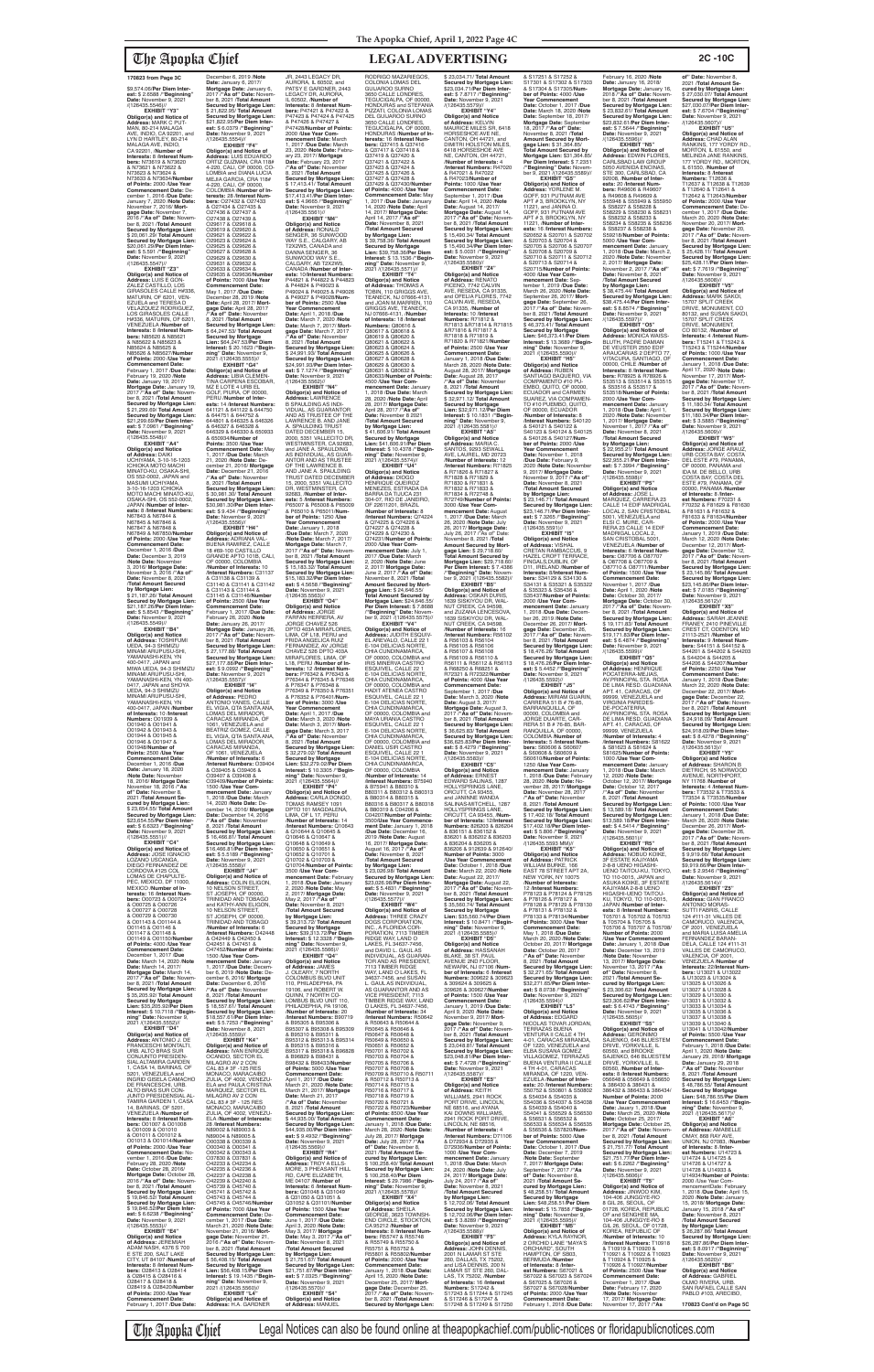**EXHIBIT "Y3" Obligor(s) and Notice of Address:** MARK C PUT-MAN, 80-214 MALAGA AVE, INDIO, CA 92201, and LYN D HARTLEY, 80-214 MALAGA AVE, INDIO,<br>CA 92201, /**Number of**<br>Interests: 8 /Interest Num**bers:** N73619 & N73620 & N73621 & N73622 & N73623 & N73624 & N73633 & N73634/**Number of Points:** 2000 /**Use Year Commencement Date:** December 1, 2016 /**Due Date:** January 7, 2020 /**Note Date**<br>November 7, 2016/ Morter 7, 2016/ **Mortgage Date:** November 7, 2016 /**"As of" Date:** November 8, 2021 /**Total Amount Secured by Mortgage Lien:** \$ 20,061.29/ **Total Amount Secured by Mortgage Lien:** \$20,061.29/**Per Diem Interest:** \$ 5.591 /**"Beginning" Date:** November 9, 2021<br>/(126435.5547)//

\$9,574.06/**Per Diem Interest:** \$ 2.6588 /**"Beginning" Date:** November 9, 2021 /(126435.5546)//

**EXHIBIT "Z3" Obligor(s) and Notice of Address:** LUIS E GON-ZALEZ CASTILLO, LOS GIRASOLES CALLE H#336, MATURIN, OF 6201, VEN-EZUELA and TERESA D VELAZQUEZ RODRIGUEZ, LOS GIRASOLES CALLE H#336, MATURIN, OF 6201, VENEZUELA /**Number of Interests:** 8 /**Interest Numbers:** N85620 & N85621 & N85622 & N85623 & N85624 & N85625 & N85626 & N85627/**Number of Points:** 2000 /**Use Year Commencement Date:** February 1, 2017 /**Due Date:** February 19, 2020 /**Note Date:** January 19, 2017/ **Mortgage Date:** January 19, 2017 /**"As of" Date:** Novem-ber 8, 2021 /**Total Amount Secured by Mortgage Lien:** \$ 21,299.69/ **Total Amount Secured by Mortgage Lien:** \$21,299.69/**Per Diem Inter-est:** \$ 7.0961 /**"Beginning" Date:** November 9, 2021

/(126435.5548)// **EXHIBIT "A4" Obligor(s) and Notice of Address:** DAIKI UCHIYAMA, 3-10-16-1203 ICHIOKA MOTO MACHI MINATO-KU, OSAKA-SHI, OS 552-0002, JAPAN and<br>MASUMI UCHIYAMA MASUMI UCHIYAMA,<br>3-10-16-1203 ICHIOKA<br>MOTO MACHI MINATO-KU, OSAKA-SHI, OS 552-0002, JAPAN /**Number of Interests:** 8 /**Interest Numbers:** N67843 & N67844 & N67845 & N67846 & N67847 & N67848 & N67849 & N67850/Numbe **of Points:** 2000 /**Use Year Commencement Date:** December 1, 2016 /**Due Date:** December 3, 2019 /**Note Date:** November 3, 2016/ **Mortgage Date:** November 3, 2016 /**"As of" Date:** November 8, 2021 /**Total Amount Secured by Mortgage Lien:** \$ 21,187.26/ **Total Amount Secured by Mortgage Lien:** \$21,187.26/**Per Diem Interest:** \$ 5.8543 /**"Beginning" Date:** November 9, 2021 /(126435.5549)// **EXHIBIT "B4"**

**Obligor(s) and Notice of Address:** TOSHIFUMI UEDA, 94-3 SHIMIZU<br>MINAMI ARUPUSU-SHI. MINAMI ARUPUSU-SHI, YAMANASHI-KEN, YN 400-0417, JAPAN and MIWA UEDA, 94-3 SHIMIZU MINAMI ARUPUSU-SHI, YAMANASHI-KEN, YN 400- 0417, JAPAN and SHOYA UEDA, 94-3 SHIMIZU MINAMI ARUPUSU-SHI, YAMANASHI-KEN, YN 400-0417, JAPAN /**Number of Interests:** 10 /**Interest Numbers:** O01939 & O01940 & O01941 & O01942 & O01943 & O01944 & O01945 & O01946 & O01947 & O01948/**Number of Points:** 2500 /**Use Year Commencement Date:** December 1, 2016 /**Due Date:** January 18, 2020 /**Note Date:** November 18, 2016/ **Mortgage Date:** November 18, 2016 /**"As of" Date:** November 8, 2021 /**Total Amount Secured by Mortgage Lien:** \$ 23,654.55/ **Total Amount Secured by Mortgage Lien:** \$23,654.55/**Per Diem Interest:** \$ 6.6323 /"**Beginning"**<br>**Date:** November 9, 2021<br>/(126435.5551)// **EXHIBIT "C4" Obligor(s) and Notice of Address:** JOSE IGNACIO LOZANO USCANGA,<br>DIEGO FERNANDEZ DE CORDOVA #125 COL LOMAS DE CHAPULTE-PEC, MEXICO, DF 11000, MEXICO /**Number of In-terests:** 16 /**Interest Num-bers:** O00723 & O00724 & O00725 & O00726 & O00727 & O00728 & O00729 & O00730 & O01143 & O01144 & O01145 & O01146 & O01147 & O01148 & O01149 & O01150/**Number of Points:** 4000 /**Use Year Commencement Date:** December 1, 2017 /**Due Date:** March 14, 2020 /**Note Date:** March 14, 2017/ **Mortgage Date:** March 14, 2017 /**"As of" Date:** Novem-ber 8, 2021 /**Total Amount Secured by Mortgage Lien:** \$ 35,205.92/ **Total Amount Secured by Mortgage Lien:** \$35,205.92/**Per Diem Interest:** \$ 10.7118 /**"Beginning" Date:** November 9, 2021 /(126435.5552)// **EXHIBIT "D4" Obligor(s) and Notice of Address:** ANTONIO J. DE FRANCESCHI MONTALTI, URB. ALTO BRAS SUR CONJUNTO PRESIDEN-SIAL ALTAMIRA GARDEN 1, CASA 14, BARINAS, OF 5201, VENEZUELA and INGRID GISELA CAMACHO DE FRANCESCHI, UR<mark>B</mark>.<br>ALTO BRAS SUR CON-ALTO BRAS SUR CON-JUNTO PRESIDENSIAL AL-TAMIRA GARDEN 1, CASA 14, BARINAS, OF 5201, VENEZUELA /**Number of Interests:** 8 /**Interest Numbers:** O01007 & O01008 & O01009 & O01010 & O01011 & O01012 & 001013 & 001014/**Numbe of Points:** 2000 /**Use Year Commencement Date: No<br>vember 1 -2016 /Due Date** vember 1, 2016 /**Due Date:** February 28, 2020 /**Note Date:** October 28, 2016/ **Mortgage Date:** October 28, 2016 /**"As of" Date:** Novem-ber 8, 2021 /**Total Amount Secured by Mortgage Lien:** \$ 19,846.52/ **Total Amount Secured by Mortgage Lien:** \$ 19,846.52/**Per Diem Interest:** \$ 6.6238 /**"Beginning" Date:** November 9, 2021 /(126435.5553)// **EXHIBIT "E4" Obligor(s) and Notice of Address:** JEREMIAH ADAM NASH, 4376 S 700 E STE 200, SALT LAKE CITY, UT 84107 /**Number of Interests:** 8 /**Interest Num-bers:** O28413 & O28414 & O28415 & O28416 & O28417 & O28418 & O28419 & O28420/**Number of Points:** 2000 /**Use Year Commencement Date:** February 1, 2017 /**Due Date:**

RODRIGO MAZARIEGOS, COLONIA LOMAS DEL GUIJAROO SURNO 3650 CALLE LONDRES, TEGUCIGALPA, OF 00000, HONDURAS and STEFANIA PIZZATI, COLONIA LOMAS DEL GUIJAROO SURNO<br>3650 CALLE LONDRES,<br>TEGUCIGALPA, OF 00000, HONDURAS /**Number of In-terests:** 16 /**Interest Numbers:** Q37415 & Q37416<br>& Q37417 & Q37418 &<br>Q37419 & Q37420 &<br>Q37421 & Q37422 & Q37423 & Q37424 & Q37425 & Q37426 & Q37427 & Q37428 & Q37429 & Q37430/**Number of Points:** 4000 /**Use Year Commencement Date:** May 1, 2017 /**Due Date:** January 14, 2020 /**Note Date:** April 14, 2017/ **Mortgage Date:** April 14, 2017 /**"As of" Date:** November 8, 2021 /**Total Amount Secured by Mortgage Lien:** \$ 39,758.36/ **Total Amount Secured by Mortgage Lien:** \$39,758.36/**Per Diem Interest:** \$ 13.1536 /**"Beginning" Date:** November 9, 2021 /(126435.5571)// **EXHIBIT "T4" Obligor(s) and Notice of Address:** THOMAS A TOBIN, 110 GRIGGS AVE, TEANECK, NJ 07666-4131, and JOAN M.MARREN, 110 GRIGGS AVE, TEANECK, NJ 07666-4131, /**Number of Interests:** 18 /**Interest Numbers:** Q80616 & Q80617 & Q80618 & Q80619 & Q80620 &<br>Q80621 & Q80622 & Q80621 & Q80622 & Q80623 & Q80624 & Q80625 & Q80626 & Q80627 & Q80628 & Q80629 & Q80630 & Q80631 & Q80632 & Q80633/**Number of Points:** 4500 /**Use Year Com-mencement Date:** January 1, 2018 /**Due Date:** March 28, 2020 /**Note Date:** April 28, 2017/ **Mortgage Date:** April 28, 2017 /**"As of" Date:** November 8 2021 /**Total Amount Secured by Mortgage Lien:** \$ 41,606.91/ **Total Amount Secured by Mortgage Lien:** \$41,606.91/**Per Diem Interest:** \$ 10.4378 /**"Begin-ning" Date:** November 9, 2021 /(126435.5574)// **EXHIBIT "U4"<br><b>Obligor(s) and Notice**<br>**of Address:** DIOGO<br>HENRIQUE QUEIROZ<br>MENEZES, ESTRADA DA<br>BARRA DA TIJUCA 231 304-07, RIO DE JANEIRO, OF 22611201, BRAZIL /**Number of Interests:** 8 /**Interest Numbers:** Q74224 & Q74225 & Q74226 & Q74227 & Q74228 & Q74229 & Q74230 & Q74231/**Number of Points:** 2000 /**Use Year Commencement Date:** July 1, 2017 /**Due Date:** March 2, 2020 /**Note Date:** June 2, 2017/ **Mortgage Date:** June 2, 2017 /**"As of" Date:** November 8, 2021 /**Total Amount Secured by Mort-gage Lien:** \$ 24,646.55/ **Total Amount Secured by Mortgage Lien:** \$24,646.55/ **Per Diem Interest:** \$ 7.8688 /**"Beginning" Date:** Novem-ber 9, 2021 /(126435.5575)// **EXHIBIT "V4" Obligor(s) and Notice of Address:** JUDITH ESQUIV-EL AREVALO, CALLE 22 1 E-104 DELICIAS NORTE,<br>CHIA CUNDINAMARCA,<br>OF 00000, COLOMBIA and<br>IRIS MINERVA CASTRO ESQUIVEL, CALLE 22 1 E-104 DELICIAS NORTE, CHIA CUNDINAMARCA,<br>OF 00000, COLOMBIA and<br>HADIT ATENEA CASTRO<br>ESQUIVEL, CALLE 22 1 E-104 DELICIAS NORTE,<br>CHIA CUNDINAMARCA, OF 00000, COLOMBIA and MAYA URANIA CASTRO ESQUIVEL, CALLE 22 1 E-104 DELICIAS NORTE, CHIA CUNDINAMARCA, OF 00000, COLOMBIA and DANIEL USIR CASTRO<br>ESQUIVEL, CALLE 22 1<br>E-104 DELICIAS NORTE,<br>CHIA CUNDINAMARCA, OF 00000, COLOMBIA /**Number of Interests:** 14 /**Interest Numbers:** B75940 & B75941 & B80310 & B80311 & B80312 & B80313 & B80314 & B80315 & B80316 & B80317 & B80318 & B80319 & C04206 & C04207/**Number of Points:** 3500/**Use Year Commencement Date:** January 1, 2018 /**Due Date:** December 16, 2019 /**Note Date:** August 16, 2017/ **Mortgage Date:** August 16, 2017 /**"As of" Date:** November 8, 2021 /**Total Amount Secured by Mortgage Lien:** \$ 23,026.98/ **Total Amount Secured by Mortgage Lien:** \$23,026.98/**Per Diem Inter-est:** \$ 5.4831 /**"Beginning" Date:** November 9, 2021 /(126435.5577)// **EXHIBIT "W4" Obligor(s) and Notice of Address:** THREE CRAZY DOGS CORPORATION, INC., A FLORIDA COR-PORATION, 7113 TIMBER RIDGE WAY, LAND O LAKES, FL 34637-7456,<br>and DAVID L. GAUL AS<br>INDIVIDUAL, AS GUARAN-<br>TOR AND AS PRESIDENT,<br>7113 TIMBER RIDGE<br>WAY, LAND O LAKES, FL 34637-7456, and SUSAN L. GAUL AS INDIVIDUAL,<br>AS GUARANTOR AND AS VICE PRESIDENT, 7113 TIMBER RIDGE WAY, LAND O LAKES, FL 34637-7456, /**Number of Interests:** 34 /**Interest Numbers:** R50642 & R50643 & R50644 & R50645 & R50646 & R50647 & R50648 & R50649 & R50650 & R50651 & R50652 & R50701 & R50702 & R50703 & R50704 & R50705 & R50706 & R50707 & R50708 & R50709 & R50710 & R50711 & R50712 & R50713 & R50714 & R50715 & R50716 & R50717 & R50718 & R50719 & R50720 & R50721 & R50722 & R50723/**Number of Points:** 8500 /**Use Year Commencement Date:** January 1, 2018 /**Due Date:** March 28, 2020 /**Note Date:** July 28, 2017/ **Mortgage Date:** July 28, 2017 /**"As of" Date:** November 8, 2021 /**Total Amount Secured by Mortgage Lien:** \$ 100,258.40/ **Total Amount Secured by Mortgage Lien:** \$ 100,258.40/**Per Diem Interest:** \$ 29.7986 /**"Beginning" Date:** November 9, 2021 /(126435.5578)// **EXHIBIT "X4" Obligor(s) and Notice of Address:** SHEILA GEORGE, 3623 TOWNSH END CIRCLE, STOCKTON, CA 95212 /**Number of Interests:** 8 /**Interest Numbers:** R55747 & R55748 & R55749 & R55750 & R55751 & R55752 & R55801 & R55802/**Number of Points:** 2000 /**Use Year Commencement Date:** January 1, 2018 /**Due Date:** April 15, 2020 /**Note Date:** December 25, 2017/ **Mortgage Date:** December 25, 2017 /**"As of" Date:** November 8, 2021 /**Total Amount Secured by Mortgage Lien:** /(126435.5579)// by Mortgage Lien:<br>\$12,702.06/**Total** 

December 6, 2019 /**Note Date:** January 6, 2017/ **Mortgage Date:** January 6, 2017 /**"As of" Date:** November 8, 2021 /**Total Amount Secured by Mortgage Lien:** \$ 21,822.95/ **Total Amount Secured by Mortgage Lien:** \$21,822.95/**Per Diem Interest:** \$ 6.0379 /**"Beginning" Date:** November 9, 2021 /(126435.5554)// **EXHIBIT "F4" Obligor(s) and Notice of Address:** LUIS EDUARDO ORTIZ GUZMAN, CRA 118# 4-220, CALI, OF 00000, CO-LOMBIA and DIANA LUCIA MEJIA GARCIA, CRA 118# 4-220, CALI, OF 00000, COLOMBIA /**Number of Interests:** 28 /**Interest Numbers:** O27432 & O27433 & O27434 & O27435 & O27436 & O27437 & O27438 & O27439 & O29617 & O29618 & O29619 & O29620 & O29621 & O29622 & O29623 & O29624 & O29625 & O29626 & O29627 & O29628 & O29629 & O29630 & O29631 & O29632 & O29633 & O29634 & O29635 & O29636/**Number of Points:** 7000 /**Use Year Commencement Date:** May 1, 2017 /**Due Date:** December 28, 2019 /**Note Date:** April 28, 2017/ **Mortgage Date:** April 28, 2017 /**"As of" Date:** November 8, 2021 /**Total Amount Secured by Mortgage Lien:** \$ 64,247.53/ **Total Amount Secured by Mortgage Lien:** \$64,247.53/**Per Diem<br><b>Interest:** \$ 20.1623 /**"Begin-<br><b>ning" Date:** November 9,<br>2021 /(126435.5555)// **EXHIBIT "G4" Obligor(s) and Notice of Address:** LIBIA CLEMEN-TINA CARPENA ESCOBAR, MZ E LOTE 4 URB EL GOLF, PIURA, OF 00000, PERU /**Number of Interests:** 14 /**Interest Numbers:** 641121 & 641122 & 644750 & 644751 & 644752 & 644801 & 646325 & 646326 & 646327 & 646328 & 646329 & 646330 & 650933 & 650934/**Number of Points:** 3500 /**Use Year Commencement Date:** May 1, 2017 /**Due Date:** March 21, 2020 /**Note Date:** December 21, 2016/ **Mortgage Date:** December 21, 2016 /**"As of" Date:** November 8, 2021 /**Total Amount Secured by Mortgage Lien:** \$ 30,981.30/ **Total Amount Secured by Mortgage Lien:** \$30,981.30/**Per Diem Interest:** \$ 9.434 /**"Beginning"**<br>**Date:** November 9, 2021<br>/(126435.5556)// **EXHIBIT "H4" Obligor(s) and Notice of Address:** ADRIANA VAL-BUENA RAMIREZ, CALLE 18 #69-100 CASTILLO GRANDE APTO 101B, CALI, OF 00000, COLOMBIA /**Number of Interests:** 10 /**Interest Numbers:** C31137 & C31138 & C31139 & C31140 & C31141 & C31142 & C31143 & C31144 & C31145 & C31146/**Numbe of Points:** 2500 /**Use Year Commencement Date:** February 1, 2017 /**Due Date:** February 26, 2020 /**Note Date:** January 26, 2017/ **Mortgage Date:** January 26, 2017 /**"As of" Date:** Novem-ber 8, 2021 /**Total Amount Secured by Mortgage Lien:** \$ 27,177.88/ **Total Amount Secured by Mortgage Lien:** \$27,177.88/**Per Diem Interest:** \$ 9.0992 /**"Beginning" Date:** November 9, 2021 /(126435.5557)// **EXHIBIT "I4" Obligor(s) and Notice of Address:** PEDRO ANTONIO YANES, CALLE EL VIGIA, QTA SANTA ANA, LOMAS DEL MIRADOR, CARACAS MIRANDA, OF 1061, VENEZUELA and BEATRIZ GOMEZ, CALLE EL VIGIA, QTA SANTA ANA, LOMAS DEL MIRADOR. CARACAS MIRANDA, OF 1061, VENEZUELA /**Number of Interests:** 6 /**Interest Numbers:** O39404 & O39405 & O39406 & O39407 & O39408 &<br>O39409/Number of Points O39409/**Number of Points:** 1500 /**Use Year Com-mencement Date:** January 1, 2018 /**Due Date:** March 14, 2020 /**Note Date:** December 14, 2016/ **Mortgage Date:** December 14, 2016 /**"As of" Date:** November 8, 2021 /**Total Amount Secured by Mortgage Lien:** \$ 16,466.81/ **Total Amount Secured by Mortgage Lien:** \$16,466.81/**Per Diem Inter-est:** \$ 5.5189 /**"Beginning" Date:** November 9, 2021 /(126435.5558)// **EXHIBIT "J4" Obligor(s) and Notice of Address:** COLIN ELIGON, 10 NELSON STREET, ST JOSEPH, OF 00000,<br>TRINIDAD AND TOBAGO<br>and KATHY-ANN ELIGON, 10 NELSON STREET, ST JOSEPH, OF 00000, TRINIDAD AND TOBAGO /**Number of Interests:** 6 /**Interest Numbers:** O42448 & O42449 & O42450 & O42451 & O47451 & O47452/**Number of Points:** 1500 /**Use Year Commencement Date:** January 1, 2017 /**Due Date:** Decem-ber 6, 2019 /**Note Date:** December 6, 2016/ **Mortgage Date:** December 6, 2016 /**"As of" Date:** November 8, 2021 /**Total Amount Secured by Mortgage Lien:** \$ 18,557.61/ **Total Amount Secured by Mortgage Lien:** \$18,557.61/**Per Diem Inter-est:** \$ 5.7253 /**"Beginning" Date:** November 8, 2021 /(126435.5559)// **EXHIBIT "K4" Obligor(s) and Notice of Address:** IVAN ENRIQUE OCANDO, SECTOR EL MILAGRO AV 2 CON CAL 83 # 3F -125 RES MONACO, MARACAIBO ZULIA, OF 4002, VENEZU-ELA and PAULA CRISTINA MARQUEZ, SECTOR EL MILAGRO AV 2 CON CAL 83 # 3F - 125 RES MONACO, MARACAIBO ZULIA, OF 4002, VENEZU-ELA /**Number of Interests:** 28 /**Interest Numbers:** N89002 & N89003 & N89004 & N89005 & O00338 & O00339 & O00340 & O00341 & O00342 & O00343 & O37830 & O37831 & O42233 & O42234 & O42235 & O42236 & O42237 & O42238 & O42239 & O42240 & O45739 & O45740 & O45741 & O45742 & O45743 & O45744 & O45745 & O45746/**Number of Points:** 7000 /**Use Year Commencement Date:** December 1, 2017 /**Due Date:** March 21, 2020 /**Note Date:** November 21, 2016/ **Mortgage Date:** November 21, 2016 /**"As of" Date:** November 8, 2021 /**Total Amount Secured by Mortgage Lien:** \$ 56,408.15/ **Total Amount Secured by Mortgage Lien:** \$56,408.15/**Per Diem Interest:** \$ 19.1435 /**"Beginning" Date:** November 9, 2021 /(126435.5560)// **EXHIBIT "L4" Obligor(s) and Notice of Address:** H.A. GARDNER JR, 2443 LEGACY DR, AURORA, IL 60502, and PATSY E GARDNER, 2443 LEGACY DR, AURORA, IL 60502, /**Number of Interests:** 8 /**Interest Numbers:** P47421 & P47422 &<br>P47423 & P47424 & P47425<br>& P47426 & P47427 & P47428/**Number of Points:** 2000 /**Use Year Com-mencement Date:** March 1, 2017 /**Due Date:** March 23, 2020 /**Note Date:** Febru-ary 23, 2017/ **Mortgage Date:** February 23, 2017 /**"As of" Date:** November 8, 2021 /**Total Amount Secured by Mortgage Lien:** \$ 17,413.41/ **Total Amount Secured by Mortgage Lien:** \$17,413.41/**Per Diem Interest:** \$ 4.9665 /**"Beginning" Date:** November 9, 2021 /(126435.5561)// **EXHIBIT "M4" Obligor(s) and Notice of Address:** RONALD<br>SENGER, 36 SUNWOOD WAY S.E., CALGARY, AB T2X2W5, CANADA and DANNA SENGER, 36 SUNWOOD WAY S.E. CALGARY, AB T2X2W5, CANADA /**Number of Interests:** 10/**Interest Numbers:**<br>P44821 & P44822 & P44823<br>& P44824 & P49023 &<br>P49024 & P49025 & P49026 & P49027 & P49028/**Number of Points:** 2500 /**Use Year Commencement Date:** April 1, 2018 /**Due Date:** March 7, 2020 /**Note Date:** March 7, 2017/ **Mortgage Date:** March 7, 2017 /**"As of" Date:** November 8, 2021 /**Total Amount Secured by Mortgage Lien:** \$ 24,991.93/ **Total Amount Secured by Mortgage Lien:** \$24,991.93/**Per Diem Inter-est:** \$ 7.1274 /**"Beginning" Date:** November 9, 2021 /(126435.5562)// **EXHIBIT "N4" Obligor(s) and Notice of Address:** LAWRENCE B SPAULDING AS INDI-VIDUAL, AS GUARANTOR<br>AND AS TRUSTEE OF THE<br>LAWRENCE B. AND JANE<br>A. SPAULDING TRUST DATED DECEMBER 15 2000, 5351 VALLECITO DR, WESTMINSTER, CA 92683,<br>and JANE A. SPAULDING<br>AS INDIVIDUAL, AS GUAR-<br>ANTOR AND AS TRUSTEE OF THE LAWRENCE B. AND JANE A. SPAULDING TRUST DATED DECEMBER 15, 2000, 5351 VALLECITO DR, WESTMINSTER, CA 92683, /**Number of Interests:** 5 /**Interest Numbers:** P65007 & P65008 & P65009 & P65010 & P65011/**Number of Points:** 1250 /**Use Year Commencement Date:** January 1, 2018 /**Due Date:** March 7, 2020 /**Note Date:** March 7, 2017/ **Mortgage Date:** March 7, 2017 /**"As of" Date:** Novem-ber 8, 2021 /**Total Amount Secured by Mortgage Lien:** \$ 15,183.32/ **Total Amount Secured by Mortgage Lien:** \$15,183.32/**Per Diem Interest:** \$ 4.5658 /**"Beginning" Date:** November 9, 2021 /(126435.5563)// **EXHIBIT "O4"<br>
<b>Obligor(s) and Notice**<br> **of Address**: JORGE<br>
FARFAN HERRERA, AV<br>
JORGE CHAVEZ 526<br>
DPTO 403A MIRAFLORES, LIMA, OF L18, PERU and FRIDA ANGELICA RUIZ FERNANDEZ, AV JORGE<br>CHAVEZ 526 DPTO 403A<br>MIRAFLORES, LIMA, OF<br>L18, PERU /**Number of Interests:** 12 /**Interest Num-bers:** P76342 & P76343 & P76344 & P76345 & P76346 & P76347 & P76348 & P76349 & P76350 & P76351 & P76352 & P76401/**Number of Points:** 3000 /**Use Year Commencement Date:** April 1, 2017 /**Due Date:** March 3, 2020 /**Note Date:** March 3, 2017/ **Mortgage Date:** March 3, 2017 /**"As of" Date:** November 8, 2021 /**Total Amount Secured by Mortgage Lien:** \$ 32,279.02/ **Total Amount Secured by Mortgage Lien:** \$32,279.02/**Per Diem Interest:** \$ 10.3305 /**"Begin-**

**ning" Date:** November 9, 2021 /(126435.5564)// **EXHIBIT "P4" Obligor(s) and Notice of Address:** CARLA DONGO, TOMAS RAMSEY 1091 DPTO 101 MAGDALENA LIMA, OF L 17, PERU /**Number of Interests:** 14 /**Interest Numbers:** Q10643 & Q10644 & Q10645 & Q10646 & Q10647 & Q10648 & Q10649 & Q10650 & Q10651 & Q10652 & Q10701 & Q10702 & Q10703 & Q10704/**Number of Points:** 3500 /**Use Year Commencement Date: Februar** 1, 2018 /**Due Date:** January 2, 2020 /**Note Date:** May 2, 2017/ **Mortgage Date:** May 2, 2017 /**"As of" Date:** November 8, 2021 /**Total Amount Secured by Mortgage Lien:** \$ 39,313.72/ **Total Amount Secured by Mortgage Lien:** \$39,313.72/**Per Diem Interest:** \$ 12.3328 /**"Beginning" Date:** November 9, 2021 /(126435.5566)// **EXHIBIT "Q4" Obligor(s) and Notice of Address:** JAMES<br>J. OLEARY, 7 NORTH<br>COLOMBUS BLVD UNIT 110, PHILADEPHIA, PA 19106, and ROBERT W. QUINN, 7 NORTH CO-LOMBUS BLVD UNIT 110, PHILADEPHIA, PA 19106, /**Number of Interests:** 20 /**Interest Numbers:** B90719 & B95305 & B95306 & B95307 & B95308 & B95309 & B95310 & B95311 & B95312 & B95313 & B95314 & B95315 & B95316 & B95317 & B95318 & B96828 & B96829 & B98431 & B98432 & B98433/**Nu of Points:** 5000 /**Use Year Commencement Date:** April 1, 2017 /**Due Date:** March 21, 2020 /**Note Date:** March 21, 2017/ **Mortgage Date:** March 21, 2017 /**"As of" Date:** November 8, 2021 /**Total Amount Secured by Mortgage Lien:** \$ 44,935.00/ **Total Amount Secured by Mortgage Lien:** \$44,935.00/**Per Diem Interest:** \$ 9.4932 /**"Beginning" Date:** November 9, 2021 /(126435.5569)// **EXHIBIT "R4" Obligor(s) and Notice of Address:** TROY A ELLS-MORE, 3 PHEASANT HILL RD, CAPE ELIZABETH, ME 04107 /**Number of Interests:** 6 /**Interest Num-bers:** Q31048 & Q31049 & Q31050 & Q31051 & Q31052 & Q31101/**Number of Points:** 1500 /**Use Year Commencement Date:** June 1, 2017 /**Due Date:** April 3, 2020 /**Note Date:** May 3, 2017/ **Mortgage Date:** May 3, 2017 /**"As of" Date:** November 8, 2021 /**Total Amount Secured by Mortgage Lien:** \$ 21,751.67/ **Total Amount Secured by Mortgage Lien:** \$21,751.67/**Per Diem Inter-est:** \$ 7.0325 /**"Beginning" Date:** November 9, 2021 /(126435.5570)// **EXHIBIT "S4" Obligor(s) and Notice of Address:** MANUEL

AV.PRINCIPAL STA. ROSA DE LIMA RESD. GUADIANA APT. 41, CARACAS, OF 99999, VENEZUELA /**Number of Interests:** 4 /**Interest Numbers:** S81622 & S81623 & S81624 & S81625/**Number of Points:** 1000 /**Use Year Com-mencement Date:** January CREST CT, ODENTON, MD 21113-2521 /**Number of Interests:** 9 /**Interest Numbers:** S44151 & S44152 & S44201 & S44202 & S44203 & S44204 & S44205 & S44206 & S44207/**Number of Points:** 2250 /**Use Year Commencement Date:** January 1, 2018 /**Due Date:** March 22, 2020 /**Note Date:** December 22, 2017/ **Mort-gage Date:** December 22, 2017 /**"As of" Date:** Novem-ber 8, 2021 /**Total Amount Secured by Mortgage Lien:** \$ 24,918.09/ **Total Amount Secured by Mortgage Lien:** \$24,918.09/**Per Diem Interest:** \$ 8.4278 /**"Beginning" Date:** November 9, 2021 /(126435.5613)//<br>**EXHIBIT** "Y5"

**of" Date:** November 8,<br>2021 /**Total Amount Se-<br>cured by Mortgage Lien:<br>\$ 27,030.07/ <b>Total Amount Secured by Mortgage Lien:** \$27,030.07/**Per Diem Inter-est:** \$ 7.6704 /**"Beginning" Date:** November 9, 2021 /(126435.5607)//<br>"EXHIBIT "U5 **EXHIBIT "U5"<br><b>Obligor(s) and Notice of<br><b>Address:** CHAD ALAN<br>RANKINS, 177 YORDY RD.,<br>MORTON, IL 61550, and MELINDA JANE RANKINS, 177 YORDY RD., MORTON, IL 61550, /**Number of** 

**Interests:** 8 /**Interest**<br>**Numbers:** T12636 &<br>T12637 & T12638 & T12639 & T12640 & T12641 & T12642 & T12643/**Number of Points:** 2000 /**Use Year Commencement Date:** De-cember 1, 2017 /**Due Date:** March 20, 2020 /**Note Date:** November 20, 2017/ **Mort-gage Date:** November 20, 2017 /**"As of" Date:** November 8, 2021 /**Total Amount Secured by Mortgage Lien:** \$ 25,428.11/ **Total Amount Secured by Mortgage Lien:** \$25,428.11/**Per Diem Interest:** \$ 7.7619 /**"Beginning" Date:** November 9, 2021<br>/(126435.5608)//

**Obligor(s) and Notice of<br><b>Address:** JORGE ARAUZ,<br>URB COSTA BAY, COSTA<br>DEL ESTE #79, PANAMA, OF 00000, PANAMA and IDA M. DE BELLO, URB COSTA BAY, COSTA DEL ESTE #79, PANAMA, OF 00000, PANAMA /**Number of Interests:** 8 /**Interest Numbers:** F70231 & F70232 & F81629 & F81630 & F81631 & F81632 & F81633 & F81634/**Number of Points:** 2000 /**Use Year Commencement Date:** January 1, 2019 /**Due Date:** March 12, 2020 /**Note Date:** December 12, 2017/ **Mort-gage Date:** December 12, 2017 /**"As of" Date:** Novem-ber 8, 2021 /**Total Amount Secured by Mortgage Lien:** \$ 23,145.86/ **Total Amount Secured by Mortgage Lien:** \$23,145.86/**Per Diem Inter-est:** \$ 7.0185 /**"Beginning" Date:** November 9, 2021 /(126435.5612)// **EXHIBIT "X5" Obligor(s) and Notice of Address:** SARAH JEANNE FRANEY, 2410 PINEVILLE

\$ 23,034.71/ **Total Amount Secured by Mortgage Lien:** \$23,034.71/**Per Diem Inter-est:** \$ 7.8717 /**"Beginning" Date:** November 9, 2021 **EXHIBIT "Y4" Obligor(s) and Notice of Address:** KELVIN<br>MAURICE MILES SR, 6418 HORSESHOE AVE NE, CANTON, OH 44721, and DIMITRI HOLSTON MILES, 6418 HORSESHOE AVE NE, CANTON, OH 44721, /**Number of Interests:** 4 /**Interest Numbers:** R47020 & R47021 & R47022 & R47023/**Number of Points:** 1000 /**Use Year Commencement Date:** September 1, 2017 /**Due Date:** April 14, 2020 /**Note Date:** August 14, 2017/ **Mortgage Date:** August 14, 2017 /**"As of" Date:** Novem-ber 8, 2021 /**Total Amount Secured by Mortgage Lien:** \$ 15,490.34/ **Total Amount Secured by Mortgage Lien:** \$ 15,490.34/**Per Diem Interest:** \$ 5.0031 /"**Beginning"**<br>**Date:** November 9, 2021<br>/(126435.5580)// **EXHIBIT "Z4"<br>
<b>Obligor(s) and Notice**<br> **of Address:** RENATO<br>
PICENO, 7742 CALVIN<br>
AVE, RESEDA, CA 91335,<br>
and OFELIA FLORES, 7742 CALVIN AVE, RESEDA, CA 91335, /**Number of Interests:** 10 /**Interest**<br>**Numbers:** R71812 &<br>R71813 &R71814 & R71815 &R71816 & R71817 & R71818 & R71819 & R71820 & R71821/**Numbe of Points:** 2500 /**Use Year Commencement Date:** January 1, 2018 /**Due Date:** March 28, 2020 /**Note Date:**<br>August 28, 2017/ **Mortgage<br>Date:** August 28, 2017<br>**/<sup>\*</sup>As of" Date:** November<br>8, 2021 /**Total Amount Secured by Mortgage Lien:** \$ 32,971.12/ **Total Amount Secured by Mortgage Lien:** \$32,971.12/**Per Diem Interest:** \$ 10.1831 /**"Begin-ning" Date:** November 9, 2021 /(126435.5581)// **EXHIBIT "A5" Obligor(s) and Notice of Address:** MARIA C. SANTOS, 9293 SEWALL AVE, LAUREL, MD 20723 /**Number of Interests:** 12 /**Interest Numbers:** R71825 & R71826 & R71827 & R71828 & R71829 & R71830 & R71831 & R71832 & R71833 & R71834 & R72748 & R72749/**Number of Points:** 3000 /**Use Year Com-mencement Date:** August 1, 2017 /**Due Date:** March 26, 2020 /**Note Date:** July 26, 2017/ **Mortgage Date:** July 26, 2017 /"As of" Date: November 8, 2021 /**Total Amount Secured by Mort-gage Lien:** \$ 29,718.60/ **Total Amount Secured by Mortgage Lien:** \$29,718.60/<br>**Per Diem Interest:** \$ 7.4386<br>/**"Beginning" Date:** Novem-<br>ber 9, 2021 /(126435.5582)// **EXHIBIT "B5" Obligor(s) and Notice of Address:** OSKAR DURIS, 1639 SISKIYOU DR, WAL-NUT CREEK, CA 94598, and ZUZANA LENCESOVA, 1639 SISKIYOU DR, WAL-NUT CREEK, CA 94598, /**Number of Interests:** 16 /**Interest Numbers:** R56102 & R56103 & R56104 & R56105 & R56106<br>& R56107 & R56108<br>& R56109 & R56110 & R56111 & R56112 & R56113 & R68250 & R68251 & R72321 & R72322/**Number**<br>of Points: 4000 (Hse Year **of Points:** 4000 /**Use Year Commencement Date:** September 1, 2017 /**Due Date:** March 3, 2020 /**Note Date:** August 3, 2017/ **Mortgage Date:** August 3, 2017 /**"As of" Date:** Novem-ber 8, 2021 /**Total Amount Secured by Mortgage Lien:** \$ 36,625.83/ **Total Amount Secured by Mortgage Lien:** \$36,625.83/**Per Diem Interest:** \$ 8.4279 /**"Beginning" Date:** November 9, 2021<br>/(126435.5583)// **EXHIBIT "C5" Obligor(s) and Notice of Address:** ERNEST EDWARD SALINAS, 1287 HOLLYSPRINGS LANE,<br>ORCUTT, CA 93455, and JANINNE WANDA SALINAS-MITCHELL, 1287 HOLLYSPRINGS LANE, ORCUTT, CA 93455, /**Number of Interests:** 12/**Interest Numbers:** 826203 & 826204 & 836151 & 836152 & 836201 & 836202 & 836203 & 836204 & 836205 & 836206 & 912639 & 912640/ **Number of Points:** 3000 /**Use Year Commencement Date:** October 1, 2018 /**Due Date:** March 22, 2020 /**Note Date:** August 22, 2017/ **Mortgage Date:** August 22, 2017 /**"As of" Date:** Novem-ber 8, 2021 /**Total Amount Secured by Mortgage Lien:** \$ 35,560.74/ **Total Amount Secured by Mortgage Lien:** \$35,560.74/**Per Diem Interest:** \$ 10.8471 /**"Begin-ning" Date:** November 9, 2021 /(126435.5585)// **EXHIBIT "D5" Obligor(s) and Notice of Address:** HASSANAH BLAKE, 38 ST. PAUL AVENUE 2ND FLOOR, NEWARK, NJ 07106 /**Num-ber of Interests:** 6 /**Interest Numbers:** 309622 & 309623 & 309624 & 309625 & 309626 & 309627/**Number of Points:** 1500 /**Use Year Commencement Date:** January 1, 2019 /**Due Date:** April 9, 2020 /**Note Date:** November 9, 2017/ **Mort-gage Date:** November 9, 2017 /**"As of" Date:** November 8, 2021 /**Total Amount Secured by Mortgage Lien:** \$ 23,048.81/ **Total Amount Secured by Mortgage Lien:** \$23,048.81/**Per Diem Interest:** \$ 7.4728 /**"Beginning" Date:** November 9, 2021<br>/(126435.5587)// **EXHIBIT "E5"<br>
<b>Obligor(s) and Notice**<br> **of Address:** KEITH<br>
WILLIAMS, 2941 ROCK<br>
PORT DRIVE, LINCOLN,<br>
NE 68516, and AYANA KAI DOWNS WILLIAMS, 2941 ROCK PORT DRIVE, LINCOLN, NE 68516, /**Number of Interests:** 4 /**Interest Numbers:** D71106 & D72934 & D72935 & D72936/**Number of Points:** 1000 /**Use Year Com-mencement Date:** January 1, 2018 /**Due Date:** March 24, 2020 /**Note Date:** July 24, 2017/ **Mortgage Date:** July 24, 2017 /**"As of" Date:** November 8, 2021 /**Total Amount Secured**  \$ 12,702.06/ **Total Amount Secured by Mortgage Lien:** \$ 12,702.06/**Per Diem Interest:** \$ 3.8289 /**"Beginning"**<br>**Date:** November 9, 2021<br>/(126435.5588)// **EXHIBIT "F5" Obligor(s) and Notice of Address:** JOHN DENNIS, 2001 N LAMAR ST STE 260, DALLAS, TX 75202, and LISA DENNIS, 200 N LAMAR ST STE 260, DAL-LAS, TX 75202, /**Number of Interests:** 16 /**Interest Numbers:** S17242 & S17243 & S17244 & S17245 & S17246 & S17247 & S17248 & S17249 & S17250 & S17251 & S17252 & S17301 & S17302 & S17303 & S17304 & S17305/**Num-ber of Points:** 4000 /**Use Year Commencement Date:** October 1, 2017 /**Due Date:** March 18, 2020 /**Note Date:** September 18, 2017/ **Mortgage Date:** September 18, 2017 /**"As of" Date:** November 8, 2021 /**Total Amount Secured by Mort-gage Lien:** \$ 31,364.85/ **Total Amount Secured by Mortgage Lien:** \$31,364.85/ **Per Diem Interest:** \$ 7.2351 /**"Beginning" Date:** Novem-ber 9, 2021 /(126435.5589)// **EXHIBIT "G5" Obligor(s) and Notice of Address:** YORLENE M. GOFF, 931 PUTNAM AVE APT # 3, BROOKLYN, NY 11221, and JANINA O. GOFF, 931 PUTNAM AVE APT # 3, BROOKLYN, NY 11221, /**Number of Inter-ests:** 16 /**Interest Numbers:** S20652 & S20701 & S20702 & S20703 & S20704 & S20705 & S20706 & S20707 & S20708 & S20709 & S20710 & S20711 & S20712 & S20713 & S20714 & S20715/**Number of Points:** 4000 /**Use Year Commencement Date:** September 1, 2019 /**Due Date:** March 26, 2020 /**Note Date:** September 26, 2017/ **Mortgage Date:** September 26, 2017 /**"As of" Date:** November 8, 2021 /**Total Amount Secured by Mortgage Lien:** \$ 46,373.41/ **Total Amount Secured by Mortgage Lien:** \$46,373.41/**Per Diem Interest:** \$ 13.3689 /**"Beginning" Date:** November 9, 2021 /(126435.5590)// **EXHIBIT "H5" Obligor(s) and Notice of Address:** RUBEN SANTIAGO BAQUERO, VIA COMPAMENTO #10 PU-EMBO, QUITO, OF 00000, ECUADOR and CARMEN SUAREZ, VIA COMPAMEN-TO #10 PUEMBO, QUITO, OF 00000, ECUADOR /**Number of Interests:** 8 /**Interest Numbers:** S40120 & S40121 & S40122 & S40123 & S40124 & S40125 & S40126 & S40127/**Number of Points:** 2000 /**Use Year Commencement Date:** November 1, 2018 /**Due Date:** February 9, 2020 /**Note Date:** November 9, 2017/ **Mortgage Date:** November 9, 2017 /**"As of" Date:** November 8, 2021 /**Total Amount Secured by Mortgage Lien:** \$ 23,146.71/ **Total Amount Secured by Mortgage Lien:** \$23,146.71/**Per Diem Inter-est:** \$ 7.3265 /**"Beginning" Date:** November 9, 2021 /(126435.5591)// **EXHIBIT "15"<br><b>Obligor(s) and Notice<br><b>of Address**: VISHAL<br>CRETAN RAMBACCUS, 9<br>HAZEL CROFT TERRACE,<br>FINGALS,DUBLIN, OF D11, IRELAND /**Number o Interests:** 8/**Interest Numbers:** S34129 & S34130 &<br>S34131 & S35321 & S35322<br>& S35323 & S35436 & S35437/**Number of Points:** 2000 /**Use Year Commencement Date:** January 1, 2018 /**Due Date:** December 26, 2019 /**Note Date:** December 26, 2017/ **Mortgage Date:** December 26, 2017 /**"As of" Date:** Novem-ber 8, 2021 /**Total Amount Secured by Mortgage Lien:** \$ 18,476.26/ **Total Amount Secured by Mortgage Lien:** \$ 18,476.26/**Per Diem Interest:** \$ 5.4452 /**"Beginning" Date:** November 9, 2021 /(126435.5592)// **EXHIBIT "J5" Obligor(s) and Notice of Address:** MIRIAM GUARIN, CARRERA 51 B # 76-85, BARRANQUILLA, OF 00000, COLOMBIA and JORGE DUARTE, CAR-RERA 51 B # 76-85, BAR-RANQUILLA, OF 00000, COLOMBIA /**Number of Interests:** 5 /**Interest Numbers:** S60606 & S60607 & S60608 & S60609 & S60610/**Number of Points:** 1250 /**Use Year Commencement Date:** January 1, 2018 /Due Date: Februar 28, 2020 /**Note Date:** November 28, 2017/ **Mortgage Date:** November 28, 2017 /**"As of" Date:** November 8, 2021 /**Total Amount Secured by Mortgage Lien:**<br>\$17,402,18/**Total Amount** \$ 17,402.18/ **Total Amount Secured by Mortgage Lien:** \$17,402.18/**Per Diem Inter-est:** \$ 5.806 /**"Beginning" Date:** November 9, 2021<br>/(126435.5593 MM)// **EXHIBIT "K5" Obligor(s) and Notice of Address:** PATRICK WILLIAM BURKE, 166 EAST 78 STREET APT 2A<br>NEW YORK. NY 10075 NEW YORK, NY 10075 /**Number of Interests:** 12 /**Interest Numbers:** P78123 & P78124 & P78125 & P78126 & P78127 & P78128 & P78129 & P78130 & P78131 & P78132 & P78133 & P78134/**Number of Points:** 3000 /**Use Year Commencement Date:** May 1, 2018 /**Due Date:** March 20, 2020 /**Note Date:** October 20, 2017/ **Mortgage Date:** October 20, 2017 /**"As of" Date:** November 8, 2021 /**Total Amount Secured by Mortgage Lien:** \$ 32,271.65/ **Total Amount Secured by Mortgage Lien:** \$32,271.65/**Per Diem Inter-est:** \$ 8.0738 /**"Beginning" Date:** November 9, 2021 /(126435.5594)// **EXHIBIT "L5" Obligor(s) and Notice of Address:** EDGARD NICOLAS TOVAR JORDAN, TERRAZAS BUENA VENTURA II CALLE 4 TH 4-01, CARACAS MIRANDA, OF 1220, VENEZUELA and ELBA SÚSANA GOMEZ<br>VILLAGOMEZ, TERRAZAS VILLAGOMEZ, TERRAZAS BUENA VENTURA II CALLE 4 TH 4-01, CARACAS MIRANDA, OF 1220, VEN-EZUELA /**Number of Interests:** 20 /**Interest Numbers:** S50752 & S50801 & S50802 & S54034 & S54035 & S54036 & S54037 & S54038 & S54039 & S54040 & S54041 & S56529 & S56530 & S56531 & S56532 & S56533 & S56534 & S56535 & S56536 & S57820/**Number of Points:** 5000 /**Use Year Commenceme Date:** October 1, 2017 /**Due Date:** December 7, 2019 /**Note Date:** September 7, 2017/ **Mortgage Date:** September 7, 2017 /**"As of" Date:** November 8, 2021 /**Total Amount Secured by Mortgage Lien:** \$ 48,258.51/ **Total Amount Secured by Mortgage Lien:** \$48,258.51/**Per Diem Interest:** \$ 15.7858 /**"Beginning" Date:** November 9, 2021 /(126435.5595)// **EXHIBIT "M5" Obligor(s) and Notice of Address:** KYLA RAYNOR, 2 ORCHID LANE "MAYA'S ORCHARD", SOUTH HAMPTON, OF SB03, BERMUDA /**Number of Interests:** 8 /**Interest Numbers:** S67021 & S67022 & S67023 & S67024 & S67025 & S67026 & S67027 & S67028/**Number of Points:** 2000 /**Use Year Commencement Date:** February 1, 2018 /**Due Date:**

February 16, 2020 /**Note Date:** January 16, 2018/ **Mortgage Date:** January 16, 2018 /**"As of" Date:** November 8, 2021 /**Total Amount Secured by Mortgage Lien:** \$ 23,832.61/ **Total Amount Secured by Mortgage Lien:** \$23,832.61/**Per Diem Inter-est:** \$ 7.5644 /**"Beginning" Date:** November 9, 2021 /(126435.5596)// **EXHIBIT "N5" Obligor(s) and Notice of Address:** EDWIN FLORES, CARLSBAD LAW GROUP 5050 AVENIDA ENCINAS, STE 300, CARLSBAD, CA 92008, /**Number of Interests:** 20 /**Interest Numbers:** R49606 & R49607 & R49608 & R49609 & S55948 & S55949 & S55950 & S58227 & S58228 & S58229 & S58230 & S58231 & S58232 & S58233 & S58234 & S58235 & S58236 & S58237 & S58238 & S59218/**Number of Points:** 5000 /**Use Year Com-mencement Date:** January 1, 2018 /**Due Date:** March 2, 2020 /Note Date: November 2, 2017/ **Mortgage Date:** November 2, 2017 /**"As of" Date:** November 8, 2021 /**Total Amount Secured by Mortgage Lien:** \$ 38,475.44/ **Total Amount Secured by Mortgage Lien:** \$38,475.44/**Per Diem Inter-est:** \$ 8.8574 /**"Beginning" Date:** November 9, 2021 /(126435.5597)// **EXHIBIT "O5" Obligor(s) and Notice of Address:** MONICA WAISS-BLUTH, PADRE DAMIAN DE VEUSTER 2550 EDIF ARAUCARIAS 2 DEPTO 77, VITACURA, SANTIAGO, OF 00000, CHILE /**Number of Interests:** 8 /**Interest Numbers:** R78925 & R78926 & S53513 & S53514 & S53515 & S53516 & S53517 & S53518/**Number of Points:** 2000 /**Use Year Com-mencement Date:** January 1, 2018 /**Due Date:** April 1, 2020 /**Note Date:** November 1, 2017/ **Mortgage Date:** November 1, 2017 /**"As of" Date:** November 8, 2021 /**Total Amount Secured by Mortgage Lien:** \$ 22,955.21/ **Total Amount Secured by Mortgage Lien:** \$22,955.21/**Per Diem Interest:** \$ 7.3994 /**"Beginning" Date:** November 9, 2021 /(126435.5598)// **EXHIBIT "P5" Obligor(s) and Notice of Address:** JOSE L. MARQUEZ, CARRERA 23 CALLE 14 EDIF MADRIGAL LOCAL 2, SAN CRISTOBAL 5001, VENEZUELA and ELSI C. MURE, CAR-RERA 23 CALLE 14 EDIF MADRIGAL LOCAL 2, SAN CRISTOBAL 5001 VENEZUELA /**Number of Interests:** 6 /**Interest Num-bers:** O87706 & O87707 & O87708 & O87709 & O87710 & O87711/**Number of Points:** 1500 /**Use Year Commencement Date:** November 1, 2017 /**Due Date:** April 1, 2020 /**Note Date:** October 30, 2017/ **Mortgage Date:** October 30, 2017 /**"As of" Date:** November 8, 2021 /**Total Amount Secured by Mortgage Lien:** \$ 19,171.83/ **Total Amount Secured by Mortgage Lien:** \$19,171.83/**Per Diem Inter-est:** \$ 6.4874 /**"Beginning" Date:** November 9, 2021 /(126435.5599)// **EXHIBIT "Q5" Obligor(s) and Notice of Address:** HENRIQUE POCATERRA-MEJIAS, AV.PRINCIPAL STA. ROSA DE LIMA RESD. GUADIANA APT. 41, CARACAS, OF 99999, VENEZUELA and VIRGINIA PAREDES-DE-POCATERRA,

**EXHIBIT "V5" Obligor(s) and Notice of Address:** MARK SAKOI, 15707 SPLIT CREEK DRIVE, MONUMENT, CO 80132, and SUSAN SAKOI,<br>15707 SPLIT CREEK<br>DRIVE, MONUMENT,<br>CO 80132, /**Number of Interests:** 4 /**Interest Num-bers:** T15241 & T15242 & T15243 & T15244/**Number of Points:** 1000 /**Use Year**  Commencement Da January 1, 2018 /**Due Date:** April 17, 2020 /**Note Date:** November 17, 2017/ **Mort-gage Date:** November 17, 2017 /**"As of" Date:** Novem-ber 8, 2021 /**Total Amount Secured by Mortgage Lien:** \$ 11,180.34/ **Total Amount Secured by Mortgage Lien:** \$11,180.34/**Per Diem Inter-est:** \$ 3.5885 /**"Beginning" Date:** November 9, 2021 /(126435.5609)// **EXHIBIT "W5"**

1, 2018 /**Due Date:** March 12, 2020 /**Note Date:** October 12, 2017/ **Mortgage Date:** October 12, 2017 /**"As of" Date:** November 8, 2021 /**Total Amount Secured by Mortgage Lien:** \$ 13,589.18/ **Total Amount Secured by Mortgage Lien:** \$13,589.18/**Per Diem Inter-est:** \$ 4.5414 /**"Beginning" Date:** November 9, 2021 /(126435.5601)// **EXHIBIT "R5" Obligor(s) and Notice of Address:** NOBUO KOIKE, 3F ESTATE KAJIYAMA 2-8-8 UENO HIGASHI-UENO TAITOU-KU, TOKYO, TO 110-0015, JAPAN and<br>ASUKA KOIKE. 3F ESTATE ASUKA KOIKE, 3F ESTATE KAJIYAMA 2-8-8 UENO HIGASHI-UENO TAITOU-KU, TOKYO, TO 110-0015, JAPAN /**Number of Inter-ests:** 8 /**Interest Numbers:** T05701 & T05702 & T05703 & T05704 & T05705 & T05706 & T05707 & T05708/ **Number of Points:** 2000 /Use Year Commencement **Date:** January 1, 2018 /**Due Date:** December 13, 2019 /**Note Date:** November 13, 2017/ **Mortgage Date:** November 13, 2017 /**"As of" Date:** November 8, 2021 /**Total Amount Secured by Mortgage Lien:** \$ 23,306.62/ **Total Amount Secured by Mortgage Lien:** \$23,306.62/**Per Diem Interest:** \$ 6.4743 /**"Beginning" Date:** November 9, 2021 /(126435.5605)// **EXHIBIT "S5" Obligor(s) and Notice of Address:** GERONIMO<br>SAJENKO, 646 BLUESTEM DRIVE, YORKVILLE, IL 60560, and BROOKE SAJENKO, 646 BLUESTEM DRIVE, YORKVILLE, 60560, /**Number of Inter-ests:** 8 /**Interest Numbers:** 056648 & 056649 & 056650 & 386430 & 386431 & 386432 & 386433 & 386434/ **Number of Points:** 2000 /**Use Year Commencement Date:** Jauary 1, 2018 /**Due Date:** March 25, 2020 /**Note Date:** October 25, 2017/ **Mortgage Date:** October 25, 2017 /**"As of" Date:** Novem-ber 8, 2021 /**Total Amount Secured by Mortgage Lien:** \$ 21,751.77/ **Total Amount Secured by Mortgage Lien:** \$21,751.77/**Per Diem Interest:** \$ 6.2262 /**"Beginning" Date:** November 9, 2021 /(126435.5606)// **EXHIBIT "T5" Obligor(s) and Notice of Address:** JINWOO KIM, 104-406 JUNGGYE-RO 8 GIL 26, SEOUL, OF 01728, KOREA, REPUBLIC OF and SENGHEE MA, 104-406 JUNGGYE-RO 8 GIL 26, SEOUL, OF 01728, KOREA, REPUBLIC OF /**Number of Interests:** 10 /**Interest Numbers:** T10918 & T10919 & T10920 & T10921 & T10922 & T10923 & T10924 & T10925 & T10926 & T10927/**Number of Points:** 2500 /**Use Year Commencement Date:** December 1, 2017 /**Due**  Date: February 17, 2020<br>**Note Date: November** /**Note Date:** November 17, 2017/ **Mortgage Date:** November 17, 2017 /**"As 170823 Cont'd on Page 5C**

**EXHIBIT "Y5" Obligor(s) and Notice of Address:** SHARON B DIETRICH, 95 NORWOOD AVENUE, NORTHPORT, NY 11768 /**Number of Interests:** 4 /**Interest Num-bers:** T73532 & T73533 & T73534 & T73535/**Number of Points:** 1000 /**Use Year Commencement Date:** January 1, 2018 /**Due Date:** March 26, 2020 /**Note Date:** December 26, 2017/ **Mort-gage Date:** December 26, 2017 /**"As of" Date:** Novem-ber 8, 2021 /**Total Amount Secured by Mortgage Lien:** \$ 9,919.66/ **Total Amount Secured by Mortgage Lien:** \$9,919.66/**Per Diem Interest:** \$ 2.9546 /**"Beginning" Date:** November 9, 2021 /(126435.5614)// **EXHIBIT "Z5" Obligor(s) and Notice of Address:** GIAN FRANCO ANTONIO MORAS-SUTTI FABRIS, CALLE 124 #111-31 VALLES DE CAMORUCO, VALENCIA,<br>OF 2001, VENEZUELA<br>and MARIA LUISA AMELIA FERNANDEZ BARAN-DELA, CALLE 124 #111-31 VALLES DE CAMORUCO, VALENCIA, OF 2001, VENEZUELA /**Number of Interests:** 22/**Interest Num-bers:** U13021 & U13022 & U13023 & U13024 & U13025 & U13026 & U13027 & U13028 & U13029 & U13030 & U13031 & U13032 & U13033 & U13034 & U13035 & U13036 & U13037 & U13038 & U13039 & U13040 & U13041 & U13042/**Number of Points:** 5500 /**Use Year Commencement Date:** February 1, 2018 /**Due Date:** April 1, 2020 /**Note Date:** January 29, 2018/ **Mortgage Date:** January 29, 2018 /**"As of" Date:** November 8, 2021 /**Total Amount Secured by Mortgage Lien:** \$ 48,786.55/ **Total Amount Secured by Mortgage Lien:** \$48,786.55/**Per Diem Interest:** \$ 16.6453 /**"Beginning" Date:** November 9, 2021 /(126435.5617)/<br>"EXHIBIT "A6" **EXHIBIT "A6" Obligor(s) and Notice of Address:** AMABELLE OMAY, 868 RAY AVE, UNION, NJ 07083, /**Number of Interests:** 8 /**Interest Numbers:** U14723 & U14724 & U14725 & U14726 & U14727 & U14728 & U14933 & U14934/**Number of Points:** 2000 /Use Year CommencementDate: February 1, 2018 /**Due Date:** April 15, 2020 /**Note Date:** January 15, 2018/ **Mortgage Date:** January 15, 2018 /**"As of" Date:** November 8, 2021 /**Total Amount Secured by Mortgage Lien:** \$ 26,287.86/ **Total Amount Secured by Mortgage Lien:** \$26,287.86/**Per Diem Interest:** \$ 8.0917 /**"Beginning" Date:** November 9, 2021<br>/(126435.5620)// **EXHIBIT "B6" Obligor(s) and Notice of Address:** GABRIEL OLMO RIVERA, URB. SAN RAFAEL CALLE SAN PABLO #103, ARECIBO,

### **170823 from Page 3C**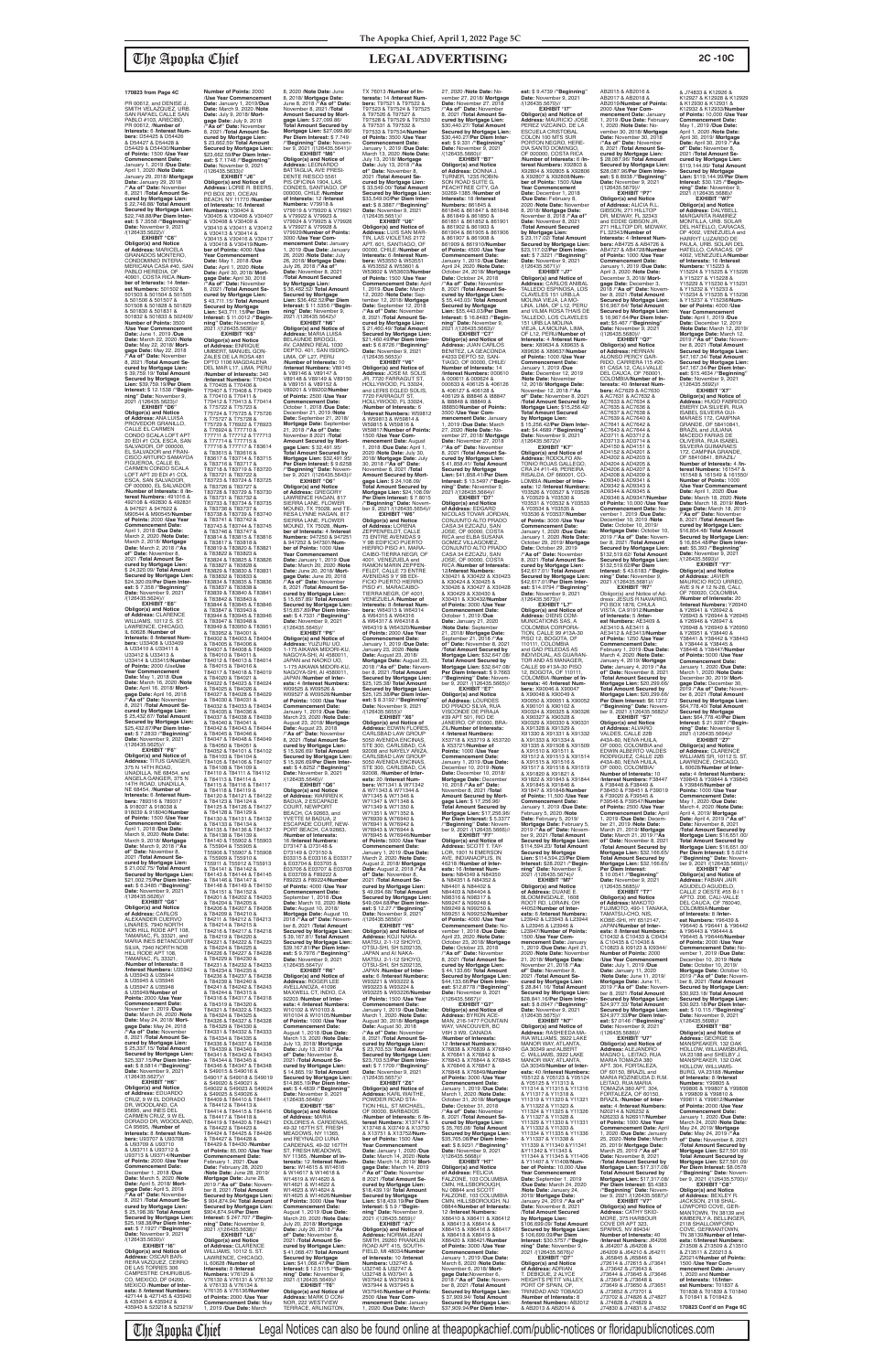**EXHIBIT "C6" Obligor(s) and Notice of Address:** MARICELA GRANADOS MONTERO, CONDOMINIO INTERA-MERICANA CASA #40, SAN PABLO HEREDIA, OF 40901, COSTA RICA /**Num-ber of Interests:** 14 /**Interest Numbers:** 501502 & 501503 & 501504 & 501505 & 501506 & 501507 & 501508 & 501828 & 501829 & 501830 & 501831 & 501832 & 501833 & 502409/ **Number of Points:** 3500 /**Use Year Commencement Date:** June 1, 2019 /**Due Date:** March 22, 2020 /**Note Date:** May 22, 2018/ **Mort-gage Date:** May 22, 2018 /**"As of" Date:** November 8, 2021 /**Total Amount Secured by Mortgage Lien:** \$ 39,759.19/ **Total Amount Secured by Mortgage Lien:** \$39,759.19/**Per Diem Interest:** \$ 12.1538 /**"Beginning" Date:** November 9,<br>2021 /(126435.5623)//

**EXHIBIT "D6" Obligor(s) and Notice of Address:** ANA LUISA PROVEDOR GRANILLO, CALLE EL CARMEN CONDO SCALA LOFT APT 20 EDI #1 COL ESCA, SAN SALVADOR, OF 000000, EL SALVADOR and FRAN-CISCO ARTURO SAMAYOA FIGUEROA, CALLE EL CARMEN CONDO SCALA LOFT APT 20 EDI #1 COL ESCA, SAN SALVADOR, OF 000000, EL SALVADOR /**Number of Interests:** 8 /**Interest Numbers:** 491016 & 492108 & 492830 & 492831 & 947621 & 947622 & M90544 & M90545/**Number of Points:** 2000 /**Use Year Commencement Date:** April 1, 2018 /**Due Date:** March 2, 2020 /**Note Date:** March 2, 2018/ **Mortgage Date:** March 2, 2018 /**"As of" Date:** November 8, 2021 /**Total Amount Secured by Mortgage Lien:** \$ 24,320.09/ **Total Amount Secured by Mortgage Lien:** \$24,320.09/**Per Diem Interest:** \$ 7.358 / **"Beginning" Date:** November 9, 2021<br>/(126435.5624)//

**EXHIBIT "E6" Obligor(s) and Notice of Address:** CLARENCE WILLIAMS, 10112 S. ST. LAWRENCE, CHICAGO, IL 60628 /**Number of Interests:** 8 /**Interest Numbers:** U33408 & U33409 & U33410 & U33411 & U33412 & U33413 & U33414 & U33415/**Number of Points:** 2000 /Use**Use Year Commencement Date:** May 1, 2018 /**Due Date:** March 16, 2020 /**Note Date:** April 16, 2018/ **Mortgage Date:** April 16, 2018 /**"As of" Date:** November 8, 2021 /**Total Amount Secured by Mortgage Lien:** \$ 25,432.67/ **Total Amount Secured by Mortgage Lien:** \$25,432.67/**Per Diem Interest:** \$ 7.2833 /**"Beginning" Date:** November 9, 2021 /(126435.5625)// **EXHIBIT "F6"**

& T84005 & T84006 & T84007 & T84008 & T84009 & T84010 & T84011 & T84012 & T84013 & T84014 & T84015 & T84016 & T84017 & T84018 & T84019 & T84020 & T84021 & T84022 & T84023 & T84024 & T84025 & T84026 & T84027 & T84028 & T84029 & T84030 & T84031 & T84032 & T84033 & T84034 & T84035 & T84036 & T84037 & T84038 & T84039 & T84040 & T84041 & T84042 & T84043 & T84044 T84047 & T84048 & T84049 & T84050 & T84051 & T84052 & T84101 & T84102 & T84103 & T84104 & T84105 & T84106 & T84107 1, 2019 /**Due Date:** March **Obligor(s) and Notice of<br><b>Address:** YUZURU UO,<br>1-175 AIKAWA MIDORI-KU,<br>NAGOYA-SHI, AI 4580011, JAPAN and NAOKO UO, 1-175 AIKAWA MIDORI-KU, NAGOYA-SHI, AI 4580011, JAPAN /**Number of Inter-ests:** 4 /**Interest Numbers:** W09525 & W09526 & W09527 & W09528/**Number of Points:** 1000 /**Use Year Commencement Date:** January 1, 2019 /**Due Date:** March 23, 2020 /**Note Date:** August 23, 2018/ **Mortgage Date:** August 23, 2018 /**"As of" Date:** November 8, 2021 /**Total Amount Secured by Mortgage Lien:** \$ 15,926.69/ **Total Amount Secured by Mortgage Lien:** \$ 15,926.69/**Per Diem Inter-est:** \$ 4.8252 /**"Beginning" Date:** November 9, 2021 /(126435.5646)// **EXHIBIT "Q6" Obligor(s) and Notice of Address:** WARREN K BADUA, 2 ESCAPADE COURT, NEWPORT BEACH, CA 92663, and YVETTE M BADUA, 2 ESCAPADE COURT, NEW-PORT BEACH, CA 92663, /**Number of Interests:** 16 /**Interest Numbers:**<br>D73147 & D73148 &<br>D73149 & D73150 &<br>E03315 & E03316 & E03317 & E03704 & E03705 & E03706 & E03707 & E03708 & E03709 & F89222 & F89223 & F89224/**Number of Points:** 4000 /**Use Year Commencement Date:** September 1, 2018 /**Due Date:** March 10, 2020 /**Note Date:** August 10, 2018/ **Mortgage Date:** August 10, 2018 /**"As of" Date:** Novem-ber 8, 2021 /**Total Amount Secured by Mortgage Lien:** \$ 39,167.81/ **Total Amount Secured by Mortgage Lien:** \$39,167.81/**Per Diem Inter-est:** \$ 9.7976 /**"Beginning" Date:** November 9, 2021 /(126435.5647)// **EXHIBIT "R6" Obligor(s) and Notice of Address:** ROGER LEE AVELLANOZA, 41096 MAXWELL CT, INDIO, CA 92203 /**Number of Interests:** 4 /**Interest Numbers:** W10102 & W10103 & W10104 & W10105/**Number of Points:** 1000 /**Use Year Commencement Date:** August 1, 2018 /**Due Date:** March 13, 2020 /**Note Date:** July 13, 2018/ **Mortgage Date:** July 13, 2018 /**"As of" Date:** November 8, 2021 /**Total Amount Secured by Mortgage Lien:** \$ 14,865.19/ **Total Amount Secured by Mortgage Lien:** \$14,865.19/**Per Diem Interest:** \$ 4.4839 /**"Beginning" Date:** November 9, 2021<br>/(126435.5648)// **EXHIBIT "S6" Obligor(s) and Notice of Address:** MARIA<br>DOLORES A. CARDENAS,<br>49-32 167TH ST, FRESH<br>MEADOWS, NY 11365, and REYNALDO LUNA CARDENAS, 49-32 167TH ST, FRESH MEADOWS, NY 11365, /**Number of Interests:** 12 /**Interest Num-bers:** W14615 & W14616 & W14617 & W14618 & W14619 & W14620 & W14621 & W14622 & W14623 & W14624 & W14625 & W14626/**Number of Points:** 3000 /**Use Year Commencement Date:** August 1, 2019 /**Due Date:** March 20, 2020 /**Note Date:** July 20, 2018/ **Mortgage Date:** July 20, 2018 /**"As of" Date:** November 8, 2021 /**Total Amount Secured by Mortgage Lien:** \$ 41,068.47/ **Total Amount Secured by Mortgage Lien:** \$41,068.47/**Per Diem Interest:** \$ 12.5115 /**"Beginning" Date:** November 9, 2021 /(126435.5649)// **EXHIBIT "T6" Obligor(s) and Notice of Address:** MARK D CON-NOR, 222 WESTVIEW TERRACE, ARLINGTON

**Obligor(s) and Notice of Address:** TITUS GANGER,<br>375 N 14TH ROAD, UNADILLA, NE 68454, and ANGELA GANGER, 375 N 14TH ROAD, UNADILLA, NE 68454, /**Number of Interests:** 6 /**Interest Numbers:** 789316 & 789317 & 918037 & 918038 & 918039 & 918040/**Number of Points:** 1500 /**Use Year Commencement Date:** April 1, 2018 /**Due Date:** March 9, 2020 /**Note Date:** March 9, 2018/ **Mortgage Date:** March 9, 2018 /**"As of" Date:** November 8, 2021 /**Total Amount Secured by Mortgage Lien:** \$ 21,002.75/ **Total Amount Secured by Mortgage Lien:** \$21,002.75/**Per Diem Inter-est:** \$ 6.3485 /**"Beginning" Date:** November 9, 2021 /(126435.5626)// **EXHIBIT "G6" Obligor(s) and Notice of Address:** CARLOS<br>ALEXANDER CUERVO<br>LINARES, 7940 NORTH NOB HILL RODE APT 108, TAMARAC, FL 33321, and MARIA INES BETANCOURT SILVA, 7940 NORTH NOB HILL RODE APT 108, TAMARAC, FL 33321, /**Number of Interests:** 8 /**Interest Numbers:** U35942 & U35943 & U35944 & U35945 & U35946 & U35947 & U35948 & U35949/**Number of Points:** 2000 /**Use Year Commencement Date:** November 1, 2019 /**Due Date:** March 24, 2020 /**Note Date:** May 24, 2018/ **Mortgage Date:** May 24, 2018 /**"As of" Date:** November 8, 2021 /**Total Amount Secured by Mortgage Lien:** \$ 25,337.15/ **Total Amount Secured by Mortgage Lien:** \$25,337.15/**Per Diem Inter-est:** \$ 8.5814 /**"Beginning" Date:** November 9, 2021 /(126435.5627)// **EXHIBIT "H6" Obligor(s) and Notice of Address:** EDUARDO CRUZ, 9 W EL DORADO DR, WOODLAND, CA 95695, and INES DEL CARMEN CRUZ, 9 W EL DORADO DR, WOODLAND, CA 95695, /**Number of Interests:** 8 /**Interest Numbers:** U93707 & U93708 & U93709 & U93710 & U93711 & U93712 & U93713 & U93714/**Number of Points:** 2000 /**Use Year Commencement Date:** December 1, 2018 /**Due Date:** March 5, 2020 /**Note Date:** April 5, 2018/ **Mort-gage Date:** April 5, 2018 /**"As of" Date:** November 8, 2021 /**Total Amount Secured by Mortgage Lien:** \$ 25,198.38/ **Total Amount Secured by Mortgage Lien:** \$25,198.38/**Per Diem Interest:** \$ 7.1927 /**"Beginning" Date:** November 9, 2021 /(126435.5630)// **EXHIBIT "I6" Obligor(s) and Notice of Address:** OSCAR BAR-RERA VAZQUEZ, CERRO<br>DE LAS TORRES 306<br>CAMPESTRE CHURUBUS-CO, MEXICO, DF 04200, MEXICO /**Number of Interests:** 8 /**Interest Numbers:** e 27144 & 427145 & 435940<br>8 435941 & 435942 & & 435941 & 435942 & 435943 & 523218 & 523219/ & T84108 & T84109 &

**Number of Points:** 2000 /**Use Year Commencement Date:** January 1, 2019/**Due Date:** March 9, 2020 /**Note Date:** July 9, 2018/ **Mortgage Date:** July 9, 2018 /**"As of" Date:** November 8, 2021 /**Total Amount Se-cured by Mortgage Lien:** \$ 23,662.59/ **Total Amount Secured by Mortgage Lien:** \$23,662.59/**Per Diem Interest:** \$ 7.1748 /**"Beginning" Date:** November 9, 2021 /(126435.5633)// **EXHIBIT "J6" Obligor(s) and Notice of Address:** LORIE R. BEERS, PO BOX 261, OCEAN BEACH, NY 11770 /**Number of Interests:** 16 /**Interest Numbers:** V30404 & V30405 & V30406 & V30407 & V30408 & V30409 & V30410 & V30411 & V30412 & V30413 & V30414 & V30415 & V30416 & V30417 & V30418 & V30419/**Num-ber of Points:** 4000 /**Use Year Commencement Date:** May 1, 2018 /**Due Date:** April 1, 2020 /**Note Date:** April 30, 2018/ **Mort-gage Date:** April 30, 2018 /**"As of" Date:** November 8, 2021 /**Total Amount Secured by Mortgage Lien:** \$ 43,711.15/ **Total Amount** 

& T83822 & T83823 &

& T83837 & T83838 &

& T83947 & T83948 &

& T84045 & T84046 &

**Secured by Mortgage Lien:** \$43,711.15/**Per Diem Interest:** \$ 11.0012 /**"Beginning" Date:** November 9, 2021 /(126435.5636)// **EXHIBIT "K6" Obligor(s) and Notice of Address:** ENRIQUE UMBERT, MANUEL GON-ZALES DE LA ROSA 481 DPTO 1106 MAGDALENA DEL MAR L17, LIMA, PERU /**Number of Interests:** 340 /**Interest Numbers:** T70404 & T70405 & T70406 & T70407 & T70408 & T70409 & T70410 & T70411 & T70412 & T70413 & T70414 & T75722 & T75723 & T75724 & T75725 & T75726 & T75727 & T75728 & T75729 & T76922 & T76923 & T76924 & T77710 & T77711 & T77712 & T77713 & T77714 & T77715 & T77716 & T77717 & T83614 & T83615 & T83616 & T83617 & T83714 & T83715 & T83716 & T83717 & T83718 & T83719 & T83720 & T83721 & T83722 & T83723 & T83724 & T83725 & T83726 & T83727 & **Interest:** \$ 11.5356 /**"Begin-ning" Date:** November 9, 2021 /(126435.5642)// **EXHIBIT "N6" Obligor(s) and Notice of Address:** MARIA LUISA BELAUNDE BROGGI,<br>AV. CAMINO REAL 1030<br>DEPTO. 401, SAN ISIDRO-<br>LIMA, OF L27, PERU /**Number of Interests:** 10 /**Interest Numbers:** V89145<br>& V89146 & V89147 &<br>V89148 & V89149 & V89150<br>& V89151 & V89152 & V89201 & V89202/**Number of Points:** 2500 /**Use Year Commencement Date:** October 1, 2018 /**Due Date:** December 21, 2019 /**Note Date:** September 21, 2018/ Mortgage Date: Septembe 21, 2018 /**"As of" Date:** November 8 2021 /**Total Amount Secured by Mort-gage Lien:** \$ 32,491.95/ **Total Amount Secured by Mortgage Lien:** \$32,491.95/ **Per Diem Interest:** \$ 9.6258 /**"Beginning" Date:** Novem-ber 9, 2021 /(126435.5643)// **EXHIBIT "O6" Obligor(s) and Notice** 

T84110 & T84111 & T84112 & T84113 & T84114 & T84115 & T84116 & T84117 & T84118 & T84119 & T84120 & T84121 & T84122 & T84123 & T84124 & T84125 & T84126 & T84127 & T84128 & T84129 & T84130 & T84131 & T84132 & T84133 & T84134 & T84135 & T84136 & T84137 & T84138 & T84139 & T84140 & T55902 & T55903<br>& T55904 & T55905 & & T55904 & T55905 & T55906 & T55907 & T55908 & T55909 & T55910 & T55911 & T55912 & T55913 & T84141 & T84142 & T84143 & T84144 & T84145 & T84146 & T84147 & T84148 & T84149 & T84150 & T84151 & T84152 & T84201 & T84202 & T84203 & T84204 & T84205 & T84206 & T84207 & T84208 & T84209 & T84210 & T84211 & T84212 & T84213 & T84214 & T84215 & T84216 & T84217 & T84218 & T84219 & T84220 & T84221 & T84222 & T84223 & T84224 & T84225 & T84226 & T84227 & T84228 & T84229 & T84230 & T84231 & T84232 & T84233 & T84234 & T84235 & T84236 & T84237 & T84238 & T84239 & T84240 & T84241 & T84242 & T84243 & T84244 & T84315 & T84316 & T84317 & T84318 & T84319 & T84320 & T84321 & T84322 & T84323 & T84324 & T84325 & T84326 & T84327 & T84328 & T84329 & T84330 & T84331 & T84332 & T84333 & T84334 & T84335 & T84336 & T84337 & T84338 & T84339 & T84340 & T84341 & T84342 & T84343 & T84344 & T84345 & T84346 & T84347 & T84348 & S49015 & S49016 & S49017 & S49018 & S49019<br>& S49020 & S49021 & & S49020 & S49021 & S49022 & S49023 & S49024 & S49025 & S49026 & T84409 & T84410 & T84411 & T84412 & T84413 & T84414 & T84415 & T84416 & T84417 & T84418 & T84419 & T84420 & T84421 & T84422 & T84423 & T84424 & T84425 & T84426 & T84427 & T84428 & T84429 & T84430 /**Numbe of Points:** 85,000 /**Use Year Commencement Date:** February 1, 2021 /**Due Date:** February 28, 2020 /**Note Date:** June 28, 2019/ Mortgage Date: June 28,<br>2019 / **As of**" Date: Nove 2019 /**"As of" Date:** Novem-ber 8, 2021 /**Total Amount Secured by Mortgage Lien:** \$ 904,874.94/ **Total Amount Secured by Mortgage Lien:** \$904,874.94/**Per Diem Interest:** \$ 247.707 /**"Begin-ning" Date:** November 9, 2021 /(126435.5638)// **EXHIBIT "L6" Obligor(s) and Notice of Address:** CLARENCE<br>WILLIAMS, 10112 S. ST. LAWRENCE, CHICAGO, IL 60628 /**Number of Interests:** 8 /**Interest Numbers:** V76129 & V76130 & V76131 & V76132 & V76133 & V76134 & V76135 & V76136/**Number of Points:** 2000 /**Use Year Commencement Date:** May

T83728 & T83729 & T83730 & T83731 & T83732 & T83733 & T83734 & T83735 & T83736 & T83737 & T83738 & T83739 & T83740 & T83741 & T83742 & T83743 & T83744 & T83745 & T83746 & T83747 & T83814 & T83815 & T83816 & T83817 & T83818 & T83819 & T83820 & T83821 T83824 & T83825 & T83826 & T83827 & T83828 &<br>T83829 & T83830 & T83831 T83829 & T83830 & T83831 & T83832 & T83833 & T83834 & T83835 & T83836 T83839 & T83840 & T83841 & T83842 & T83843 & T83844 & T83845 & T83846 & T83847 & T83943 & T83944 & T83945 & T83946 T83949 & T83950 & T83951 & T83952 & T84001 & T84002 & T84003 & T84004 **of Address:** GREGORY LAWRENCE HAGAN, 817 SIERRA LANE, FLOWER MOUND, TX 75028, and TE-RESA LYNNE HAGAN, 817 SIERRA LANE, FLOWER MOUND, TX 75028, /**Num-ber of Interests:** 4 /**Interest Numbers:** 947250 & 947251 & 947252 & 947301/**Num-ber of Points:** 1000 /**Use Year Commencement Date:** January 1, 2019 /**Due Date:** March 20, 2020 /**Note Date:** June 20, 2018/ **Mort-gage Date:** June 20, 2018 /**"As of" Date:** November 8, 2021 /**Total Amount Secured by Mortgage Lien:** \$ 15,657.89/ **Total Amount Secured by Mortgage Lien:** \$15,657.89/**Per Diem Inter-est:** \$ 4.7331 /**"Beginning" Date:** November 9, 2021 /(126435.5645)// **EXHIBIT "P6"**

8, 2020 /**Note Date:** June 8, 2018/ **Mortgage Date:** June 8, 2018 /**"As of" Date:** November 8, 2021 /**Total Amount Secured by Mortgage Lien:** \$ 27,099.86/ **Total Amount Secured by Mortgage Lien:** \$27,099.86/ **Per Diem Interest:** \$ 7.749 /**"Beginning" Date:** Novem-ber 9, 2021 /(126435.5641)// **EXHIBIT "M6" Obligor(s) and Notice of Address:** LEONARDO BATTAGLIA, AVE PRESI-DENTE RIESCO 5561 PIS OFICINA 1904, LAS CONDES, SANTIAGO, OF 000000, CHILE /**Number of Interests:** 12 /**Interest Numbers:** V79918 &<br>V79919 & V79920 & V79921<br>& V79922 & V79923 & V79924 & V79925 & V79926 & V79927 & V79928 &<br>V79929/**Number of Points**: V79929/**Number of Points:** 3000 /**Use Year Com-mencement Date:** January 1, 2019 /**Due Date:** January 26, 2020 /**Note Date:** July TX 76013 /**Number of Interests:** 14 /**Interest Num-bers:** T97521 & T97522 & T97523 & T97524 & T97525 & T97526 & T97527 & T97528 & T97529 & T97530 & T97531 & T97532 & T97533 & T97534/**Number of Points:** 3500 /**Use Year Commencement Date:** January 1, 2019 /**Due Date:** March 13, 2020 /**Note Date:** July 13, 2018/ **Mortgage Date:** July 13, 2018 /**"As of" Date:** November 8, 2021 /**Total Amount Secured by Mortgage Lien:** \$ 33,549.00/ **Total Amount Secured by Mortgage Lien:** \$33,549.00/**Per Diem Inter-est:** \$ 8.3887 /**"Beginning" Date:** November 9, 2021 /(126435.5651)// **EXHIBIT "U6" Obligor(s) and Notice of<br><b>Address:** LUIS SAN MAR-<br>TIN, LAS VIOLETAS 2172<br>APT. 601, SANTIAGO, OF 00000, CHILE /**Number of** 

26, 2018/ **Mortgage Date:** July 26, 2018 /**"As of" Date:** November 8, 2021 /**Total Amount Secured by Mortgage Lien:** \$ 36,462.52/ **Total Amount Secured by Mortgage Lien:** \$36,462.52/**Per Diem Interests:** 6 /**Interest Num-bers:** W53550 & W53551 & W53552 & W53601 & W53602 & W53603/**Number of Points:** 1500 /**Use Year Commencement Date:** April 1, 2019 /**Due Date:** March 12, 2020 /**Note Date:** September 12, 2018/ **Mortgage Date:** September 12, 2018 /**"As of" Date:** November 8, 2021 /**Total Amount Se-**

**cured by Mortgage Lien:** \$ 21,460.49/ **Total Amount Secured by Mortgage Lien:** \$21,460.49/**Per Diem Interest:** \$ 6.8726 / **"Beginning Date:** November 9, 2021<br>/(126435.5653)// **EXHIBIT "V6" Obligor(s) and Notice of Address:** JOSE M. SOLIS<br>JR, 7720 FARRAGUT ST,<br>HOLLYWOOD, FL 33024,<br>and LERIS EGLED SOLIS, 7720 FARRAGUT ST, HOLLYWOOD, FL 33024, /**Number of Interests:** 6 /**Interest Numbers:** W59812 & W59813 & W59814 & W59815 & W59816 & W59817/**Number of Points:** 1500 /**Use Year Com-mencement Date:** August 1, 2018 /**Due Date:** April 1, 2020 /**Note Date:** July 30, 2018/ **Mortgage Date:** July 30, 2018 /**"As of" Date:** November 8, 2021 /**Total Amount Secured by Mort-gage Lien:** \$ 24,108.09/ **Total Amount Secured by Mortgage Lien:** \$24,108.09/ **Per Diem Interest:** \$ 7.8015 /**"Beginning" Date:** Novem-ber 9, 2021 /(126435.5654)// **EXHIBIT "W6" Obligor(s) and Notice of Address:** LORENA ZEPPENFELDT, CALLE 73 ENTRE AVENIDAS 9 Y 9B EDIFICIO PUERTO HIERRO PISO #1, MARA-CAIBO-TIERRA NEGR, OF 4001, VENEZUELA and RAMON MARIN ZEPPEN-FELDT, CALLE 73 ENTRE AVENIDAS 9 Y 9B EDI-FICIO PUERTO HIERRO PISO #1, MARACAIBO-TIERRA NEGR, OF 4001, VENEZUELA /**Number of Interests:** 8 /**Interest Num-<br><b>bers:** W64313 & W64314<br>& W64315 & W64316<br>& W64317 & W64318 & W64319 & W64320/**Numbe of Points:** 2000 /**Use Year Commencement Date:** January 1, 2019 /**Due Date:** January 23, 2020 /**Note Date:** August 23, 2018/ Mortgage Date: August 23,<br>2018 / "As of" Date: Novem 2018 /"As of" Date: Novem-<br>ber 8, 2021 /Total Amount<br>Secured by Mortgage Lien:<br>\$25,125.38/ Total Amount<br>Secured by Mortgage Lien:<br>\$25,125.38/Per Diem Inter-<br>\$25,125.38/Per Diem Inter-<br>est: \$ 8.3192 /"Beginning" Date: November 9, 2021<br>
/(126435.5655)//<br> **EXHIBIT "X6"<br>
Obligor(s) and Notice of<br>
Address: EDWIN FLORES,<br>CARLSBAD LAW GROUP** 5050 AVENIDA ENCINAS, STE 300, CARLSBAD, CA 92008 and NAYELY ARIZA, CARLSBAD LAW GROUP 5050 AVENIDA ENCINAS, STE 300, CARLSBAD, CA 92008, /**Number of Interests:** 20 /**Interest Num-bers:** W71341 & W71342 & W71343 & W71344 & W71345 & W71346 & W71347 & W71348 & W71349 & W71350 & W71351 & W71352 & W76939 & W76940 & W76941 & W76942 & W76943 & W76944 & W76945 & W76946/**Number of Points:** 5000 /**Use Year Commencement Date:** January 1, 2019 /**Due Date:** March 2, 2020 /**Note Date:** August 2, 2018/ **Mortgage Date:** August 2, 2018 /**"As of" Date:** November 8,<br>2021 /**Total Amount Se-<br>cured by Mortgage Lien:<br>\$ 49,094.68/ <b>Total Amount Secured by Mortgage Lien:** \$49,094.68/**Per Diem Interest:** \$ 12.27 /**"Beginning"**<br>**Date:** November 9, 2021<br>/(126435.5656)// **EXHIBIT "Y6" Obligor(s) and Notice of Address:** KOJI NAKA-MATSU, 2-1-12 SHOYO,<br>OTSU-SHI, SH 5202135,<br>JAPAN and AI NAKA-MATSU, 2-1-12 SHOYO, OTSU-SHI, SH 5202135, JAPAN /**Number of Interests:** 6 /**Interest Numbers** W93221 & W93222 & W93223 & W93224 & W93225 & W93226/**Number of Points:** 1500 /**Use Year Commencement Date:** January 1, 2019 /**Due Date:** March 1, 2020 /**Note Date:** August 30, 2018/ **Mortgage Date:** August 30, 2018 /**"As of" Date:** November 8, 2021 /**Total Amount Secured by Mortgage Lien:** \$ 23,703.53/ **Total Amount Secured by Mortgage Lien:** \$23,703.53/**Per Diem Inter-est:** \$ 7.1709 /**"Beginning" Date:** November 9, 2021 /(126435.5657)// **EXHIBIT "Z6" Obligor(s) and Notice of Address:** KARL WAITHE, POWDER ROAD STA-TION HILL, ST MICHAEL, OF 00000, BARBADOS /**Number of Interests:** 6 /**Interest Numbers:** X13747 & X13748 & XI3749 & X13750 & X13751 & X13752/**Number of Points:** 1500 /**Use Year Commencement Date:** January 1, 2020 /**Due Date:** March 14, 2020 /**Note Date:** March 14, 2019/ **Mortgage Date:** March 14, 2019 /**"As of" Date:** November 8 2021 /**Total Amount Se-cured by Mortgage Lien:** \$18,439.19/ **Total Amount Secured by Mortgage Lien:** \$18,439.19/**Per Diem Interest:** \$ 5.9 /**"Beginning" Date:** November 9,<br>2021 /(126435.5659)// **EXHIBIT "A7" Obligor(s) and Notice of Address:** NORMA JEAN SMITH, 29260 FRANKLIN ROAD APT 415, SOUTH-<br>FIELD. MI 48034/**Numbe** FIELD, MI 48034/**Number of Interests:** 10 /**Interest Numbers:** U32745 & U32746 & U32747 & U32748 & W37941 & W37942 & W37943 & W37944 & W37945 & W37946/**Number of Points:** 2500 /**Use Year Commencement Date:** January 1, 2020 /**Due Date:** March N84403 & N84404 & N98316 & N98317 & N99247 & N99248 & N99249 & N99250 & /(126435.5667)//

27, 2020 /**Note Date:** November 27, 2018/ **Mortgage Date:** November 27, 2018 /**"As of" Date:** November 8, 2021 /**Total Amount Secured by Mortgage Lien:** \$30,440.27/ **Total Amount Secured by Mortgage Lien:** \$30,440.27/**Per Diem Interest:** \$ 9.331 /**"Beginning"**<br>**Date:** November 9, 2021<br>/(126435.5660)// **EXHIBIT "B7" Obligor(s) and Notice of Address:** DONNA J. TURNER, 1235 ROBIN-SON ROAD SUITE G, PEACHTREE CITY, GA 30269-1385 /**Number of Interests:** 18 /**Interest Numbers:** 861845 & 861846 & 861847 & 861848 & 861849 & 861850 & 861851 & 861852 & 861901 & 861902 & 861903 & 861904 & 861905 & 861906 & 861907 & 861908 & 861909 & 861910/**Number of Points:** 4500 /**Use Year Commencement Date:** January 1, 2019 /**Due Date:** April 24, 2020 /**Note Date:** October 24, 2018/ **Mortgage Date:** October 24, 2018 /**"As of" Date:** November 8, 2021 /**Total Amount Secured by Mortgage Lien:** \$ 55,443.03/ **Total Amount Secured by Mortgage Lien:** \$55,443.03/**Per Diem Interest:** \$ 16.8483 /**"Beginning" Date:** November 9,<br>2021 /(126435.5663)// **EXHIBIT "C7" Obligor(s) and Notice of Address:** JUAN CARLOS BENITEZ, LA GEACONDA #4233 DEPTO 52, SAN-TIAGO, OF 00000, CHILE/ **Number of Interests:** 14 /**Interest Numbers:** 000610 & 000611 & 000624 & 000633 & 406125 & 406126 & 406127 & 406128 & 406129 & I88846 & I88847 & I88848 & I88849 & I88850/**Number of Points:** 3500 /**Use Year Com-mencement Date:** January 1, 2019 /**Due Date:** March 27, 2020 /**Note Date:** November 27, 2018/ **Mortgage Date:** November 27, 2018 /**"As of" Date:** November 8, 2021 /**Total Amount Secured by Mortgage Lien:** \$ 41,858.41/ **Total Amount Secured by Mortgage Lien:** \$41,858.41/**Per Diem Interest:** \$ 13.5497 /**"Beginning" Date:** November 9, 2021 /(126435.5664)// **EXHIBIT "D7" Obligor(s) and Notice<br><b>of Address:** EDGARD<br>NICOLAS TOVAR JORDAN,<br>CONJUNTO ALTO PRADO CASA 34 EZCAZU, SAN JOSE, OF 00000, COSTA RICA and ELBA SUSANA GOMEZ VILLAGOMEZ, CONJUNTO ALTO PRADO CASA 34 EZCAZU, SAN JOSE, OF 00000, COSTA RICA /**Number of Interests:** 12/**Interest Numbers:**<br>X30421 & X30422 & X30423<br>& X30424 & X30425 &<br>X30426 & X30427 & X30428 & X30429 & X30430 & X30431 & X30432/**Number of Points:** 3000 /**Use Year Commencement Date:** October 1, 2019 /**Due Date:** January 21, 2020 /**Note Date:** September 21, 2018/ **Mortgage Date:** September 21, 2018 /**"As of" Date:** November 8, 2021 /**Total Amount Secured by Mortgage Lien:** \$32,647.08/ **Total Amount Secured by Mortgage Lien:** \$32,647.08/ **Per Diem Interest:** \$ 9.7663 /**"Beginning" Date:** Novem-ber 9, 2021 /(126435.5665)// **EXHIBIT "E7" Obligor(s) and Notice of Address:** LOURDES DO PRADO SILVA, RUA VISCONDE DE PIRAJA<br>#39 APT 501, RIO DE<br>JANEIRO, OF 00000, BRA-ZIL/**Number of Interests:** 4 /**Interest Numbers:** X53718 & X53719 & X53720 & X53721/**Number of Points:** 1000 /**Use Year Commencement Date:** January 1, 2019 /**Due Date:** December 10, 2019 /**Note Date:** December 10, 2018/ **Mortgage Date:** December 10, 2018 /**"As of" Date:** November 8, 2021 /**Total Amount Secured by Mort-gage Lien:** \$ 17,256.96/ **Total Amount Secured by Mortgage Lien:** \$17,256.96/ **Per Diem Interest:** \$ 5.3377 /**"Beginning" Date:** November 9, 2021 /(126435.5666)// **EXHIBIT "F7" Obligor(s) and Notice of Address:** SCOTT T. TAY-LOR, 1901 N EMERSON AVE, INDIANAOPLIS, IN 46218 /**Number of Interests:** 16 /**Interest Numbers:** N84349 & N84350<br>& N84351 & N84352 &<br>N84401 & N84402 & N99251 & N99252/**Number of Points:** 4000 /**Use Year Commencement Date:** November 1, 2018 /**Due Date:** April 23, 2020 /**Note Date:** October 23, 2018/ **Mortgage Date:** October 23, 2018 /**"As of" Date:** November 8, 2021 /**Total Amount Secured by Mortgage Lien:** \$ 44,133.66/ **Total Amount Secured by Mortgage Lien:** \$44,133.66/**Per Diem Inter-est:** \$12.8778 /**"Beginning" Date:** November 9, 2021 **EXHIBIT "G7" Obligor(s) and Notice of Address:** BYRON ACE-MAN, 216-1477 FOUNTAIN WAY, VANCOUVER, BC V6H 3 W9, CANADA /**Number of Interests:** 12 /**Interest Numbers:** X76838 & X76839 & X76840 & X76841 & X76842 & X76843 & X76844 & X76845 & X76846 & X76847 & X76848 & X76849/**Number of Points:** 3000 /**Use Year Commencement Date:** January 1, 2019 /**Due Date:** March 1, 2020 /**Note Date:** October 31, 2018/ **Mortgage Date:** October 31, 2018 /**"As of" Date:** November 8, 2021 /**Total Amount Secured by Mortgage Lien:** \$ 35,765.08/ **Total Amount Secured by Mortgage Lien:** \$35,765.08/**Per Diem Interest:** \$ 8.9231 /"**Beginning"**<br>**Date:** November 9, 2021<br>/(126435.5668)// **EXHIBIT "H7" Obligor(s) and Notice of Address:** FELICIA FALZONE, 103 COLUMBIA CMN, HILLSBOROUGH, NJ 08844 and SCOTT FALZONE, 103 COLUMBIA CMN, HILLSBOROUGH, NJ 08844/**Number of Interests:** 12 /**Interest Numbers:** X86410 & X86411 & X86412 & X86413 & X86414 & X86415 & X86416 & X86417 & X86418 & X86419 & X86420 & X86421/**Number of Points:** 3000 /**Use Year Commencement Date:** January 1, 2019 /**Due Date:** March 6, 2020 /**Note Date:** November 6, 2018/ **Mortgage Date:**November 6,<br>2018 /**"As of" Date:** Novem-<br>ber 8, 2021 /**Total Amount Secured by Mortgage Lien:** \$ 37,909.94/ **Total Amount Secured by Mortgage Lien:** \$37,909.94/**Per Diem Inter-**& X91510 & X91511 &<br>X91512 & X91513 & X91514 & X91515 & X91516 & X91517 & X91518 & X91519 & X91820 & X91821 & X91822 & X91843 & X91844 & X91845 & X91846 &

**est:** \$ 9.4739 /**"Beginning" Date:** November 9, 2021<br>/(126435.5670)// **EXHIBIT "I7" Obligor(s) and Notice of Address:** MAURICIO JOSE PEREZ VIZCAINO, DE LA ESCUELA CRISTÓBAL<br>COLON 100 MTS SUR COLON 100 MTS SUR PORTON NEGRO, HERE-DIA SANTO DOMINGO, OF 000000, COSTA RICA /**Number of Interests:** 6 /**Interest Numbers:** X92803 & X92804 & X92805 & X92806 & X92807 & X92808/**Number of Points:** 1500 /**Use Year Commencement Date:** December 1, 2018 /**Due Date:** February 8, 2020 /**Note Date:** November 8, 2018/ **Mortgage Date:** November 8, 2018 /**"As of" Date:** November 8, 2021 /**Total Amount Secured by Mortgage Lien:** \$ 23,117.02/ **Total Amount Secured by Mortgage Lien:** \$23,117.02/**Per Diem Inter-est:** \$ 7.3221 /**"Beginning" Date:** November 9, 2021 /(126435.5671)// **EXHIBIT "J7" Obligor(s) and Notice of Address:** CARLOS ANIBAL TALLEDO ESPINOSA, LOS CLAVELES 151 URB.LA<br>MOLINA VIEJA, LA MO-<br>LINA, LIMA, OF L12, PERU<br>and VILMA ROSA THAIS DE<br>TALLEDO, LOS CLAVELES<br>151 URB.LA MOLINA VIEJA, LA MOLINA, LIMA, OF L12, PERU/**Number of Interests:** 4 /**Interest Num-bers:** X89634 & X89635 & X89636 & X89637/**Number of Points:** 1000 /**Use Year Commencement Date:** January 1, 2019 /**Due Date:** December 12, 2019 /**Note Date:** November 12, 2018/ **Mortgage Date:** November 12, 2018 /**"As of" Date:** November 8, 2021 /**Total Amount Secured by Mortgage Lien:** \$15,256.42/ **Total Amount Secured by Mortgage Lien:** \$ 15,256.42/**Per Diem Interest:** \$4.4689 /**"Beginning" Date:** November 9, 2021 /(126435.5672)// **EXHIBIT "K7" Obligor(s) and Notice of Address:** RODOLFO AN-TONIO ROJAS GALLEGO, CRA 24 #11-49, PEREIRA RISALDA, OF 660001, CO-LOMBIA /**Number of Inter-ests:** 12 /**Interest Numbers:** Y03526 & Y03527 & Y03528 & Y03529 & Y03530 & Y03531 & Y03532 & Y03533 & Y03534 & Y03535 & Y03536 & Y03537/**Number of Points:** 3000 /**Use Year Commencement Date:** January 1, 2020 /**Due Date:** January 1, 2020 /**Note Date:** October 29, 2019/ **Mortgage Date:** October 29, 2019 "**As of" Date: November** 8, 2021 /**Total Amount Secured by Mortgage Lien:** \$42,617.01/ **Total Amount Secured by Mortgage Lien:** \$42,617.01/**Per Diem Inter-est:** \$14.0794 /**"Beginning" Date:** November 9, 2021<br>/(126435.5673)// **EXHIBIT "L7" Obligor(s) and Notice of Address:** DIENS COM-MUNICATIONS SAS, A

COLOMBIA CORPORA-TION, CALLE 99 #13A-30 PISO 12, BOGOTA, OF<br>110111, COLOMBIA<br>and GAD PELEDAS AS<br>INDIVIDUAL, AS GUARAN-TOR AND AS MANAGER, CALLE 99 #13A-30 PISO 12, BOGOTA, OF 110111, COLOMBIA /**Number of In-terests:** 46 /**Interest Num-bers:** X90046 & X90047 & X90048 & X90049 & X90050 & X90051 & X90052 & X90101 & X90102 & X90324 & X90325 & X90326 & X90327 & X90328 & X90329 & X90330 & X90331 & X91328 & X91329 & X91330 & X91331 & X91332 & X91333 & X91334 & X91335 & X91508 & X91509 & X91510 & X91511 & AB2015 & AB2016 & AB2017 & AB2018 & AB2019/**Number of Points:** 2000 /**Use Year Commencement Date:** January 1, 2019 /**Due Date:** February 1, 2020 /**Note Date:** November 30, 2018/ **Mortgage Date:** November 30, 2018 /**"As of" Date:** November 8, 2021 /**Total Amount Secured by Mortgage Lien:** \$ 28,087.96/ **Total Amount Secured by Mortgage Lien:** \$28,087.96/**Per Diem Interest:** \$ 8.8938 /**"Beginning" Date:** November 9, 2021<br>/(126435.5679)// **EXHIBIT "P7" Obligor(s) and Notice<br><b>of Address:** ALICIA R.L.<br>GIBSON, 271 HILLTOP<br>DR, MIDWAY, FL 32343 and EDDIE GIBSON JR, 271 HILLTOP DR, MIDWAY, FL 32343/**Number of Interests:** 4 /**Interest Numbers:** AB4725 & AB4726 & AB4727 & AB4728/**Number of Points:** 1000 /**Use Year Commencement Date:** January 1, 2019 /**Due Date:** April 3, 2020 /**Note Date:** December 3, 2018/ **Mortgage Date:** December 3, 2018 /**"As of" Date:** November 8, 2021 /**Total Amount Secured by Mortgage Lien:** \$16,967.64/ **Total Amount Secured by Mortgage Lien:** \$ 16,967.64/**Per Diem Inter-est:** \$5.467 /**"Beginning" Date:** November 9, 2021 /(126435.5680)// **EXHIBIT "Q7" Obligor(s) and Notice of Address:** HERNAN<br>ALONSO PERCY GAR-RIDO, CARRERA 115 #20- 61 CÁSA 12, CALI-VALLE<br>DEL CAUCA, OF 760001. DEL CAUCA, OF 760001, COLOMBIA/**Number of In-terests:** 40 /**Interest Num-bers:** AC7629 & AC7630 & AC7631 & AC7632 & AC7633 & AC7634 & AC7635 & AC7636 & AC7637 & AC7638 & AC7639 & AC7640 & AC7641 & AC7642 & AC7643 & AC7644 & AD3711 & AD3712 & AD3713 & AD3714 & AD4150 & AD4151 & AD4152 & AD4201 & AD4202 & AD4203 & AD4204 & AD4205 & AD4206 & AD4207 & AD4208 & AD4209 & AD9340 & AD9341 & AD9342 & AD9343 & AD9344 & AD9345 & AD9346 & AD9347/**Number of Points:** 10,000 /**Use Year Commencement Date:** No-vember 1, 2019 /**Due Date:** December 10, 2019 /**Note Date:** October 10, 2019/ **Mortgage Date:** October 10, 2019 /**"As of" Date:** November 8, 2021 /**Total Amount Secured by Mortgage Lien:** \$132,519.62/ **Total Amount Secured by Mortgage Lien:** \$132,519.62/**Per Diem Interest:** \$ 43.6183 /**"Beginning" Date:** November 9, 2021 /(126435.5681)// **EXHIBIT "R7"** Obiigor(s) and Notice of Ad-dress: JESUS R NAVARRO,

X91847 & X91848/**Number of Points:** 11,500 /**Use Year Commencement Date:** January 1, 2019 /**Due Date:** February 5, 2020 /**Note Date:** February 5, 2019/ **Mortgage Date:** February 5, 2019 /**"As of" Date:** Novem-ber 9, 2021 /**Total Amount Secured by Mortgage Lien:** \$114,594.23/ **Total Amount Secured by Mortgage Lien:** \$114,594.23/**Per Diem Interest:** \$28.2021 /**"Beginning" Date:** November 9,<br>2021 /(126435,5674)// 2021 /(126435.5674)// **EXHIBIT "M7" Obligor(s) and Notice of Address:** DUANE E. BLOOMINGDALE, 1608 ROOT RD, LORAIN, OH 44052/**Number of Inter-ests:** 6 /**Interest Numbers:** L23942 & L23943 & L23944 & L23945 & L23946 & L23947/**Number of Points:** 1500 /**Use Year Commencement Date:** January 1, 2019 /**Due Date:** April 21, 2020 /**Note Date:** November 21, 2018/ **Mortgage Date:** November 21, 2018 /**"As**  of" Date: November 8,<br>2021 /Total Amount Se-2021 /**Total Amount Se-cured by Mortgage Lien:** \$ 28,841.16/ **Total Amount Secured by Mortgage Lien:** \$28,841.16/**Per Diem Inter-est:** \$ 8.0947 /**"Beginning" Date:** November 9, 2021 /(126435.5675)// **EXHIBIT "N7" Obligor(s) and Notice of Address:** RASHEEDA MA-RIA WILLIAMS, 3922 LAKE<br>MANOR WAY, ATLANTA,<br>GA 30349 and ALBERT<br>C. WILLIAMS, 3922 LAKE<br>MANOR WAY, ATLANTA,<br>GA 30349/**Number of Interests:** 40 /**Interest Numbers:** Y05122 & Y05123 & Y05124 & Y05125 & Y11313 & Y11314 & Y11315 & Y11316 & Y11317 & Y11318 & Y11319 & Y11320 & Y11321 & Y11322 & Y11323 & Y11324 & Y11325 & Y11326 & Y11327 & Y11328 & Y11329 & Y11330 & Y11331 & Y11332 & Y11333 & Y11334 & Y11335 & Y11336 & Y11337 & Y11338 & Y11339 & Y11340 &Y11341 &Y11342 & Y11343 & Y11344 & Y11345 & Y11406 & Y11407 & Y11408/**Num-ber of Points:** 10,000 /**Use Year Commencement Date:** September 1, 2019 /**Due Date:** March 24, 2020 /**Note Date:** January 24, 2019/ **Mortgage Date:** January 24, 2019 /**"As of" Date:** November 8, 2021 /**Total Amount Secured by Mortgage Lien:** \$106,699.09/ **Total Amount Secured by Mortgage Lien:** \$ 106,699.09/**Per Diem Interest:** \$30.5757 /**"Begin-<br><b>ning" Date:** November 9,<br>2021 /(126435.5676)// **EXHIBIT "O7" Obligor(s) and Notice of Address:** ADRIAN T. DEBIQUE, 2 ALYCE HEIGHTS PETIT VALLEY, PORT OF SPAIN, OF, TRINIDAD AND TOBAGO /**Number of Interests:** 8 /**Interest Numbers:** AB2012 & AB2013 & AB2014 & & J74828 & J74829 & J74830 & J74831 & J74832

PO BOX 1876, CHULA VISTA, CA 91912/**Number of Interests:** 5 /**Interest Numbers:** AE3409 & AE3410 & AE3411 & AE3412 & AE3413/**Number of Points:** 1250 /**Use Year Commencement Date:** February 1, 2019 /**Due Date:** March 4, 2020 /**Note Date:** January 4, 2019/ **Mortgage Date:** January 4, 2019 /**"As of" Date:** November 8, 2021 /**Total Amount Secured by Mortgage Lien:** \$20,299.66/ **Total Amount Secured by Mortgage Lien:** \$20,299.66/ **Per Diem Interest:** \$6.1372 /**"Beginning" Date:** Novem-ber 9, 2021 /(126435.5682)// **EXHIBIT "S7" Obligor(s) and Notice of Address:** ALVARO<br>VALDES, CALLE 22B #43A-80, NEIVA HUILA, OF 0000, COLOMBIA and EDWIN ALBERTO VALDES RODRIGUEZ, CALLE 22B

#43A-80, NEIVA HUILA, OF 0000, COLOMBIA/

**Number of Interests:** 10 /**Interest Numbers:** F38447 & F38448 & F38449 & F38450 & F38451 & F39019 & F39020 & F39545 & F39546 & F39547/**Number of Points:** 2500 /**Use Year Commencement Date:** April 1, 2019 /**Due Date:** December 21, 2019 /**Note Date:** March 21, 2019/ **Mortgage Date:** March 21, 2019 /**"As of" Date:** November 8, 2021 /**Total Amount Secured by Mortgage Lien:** \$32,166.65/ **Total Amount Secured by Mortgage Lien:** \$32,166.65/ **Per Diem Interest:** \$ 10.0541 /**"Beginning" Date:** November 9, 2021 /(126435.5685)// **EXHIBIT "T7" Obligor(s) and Notice of Address:** MAKOTO FUJIMOTO, 490-1 TANAKA,<br>TAMATSU-CHO, NIS,<br>KOBE-SHI, HY 6512147,<br>JAPAN/**Number of Interests:** 8 /**Interest Numbers:** C10432 & C10433 & Cl0434 & C10435 & C10436 &<br>C10823 & I09123 & I09344 C10823 & I09123 & I09344/ **Number of Points:** 2000 /Use Year Commencement **Date:** July 1, 2019 /**Due Date:** January 11, 2020 /**Note Date:** June 11, 2019/ **Mortgage Date:** June 11, 2019 /**"As of" Date:** Novem-ber 8, 2021 /**Total Amount Secured by Mortgage Lien:** \$24,977.33/ **Total Amount Secured by Mortgage Lien:** \$24,977.33/**Per Diem Inter-est:** \$7.0146 /**"Beginning" Date:** November 9, 2021 /(126435.5686)// **EXHIBIT "U7" Obligor(s) and Notice of Address:** ALEJANDRO MAGNO L. LEITAO, RUA MARIA TOMAZIA 380 APT. 304, FORTALEZA, OF 60150, BRAZIL and MARIA ROZINEUDA D.R.M. LEITAO, RUA MARIA<br>TOMAZIA 380 APT. 304,<br>FORTALEZA, OF 60150, **BRAZIL** /**Number of Inter ests:** 4 /**Interest Numbers:** N20214 & N26232 & N26233 & N26917/**Number of Points:** 1000 /**Use Year Commencement Date:** April 1, 2020 /**Due Date:** January 25, 2020 /**Note Date:** March 25, 2019/ **Mortgage Date:** March 25, 2019 /**"As of" Date:** November 8, 2021 /**Total Amount Secured by Mortgage Lien:** \$17,317.08/ **Total Amount Secured by Mortgage Lien:** \$17,317.08/ **Per Diem Interest:** \$5.4383 /**"Beginning" Date:** November 9, 2021 /(126435.5687)// **EXHIBIT "V7" Obligor(s) and Notice of Address:** CATHY SKID-MORE, 375 HARBOUR COVE DR APT 323, SPARKS, NV 89434/ **Number of Interests:** 40 /**Interest Numbers:** J64206 & J64207 & J64208 & J64209 & J64210 & J64211 & J65845 & J65846 & J72614 & J72615 & J73641 & J73642 & J73643 & J73644 & J73645 & J73646 & J73647 & J73648 & J73649 & J73650 & J73651 & J73652 & J73701 & J73702 & J74826 & J74827

& J74833 & K12926 & K12927 & K12928 & K12929 & K12930 & K12931 & K12932 & K12933/**Number of Points:** 10,000 /**Use Year Commencement Date:** May 1, 2019 /**Due Date:** April 1, 2020 /**Note Date:** April 30, 2019/ **Mortgage Date:** April 30, 2019 /**"As of" Date:** November 8, 2021 /**Total Amount Secured by Mortgage Lien:** \$119,144.99/ **Total Amount Secured by Mortgage Lien:** \$119,144.99/**Per Diem Interest:** \$30.125 /**"Begin-ning" Date:** November 9, 2021 /(126435.5688)// **EXHIBIT "W7" Obligor(s) and Notice of Address:** DALYBELL MARGARITA RAMIREZ MONTILLA, URB. SOLAR DEL HATELLO, CARACAS OF 4002, VENEZUELA and<br>HARRYT LUZARDO DE HARRYT LUZARDO DE PAULA, URB. SOLAR DEL HATELLO, CARACAS, OF 4002, VENEZUELA/**Number of Interests:** 16 /**Interest Numbers:** Y15223 & Y15224 & Y15225 & Y15226 & Y15227 & Y15228 & Y15229 & Y15230 & Y15231 & Y15232 & Y15233 & Y15234 & Y15235 & Y15236 & Y15237 & Y15238/**Number of Points:** 4000 /**Use Year Commencement Date:** April 1, 2019 /**Due Date:** December 12, 2019 /**Note Date:** March 12, 2019/ **Mortgage Date:** March 12, 2019 /**"As of" Date:** Novem-ber 8, 2021 /**Total Amount Secured by Mortgage Lien:** \$47,167.34/ **Total Amount Secured by Mortgage Lien:** \$47,167.34/**Per Diem Inter-est:** \$15.4634 /**"Beginning" Date:** November 9, 2021 /(126435.5692)// **EXHIBIT "X7" Obligor(s) and Notice of Address:** HUGO FABRICIO EMERY DA SILVEIR, RUA **EMENTE BATCHLICHT, I** MARAES 172, CAMPINA GRANDE, OF 58410841, BRAZIL and JULIANA<br>MACEDO FARIAS DE<br>SILVEIRA, RUA ISABEL<br>SILVEIRA GUIMARAES<br>172, CAMPINA GRANDE,<br>OF 58410841, BRAZIL/ **Number of Interests:** 4 /**Interest Numbers:** 161547 & 161548 & 161549 & 161550/ **Number of Points:** 1000 /**Use Year Commencement Date:** April 1, 2020 /**Due** 

Date: March 18, 2020 / Note<br>Date: March 18, 2019/ Mort-<br>gage Date: March 18, 2019<br>"As of" Date: November<br>8, 2021 / Total Amount Se-<br>cured by Mortgage Lien:<br>Secured by Mortgage Lien:<br>Secured by Mortgage Lien:<br>S6,854.48/Per **est:** \$5,393 /**"Beginning"<br><b>Date:** November 9, 2021<br>/(126435.5693)// **EXHIBIT "Y7"<br>
<b>Obligor(s) and Notice**<br> **of Addres**: JAVIER<br>
MAURICIO RICO URREO,<br>
AVE 9 N # 12 N-28, CALI,<br>
OF 760020, COLOMBIA

/**Number of Interests:** 20 /**Interest Numbers:** Y26940 & Y26941 & Y26942 & Y26943 & Y26944 & Y26945 & Y26946 & Y26947 & Y26948 & Y26949 & Y26950 & Y26951 & Y38440 & Y38441 & Y38442 & Y38443 & Y38444 & Y38445 & Y38446 & Y38447/**Number of Points:** 5000 /**Use Year Commencement Date:** January 1, 2020 /**Due Date:** March 1, 2020 /**Note Date:** December 30, 2019/ **Mort-gage Date:** December 30, 2019 /**"As of" Date:** November 8, 2021 /**Total Amount Secured by Mortgage Lien:** \$64,778.40/ **Total Amount Secured by Mortgage Lien:** \$64,778.40/**Per Diem Interest:** \$ 21.9287 /**"Beginning" Date:** November 9, 2021 /(126435.5694)// **EXHIBIT "Z7"**

**Obligor(s) and Notice of Address:** CLARENCE WILLIAMS SR, 10112 S. ST. LAWRENCE, CHICAGO, IL 60628/**Number of Inter-ests:** 4 /**Interest Numbers:** Y39843 & Y39844 & Y39845 & Y39846/**Number of Points:** 1000 /**Use Year Commencement Date:** May 1, 2020 /**Due Date:** March 4, 2020 /**Note Date:** April 4, 2019/ **Mortgage Date:** April 4, 2019 /**"As of" Date:** November 8, 2021 /**Total Amount Secured by Mortgage Lien:** \$16,651.00/ **Total Amount Secured by Mortgage Lien:** \$16,651.00/ **Per Diem Interest:** \$ 5.0214 /**"Beginning" Date:** November 9, 2021 /(126435.5695)// **EXHIBIT "A8" Obligor(s) and Notice of Address:** FABIAN JAIR AGUDELO AGUDELO, CALLE 2 OESTE #55  $B-I$ APTO. 206, CALI-VALLE DEL CAUCA, OF 760040, COLOMBIA/**Number of Interests:** 8 /**Inter-**<br>**est Numbers:** Y96439 &<br>Y96440 & Y96441 & Y96442 & Y96443 & Y96444 & Y96445 & Y96446/**Number of Points:** 2000 /**Use Year Commencement Date:** No-vember 1, 2019 /**Due Date:** December 10, 2019 /**Note Date:** October 10, 2019/ **Mortgage Date:** October 10, 2019 /**"As of" Date:** November 8, 2021 /**Total Amount Secured by Mortgage Lien:** \$30,923.18/ **Total Amount Secured by Mortgage Lien:** \$30,923.18/**Per Diem Interest:** \$ 10.115 /**"Beginning" Date:** November 9, 2021 /(126435.5698)// **EXHIBIT "B8" Obligor(s) and Notice of Address:** GEORGE S. MANSPEAKER, 132 OAK HOLLOW, WILLIAMSBURG, VA 23188 and SHELBY J. WALD TO AITH SHELBY J.<br>MANSPEAKER, 132 OAK HOLLOW, WILLIAMS-BURG, VA 23188 /**Number of Interests:** 8 /**Interest Numbers:** Y99805 & Y99806 & Y99807 & Y99808 & Y99809 & Y99810 & Y99811 & Y99812/**Number of Points:** 2000 /**Use Year Commencement Date:** January 1, 2020 /**Due Date:** March 24, 2020 /**Note Date:** May 24, 2019/ **Mortgage Date:** May 24, 2019 /**"As of" Date:** November 8, 2021 /**Total Amount Secured by Mortgage Lien:** \$27,591.09/ **Total Amount Secured by Mortgage Lien:** \$27,591.09/ **Per Diem Interest:** \$8.0578 /**"Beginning" Date:** Novem-ber 9, 2021 /(126435.5700)// **EXHIBIT "C8" Obligor(s) and Notice of Address:** BEXLEY R. JACKSON, 2118 SHAL-LOWFORD COVE, GER-MANTOWN, TN 38139 and<br>KIMBERLY A. BELLINGER KIMBERLY A. BELLINGER,<br>2118 SHALLOWFORD<br>COVE, GERMANTOWN, TN 38139/**Number of Interests:** 6/**Interest Numbers:** Z13508 & Z13509 & Z13510 & Z13511 & Z20213 & Z20214/**Number of Points:** 1500 /**Use Year Commencement Date:** January<br>1, 2020 and **Number**<br>**of Interests:** 16/**Inter-**<br>**est Numbers:** T01837 &<br>T01838 & T01839 & T01840 & T01841 & T01842 &

### **170823 from Page 4C**

PR 00612, and DENISE J. SMITH VELAZQUEZ, URB.<br>SAN RAFAEL CALLE SAN<br>PABLO #103, ARECIBO, PR 00612, /**Number of Interests:** 6 /**Interest Numbers:** D54425 & D54426 & D54427 & D54428 & D54429 & D54430/**Number of Points:** 1500 /**Use Year Commencement Date:** January 1, 2019 /**Due Date:** April 1, 2020 /**Note Date:** January 29, 2018/ **Mortgage Date:** January 29, 2018 /**"As of" Date:** November 8, 2021 /**Total Amount Secured by Mortgage Lien:** \$ 22,748.88/ **Total Amount Secured by Mortgage Lien:** \$22,748.88/**Per Diem Inter-est:** \$ 7.3558 /**"Beginning" Date:** November 9, 2021<br>/(126435.5622)//

**170823 Cont'd on Page 6C**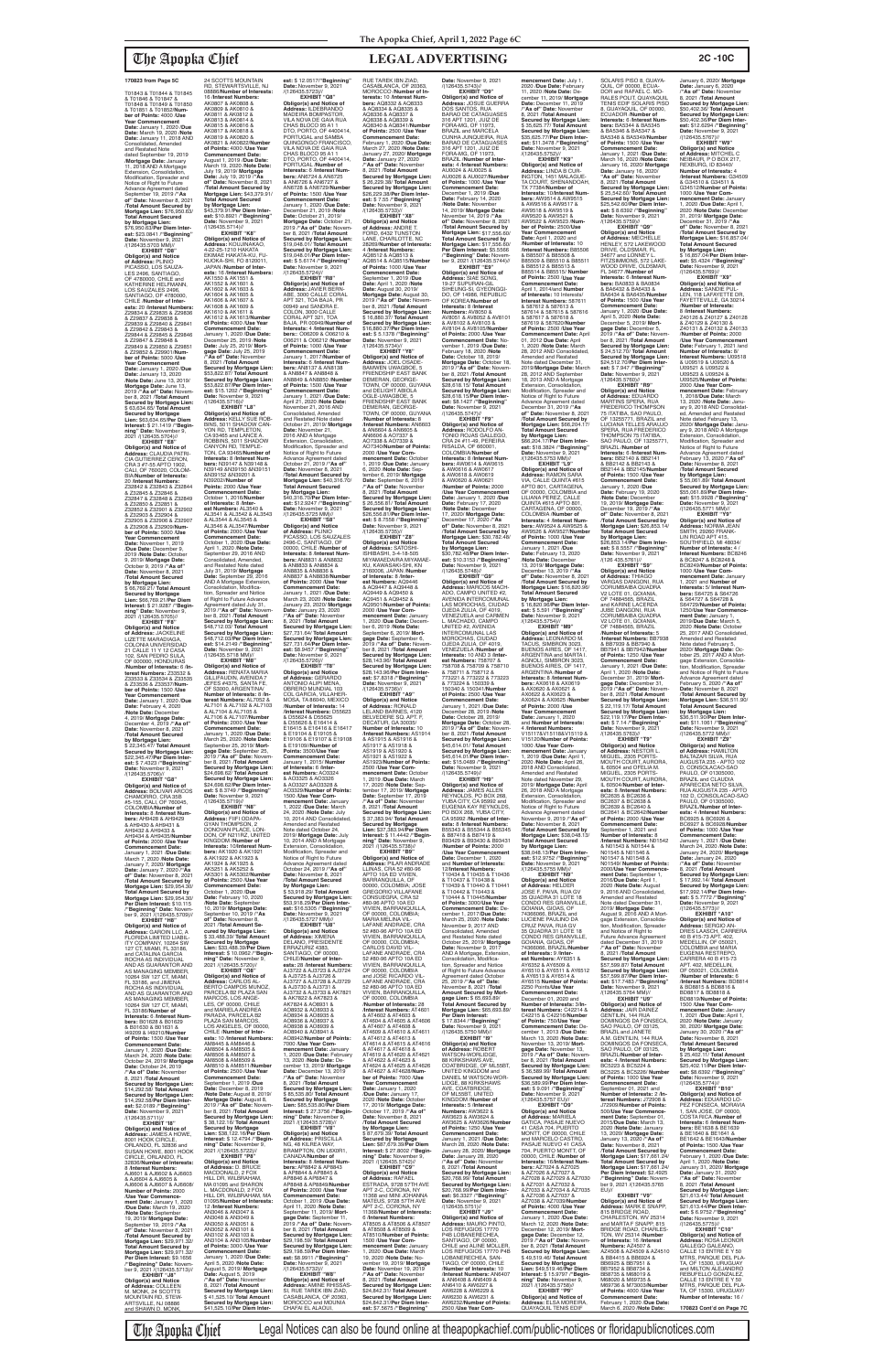# The Apopka Chief **LEGAL ADVERTISING 2C -10C**

**est:** \$ 12.0517/"**Beginning"**<br>**Date:**.November 9, 2021<br>/(126435.5723)// **EXHIBIT "Q8" Obligor(s) and Notice of Address:** ILDEBRANDO MADEIRA BOMPASTOR, VILA NOVA DE GAIA RUA CHAS BLOCO 95 A1 1 DTO, PORTO, OF 4400414, PORTUGAL and SAMBA QUINGONGO FRANCISCO, VILA NOVA DE GAIA RUA CHAS BLOCO 95 A1 1 DTO, PORTO, OF 4400414, PORTUGAL /**Number of Interests:** 6 /**Interest Num-bers:** AN6724 & AN6725 & AN6726 & AN6727 & AN6728 & AN6729/**Number of Points:** 1500 /**Use Year Commencement Date:** January 1, 2020 /**Due Date:** December 21, 2019 /**Note Date:** October 21, 2019/ RUE TAREK IBN ZIAD, CASABLANCA, OF 20363, MOROCCO /**Number of Interests:** 10 /**Interest Numbers:** AQ8332 & AQ8333 & AQ8334 & AQ8335 & AQ8336 & AQ8337 & AQ8338 & AQ8339 & **Date:** January 27, 2020 /**"As of" Date:** November **est:** \$ 7.55 /**"Beginning"**<br>**Date:** November 9, 2021<br>/(126435.5733)//

T01843 & T01844 & T01845 & T01846 & T01847 & T01848 & T01849 & T01850 & T01851 & T01852/**Number of Points:** 4000 /**Use Year Commencement Date:** January 1, 2020 /**Due Date:** March 19, 2020 /**Note Date:** January 11, 2018 AND Consolidated, Amended and Restated Note dated September 19, 2019 /**Mortgage Date:** January 11, 2018 AND A Mortgage Extension, Consolidation, Modification, Spreader and<br>Notice of Right to Future Advance Agreement dated September 19, 2019 /**"As of" Date:** November 8, 2021 /**Total Amount Secured by Mortgage Lien:** \$76,950.63/ **Total Amount Secured by Mortgage Lien:** \$76,950.63/**Per Diem Inter-est:** \$23.0841 /**"Beginning" Date:** November 9, 2021

**EXHIBIT "F8" Obligor(s) and Notice of Address:** JACKELINE LIZETTE MARADIAGA, COLONIA UNIVERSIDAD<br>21 CALLE 11 Y 12 CASA 102, SAN PEDRO SULA, OF 000000, HONDURAS<br>Number of Interests: 6 /In /**Number of Interests:** 6 /**In-terest Numbers:** Z33532 & Z33533 & Z33534 & Z33535 & Z33536 & Z33537/**Number of Points:** 1500 /**Use Year Commencement Date:** January 1, 2020 /**Due Date:** February 4, 2020 /**Note Date:** December 4, 2019/ **Mortgage Date:** December 4, 2019 /**"As of" Date:** November 8, 2021 /**Total Amount Secured by Mortgage Lien:** \$ 22,345.47/ **Total Amount Secured by Mortgage Lien:**<br>\$22,345,47/Per Diem Inter-\$22,345.47/**Per Diem Inter-est:** \$ 7.4323 /**"Beginning" Date:** November 9, 2021 /(126435.5706)// **EXHIBIT Obligor(s) and Notice of Address:** BOLIVAR ARCOS CHAMORRO, CRA 35B #5-155, CALI, OF 760045, COLOMBIA/**Number of Interests:** 8 /**Interest Numbers:** AH9428 & AH9429 & AH9430 & AH9431 & AH9432 & AH9433 & AH9434 & AH9435/**Number of Points:** 2000 /**Use Year Commencement Date:** January 1, 2021 /**Due Date:** March 7, 2020 /**Note Date:** January 7, 2020/ **Mortgage Date:** January 7, 2020 /**"As of" Date:** November 8, 2021 /**Total Amount Secured by Mortgage Lien:** \$29,954.30/ **Total Amount Secured by Mortgage Lien:** \$29,954.30/ **Per Diem Interest:** \$10.115 /**"Beginning" Date:** November 9, 2021 /(126435.5709)// **EXHIBIT "H8" Obligor(s) and Notice of Address:** GAROIN LLC, A FLORIDA LIMITED LIABIL-ITY COMPANY, 10264 SW 127 CT, MIAMI, FL 33186, and CATALINA GARCIA ROCHA AS INDIVIDUAL AND AS GUARANTOR AND AS MANAGING MEMBER,<br>10264 SW 127 CT, MIAMI,<br>FL 33186, and JIMENA<br>ROCHA AS INDIVIDUAL AND AS GUARANTOR AND AS MANAGING MEMBER, 10264 SW 127 CT, MIAMI, FL 33186/**Number of Interests:** 6 /**Interest Numbers:** B01628 & B01629 & B01630 & B01631 & I49209 & I49210/**Number of Points:** 1500 /**Use Year**  Commencement Da January 1, 2020 /**Due Date:** March 24, 2020 /**Note Date:** October 24, 2019/ **Mortgage Date:** October 24, 2019 /**"As of" Date:** November 8, 2021 /**Total Amount Secured by Mortgage Lien:** \$14,292.58/ **Total Amount Secured by Mortgage Lien:** \$14,292.58/**Per Diem Interest:** \$2.0189 /**"Beginning" Date:** November 9, 2021 /(126435.5711)// **EXHIBIT "I8" Obligor(s) and Notice of Address:** JAMES A HOWE, 8001 HOOK CIRCLE, ORLANDO, FL 32836 and SUSAN HOWE, 8001 HOOK CIRCLE, ORLANDO, FL 32836/**Number of Interests:** 8 /**Interest Numbers:** AJ6601 & AJ6602 & AJ6603 & AJ6604 & AJ6605 & AJ6606 & AJ6607 & AJ6608/ **Number of Points:** 2000 /**Use Year Commence-ment Date:** January 1, 2020 /**Due Date:** March 19, 2020 /**Note Date:** September 19, 2019/ **Mortgage Date:** September 19, 2019 /**"As of" Date:** November 8, 2021 /**Total Amount Secured by Mortgage Lien:** \$29,971.32/ **Total Amount Secured by Mortgage Lien:** \$29,971.32/ **Per Diem Interest:** \$9.1656 /**"Beginning" Date:** Novem-ber 9, 2021 /(126435.5713)// **EXHIBIT "J8" Obligor(s) and Notice of Address:** COLLEEN M. MONK, 24 SCOTTS  $2021$ 

/(126435.5703 MM)// **EXHIBIT "D8" Obligor(s) and Notice<br><b>of Address:** PLINIO<br>PICASSO, LOS SAUZA-<br>LES 2496, SANTIAGO, OF 4780000, CHILE and<br>KATHERINE HELFMANN, LOS SAUZALES 2496, SANTIAGO, OF 4780000, CHILE /**Number of Inter-ests:** 20 /**Interest Numbers:** Z29834 & Z29835 & Z29836 & Z29837 & Z29838 & Z29839 & Z29840 & Z29841 & Z29842 & Z29843 & Z29844 & Z29845 & Z29846 & Z29847 & Z29848 & Z29849 & Z29850 & Z29851 & Z29852 & Z29901/**Number of Points:** 5000 /**Use Year Commencement Date:** January 1, 2020 /**Due Date:** January 13, 2020 /**Note Date:** June 13, 2019/ **Mortgage Date:** June 13, 2019 /**"As of" Date:** Novem-ber 8, 2021 /**Total Amount Secured by Mortgage Lien:** \$ 63,634.65/ **Total Amount Secured by Mortgage Lien:** \$63,634.65/**Per Diem Interest:** \$ 21.1419 /**"Begin-ning" Date:** November 9, 2021 /(126435.5704)// **EXHIBIT "E8"**

**Obligor(s) and Notice of Address:** CLAUDIA PATRI-CIA GUTIERREZ CERON,<br>CRA 3 #7-55 APTO 1902,<br>CALI, OF 760020, COLOM-<br>BIA/**Number of Interests:** 20 /**Interest Numbers:** Z32842 & Z32843 & Z32844 & Z32845 & Z32846 & Z32847 & Z32848 & Z32849 & Z32850 & Z32851 & Z32852 & Z32901 & Z32902 & Z32903 & Z32904 & Z32905 & Z32906 & Z32907 & Z32908 & Z32909/**Number of Points:** 5000 /**Use Year Commencement Date:** November 1, 2019 /**Due Date:** December 9, 2019 /**Note Date:** October 9, 2019/ **Mortgage Date:** October 9, 2019 /**"As of" Date:** November 8, 2021 /**Total Amount Secured by Mortgage Lien:** \$ 66,769.21/ **Total Amount Secured by Mortgage Lien:** \$66,769.21/**Per Diem Interest:** \$ 21.9287 /**"Beginning" Date:** November 9, 2021 /(126435.5705)//

MOUNTAIN RD, STEW-ARTSVILLE, NJ 08886 and SHAWN D. MONK,

24 SCOTTS MOUNTAIN RD, STEWARTSVILLE, NJ 08886/**Number of Interests:** 16 /**Interest Numbers:** AK0807 & AK0808 & AK0809 & AK0810 & AK0811 & AK0812 & AK0813 & AK0814 & AK0815 & AK0816 & AK0817 & AK0818 & AK0819 & AK0820 & AK0821 & AK0822/**Number of Points:** 4000 /**Use Year Commencement Date:** August 1, 2019 /**Due Date:** March 19, 2020 /**Note Date:** July 19, 2019/ **Mortgage Date:** July 19, 2019 /**"As of" Date:** November 8, 2021 /**Total Amount Secured by Mortgage Lien:** \$43,379.91/ **Total Amount Secured by Mortgage Lien:** \$43,379.91/**Per Diem Interest:** \$10.8921 /**"Beginning" Date:** November 9, 2021<br>/(126435.5714)// **EXHIBIT "K8" Obligor(s) and Notice of Address:** KOUJINAKAO, 4-22-25-1210 HAKATA EKIMAE HAKATA-KU, FU-KUOKA-SHI, FO 8120011,<br>JAPAN /Number of Inter-JAPAN /**Number of Inter-ests:** 16 /**Interest Numbers:** AK1550 & AK1551 & AK1552 & AK1601 & AK1602 & AK1603 & AK1604 & AK1605 &

/(126435.5716)//

**est:** \$14.2149 /**"Beginning"<br><b>Date:** November 9, 2021<br>/(126435.5718 MM)//<br>**EXHIBIT "M8" Obligor(s) and Notice of<br><b>Address:** RENATA MARIA<br>GILLIFAUDIN, AVENIDA 7<br>JEFES #4375, SANTA FE, OF S3000, ARGENTINA/ **Number of Interests:** 8 /**Interest Numbers:** AL7052 & AL7101 & AL7102 & AL7103 & AL7104 & AL7105 & AL7106 & AL7107/**Number of Points:** 2000 /**Use Year Commencement Date:** January 1, 2020 /**Due Date:** March 25, 2020 /**Note Date:** September 25, 2019/ **Mort-gage Date:** September 25, 2019 /**"As of" Date:** Novem-ber 8, 2021 /**Total Amount Secured by Mortgage Lien:** \$24,698.62/ **Total Amount Secured by Mortgage Lien:** \$24,698.62/**Per Diem Interest:** \$ 8.3749 /**"Beginning" Date:** November 9, 2021 /(126435.5719)// **EXHIBIT "N8" Obligor(s) and Notice of Address:** FIIFI ODAPA-GYAN THOMPSON, 2 DONOVAN PLACE, LON-DON, OF N211RZ, UNITED KINGDOM /**Number of Interests:** 10/**Interest Numbers:** AK1920 & AK1921 & AK1922 & AK1923 & AK1924 & AK1925 & AK5251 & AK5252 & AK5301 & AK5302/**Number of Points:** 2500 /**Use Year Commencement Date:** October 1, 2020 /**Due Date:** February 10, 2020 /**Note Date:** September 10, 2019/ **Mortgage Date:** September 10, 2019 /**"As of" Date:** November 8, 2021 /**Total Amount Secured by Mortgage Lien:** \$ 33,488.39/ **Total Amount Secured by Mortgage Lien:** \$33,488.39/**Per Diem Interest:** \$ 10.0962 /**"Beginning" Date:** November 9, **EXHIBIT "O8" Obligor(s) and Notice of Address:** CARLOS AL-BERTO CAMPOS MUNOZ PARCELA B2 PLAZA SAN MARCOS, LOS ANGE LES, OF 00000, CHILE and MARIELA ANDREA PARADA, PARCELA B2 PLAZA SAN MARCOS LOS ANGELES, OF 00000, CHILE /**Number of Interests:** 10 /**Interest Numbers:** AM8445 & AM8446 & AM8504 & AM8505 & AM8506 & AM8507 & AM8508 & AM8509 & AM8510 & AM8511/**Numbe of Points:** 2500 /**Use Year Commencement Date:** September 1, 2019 /**Due Date:** December 8, 2019 /**Note Date:** August 8, 2019/ **Mortgage Date:** August 8, 2019 /**"As of" Date:** November 8, 2021 /**Total Amount Secured by Mortgage Lien:** \$ 38,122.16/ **Total Amount Secured by Mortgage Lien:** \$38,122.16/**Per Diem Interest:** \$ 12.4794 /**"Beginning" Date:** November 9,<br>2021 /(126435.5722)// **EXHIBIT "P8" Obligor(s) and Notice of Address:** D. BRUCE MACDONALD, 2 FOX HILL DR, WILBRAHAM,<br>MA 01095 and SHARON MACDONALD, 2 FOX HILL DR, WILBRAHAM, MA 01095/**Number of Interests:** 12 /**Interest Numbers:** AN3046 & AN3047 & AN3048 & AN3049 & AN3050 & AN3051 & AN3052 & AN3101 & AN3102 & AN3103 & AN3104 & AN3105/**Number of Points:** 3000 /**Use Year Commencement Date:** January 1, 2020 /**Due Date:** April 5, 2020 /**Note Date:** August 5, 2019/ **Mortgage Date:** August 5, 2019 /**"As of" Date:** November 8, 2021 /**Total Amount Secured by Mortgage Lien:** \$ 41,525.10/ **Total Amount Secured by Mortgage Lien:** \$41,525.10/**Per Diem Inter-Secured by Mortgage Lien:<br>\$27,731.64/<b>Per Diem Inter-<br><b>es**t: \$8.9457 /**"Beginning"<br>Date: November 9, 2021<br>/(126435.5726)// EXHIBIT "T8"<br><b>Obligor(s) and Notice**<br>**of Addres**s: GERARDO<br>ANTONIO ALIPI MENA,<br>OBRERO MUNDIAL 103<br>COL GARCIA, VILLAHER-MOSA, TA 86040, MEXICO /**Number of Interests:** 14 /**Interest Numbers:** D55623 & D55624 & D55625 & D55626 & E16414 & E16415 & E16416 & E16417 & E19104 & E19105 & E19106 & E19107 & E19108 & E19109//**Number of Points:** 3500/**Use Year Commencement Date:** January 1, 2015/ **Number of Interests:** 6 /**Interest Numbers:** AO3324 & AO3325 & AO3326 & AO3327 &AO3328 & AO3329/**Number of Points:** 1500 /**Use Year Commencement Date:** January 1, 2022 /**Due Date:** March 24, 2020 /**Note Date:** July 24, 2020 ANDIC Battler<br>10, 2014 AND Consolida Amended and Restated Note dated October 24, 2019/ **Mortgage Date:** July<br>10, 2014 AND A Mortgage<br>Extension, Consolidation,<br>Modification, Spreader and Notice of Right to Future Advance Agreement dated October 24, 2019 /**"As of" Date:** November 8, 2021 /**Total Amount Secured by Mortgage Lien:** \$ 53,918.29/ **Total Amount Secured by Mortgage Lien:** \$53,918.29/**Per Diem Interest:** \$16.5305 /"**Beginning"**<br>**Date:** November 9, 2021<br>/(126435.5727 MM)// **EXHIBIT "U8" Obligor(s) and Notice of Address:** XIMENA DELANO, PRESIDENTE<br>ERRAZURIZ 4383, SANTIAGO, OF 00000, CHILE/**Number of Inter-ests:** 28 /**Interest Numbers:** AJ3722 & AJ3723 & AJ3724 & AJ3725 & AJ3726 & AJ3727 & AJ3728 & AJ3729 & AJ3730 & AJ3731 & AJ3732 & AJ3733 & AK7821 & AK7822 & AK7823 & AK7824 & AO8931 & AO8932 & AO8933 & AO8934 & AO8935 & AO8936 & AO8937 & AO8938 & AO8939 & AO8940 & AO8941 & AO8942/**Number of Points:** 7000 /**Use Year Commencement Date:** January 1, 2020 /**Due Date:** February 13, 2020 /**Note Date:** December 13, 2019/ **Mortgage Date:** December 13, 2019 /**"As of" Date:** November 8, 2021 /**Total Amount Secured by Mortgage Lien:** \$ 85,535.80/ **Total Amount Secured by Mortgage Lien:** \$85,535.80/**Per Diem Interest:** \$ 27.3756 /**"Begin-<br><b>ning" Date:** November 9,<br>2021 /(126435.5728)// **EXHIBIT "V8" Obligor(s) and Notice of Address:** PRISCILLA NG, 48 KILREA WAY,<br>BRAMPTON, ON L6X0R1, CANADA/**Number of Interests:** 8 /**Interest Numbers:** AP8842 & AP8843 & AP8844 & AP8845 & AP8846 & AP8847 & AP8848 & AP8849/**Number of Points:** 2000 /**Use Year Commencement Date:** October 1, 2019 /**Due Date:** April 11, 2020 /**Note Date:** September 11, 2019/ **Mort-gage Date:** September 11, 2019 /**"As of" Date:** November 8, 2021 /**Total Amount Secured by Mortgage Lien:** \$29,198.59/ **Total Amount Secured by Mortgage Lien:** \$29,198.59/**Per Diem Inter-est:** \$8.9911 /**"Beginning" Date:** November 9, 2021 /(126435.5732)// **EXHIBIT "W8" Obligor(s) and Notice of Address:** AMINE RHISSAS-SI, RUE TAREK IBN ZIAD,<br>CASABLANCA, OF 20363, MOROCCO and MOUNIA

**Mortgage Date: October 21<br>2019 / "As of" Date: Novem** 2019 /"As of" Date: Novem-<br>ber 8, 2021 /Total Amount<br>Secured by Mortgage Lien:<br>\$19,048.01/ Total Amount<br>Secured by Mortgage Lien:<br>\$19,048.01/Per Diem Inter-<br>\$19,048.01/Per Diem Inter-**Date:** November 9, 2021 /(126435.5724)// **EXHIBIT "R8" EXHIBIT "X8" Obligor(s) and Notice of Address:** ANDRE T. FORD, 6432 TUNSTON LANE, CHARLOTTE, NC 28269/**Number of Interests:** 4 /**Interest Numbers:** AQ8512 & AQ8513 & AQ8514 & AQ8515/**Number of Points:** 1000 /**Use Year Commencement Date:** September 1, 2019 /**Due Date:** April 1, 2020 /**Note Date:** August 30, 2019/ **Mortgage Date:** August 30, 2019 /**"As of" Date:** November 8, 2021 /**Total Amount Secured by Mortgage Lien:** \$ 16,880.37/ **Total Amount Secured by Mortgage Lien:** \$16,880.37/**Per Diem Interest:** \$ 5.1378 /"**Beginning"**<br>**Date:** November 9, 2021<br>/(126435.5734)// **EXHIBIT "Y8" Obligor(s) and Notice of Address:** JOEL OSADE-BAMWEN UWAGBOE, 5 FRIENDSHIP EAST BANK DEMERAN, GEORGE-TOWN, OF 00000, GUYANA and DELIGHT ABIOLA OGLE-UWAGBOE, 5 FRIENDSHIP EAST BANK DEMERAN, GEORGE-TOWN, OF 00000, GUYANA /**Number of Interests:** 8 /**Interest Numbers:** AN6603 & AN6604 & AN6605 & AN6606 & AO7337 & AO7338 & AO7339 & AO7340/**Number of Points:** 2000 /**Use Year Com-**

AK1606 & AK1607 & AK1608 & AK1609 & AK1610 & AK1611 & AK1612 & AK1613/**Number of Points:** 4000 /**Use Year Commencement Date:** January 1, 2020 /**Due Date:** December 25, 2019 /**Note Date:** July 25, 2019/ **Mortgage Date:** July 25, 2019 /**"As of" Date:** November 8, 2021 /**Total Amount Secured by Mortgage Lien:** \$53,822.87/ **Total Amount Secured by Mortgage Lien:** \$53,822.87/**Per Diem Interest:** \$15.1202 /**"Beginning" Date:** November 9, 2021 **EXHIBIT "L8" Obligor(s) and Notice of Address:** KELLY SUE ROB-BINS, 5011 SHADOW CAN-YON RD, TEMPLETON, CA 93465 and LANCE A. ROBBINS, 5011 SHADOW CANYON RD, TEMPLE-TON, CA 93465/**Number of Interests:** 8 /**Interest Num-bers:** N39147 & N39148 & N39149 &N39150 &N39151 &N39152 &N39201 & N39202//**Number of Points:** 2000 /**Use Year Commencement Date:** October 1, 2016/**Number of Interests:** 8 /**Inter-est Numbers:** AL3540 & AL3541 & AL3542 & AL3543 & AL3544 & AL3545 & AL3546 & AL3547/**Number of Points:** 2000 /**Use Year Commencement Date:** October 1, 2020 /**Due Date:** April 1, 2020 /**Note Date:** September 29, 2016 AND Consolidated, Amended, and Restated Note dated July 31, 2019/ **Mortgage Date:** September 29, 2016 AND A Mortgage Extension, Consolidation, Modification, Spreader and Notice of Right to Future Advance Agreement dated July 31, 2019 /**"As of" Date:** Novem-ber 8, 2021 /**Total Amount Secured by Mortgage Lien:** \$48,712.03/ **Total Amount Secured by Mortgage Lien:** \$48,712.03/**Per Diem Inter-Obligor(s) and Notice of Address:** JAVIER BERN-ABE, 3000 CALLE CORAL APT 321, TOA BAJA, PR 00949 and SANDRA E. COLON, 3000 CALLE CORAL APT 321, TOA BAJA, PR 00949/**Number of Interests:** 4 /**Interest Numbers:**: O06209 & O06210 & O06211 & O06212 /**Number of Points:** 1000 /**Use Year Commencement Date:** January 1, 2017/**Number of Interests:** 6 /**Interest Numbers:** AN8137 & AN8138 & AN8847 & AN8848 & AN8849 & AN8850 /**Number of Points:** 1500 /**Use Year Commencement Date:** January 1, 2021 /**Due Date:** April 21, 2020 /**Note Date:** November 21, 2016 AND Consolidated, Amended and Restated Note dated October 21, 2019/ **Mortgage Date:** November 21,<br>2016 AND A Mortgage<br>Extension, Consolidation,<br>Modification, Spreader and<br>Notice of Right to Future Advance Agreement dated October 21, 2019 /**"As of" Date:** November 8, 2021 /**Total Amount Secured by Mortgage Lien:** \$40,316.70/ **Total Amount Secured by Mortgage Lien:** \$40,316.70/**Per Diem Interest:** \$12.9247 /**"Beginning"<br><b>Date:** November 9, 2021<br>/(126435.5725 MM)//<br>**EXHIBIT "S8" Obligor(s) and Notice of Address:** PLINIO PICASSO, LOS SAUZALES 2496-C, SANTIAGO, OF 00000, CHILE /**Number of Interests:** 8 /**Interest Numbers:** AN8831 & AN8832 & AN8833 & AN8834 &<br>AN8835 & AN8836 & AN8835 & AN8836 & AN8837 & AN8838/**Number of Points:** 2000 /**Use Year Commencement Date:** January 1, 2021 /**Due Date:** March 23, 2020 /**Note Date:** January 23, 2020/ **Mortgage Date:** January 23, 2020 /**"As of" Date:** November 8, 2021 /**Total Amount Secured by Mortgage Lien:** \$27,731.64/ **Total Amount** 

**bers:** BA5344 & BA5345 & BA5346 & BA5347 & BA5348 & BA5349/**Number of Points:** 1500 /**Use Year Commencement Date:** January 1, 2021 /**Due Date:** March 16, 2020 /**Note Date:** January 16, 2020/ **Mortgage Date:** January 16, 2020/ **"As of" Date:** November 8, 2021 /**Total Amount Secured by Mortgage Lien:** \$ 25,542.60/ **Total Amount Secured by Mortgage Lien:** \$25,542.60/**Per Diem Interest:** \$ 8.6392 /"**Beginning"**<br>**Date:** November 9, 2021<br>/(126435.5759)//

**mencement Date:** October 1, 2019 /**Due Date:** January 6, 2020 /**Note Date:** September 6, 2019/ **Mortgage Date:** September 6, 2019 /**"As of" Date:** November 8, 2021 /**Total Amount Secured by Mortgage Lien:** \$ 26,556.81/ **Total Amount Secured by Mortgage Lien:** \$26,556.81/**Per Diem Inter-est:** \$ 8.7558 /**"Beginning" Date:** November 9, 2021<br>/(126435.5735)// **EXHIBIT "Z8" Obligor(s) and Notice of Address:** SATOSHI-ISHIBASHI, 3-4-18-505 MIYAMAEDAIRA MIYAMAE-KU, KAWASAKI-SHI, KN 2160006, JAPAN /**Number of Interests:** 8 /**Inter-est Numbers:** AQ9446 & AQ9447 & AQ9448 &

AQ9449 & AQ9450 & AQ9451 & AQ9452 & AQ9501/**Number of Points:** 2000 /**Use Year Com-mencement Date:** January 1, 2020 /**Due Date:** December 6, 2019 /**Note Date:** September 6, 2019/ **Mortgage Date:** September 6,<br>2019 /**"As of" Date:** Novem-<br>ber 8, 2021 /**Total Amount**<br>**Secured by Mortgage Lien:** \$28,143.96/ **Total Amount Secured by Mortgage Lien:** \$28,143.96/**Per Diem Inter-est:** \$7.8318 /**"Beginning" Date:** November 9, 2021

CHAFAI EL ALAOUI, /(126435.5736)//<br>**EXHIBIT "A9" EXHIBIT "A9" Obligor(s) and Notice of Address:** RONALD LELAND BARNES, 4120 BELVEDERE SQ. APT. F DECATUR, GA 30035/ **Number of Interests:** 10 /**Interest Numbers:** AS1914 & AS1915 & AS1916 & AS1917 & AS1918 & AS1919 & AS1920 & AS1921 & AS1922 & AS1923/**Number of Points:** 2500 /**Use Year Comnt Date: October** 1, 2019 /**Due Date:** March 17, 2020 /**Note Date:** September 17, 2019/ **Mortgage Date:** September 17, 2019 **"As of" Date: November**<br>8. 2021 **Total Amount** 8, 2021 /**Total Amount Secured by Mortgage Lien:** \$ 37,383.94/ **Total Amount Secured by Mortgage Lien:** \$37,383.94/**Per Diem Interest:** \$ 11.4442 /**"Begin-ning" Date:** November 9, 2021 /(126435.5738)// **EXHIBIT "B9" Obligor(s) and Notice of Address:** PILAR ANDRADE LLINAS, CRA 52 #80-96 APTO 10A ED VIVIEN, BARRANQUILLA, OF 00000, COLOMBIA; JOSE GREGORIO VILLAFANE CONSUEGRA, CRA 52 #80-96 APTO 10A ED VIVIEN, BARRANQUILLA, OF 00000, COLOMBIA MARIA MELINA VIL-LAFANE ANDRADE, CRA 52 #80-96 APTO 10A ED VIVIEN, BARRANQUILLA, OF 00000, COLOMBIA;<br>CARLOS DAVID VIL-LAFANE ANDRADE, CRA 52 #80-96 APTO 10A ED VIVIEN, BARRANQUILLA, OF 00000, COLOMBIA and JOSE RICARDO VIL-<br>LAFANE ANDRADE, CRA LAFANE ANDRADE, CRA 52 #80-96 APTO 10A ED VIVIEN, BARRANQUILLA, OF 00000, COLOMBIA /**Number of Interests:** 28 /**Interest Numbers:** AT4601 & AT4602 & AT4603 & AT4604 & AT4605 & AT4606 & AT4607 & AT4608 & AT4609 & AT4610 & AT4611 & AT4612 & AT4613 & AT4614 & AT4615 & AT4616 & AT4617 & AT4618 & AT4619 & AT4620 & AT4621 & AT4622 & AT4623 & AT4624 & AT4625 & AT4626 & AT4627 & AT4628/**Number of Points:** 7000 /**Use Year Commencement Date:** January 1, 2020 /**Due Date:** January 17, 2020 /**Note Date:** October 17, 2019/ **Mortgage Date:** October 17, 2019 /**"As of" Date:** November 8, 2021 /**Total Amount Secured by Mortgage Lien:** \$ 87,679.39/ **Total Amount Secured by Mortgage Lien:** \$87,679.39/**Per Diem Interest:** \$ 27.8002 /**"Begin-ning" Date:** November 9, 2021 /(126435.5742)//<br>**EXHIBIT "C9" EXHIBIT "C9"<br>
<b>Obligor(s) and Notice**<br> **of Address:** RAFAEL<br>
ESTRADA, 9728 57TH AVE<br>
APT 2-C, CORONA, NY<br>
11368 and MINI JOHANNA<br>
11368 and MINI JOHANNA<br>
MATEUS, 9728 57TH AVE APT 2-C, CORONA, NY 11368/**Number of Interests:** 6 /**Interest Numbers:** AT8505 & AT8506 & AT8507 & AT8508 & AT8509 & AT8510/**Number of Points:** 1500 /**Use Year Comnencement Date: Janua<br>2020 /Due Date: March** 1, 2020 /**Due Date:** March 19, 2020 /**Note Date:** No-vember 19, 2019/ **Mortgage Date:** November 19, 2019 /**"As of" Date:** November 8, 2021 /**Total Amount Secured by Mortgage Lien:** \$24,842.31/ **Total Amount Secured by Mortgage Lien:** \$24,842.31/**Per Diem Interest:** \$7.5675 /**"Beginning"** 

**Date:** November 9, 2021<br>/(126435.5767)// **EXHIBIT "W9" Obligor(s) and Notice of Address:** MITCHEL C NEIBAUR, P O BOX 217, REXBURG, ID 83440/ **Number of Interests:** 4 /**Interest Numbers:** G34509 & G34510 & G34511 & G34512/**Number of Points:** 1000 /**Use Year Commencement Date:** January 1, 2020 /**Due Date:** April 1, 2020 /**Note Date:** December 31, 2019/ **Mortgage Date:** December 31, 2019 /**"As of" Date:** November 8, 2021 /**Total Amount Secured by Mortgage Lien:** \$16,857.04/ **Total Amount Secured by Mortgage Lien:** \$ 16,857.04/**Per Diem Interest:** \$5.4324 /**"Beginning" Date:** November 9, 2021 /(126435.5769)//

December 5, 2019/ **Mort-<br>gage Date:** December 5,<br>2019 /**"As of" Date:** Novem-<br>ber 8, 2021 /**Total Amount<br>Secured by Mortgage Lien:<br>\$ 24,512.70/ <b>Total Amount Secured by Mortgage Lien:** \$24,512.70/**Per Diem Inter-**SPERA, RUA FREDERICO<br>THOMPSON 75 ITATIBA,<br>SAO PAULO, OF 13255771,<br>BRAZIL /**Number of**<br>**Interests:** 6 /**Interest Num-**/**Note Date:** December 19, 2019/ **Mortgage Date:** December 19, 2019 /**"As of" Date:** November 8, 2021 /**Total Amount Secured by Mortgage Lien:** \$26,853.14/ **Total Amount Secured**  /**Interest Numbers:** BB7938 & BB7939 & BB7940 & BB7941 & BB7942/**Number EXHIBIT "X9" Obligor(s) and Notice of Address:** SANDIE PUL-LEN, 118 LAFAYETTE DR, FAYETTEVILLE, GA 30214 /**Number of Interests:** 8 /**Interest Numbers:** Z40126 & Z40127 & Z40128 & Z40129 & Z40130 & Z40131 & Z40132 & Z40133 /**Number of Points:** 2000 /**Use Year Commencement Date:** February 1, 2021 /and **Number of Interests:** 8/ **Interest Numbers:** U09518 & U09519 & U09520 & U09521 & U09522 & U09523 & U09524 & U09525/**Number of Points:** 2000 /**Use Year Commencement Date:** February 1, 2018/**Due Date:** March 13, 2020 /**Note Date:** Janu-<br>ary 9, 2018 AND Consolidat-<br>ed, Amended and Restated<br>Note dated February 13, 2020/ **Mortgage Date:** Janu-ary 9, 2018 AND A Mortgage Extension, Consolidation,<br>Modification, Spreader and<br>Notice of Right to Future Advance Agreement dated February 13, 2020 /**"As of" Date:** November 8, 2021 /**Total Amount Secured by Mortgage Lien:** \$ 55,061.89/ **Total Amount Secured by Mortgage Lien:** \$55,061.89/**Per Diem Inter**est: \$15.9928 /**"Beginning"<br>Date: November** 9, 2021<br>/(126435.5771 MM)//<br>**EXHIBIT "Y9"**<br>Obligor(s) and Notice of<br>**Address:** NORMA JEAN<br>SMITH, 29260 FRANK-LIN ROAD APT 415, SOUTHFIELD, MI 48034/ **Number of Interests:** 4 / 1000 /**Use Year Com-**

AQ8340 & AQ8341/**Number of Points:** 2500 /**Use Year Commencement Date:** February 1, 2020 /**Due Date:** March 27, 2020 /**Note Date:** January 27, 2020/ **Mortgage**  8, 2021 /**Total Amount Secured by Mortgage Lien:** \$ 26,229.38/ **Total Amount Secured by Mortgage Lien:** \$26,229.38/**Per Diem Inter-Date:** November 9, 2021<br>/(126435.5743)// **EXHIBIT "D9" Obligor(s) and Notice of<br><b>Address:** JOSUE GUERRA<br>DOS SANTOS, RUA<br>BARAO DE CATAGUASES 316 APT 1201, JUIZ DE FORA-MG, OF 11973, BRAZIL and MARCELA CUNHA JUNQUEIRA, RUA BARAO DE CATAGUASES 316 APT 1201, JUIZ DE FORA-MG, OF 11973, BRAZIL /**Number of Interests:** 4 /**Interest Numbers:** AU0024 & AU0025 & AU0026 & AU0027/**Number of Points:** 1000 /**Use Year Commencement Date:** December 1, 2019 /**Due Date:** February 14, 2020 /**Note Date:** November 14, 2019/ **Mortgage Date:** November 14, 2019 /**"As of" Date:** November 8, 2021 /**Total Amount Secured by Mortgage Lien:** \$17,556.60/ **Total Amount Secured by Mortgage Lien:** \$17,556.60/ **Per Diem Interest:** \$5.5566 /**"Beginning" Date:** Novem-ber 9, 2021 /(126435.5744)// **EXHIBIT "E9" Obligor(s) and Notice of Address:** SIAE SONG, 19-27 SUPURAN-GIL SIHEUNG-SI, GYEONGGI-DO, OF 14986, REPUBLIC OF KOREA/**Number of Interests:** 8 /**Interest**<br>**Numbers:** AV8050 &<br>AV8051 & AV8052 & AV8101 & AV8102 & AV8103 & AV8104 & AV8105/**Number of Points:** 2000 /**Use Year Commencement Date:** No-vember 1, 2019 /**Due Date:** February 18, 2020 /**Note Date:** October 18, 2019/ **Mortgage Date:** October 18, 2019 /**"As of" Date:** Novem-ber 8, 2021 /**Total Amount Secured by Mortgage Lien:** \$28,618.15/ **Total Amount Secured by Mortgage Lien:** \$28,618.15/**Per Diem Interest:** \$8.1427 /"**Beginning"**<br>**Date:** November 9, 2021<br>/(126435.5747)// **EXHIBIT "F9" Obligor(s) and Notice of Address:** RODOLFO AN-TONIO ROJAS GALLEGO, CRA 24 #11-49, PEREIRA RISALDA, OF 660001, COLOMBIA/**Number of Interests:** 8 /**Interest Num-bers:** AW0614 & AW0615 & AW0616 & AW0617 & AW0618 & AW0619 & AW0620 & AW0621 /**Number of Points:** 2000 **/Use Year Commencement<br><b>Date:** January 1, 2020 **/Due<br>Date:** February 17, 2020<br>**//Note Date:** December<br>17, 2020/ **Mortgage Date:** December 17, 2020 /**"As of" Date:** November 8, 2021 /**Total Amount Secured by Mortgage Lien:** \$30,782.48/ **Total Amount Secured by Mortgage Lien:** \$30,782.48/**Per Diem Interest:** \$10.3153 /**"Beginning" Date:** November 9, 2021 /(126435.5748)// **EXHIBIT "G9" Obligor(s) and Notice of Address:** MARCOS MACH-ADO, CAMPO UNITED #2, AVENIDA INTERCOMUNAL LAS MOROCHAS, CIUDAD<br>OJEDA ZULIA, OF 4019,<br>VENEZUELA and CARMEN<br>L. MACHADO, CAMPO UNITED #2, AVENIDA<br>INTERCOMUNAL LAS MOROCHAS, CIUDAD OJEDA ZULIA, OF 4019, VENEZUELA /**Number of Interests:** 10 AND 3 /**Interest Numbers:** 758707 & 758708 & 758709 & 758710 & 758711 & 758712 & 773221 & 773222 & 773223 & 773224 & 150339 & 150340 & 150341/**Number of Points:** 2500 /**Use Year Commencement Date:** January 1, 2021 /**Due Date:** December 28, 2019 /**Note Date:** October 28, 2019/ **Mortgage Date:** October 28, 2019 /**"As of" Date:** Novem-ber 8, 2021 /**Total Amount Secured by Mortgage Lien:** \$45,614.01/ **Total Amount Secured by Mortgage Lien:** \$45,614.01/**Per Diem Interest:** \$15.0489 /**"Beginning" Date:** November 9, 2021 /(126435.5749)// **EXHIBIT "H9" Obligor(s) and Notice of Address:** JAMES ALLEN REYNOLDS, PO BOX 268, YUBA CITY, CA 95992 and EUGENIA KAY REYNOLDS, PO BOX 268, YUBA CITY, CA 95992 /**Number of In ests:** 8 /**Interest Numbers:** B55343 & B55344 & B55345 & B87418 & B87419 & B93429 & B93430 & B93431 /**Number of Points:** 2000 /**Use Year Commencement Date:** December 1, 2020 and **Number of Interests:** 12/**Interest Numbers:** T10434 & T10435 & T10436 & T10437 & T10438 & T10439 & T10440 & T10441 & T10442 & T10443 & T10444 & T10445/**Number of Points:** 3000/**Use Year Commencement Date:** De-cember 1, 2017/**Due Date:** March 25, 2020 /**Note Date:** November 9, 2017 AND Consolidated, Amended and Restated Note dated October 25, 2019/ **Mortgage Date:** November 9, 2017<br>AND A Mortgage, Extension, Consolidation, Modification, Spreader and Notice of Right to Future Advance<br>Agreement dated October Agreement dated October 25, 2019 /**"As of" Date:** November 8, 2021 /**Total Amount Secured by Mortgage Lien:** \$ 65,693.89/ **Total Amount Secured by Mortgage Lien:** \$65,693.89/ **Per Diem Interest:** \$ 17.8344 /**"Beginning" Date:** November 9, 2021<br>/(126435.5750 MM)// **EXHIBIT "I9" Obligor(s) and Notice of Address:** ROBERT WATSON-WORLIDGE 88 KIRKSHAWS AVE, COATBRIDGE, OF ML55BT, UNITED KINGDOM and DANIEL M WATSON-WOR-LIDGE, 88 KIRKSHAWS AVE, COATBRIDGE, OF ML55BT, UNITED KINGDOM /**Number of Interests:** 5 /**Interest Numbers:** AW3622 & AW3623 & AW3624 & AW3625 & AW3626/**Number of Points:** 1250 /**Use Year Commencement Date:** January 1, 2021 /**Due Date:** March 28, 2020 /**Note Date:** January 28, 2020/ **Mortgage Date:** January 28, 2020 /**"As of" Date:** November 8, 2021 /**Total Amount Secured by Mortgage Lien:** \$20,768.99/ **Total Amount Secured by Mortgage Lien:** \$20,768.99/**Per Diem Inter-est:** \$6.3327 /**"Beginning" Date:** November 9, 2021 /(126435.5751)// **EXHIBIT "J9" Obligor(s) and Notice of Address:** MAURO PINTO, LOS REFUGIOS 17770 P4B LOBANERECHEA, SANTIAGO, OF 00000, CHILE and ALINE MOLLER, LOS REFUGIOS 17770 P4B LOBANERECHEA, SAN-TIAGO, OF 00000, CHILE /**Number of Interests:** 10 /**Interest Numbers:** AN6407 & AN6408 & AN6409 & AN6410 & AW6227 & AW6228 & AW6229 & AW6230 & AW6231 & AW6232/**Number of Points:** 2500 /**Use Year Com-**

**mencement Date:** July 1, 2020 /**Due Date:** February 11, 2020 /**Note Date:** De-cember 11, 2019/ **Mortgage Date:** December 11, 2019 /**"As of" Date:** November 8, 2021 /**Total Amount**  Secured by Mortgage Lien:<br>\$ 35,625.77/ **Total Amount**<br>\$ 35,625.77/**Per Diem Inter-**<br>\$35,625.77/**Per Diem Inter-**<br>bate: N1.3478 /<sup>4</sup> Beginning"<br>Date: N36.5752)//<br>/(126435.5752)// **EXHIBIT "K9"<br><b>Obligor(s) and Notice of**<br>**Address:** LINDA B CUR-<br>INGTON, 1451 MALAGUE-<br>TA COURT, SHENANDOAH,<br>TX 77384/**Number of Interests:** 10/**Interest Num-bers:** AW9514 & AW9515 & AW9516 & AW9517 & AW9518 & AW9519 & AW9520 & AW9521 & AW9522 & AW9523 /**Number of Points:** 2500/**Use Year Commencement Date:** April 1, 2020 and /**Number of Interests:** 10 /**Interest Numbers:** B85506 & B85507 & B85508 & **B85514 & B85515/ Number of Points:** 2500 /**Use Year Commencement Date:** April 1, 2014/and **Number of Interests:** 10 Interests/ 587619 & 587620/**Number of Points:** 2500 /**Use Year Commencement Date:** April Amended and Restated Note dated December 31, Extension, Consolidation, Modification, Spreader and<br>Notice of Right to Future /**Total Amount Secured by**  /(126435.5753 MM)// **EXHIBIT "L9" Obligor(s) and Notice of Address:** RAMON SARA VIA, CALLE QUINTA #615 APTO 801, CARTAGENA, OF 00000, COLOMBIA and LILIANA PEREZ, CALLE QUINTA #615 APTO 801, CARTAGENA, OF 00000, COLOMBIA /**Number of Interests:** 4 /**Interest Numof Points:** 1000 /**Use Year Commencement Date:** January 1, 2021 /**Due Date:** February 13, 2020 /**Note Date:** December 13, 2019/ **Mortgage Date: by Mortgage Lien:** \$ 16,820.96/**Per Diem Inter-est:** \$ 5.591 /**"Beginning" Date:** November 9, 2021 /(126435.5754)// **EXHIBIT "M9" Obligor(s) and Notice of Address:** LEONARDO M.<br>TACUS, SIMBRON 3023,<br>BUENOS AIRES, OF 1417,<br>ARGENTINA and MARTA I. AGNOLI, SIMBRON 3023, BUENOS AIRES, OF 1417, ARGENTINA /**Number of Interests:** 8 /**Interest Num-bers:** AX0618 & AX0619 & AX0620 & AX0621 &

2018 AND Consolidated, and Restated Note dated November 29, 2019/ **Mortgage Date:** April 26, 2018 AND A Mortgage Extension, Consolidation, Modification, Spreader and<br>Notice of Right to Future<br>Advance Agreement dated November 9, 2019 /**"As of" Date:** November 8, 2021 /**Total Amount Secured by Mortgage Lien:** \$38,048.13/ **Total Amount Secured by Mortgage Lien:** \$38,048.13/**Per Diem Interest:** \$12.9752 /"**Beginning"**<br>**Date:** November 9, 2021<br>/(126435.5755 MM)// **EXHIBIT "N9" Obligor(s) and Notice of Address:** HELDER JOSE F. PAIVA, RUA GV 35 QUADRA 31 LOTE 18 CONDO RES GRANVILLE GOIANIA, GIOAS, OF 74366066, BRAZIL and LUCIENE PAULINO DA CRUZ PAIVA, RUA GV 35 QUADRA 31 LOTE 18 CONDO RES GRANVILLE, GOIANIA, GIOAS, OF 74366066, BRAZIL/**Number of Interests:** 9 /**Interest Numbers:** AY6351 & AY6352 & AY6509 & AY6510 & AY6511 & AY6512 & AY6513 & AY6514 & AY6515 **Number of Points:** 2250 Points/**Use Year Commencement Date:** December 01, 2020 and **Number of Interests:** 3/**Interest Numbers:** C42214 & C42215 & C42216/**Number of Points:** 750/**Use Year Commencement Date:** De-cember 1, 2013 /**Due Date:** March 13, 2020 /**Note Date:** November 13, 2019/ **Mort-gage Date:** November 13, 2019 /**"As of" Date:** Novem-ber 8, 2021 /**Total Amount Secured by Mortgage Lien:** \$ 36,589.99/ **Total Amount Secured by Mortgage Lien:** \$36,589.99/**Per Diem Interest:** \$ 9.091 /**"Beginning" Date:** November 9, 2021<br>/(126435.5757 EU)// **EXHIBIT "O9" Obligor(s) and Notice of Address:** MARIELA<br>GATICA, PASAJE NUEVO<br>41 CASA 704, PUERTO<br>MONTT, OF 00000, CHILE and MARCELO CASTRO, PASAJE NUEVO 41 CASA 704, PUERTO MONTT, OF 00000, CHILE /**Number of Interests:** 16/**Interest Num-bers:** AZ7024 & AZ7025 & AZ7026 & AZ7027 & AZ7028 & AZ7029 & AZ7030 & AZ7031 & AZ7032 & AZ7033 & AZ7034 & AZ7035 & AZ7036 & AZ7037 & AZ7038 & AZ7039/**Number of Points:** 4000 /**Use Year Commencement Date:** January 1, 2020 /**Due Date:** March 12, 2020 /**Note Date:** December 12, 2019/ **Mortgage Date:** December 12, 2019 /**"As of" Date:** November 8, 2021 /**Total Amount Secured by Mortgage Lien:** \$ 49,519.46/ **Total Amount Secured by Mortgage Lien:** \$49,519.46/**Per Diem Interest:** \$ 15.9797 /**"Beginning" Date:** November 9,<br>2021 /(126435.5758)// **EXHIBIT "P9" Obligor(s) and Notice of Address:** ELSA MOREIRA, QUAYAQUIL TENIS EDIF

B85509 & B85510 & B85511 & B85512 & B85513 & **Interest Numbers:** 587611<br>& 587612 & 587613 &<br>587614 & 587615 & 587616<br>& 587617 & 587618 & 01, 2012 **Due Date:** April 1, 2020 /**Note Date:** March 28, 2012 AND Consolidated, 2019/**Mortgage Date:** March<br>28, 2012 AND September<br>18, 2013 AND A Mortgage Advance Agreement dated December 31, 2019 /**"As of" Date:** November 8, 2021 **Mortgage Lien:** \$66,204.17/ **Total Amount Secured by Mortgage Lien:** \$66,204.17/**Per Diem Inter-est:** \$18.3824 /**"Beginning" Date:** November 9, 2021 **bers:** AW9524 & AW9525 & AW9526 & AW9527/**Number**  December 13, 2019 /**"As of" Date:** November 8, 2021 /**Total Amount Secured by Mortgage Lien:** \$16,820.96/ **Total Amount Secured**  AX0622 & AX0623 & AX0624 & AX0625 /**Number of Points:** 2000 /**Use Year Commencement Date:** January 1, 2020 and **Number of Interests:** 4 /**Interest Numbers:** V15117&V15118&V15119 & V15120/**Number of Points:** 1000 /**Use Year Com-mencement Date:** January 1, 2019 /**Due Date:** April 1, 2020 /**Note Date:** April 26, **EXHIBIT "Q9"<br><b>Obligor(s) and Notice**<br>**of Address:** MECHELLE<br>HENLEY, 572 LAKEWOOD<br>DRIVE, OLDSMAR, FL<br>34677 and LONNEY L. FITZSIMMONS, 572 LAKE-WOOD DRIVE, OLDSMAR, FL 34677 /**Number of Interests:** 6 /**Interest Num-bers:** BA0833 & BA0834 & BA6432 & BA6433 & BA6434 & BA6435/**Number of Points:** 1500 /**Use Year Commencement Date:** January 1, 2020 /**Due Date:** April 5, 2020 /**Note Date: est:** \$ 7.947 /**"Beginning"<br><b>Date:** November 9, 2021<br>/(126435.5760)//<br>**EXHIBIT "R9" Obligor(s) and Notice of Address:** EDUARDO MARTINS SPERA, RUA<br>FREDERICO THOMPSON<br>75 ITATIBA, SAO PAULO, OF 13255771, BRAZIL and LUCIANA TELLES ARAUJO **bers:** BB2140 & BB2141 & BB2142 & BB2143 & BB2144 & BB2145/**Number of Points:** 1500 /**Use Year Commencement Date:** January 1, 2020 /**Due**  Date: February 19, 2020<br>**Note Date:** December **by Mortgage Lien:** \$26,853.14/**Per Diem Inter-est:** \$ 8.5557 /**"Beginning" Date:** November 9, 2021 /(126 435.5761)// **EXHIBIT "S9" Obligor(s) and Notice of Address:** THIAGO VARGAS DANGONI, RUA CORUMBAIBA QUADRA V2 LOTE 01, GOIANIA, OF 74884565, BRAZIL and KARINE LACERDA JUBE DANGONI, RUA CORUMBAIBA QUADRA V2 LOTE 01, GOIANIA, OF 74884565, BRAZIL /**Number of Interests:** 5 **of Points:** 1250 /**Use Year Commencement Date:** January 1, 2021 /**Due Date:** April 1, 2020 /**Note Date:** December 31, 2019/ **Mort-gage Date:** December 31, 2019 /**"As of" Date:** November 8, 2021 /**Total Amount Secured by Mortgage Lien:** \$ 22,119.17/ **Total Amount Secured by Mortgage Lien:** \$22,119.17/**Per Diem Inter-est:** \$ 7.14 /**"Beginning" Date:** November 9, 2021 /(126435.5763)// **EXHIBIT "T9" Obligor(s) and Notice of Address:** NESTOR L. MIGUEL, 2305 PORTS-MOUTH COURT, AURORA, IL 60504 and OFELIA M. MIGUEL, 2305 PORTS-

SOLARIS PISO 8, GUAYA-QUIL, OF 00000, ECUA-DOR and RAFAEL C. MO-**RALES POLIT, QUAYAQUIL<br>TENIS EDIE SOLABIS PISO** TENIS EDIF SOLARIS PISO 8, GUAYAQUIL, OF 00000, ECUADOR /**Number of Interests:** 6 /**Interest Num-**

March 6, 2020 /**Note Date:**

January 6, 2020/ **Mortgage Date:** January 6, 2020 /**"As of" Date:** November 8, 2021 /**Total Amount Secured by Mortgage Lien:** \$50,402.36/ **Total Amount Secured by Mortgage Lien:** \$50,402.36/**Per Diem Interest:** \$12.6294 /**"Beginning"** 

MOUTH COURT, AURORA, ' of Inter **ests:** 8 /**Interest Numbers:** BC2635 & BC2636 & BC2637 & BC2638 & BC2639 & BC2640 & BC2641 & BC2642/**Number of Points:** 2000 /**Use Year Commencement Date:** September 1, 2021 and **Number of Interests:** 8 /**Interest Numbers:** N01542 & N01543 & N01544 & N01545 & N01546 & N01547 & N01548 & N01549/ **Number of Points:** 2000/**Use Year Commencement Date:** September 1, 2016/**Due Date:** April 1, 2020 /**Note Date:** August 9, 2016 AND Consolidated, Amended and Restated Note dated December 31, 2019/ **Mortgage Date:** August 9, 2016 AND A Mortgage Extension, Consolida-<br>tion, Modification, Spreader<br>and Notice of Right to Future Advance Agreement dated December 31, 2019 /**"As of" Date:** November 8, 2021 **/Total Amoun Secured by Mortgage Lien:** \$57,599.87/ **Total Amount Secured by Mortgage Lien:** \$57,599.87/**Per Diem Inter-est:** \$17.7483 /**"Beginning" Date:** November 9, 2021 /(126435.5764 MM)// **EXHIBIT "U9" Obligor(s) and Notice of Address:** JAIR DAINEZ GENTILIN, 144 RUA DOMINGOS DA FONSECA, SAO PAULO, OF 03125, BRAZIL and JANETE A.M. GENTILIN, 144 RUA DOMINGOS DA FONSECA, SAO PAULO, OF 03125 BRAZIL/**Number of Interests:** 4 /**Interest Numbers:** BC5223 & BC5224 & BC5225 & BC5226/ **Number of Points:** 1000 **Use Year Commencement Date:** September 01, 2021 and **Number of Interests:** 2 /**In-terest Numbers:** J72908 & J72909/**Number of Points:** 500/**Use Year Commenc**<br>ment Date: September 0 **ment Date:** September 01, 2015/**Due Date:** March 13, 2020 /**Note Date:** January 13, 2020/ **Mortgage Date:** January 13, 2020 /**"As of"**  Date: November 8, 2021<br>Total Amount Secured by /**Total Amount Secured by Mortgage Lien:** \$17,661.24/ **Total Amount Secured by Mortgage Lien:** \$17,661.24/ **Per Diem Interest:** \$2.4925 /**"Beginning" Date:** Novem-ber 9, 2021 /(126435.5765  $EUV$ **EXHIBIT "V9" Obligor(s) and Notice of Address:** MARK E SNAPP, 815 BRIDGE ROAD,<br>CHABLESTON, WV 25314 CHARLESTON, WV 25314 and MARTA F SNAPP, 815 BRIDGE ROAD, CHARLES-TON, WV 25314 /**Number of Interests:** 16 /**Interest Numbers:** AZ4507 & AZ4508 & AZ4509 & AZ4510 & BB4415 & BB6924 & BB6925 & BB7951 & BB7952 & BB8734 & BB8735 & M68019 & M68020 & M69735 & M69736 & M73003/**Number of Points:** 4000 /**Use Year Commencement Date:** February 1, 2020 /**Due Date:** TA, OF 15300, URUG **Number of Interests:** 16 /

**Interest Numbers:** BC8246 & BC8247 & BC8248 & BC8249/**Number of Points: mencement Date:** January 1, 2021 and **Number of Interests:** 5/ **Interest Numbers:** S64725 & S64726 & S64727 & S64728 & S64729/**Number of Points:** 1250/**Use Year Commence-ment Date:** January 1, **ment Date:** January 1,<br>2019/**Due Date:** March 5, 2020 /**Note Date:** October 25, 2017 AND Consolidated, Amended and Restated<br>Note dated February 5,<br>2020/ **Mortgage Date:** Oc-<br>tober 25, 2017 AND A Mortgage Extension, Consolida-<br>tion, Modification, Spreader and Notice of Right to Future Advance Agreement dated February 5, 2020 /**"As of" Date:** November 8, 2021 /**Total Amount Secured by Mortgage Lien:** \$36,511.90/ **Total Amount Secured by Mortgage Lien:** \$36,511.90/**Per Diem Interest:** \$11.1061 /"**Beginning"**<br>**Date:** November 9, 2021<br>/(126435.5772 MM)// **EXHIBIT "Z9"**

**Obligor(s) and Notice of Address:** HAMILTON BALTAZAR SILVA, RUA AUGUSTA 235 - APTO 102 D, CONSOLACAO-SAO PAULO, OF 01305000, BRAZIL and CLAUDIA APARECIDA NETO SILVA, RUA AUGUSTA 235 - APTO 102 D, CONSOLACAO-SAO PAULO, OF 01305000, BRAZIL/**Number of Interests:** 4 /**Interest Numbers:** BC6925 & BC6926 & BC6927 & BC6928/**Numbe of Points:** 1000 /**Use Year Commencement Date:** January 1, 2021 /**Due Date:** March 24, 2020 /**Note Date:** January 24, 2020/ **Mortgage Date:** January 24, 2020 /**"As of" Date:** November 8, 2021 /**Total Amount Secured by Mortgage Lien:** \$ 17,992.14/ **Total Amount Secured by Mortgage Lien:** \$17,992.14/**Per Diem Interest:** \$ 5.7772 /**"Beginning" Date:** November 9, 2021 /(126435.5773)// **EXHIBIT "A10" Obligor(s) and Notice of Address:** SERGIO AN-DRES LAASCH, CARRERA 40 B #15-73 APT. 402, MEDELLIN, OF 050021, COLOMBIA and MARIA EUGENIA RESTREPO, CARRERA 40 B #15-73 APT. 402, MEDELLIN, OF 050021, COLOMBIA /**Number of Interests:** 6 /**Interest Numbers:** BD8814 & BD8815 & BD8816 & BD8817 & BD8818 & BD8819/**Number of Points:** 1500 /**Use Year Commencement Date:** January 1, 2021 /**Due Date:** April 1, 2020 /**Note Date:** January 30, 2020/ **Mortgage Date:** January 30, 2020 /**"As of"**  Date: November 8, 2021<br>Total Amount Secured /**Total Amount Secured by Mortgage Lien:** \$ 25,402.11/ **Total Amount Secured by Mortgage Lien:** \$25,402.11/**Per Diem Interest:** \$8.6392 /**"Beginning" Date:** November 9, 2021<br>/(126435.5774)// **EXHIBIT "B10" Obligor(s) and Notice of Address:** EDUARDO LO-PEZ FONSECA, MORAVIA 1, SAN JOSE, OF 00000, COSTA RICA /**Number of Interests:** 6 /**Interest Numbers:** BE1638 & BE1639 & BE1640 & BE1641 & BE1642 & BE1643/**Numbe of Points:** 1500 /**Use Year Commencement Date:** February 1, 2020 /**Due Date:** April 1, 2020 /**Note Date:** January 31, 2020/ **Mortgage**  Date: January 31, 2020<br>"As of" Date: November /**"As of" Date:** November 8, 2021 /**Total Amount Secured by Mortgage Lien:** \$21,613.44/ **Total Amount Secured by Mortgage Lien:** \$21,613.44/**Per Diem Interest:** \$ 6.9752 /**"Beginning" Date:** November 9, 2021 /(126435.5775)// **EXHIBIT "C10" Obligor(s) and Notice of Address:** ROSA LEONOR GALLEGO GALEANO,<br>CALLE 13 ENTRE E Y 50 CALLE 13 ENTRE E Y 50 MTRS, PARQUE DEL PLA-TA, OF 15300, URUGUAY and MILTON ALEJANDRO REBUFELLO GONZALEZ, CALLE 13 ENTRE E Y 50 MTRS, PARQUE DEL PLA-

### **170823 from Page 5C**

**170823 Cont'd on Page 7C**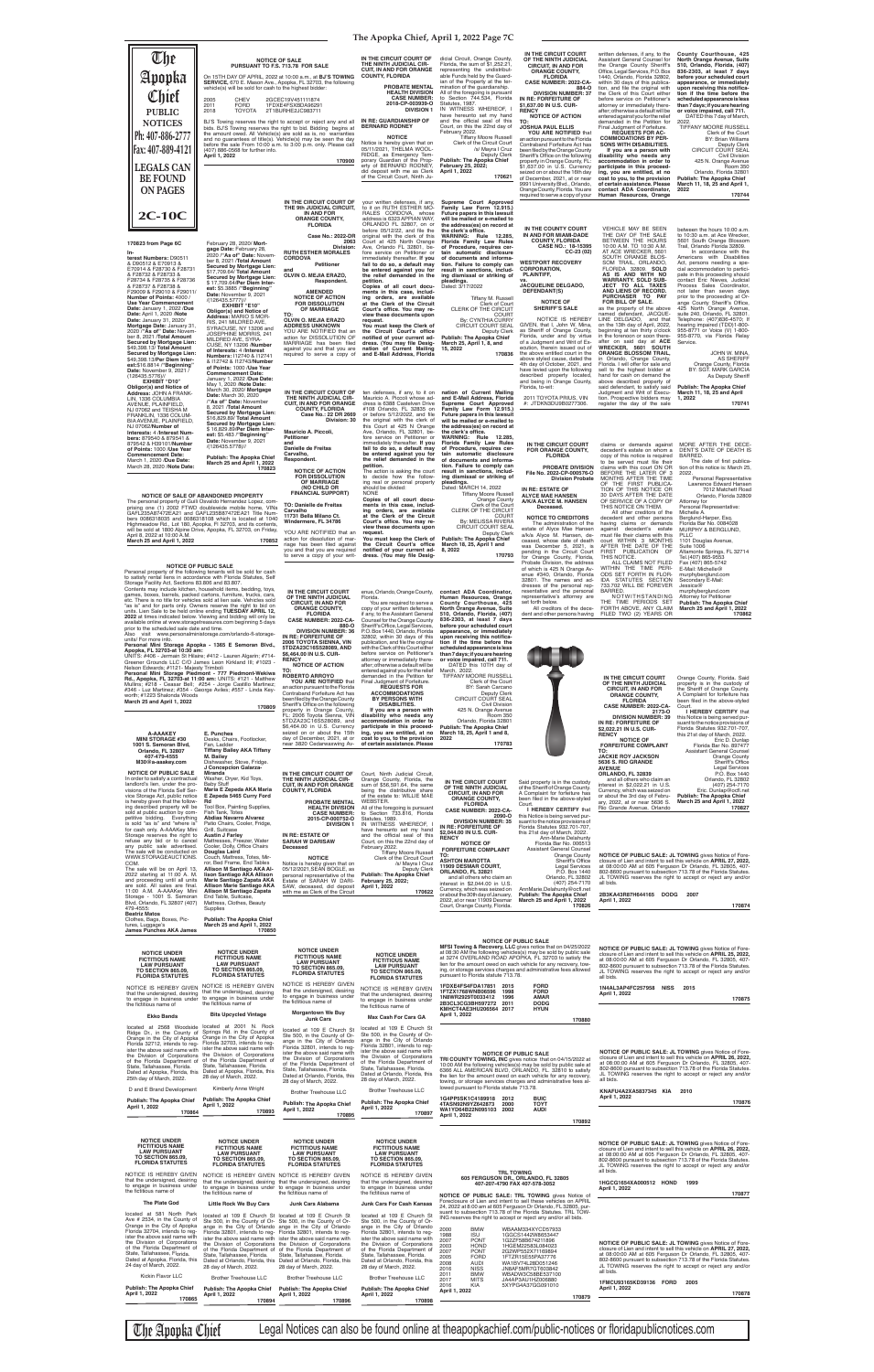Florida Statutes 932.701-707, this 21st day of March, 2022. Eric D. Dunlap<br>Florida Bar No. 897477<br>Assistant General Counsel

Orange County<br>Sheriff's Office<br>Legal Services P.O. Box 1440



**FLORIDA CASE NUMBER: 2022-CA-2173-O DIVISION NUMBER: 39 IN RE: FORFEITURE OF \$2,022.21 IN U.S. CUR-RENCY NOTICE OF**

**FORFEITURE COMPLAINT TO: JACKIE ROY JACKSON 5636 S. RIO GRANDE AVENUE ORLANDO, FL 32839**

NOTICE TO CREDITORS<br>
The administration of the<br>
estate of Alyce Mae Hansen<br>
alk/a Alyce M. Hansen, de-<br>
ceased, whose date of death<br>
was December 5, 2021, is<br>
pending in the Circuit Count<br>
for Orange County, Florida,<br>
Prob

Orange County, Florida. Said property is in the custody of the Sheriff of Orange County. **170862**

A Complaint for forfeiture has<br>been filed in the above-styled<br>Court.<br>**I HEREBY CERTIFY** that<br>this Notice is being served pur-<br>suant to the notice provisions of

All other creditors of the

decedent and other persons<br>against decedent's estate<br>must file their claims with this<br>court WITHIN 3 MONTHS<br>AFTER THE DATE OF THE

FIRST PUBLICATION OF THIS NOTICE. ALL CLAIMS NOT FILED WITHIN THE TIME PERI-ODS SET FORTH IN FLOR-IDA STATUTES SECTION Michelle A.

Berglund-Harper, Esq. Florida Bar No. 0084028 MURPHY & BERGLUND,<br>PLLC<br>1101 Douglas Avenue, Suite 1006 Altamonte Springs, FL 32714 Tel.(407) 865-9553

Fax (407) 865-5742 E-Mail: Michelle@ murphyberglund.com Secondary E-Mail:

Jessica@ murphyberglund.com Attorney for Petitioner **Publish: The Apopka Chief March 25 and April 1, 2022**

The personal property of Guili Osvaldo Hernandez Lopez, com-<br>prising one (1) 2002 FTWD doublewide mobile home, VINs<br>GAFL235A87472EA21 and GAFL235B87472EA21 Title Numbers 0086318035 and 0086318108 which is located at 1040<br>Highmeadow Rd., Lot 180, Apopka, FI 32703, and its contents,<br>will be sold at 1800 Alpine Drive, Apopka, FL 32703, on Friday,<br>April 8, 2022 at 10:00 A.M.<br>**March 25 and** 

|                                                                     |                                                                                                                                                                                                  |                                                             |                                                                                          |                                                                                                    | IN THE CIRCUIT COURT                                                                             | written defenses, if any, to the                                                                  | County Courthouse, 425                                                                     |
|---------------------------------------------------------------------|--------------------------------------------------------------------------------------------------------------------------------------------------------------------------------------------------|-------------------------------------------------------------|------------------------------------------------------------------------------------------|----------------------------------------------------------------------------------------------------|--------------------------------------------------------------------------------------------------|---------------------------------------------------------------------------------------------------|--------------------------------------------------------------------------------------------|
| The<br>Apopka                                                       | <b>NOTICE OF SALE</b><br>PURSUANT TO F.S. 713.78 FOR SALE                                                                                                                                        |                                                             | IN THE CIRCUIT COURT OF<br>THE NINTH JUDICIAL CIR-<br><b>CUIT, IN AND FOR ORANGE</b>     | dicial Circuit, Orange County,<br>Florida, the sum of \$1,252.21.<br>representing the undistribut- | OF THE NINTH JUDICIAL<br><b>CIRCUIT, IN AND FOR</b><br><b>ORANGE COUNTY,</b>                     | Assistant General Counsel for<br>the Orange County Sheriff's<br>Office, Legal Services, P.O. Box  | North Orange Avenue, Suite<br>510, Orlando, Florida, (407)<br>836-2303, at least 7 days    |
|                                                                     | On 15TH DAY OF APRIL, 2022 at 10:00 a.m., at BJ'S TOWING<br>SERVICE, 670 E. Mason Ave., Apopka, FL 32703, the following                                                                          |                                                             | <b>COUNTY, FLORIDA</b>                                                                   | able Funds held by the Guard-<br>ian of the Property at the ter-                                   | <b>FLORIDA</b><br>CASE NUMBER: 2022-CA-                                                          | 1440, Orlando, Florida 32802,<br>within 30 days of this publica-                                  | before your scheduled court<br>appearance, or immediately                                  |
| Chief                                                               | vehicle(s) will be sold for cash to the highest bidder:                                                                                                                                          |                                                             | <b>PROBATE MENTAL</b><br><b>HEALTH DIVISION</b>                                          | mination of the quardianship.<br>All of the foregoing is pursuant                                  | 884-O<br><b>DIVISION NUMBER: 37</b>                                                              | tion, and file the original with<br>the Clerk of this Court either                                | upon receiving this notifica-<br>tion if the time before the                               |
|                                                                     | 2005<br><b>CHEV</b><br><b>FORD</b><br>2011                                                                                                                                                       | 2GCEC19V451111874<br>1FDXE4FSXBDA96291                      | <b>CASE NUMBER:</b><br>2018-CP-003939-O<br><b>DIVISION 1</b>                             | to Section 744.534, Florida<br>Statutes, 1987.<br>IN WITNESS WHEREOF,                              | IN RE: FORFEITURE OF<br>\$1,637.00 IN U.S. CUR-                                                  | before service on Petitioner's<br>attorney or immediately there-                                  | scheduled appearance is less<br>than 7 days; if you are hearing                            |
| <b>PUBLIC</b>                                                       | 2018<br><b>TOYOTA</b>                                                                                                                                                                            | 2T1BURHE2JC983711                                           | IN RE: GUARDIANSHIP OF                                                                   | have hereunto set my hand<br>and the official seal of this                                         | <b>RENCY</b><br><b>NOTICE OF ACTION</b>                                                          | after; otherwise a default will be<br>entered against you for the relief                          | or voice impaired, call 711.<br>DATED this 7 day of March,                                 |
| <b>NOTICES</b>                                                      | BJ'S Towing reserves the right to accept or reject any and all<br>bids. BJ'S Towing reserves the right to bid. Bidding begins at                                                                 |                                                             | <b>BERNARD RODNEY</b>                                                                    | Court, on this the 22nd day of<br>February 2022.                                                   | TO:<br><b>JOSHUA PAUL ELLIS</b><br>YOU ARE NOTIFIED that                                         | demanded in the Petition for<br>Final Judgment of Forfeiture.<br><b>REQUESTS FOR AC-</b>          | 2022<br>TIFFANY MOORE RUSSELL                                                              |
| Ph: 407-886-2777                                                    | the amount owed. All Vehicle(s) are sold as is, no warranties<br>and no guarantees of title(s). Vehicle(s) may be seen the day<br>before the sale From 10:00 a.m. to 3:00 p.m. only. Please call |                                                             | <b>NOTICE</b>                                                                            | <b>Tiffany Moore Russell</b><br>Clerk of the Circuit Court                                         | an action pursuant to the Florida<br>Contraband Forfeiture Act has                               | <b>COMMODATIONS BY PER-</b><br>SONS WITH DISABILITIES.                                            | Clerk of the Court<br><b>BY: Brian Williams</b><br>Deputy Clerk                            |
| Fax: 407-889-4121                                                   | (407) 886-0568 for further info.<br>April 1, 2022                                                                                                                                                |                                                             | Notice is hereby given that on<br>05/11/2021, THELMA WOOL-<br>RIDGE, as Emergency Tem-   | /s/ Mayra I Cruz<br>Deputy Clerk                                                                   | been filed by the Orange County<br>Sheriff's Office on the following                             | If you are a person with<br>disability who needs any                                              | <b>CIRCUIT COURT SEAL</b><br>Civil Division                                                |
| <b>LEGALS CAN</b>                                                   |                                                                                                                                                                                                  | 170900                                                      | porary Guardian of the Prop-<br>erty of BERNARD RODNEY,                                  | Publish: The Apopka Chief<br>February 25, 2022;                                                    | property in Orange County, FL:<br>\$1,637.00 in U.S. Currency                                    | accommodation in order to<br>participate in this proceed-                                         | 425 N. Orange Avenue<br><b>Room 350</b>                                                    |
| <b>BE FOUND</b>                                                     |                                                                                                                                                                                                  |                                                             | did deposit with me as Clerk<br>of the Circuit Court, Ninth Ju-                          | April 1, 2022<br>170621                                                                            | seized on or about the 16th day<br>of December, 2021, at or near                                 | ing, you are entitled, at no<br>cost to you, to the provision                                     | Orlando, Florida 32801<br><b>Publish: The Apopka Chief</b>                                 |
| <b>ON PAGES</b>                                                     |                                                                                                                                                                                                  |                                                             |                                                                                          |                                                                                                    | 9991 University Blvd., Orlando,<br>Orange County, Florida. You are                               | of certain assistance. Please<br>contact ADA Coordinator,                                         | March 11, 18, 25 and April 1,<br>2022                                                      |
|                                                                     |                                                                                                                                                                                                  | IN THE CIRCUIT COURT OF                                     | your written defenses, if any,                                                           | Supreme Court Approved                                                                             | required to serve a copy of your                                                                 | Human Resources, Orange                                                                           | 170744                                                                                     |
| 2C-10C                                                              |                                                                                                                                                                                                  | THE 9th JUDICIAL CIRCUIT,<br><b>IN AND FOR</b>              | to it on RUTH ESTHER MO-<br>RALES CORDOVA, whose                                         | Family Law Form 12.915.)<br>Future papers in this lawsuit                                          |                                                                                                  |                                                                                                   |                                                                                            |
|                                                                     |                                                                                                                                                                                                  | <b>ORANGE COUNTY,</b><br><b>FLORIDA</b>                     | address is 6323 APPIAN WAY,<br>ORLANDO FL 32807, on or                                   | will be mailed or e-mailed to<br>the address(es) on record at                                      |                                                                                                  | <b>VEHICLE MAY BE SEEN</b>                                                                        |                                                                                            |
|                                                                     |                                                                                                                                                                                                  | Case No.: 2022-DR                                           | before 05/12/22, and file the<br>original with the clerk of this                         | the clerk's office.<br>WARNING: Rule 12.285,                                                       | IN THE COUNTY COURT<br>IN AND FOR MIAMI-DADE<br><b>COUNTY, FLORIDA</b>                           | THE DAY OF THE SALE<br>BETWEEN THE HOURS                                                          | between the hours 10:00 a.m.<br>to 10:30 a.m. at Ace Wrecker.<br>5601 South Orange Blossom |
| 170823 from Page 6C                                                 | February 28, 2020/ Mort-<br>gage Date: February 28,                                                                                                                                              | 2063<br>Division:<br><b>RUTH ESTHER MORALES</b>             | Court at 425 North Orange<br>Ave, Orlando FL 32801, be-<br>fore service on Petitioner or | Florida Family Law Rules<br>of Procedure, requires cer-<br>tain automatic disclosure               | CASE NO.: 18-15395<br>$CC-23(02)$                                                                | 10:00 A.M. TO 10:30 A.M.<br>AT ACE WRECKER, 5601                                                  | Trail, Orlando Florida 32809.<br>In accordance with the                                    |
| terest Numbers: D90511<br>& D90512 & E70913 &                       | 2020 /"As of" Date: Novem-<br>ber 8, 2021 /Total Amount                                                                                                                                          | <b>CORDOVA</b><br>Petitioner                                | immediately thereafter. If you<br>fail to do so, a default may                           | of documents and informa-<br>tion. Failure to comply can                                           | <b>WESTPORT RECOVERY</b>                                                                         | SOUTH ORANGE BLOS-<br>SOM TRAIL, ORLANDO,                                                         | Americans with Disabilities<br>Act, persons needing a spe-                                 |
| E70914 & F28730 & F28731<br>& F28732 & F28733 &                     | Secured by Mortgage Lien:<br>\$17,709.64/ Total Amount                                                                                                                                           | and<br>OLVIN O. MEJIA ERAZO.                                | be entered against you for<br>the relief demanded in the                                 | result in sanctions, includ-<br>ing dismissal or striking of                                       | <b>CORPORATION,</b><br>PLAINTIFF,                                                                | FLORIDA 32809. SOLD<br>AS IS AND WITH NO                                                          | cial accommodation to partici-<br>pate in this proceeding should                           |
| F28734 & F28735 & F28736<br>& F28737 & F28738 &                     | Secured by Mortgage Lien:<br>\$17,709.64/Per Diem Inter-                                                                                                                                         | Respondent.                                                 | petition.<br>Copies of all court docu-                                                   | pleadings.<br>Dated: 3/17/2022                                                                     | VS.<br><b>JACQUELINE DELGADO,</b>                                                                | <b>WARRANTY. SOLD SUB-</b><br><b>JECT TO ALL TAXES</b>                                            | contact Eric Nieves, Judicial<br>Process Sales Coordinator,                                |
| F29009 & F29010 & F29011/<br>Number of Points: 4000 /               | est: \$5.3885 / "Beginning"<br>Date: November 9, 2021                                                                                                                                            | <b>AMENDED</b><br><b>NOTICE OF ACTION</b>                   | ments in this case, includ-<br>ing orders, are available                                 | Tiffany M. Russell                                                                                 | DEFENDANT(S)                                                                                     | AND LIENS OF RECORD.<br>PURCHASER TO PAY                                                          | not later than seven days<br>prior to the proceeding at Or-                                |
| Use Year Commencement<br>Date: January 1, 2022 /Due                 | /(126435.5777)//<br><b>EXHIBIT "E10"</b><br>Obligor(s) and Notice of                                                                                                                             | <b>FOR DISSOLUTION</b><br>OF MARRIAGE                       | at the Clerk of the Circuit<br>Court's office. You may re-                               | Clerk of Court<br>CLERK OF THE CIRCUIT                                                             | <b>NOTICE OF</b><br><b>SHERIFF'S SALE</b>                                                        | FOR BILL OF SALE.<br>as the property of the above                                                 | ange County Sheriff's Office,<br>425 North Orange Avenue,                                  |
| Date: April 1, 2020 / Note<br>Date: January 31, 2020/               | Address: MARIO S MOR-<br>RIS, 241 MILDRED AVE,                                                                                                                                                   | TO:<br>OLVIN O. MEJIA ERAZO                                 | view these documents upon<br>request.                                                    | <b>COURT</b><br>By: CYNTHIA CURRY                                                                  | NOTICE IS HEREBY                                                                                 | named defendant, JACQUE-<br>LINE DELGADO, and that                                                | suite 240, Orlando, FL 32801.<br>Telephone: (407)836-4570; If                              |
| Mortgage Date: January 31,<br>2020 / "As of" Date: Novem-           | SYRACUSE, NY 13206 and<br>JOSEPHINE MORRIS, 241                                                                                                                                                  | <b>ADDRESS UNKNOWN</b><br>YOU ARE NOTIFIED that an          | You must keep the Clerk of<br>the Circuit Court's office                                 | CIRCUIT COURT SEAL<br>Deputy Clerk                                                                 | GIVEN, that I, John W. Mina.<br>as Sheriff of Orange County,                                     | on the 13th day of April, 2022,<br>beginning at ten thirty o'clock                                | hearing impaired (TDD)1-800-<br>955-8771 or Voice (V) 1-800-                               |
| ber 8, 2021 /Total Amount<br>Secured by Mortgage Lien:              | MILDRED AVE, SYRA-<br>CUSE, NY 13206 /Number                                                                                                                                                     | action for DISSOLUTION OF<br>MARRIAGE has been filed        | notified of your current ad-<br>dress. (You may file Desig-                              | <b>Publish: The Apopka Chief</b><br>March 25, April 1, 8, and                                      | Florida, under and by virtue<br>of a Judgment and Writ of Ex-                                    | in the forenoon or soon there-<br>after on said day at ACE                                        | 955-8770, via Florida Relay<br>Service.                                                    |
| \$49,398.13/ Total Amount<br>Secured by Mortgage Lien:              | of Interests: 4 /Interest<br>Numbers: 112740 & 112741                                                                                                                                            | against you and that you are<br>required to serve a copy of | nation of Current Mailing<br>and E-Mail Address, Florida                                 | 15, 2022<br>170836                                                                                 | ecution, therein issued out of<br>the above entitled court in the                                | WRECKER, 5601 SOUTH<br><b>ORANGE BLOSSOM TRAIL,</b>                                               | JOHN W. MINA,                                                                              |
| \$49,398.13/Per Diem Inter-<br>est:\$16.8814 / "Beginning"          | & I12742 & I12743/Number<br>of Points: 1000 /Use Year                                                                                                                                            |                                                             |                                                                                          |                                                                                                    | above styled cause, dated the<br>4th day of October, 2021, and<br>have levied upon the following | in Orlando, Orange County,<br>Florida. I will offer for sale and<br>sell to the highest bidder at | <b>AS SHERIFF</b><br>Orange County, Florida<br>BY: SGT. MARK GARCIA                        |
| Date: November 9, 2021 /<br>(126435.5776)//<br><b>EXHIBIT "D10"</b> | <b>Commencement Date:</b><br>January 1, 2022 /Due Date:                                                                                                                                          |                                                             |                                                                                          |                                                                                                    | described property located,<br>and being in Orange County,                                       | hand for cash on demand the<br>above described property of                                        | As Deputy Sheriff                                                                          |
| Obligor(s) and Notice of<br>Address: JOHN A FRANK-                  | May 1, 2020 / Note Date:<br>March 30, 2020/ Mortgage                                                                                                                                             | IN THE CIRCUIT COURT OF                                     | ten defenses, if any, to it on                                                           | nation of Current Mailing                                                                          | Florida, to-wit:                                                                                 | said defendant, to satisfy said<br>Judgment and Writ of Execu-                                    | <b>Publish: The Apopka Chief</b><br>March 11, 18, 25 and April                             |
| LIN, 1336 COLUMBIA<br>AVENUE, PLAINFIELD,                           | Date: March 30, 2020<br>"As of" Date: November                                                                                                                                                   | THE NINTH JUDICIAL CIR-<br><b>CUIT, IN AND FOR ORANGE</b>   | Mauricio A. Piccoli whose ad-<br>dress is 6388 Castelven Drive                           | and E-Mail Address, Florida<br>Supreme Court Approved                                              | 2011 TOYOTA PRIUS, VIN<br>#: JTDKN3DU9B0277306                                                   | tion. Prospective bidders may<br>register the day of the sale                                     | 1, 2022<br>170741                                                                          |
| NJ 07062 and TEISHA M<br>FRANKLIN, 1336 COLUM-                      | 8, 2021 /Total Amount<br>Secured by Mortgage Lien:                                                                                                                                               | <b>COUNTY, FLORIDA</b><br>Case No.: 22 DR 2669              | #108 Orlando, FL 32835 on<br>or before 5/12/2022, and file                               | Family Law Form 12.915.)<br>Future papers in this lawsuit                                          |                                                                                                  |                                                                                                   |                                                                                            |
| BIA AVENUE, PLAINFIELD,<br>NJ 07062/Number of                       | \$16,829.89/ Total Amount<br>Secured by Mortgage Lien:                                                                                                                                           | Division: 30                                                | the original with the clerk of<br>this Court at 425 N Orange                             | will be mailed or e-mailed to<br>the address(es) on record at                                      |                                                                                                  |                                                                                                   |                                                                                            |
| Interests: 4 /Interest Num-<br>bers: 879540 & 879541 &              | \$16,829.89/Per Diem Inter-<br>est: \$5.483 / "Beginning'<br>Date: November 9, 2021                                                                                                              | Mauricio A. Piccoli,<br><b>Petitioner</b>                   | Ave, Orlando, FL 32801, be-<br>fore service on Petitioner or                             | the clerk's office.<br>WARNING: Rule 12.285,                                                       |                                                                                                  |                                                                                                   |                                                                                            |
| 879542 & H39101/Number<br>of Points: 1000 /Use Year                 | /(126435.5778)//                                                                                                                                                                                 | and<br>Danielle de Freitas                                  | immediately thereafter. If you<br>fail to do so, a default may                           | Florida Family Law Rules<br>of Procedure, requires cer-                                            | IN THE CIRCUIT COURT<br><b>FOR ORANGE COUNTY,</b>                                                | claims or demands against<br>decedent's estate on whom a                                          | MORE AFTER THE DECE-<br>DENT'S DATE OF DEATH IS                                            |
| <b>Commencement Date:</b><br>March 1, 2020 /Due Date:               | <b>Publish: The Apopka Chief</b><br>March 25 and April 1, 2022                                                                                                                                   | Carvalho.<br>Respondent.                                    | be entered against you for<br>the relief demanded in the                                 | tain automatic disclosure<br>of documents and informa-                                             | <b>FLORIDA</b>                                                                                   | copy of this notice is required<br>to be served must file their                                   | BARRED.<br>The date of first publica-                                                      |
| March 28, 2020 / Note Date:                                         | 170823                                                                                                                                                                                           | <b>NOTICE OF ACTION</b>                                     | petition.<br>The action is asking the court<br>to decide how the follow-                 | tion. Failure to comply can<br>result in sanctions, includ-<br>ing dismissal or striking of        | PROBATE DIVISION<br>File No. 2022-CP-000576-O                                                    | claims with this court ON OR<br>BEFORE THE LATER OF 3                                             | tion of this notice is: March 25,<br>2022.                                                 |
|                                                                     |                                                                                                                                                                                                  | <b>FOR DISSOLUTION</b><br>OF MARRIAGE<br>(NO CHILD OR       | ing real or personal property<br>should be divided:                                      | pleadings.<br>Dated: MARCH 14, 2022                                                                | <b>Division Probate</b>                                                                          | MONTHS AFTER THE TIME<br>OF THE FIRST PUBLICA-                                                    | Personal Representative<br>Lawrence Edward Hansen                                          |
|                                                                     | NOTICE OF SALE OF ABANDONED PROPERTY                                                                                                                                                             | <b>FINANCIAL SUPPORT)</b>                                   | <b>NONE</b><br>Copies of all court docu-                                                 | <b>Tiffany Moore Russell</b><br>Orange County                                                      | IN RE: ESTATE OF<br><b>ALYCE MAE HANSEN</b>                                                      | TION OF THIS NOTICE OR<br>30 DAYS AFTER THE DATE                                                  | 7012 Matchett Road<br>Orlando, Florida 32809                                               |
|                                                                     | The personal property of Guili Osvaldo Hernandez Lopez, com-<br>prising one (1) 2002 FTWD doublewide mobile home. VINs                                                                           | TO: Danielle de Freitas                                     | ments in this case, includ-                                                              | Clerk of the Court                                                                                 | A/K/A ALYCE M. HANSEN<br>Deceased.                                                               | OF SERVICE OF A COPY OF<br>THIS NOTICE ON THEM.                                                   | Attorney for<br>Personal Representative:                                                   |

request.<br>You must keep the Clerk of<br>the Circuit Court's office<br>notified of your current ad-<br>dress. (You may file Desig-**170793 contact ADA Coordinator, Human Resources, Orange County Courthouse, 425 North Orange Avenue, Suite 510, Orlando, Florida, (407) 836-2303, at least 7 days**  before your scheduled court<br>appearance, or immediately<br>upon receiving this notifica-<br>tion if the time before the **scheduled appearance is less than 7 days; if you are hearing or voice impaired, call 711.** DATED this 10TH day of March, 2022. TIFFANY MOORE RUSSELL Clerk of the Court BY: Sarah Carcano Deputy Clerk CIRCUIT COURT SEAL Civil Division 425 N. Orange Avenue

**IN THE CIRCUIT COURT OF**  Court, Ninth Judicial Circuit,

**FINANCIAL SUPPORT) TO: Danielle de Freitas Carvalho 11731 Bella Milano Ct. Windermere, FL 34786**

YOU ARE NOTIFIED that an action for dissolution of marriage has been filed against you and that you are required to serve a copy of your writ-

| In order to satisfy a contractual<br>landlord's lien, under the pro-<br>visions of the Florida Self Ser-<br>vice Storage Act, public notice<br>is hereby given that the follow-<br>ing described property will be<br>sold at public auction by com-<br>petitive bidding. Everything<br>is sold "as is" and "where is"<br>for cash only. A-AAAKey Mini<br>Storage reserves the right to<br>refuse any bid or to cancel<br>any public sale advertised.<br>The sale will be conducted on<br>WWW.STORAGEAUCTIONS.<br>COM.<br>The sale will be on April 13,<br>2022 starting at 11:00 A. M.<br>and proceeding until all units<br>are sold. All sales are final.<br>11:00 A.M. A-AAAKey Mini<br>Storage - 1001 S. Semoran<br>Blvd, Orlando, FL 32807 (407)<br>479-4555:<br><b>Beatriz Matos</b><br>Clothes, Bags, Boxes, Pic-<br>tures, Luggage's<br><b>James Punches AKA James</b> | Washer, Dryer, Kid Toys,<br><b>Baby Stuff</b><br>Maria E Zepeda AKA Maria<br>E Zepeda 5465 Curry Ford<br>Rd<br>Tool Box, Painting Supplies,<br>Fish Tank, Totes<br><b>Abdias Navarro Alvarez</b><br>Patio Chairs, Cooler, Fridge,<br>Grill, Suitcase<br><b>Austin J Farley</b><br>Mattresses, Freezer, Water<br>Cooler, Dolly, Office Chairs<br>Douglas Laird<br>Couch, Mattress, Totes, Mir-<br>ror, Bed Frame, End Tables<br>Allison M Santiago AKA Al-<br>lison Santiago AKA Allison<br>Marie Santiago Zapata AKA<br>Allison Marie Santiago AKA<br>Allison M Santiago Zapata<br>End Table, Suitcase,<br>Mattress, Clothes, Beauty<br>Supplies<br><b>Publish: The Apopka Chief</b><br>March 25 and April 1, 2022<br>170850 | THE NINTH JUDICIAL CIR-<br><b>CUIT. IN AND FOR ORANGE</b><br><b>COUNTY, FLORIDA</b><br><b>PROBATE MENTAL WEBSTER.</b><br><b>HEALTH DIVISION</b><br><b>CASE NUMBER:</b><br>2015-CP-000752-O<br><b>DIVISION 1</b><br>IN RE: ESTATE OF<br><b>SARAH W DARISAW</b><br>Deceased<br><b>NOTICE</b><br>Notice is hereby given that on<br>05/12/2021, SEAN BOGLE, as<br>personal representative of the<br>Estate of SARAH W DARI-<br>SAW, deceased, did deposit<br>with me as Clerk of the Circuit                                                                                                                 | Orange County, Florida, the<br>sum of \$56,591.64, the same<br>being the distributive share<br>of the estate to: WILLIE MAE<br>All of the foregoing is pursuant<br>to Section 733.816, Florida<br>Statutes, 1989.<br>IN WITNESS WHEREOF, I<br>have hereunto set my hand<br>and the official seal of this<br>Court, on this the 22nd day of<br>February 2022.<br>Tiffany Moore Russell<br>Clerk of the Circuit Court<br>/s/ Mayra I Cruz<br><b>Deputy Clerk</b><br><b>Publish: The Apopka Chief</b><br>February 25, 2022;<br>April 1, 2022<br>170622 | IN THE CIRCUIT COURT<br>OF THE NINTH JUDICIAL<br><b>CIRCUIT, IN AND FOR</b><br><b>ORANGE COUNTY,</b><br><b>FLORIDA</b><br>CASE NUMBER: 2022-CA-<br>2090-O<br><b>DIVISION NUMBER: 35</b><br>IN RE: FORFEITURE OF<br>\$2,044.00 IN U.S. CUR-<br><b>RENCY</b><br><b>NOTICE OF</b><br><b>FORFEITURE COMPLAINT</b><br>TO:<br><b>ASHTON MAROTTA</b><br>11909 DESMAR COURT,<br>ORLANDO, FL 32821<br>and all others who claim an<br>interest in \$2,044.00 in U.S.<br>Currency, which was seized on<br>or about the 30th day of January.<br>2022, at or near 11909 Desmar<br>Court, Orange County, Florida. | Said property is in the custody<br>of the Sheriff of Orange County.<br>A Complaint for forfeiture has<br>been filed in the above-styled<br>Court.<br>I HEREBY CERTIFY that<br>this Notice is being served pur-<br>suant to the notice provisions of<br>Florida Statutes 932.701-707,<br>this 21st day of March, 2022.<br>Ann-Marie Delahunty<br>Florida Bar No. 006513<br><b>Assistant General Counsel</b><br>Orange County<br>Sheriff's Office<br><b>Legal Services</b><br>P.O. Box 1440<br>Orlando, FL 32802<br>(407) 254-7170<br>AnnMarie.Delahunty@ocfl.net<br>Publish: The Apopka Chief<br>March 25 and April 1, 2022<br>170826 | and all others who claim an<br>Orlando, FL 32802<br>(407) 254-7170<br>interest in \$2,022.21 in U.S.<br>Eric. Dunlap@ocfl.net<br>Currency, which was seized on<br>or about the 3rd day of Febru-<br><b>Publish: The Apopka Chief</b><br>March 25 and April 1, 2022<br>ary, 2022, at or near 5636 S.<br>170827<br>Rio Grande Avenue, Orlando<br>NOTICE OF PUBLIC SALE: JL TOWING gives Notice of Fore-<br>closure of Lien and intent to sell this vehicle on APRIL 27, 2022,<br>at 08:00:00 AM at 605 Ferguson Dr Orlando, FL 32805, 407-<br>802-8600 pursuant to subsection 713.78 of the Florida Statutes.<br>JL TOWING reserves the right to accept or reject any and/or<br>all bids.<br>2B3KA43R87H644165 DODG<br>2007<br>April 1, 2022<br>170874 |
|-------------------------------------------------------------------------------------------------------------------------------------------------------------------------------------------------------------------------------------------------------------------------------------------------------------------------------------------------------------------------------------------------------------------------------------------------------------------------------------------------------------------------------------------------------------------------------------------------------------------------------------------------------------------------------------------------------------------------------------------------------------------------------------------------------------------------------------------------------------------------------|------------------------------------------------------------------------------------------------------------------------------------------------------------------------------------------------------------------------------------------------------------------------------------------------------------------------------------------------------------------------------------------------------------------------------------------------------------------------------------------------------------------------------------------------------------------------------------------------------------------------------------------------------------------------------------------------------------------------------|----------------------------------------------------------------------------------------------------------------------------------------------------------------------------------------------------------------------------------------------------------------------------------------------------------------------------------------------------------------------------------------------------------------------------------------------------------------------------------------------------------------------------------------------------------------------------------------------------------|-----------------------------------------------------------------------------------------------------------------------------------------------------------------------------------------------------------------------------------------------------------------------------------------------------------------------------------------------------------------------------------------------------------------------------------------------------------------------------------------------------------------------------------------------------|-----------------------------------------------------------------------------------------------------------------------------------------------------------------------------------------------------------------------------------------------------------------------------------------------------------------------------------------------------------------------------------------------------------------------------------------------------------------------------------------------------------------------------------------------------------------------------------------------------|--------------------------------------------------------------------------------------------------------------------------------------------------------------------------------------------------------------------------------------------------------------------------------------------------------------------------------------------------------------------------------------------------------------------------------------------------------------------------------------------------------------------------------------------------------------------------------------------------------------------------------------|------------------------------------------------------------------------------------------------------------------------------------------------------------------------------------------------------------------------------------------------------------------------------------------------------------------------------------------------------------------------------------------------------------------------------------------------------------------------------------------------------------------------------------------------------------------------------------------------------------------------------------------------------------------------------------------------------------------------------------------------------|
| <b>NOTICE UNDER</b><br><b>FICTITIOUS NAME</b><br><b>LAW PURSUANT</b><br><b>TO SECTION 865.09,</b><br><b>FLORIDA STATUTES</b>                                                                                                                                                                                                                                                                                                                                                                                                                                                                                                                                                                                                                                                                                                                                                  | <b>NOTICE UNDER</b><br><b>FICTITIOUS NAME</b><br><b>LAW PURSUANT</b><br><b>TO SECTION 865.09,</b><br><b>FLORIDA STATUTES</b>                                                                                                                                                                                                                                                                                                                                                                                                                                                                                                                                                                                                 | <b>NOTICE UNDER</b><br><b>FICTITIOUS NAME</b><br><b>LAW PURSUANT</b><br><b>TO SECTION 865.09,</b><br><b>FLORIDA STATUTES</b>                                                                                                                                                                                                                                                                                                                                                                                                                                                                             | <b>NOTICE UNDER</b><br><b>FICTITIOUS NAME</b><br><b>LAW PURSUANT</b><br><b>TO SECTION 865.09,</b><br><b>FLORIDA STATUTES</b>                                                                                                                                                                                                                                                                                                                                                                                                                        | pursuant to Florida statute 713.78.                                                                                                                                                                                                                                                                                                                                                                                                                                                                                                                                                                 | <b>NOTICE OF PUBLIC SALE</b><br>MFSI Towing & Recovery, LLC gives notice that on 04/25/2022<br>at 08:30 AM the following vehicles(s) may be sold by public sale<br>at 3274 OVERLAND ROAD APOPKA, FL 32703 to satisfy the<br>lien for the amount owed on each vehicle for any recovery, tow-<br>ing, or storage services charges and administrative fees allowed                                                                                                                                                                                                                                                                      | NOTICE OF PUBLIC SALE: JL TOWING gives Notice of Fore-<br>closure of Lien and intent to sell this vehicle on APRIL 25, 2022.<br>at 08:00:00 AM at 605 Ferguson Dr Orlando, FL 32805, 407-<br>802-8600 pursuant to subsection 713.78 of the Florida Statutes.<br>JL TOWING reserves the right to accept or reject any and/or<br>all bids.                                                                                                                                                                                                                                                                                                                                                                                                             |
| NOTICE IS HEREBY GIVEN<br>that the undersigned, desiring<br>to engage in business under<br>the fictitious name of                                                                                                                                                                                                                                                                                                                                                                                                                                                                                                                                                                                                                                                                                                                                                             | NOTICE IS HEREBY GIVEN<br>that the undersigned, desiring<br>to engage in business under<br>the fictitious name of                                                                                                                                                                                                                                                                                                                                                                                                                                                                                                                                                                                                            | NOTICE IS HEREBY GIVEN<br>that the undersigned, desiring<br>to engage in business under<br>the fictitious name of                                                                                                                                                                                                                                                                                                                                                                                                                                                                                        | NOTICE IS HEREBY GIVEN<br>that the undersigned, desiring<br>to engage in business under<br>the fictitious name of                                                                                                                                                                                                                                                                                                                                                                                                                                   | 1FDXE4FS4FDA17851 2015<br>1FTZX1768WNB06596<br>1998<br>1N8WR2929T0033412<br>1996<br>2B3CL3CG3BH597272 2011<br>KMHCT4AE3HU206564 2017                                                                                                                                                                                                                                                                                                                                                                                                                                                                | <b>FORD</b><br><b>FORD</b><br><b>AMAR</b><br><b>DODG</b><br><b>HYUN</b>                                                                                                                                                                                                                                                                                                                                                                                                                                                                                                                                                              | 1N4AL3AP4FC257958 NISS<br>2015<br>April 1, 2022<br>170875                                                                                                                                                                                                                                                                                                                                                                                                                                                                                                                                                                                                                                                                                            |
| <b>Ekko Bands</b>                                                                                                                                                                                                                                                                                                                                                                                                                                                                                                                                                                                                                                                                                                                                                                                                                                                             | <b>Bits Upcycled Vintage</b>                                                                                                                                                                                                                                                                                                                                                                                                                                                                                                                                                                                                                                                                                                 | <b>Morgantown We Buy</b><br><b>Junk Cars</b>                                                                                                                                                                                                                                                                                                                                                                                                                                                                                                                                                             | <b>Max Cash For Cars GA</b>                                                                                                                                                                                                                                                                                                                                                                                                                                                                                                                         | April 1, 2022                                                                                                                                                                                                                                                                                                                                                                                                                                                                                                                                                                                       | 170880                                                                                                                                                                                                                                                                                                                                                                                                                                                                                                                                                                                                                               |                                                                                                                                                                                                                                                                                                                                                                                                                                                                                                                                                                                                                                                                                                                                                      |
| located at 2568 Woodside<br>Ridge Dr., in the County of<br>Orange in the City of Apopka<br>Florida 32712, intends to reg-<br>ister the above said name with<br>the Division of Corporations<br>of the Florida Department of<br>State, Tallahassee, Florida.<br>Dated at Apopka, Florida, this<br>25th day of March, 2022.                                                                                                                                                                                                                                                                                                                                                                                                                                                                                                                                                     | located at 2001 N. Rock<br>Springs Rd. in the County of<br>Orange in the City of Apopka<br>Florida 32703, intends to req-<br>ister the above said name with<br>the Division of Corporations<br>of the Florida Department of<br>State, Tallahassee, Florida.<br>Dated at Apopka, Florida, this<br>28 day of March, 2022.                                                                                                                                                                                                                                                                                                                                                                                                      | located at 109 E Church St<br>Ste 500, in the County of Or-<br>ange in the City of Orlando<br>Florida 32801, intends to reg-<br>ister the above said name with<br>the Division of Corporations<br>of the Florida Department of<br>State, Tallahassee, Florida.<br>Dated at Orlando, Florida, this<br>28 day of March, 2022.                                                                                                                                                                                                                                                                              | located at 109 E Church St<br>Ste 500, in the County of Or-<br>ange in the City of Orlando<br>Florida 32801, intends to req-<br>ister the above said name with<br>the Division of Corporations<br>of the Florida Department of<br>State, Tallahassee, Florida.<br>Dated at Orlando, Florida, this<br>28 day of March, 2022.                                                                                                                                                                                                                         |                                                                                                                                                                                                                                                                                                                                                                                                                                                                                                                                                                                                     | <b>NOTICE OF PUBLIC SALE</b><br>TRI COUNTY TOWING, INC gives notice that on 04/15/2022 at<br>10:00 AM the following vehicles(s) may be sold by public sale at 6366 ALL AMERICAN BLVD, ORLANDO, FL. 32810 to satisfy<br>the lien for the amount owed on each vehicle for any recovery,<br>towing, or storage services charges and administrative fees al-                                                                                                                                                                                                                                                                             | <b>NOTICE OF PUBLIC SALE: JL TOWING gives Notice of Fore-</b><br>closure of Lien and intent to sell this vehicle on APRIL 26, 2022,<br>at 08:00:00 AM at 605 Ferguson Dr Orlando, FL 32805, 407-<br>802-8600 pursuant to subsection 713.78 of the Florida Statutes.<br>JL TOWING reserves the right to accept or reject any and/or<br>all bids.                                                                                                                                                                                                                                                                                                                                                                                                      |
| D and E Brand Development                                                                                                                                                                                                                                                                                                                                                                                                                                                                                                                                                                                                                                                                                                                                                                                                                                                     | Kimberly Anne Wright                                                                                                                                                                                                                                                                                                                                                                                                                                                                                                                                                                                                                                                                                                         | <b>Brother Treehouse LLC</b>                                                                                                                                                                                                                                                                                                                                                                                                                                                                                                                                                                             | <b>Brother Treehouse LLC</b>                                                                                                                                                                                                                                                                                                                                                                                                                                                                                                                        | lowed pursuant to Florida statute 713.78.                                                                                                                                                                                                                                                                                                                                                                                                                                                                                                                                                           |                                                                                                                                                                                                                                                                                                                                                                                                                                                                                                                                                                                                                                      | KNAFU4A2XA5837345 KIA 2010                                                                                                                                                                                                                                                                                                                                                                                                                                                                                                                                                                                                                                                                                                                           |
| Publish: The Apopka Chief<br>April 1, 2022<br>170864                                                                                                                                                                                                                                                                                                                                                                                                                                                                                                                                                                                                                                                                                                                                                                                                                          | <b>Publish: The Apopka Chief</b><br>April 1, 2022<br>170893                                                                                                                                                                                                                                                                                                                                                                                                                                                                                                                                                                                                                                                                  | <b>Publish: The Apopka Chief</b><br>April 1, 2022<br>170895                                                                                                                                                                                                                                                                                                                                                                                                                                                                                                                                              | Publish: The Apopka Chief<br>April 1, 2022<br>170897                                                                                                                                                                                                                                                                                                                                                                                                                                                                                                | 1G4PP5SK1C4189918 2012<br>4TASN92N9YZ642873<br>2000<br>WA1YD64B22N095103 2002<br>April 1, 2022                                                                                                                                                                                                                                                                                                                                                                                                                                                                                                      | <b>BUIC</b><br><b>TOYT</b><br><b>AUDI</b><br>170892                                                                                                                                                                                                                                                                                                                                                                                                                                                                                                                                                                                  | April 1, 2022<br>170876                                                                                                                                                                                                                                                                                                                                                                                                                                                                                                                                                                                                                                                                                                                              |
|                                                                                                                                                                                                                                                                                                                                                                                                                                                                                                                                                                                                                                                                                                                                                                                                                                                                               |                                                                                                                                                                                                                                                                                                                                                                                                                                                                                                                                                                                                                                                                                                                              |                                                                                                                                                                                                                                                                                                                                                                                                                                                                                                                                                                                                          |                                                                                                                                                                                                                                                                                                                                                                                                                                                                                                                                                     |                                                                                                                                                                                                                                                                                                                                                                                                                                                                                                                                                                                                     |                                                                                                                                                                                                                                                                                                                                                                                                                                                                                                                                                                                                                                      |                                                                                                                                                                                                                                                                                                                                                                                                                                                                                                                                                                                                                                                                                                                                                      |
| <b>NOTICE UNDER</b><br><b>FICTITIOUS NAME</b><br><b>LAW PURSUANT</b><br><b>TO SECTION 865.09,</b><br><b>FLORIDA STATUTES</b>                                                                                                                                                                                                                                                                                                                                                                                                                                                                                                                                                                                                                                                                                                                                                  | <b>NOTICE UNDER</b><br><b>FICTITIOUS NAME</b><br><b>LAW PURSUANT</b><br><b>TO SECTION 865.09,</b><br><b>FLORIDA STATUTES</b>                                                                                                                                                                                                                                                                                                                                                                                                                                                                                                                                                                                                 | <b>NOTICE UNDER</b><br><b>FICTITIOUS NAME</b><br><b>LAW PURSUANT</b><br><b>TO SECTION 865.09,</b><br><b>FLORIDA STATUTES</b>                                                                                                                                                                                                                                                                                                                                                                                                                                                                             | <b>NOTICE UNDER</b><br><b>FICTITIOUS NAME</b><br><b>LAW PURSUANT</b><br><b>TO SECTION 865.09,</b><br><b>FLORIDA STATUTES</b>                                                                                                                                                                                                                                                                                                                                                                                                                        |                                                                                                                                                                                                                                                                                                                                                                                                                                                                                                                                                                                                     |                                                                                                                                                                                                                                                                                                                                                                                                                                                                                                                                                                                                                                      | NOTICE OF PUBLIC SALE: JL TOWING gives Notice of Fore-<br>closure of Lien and intent to sell this vehicle on APRIL 26, 2022,<br>at 08:00:00 AM at 605 Ferguson Dr Orlando, FL 32805, 407-<br>802-8600 pursuant to subsection 713.78 of the Florida Statutes.<br>JL TOWING reserves the right to accept or reject any and/or                                                                                                                                                                                                                                                                                                                                                                                                                          |
| NOTICE IS HEREBY GIVEN<br>that the undersigned, desiring<br>to engage in business under<br>the fictitious name of                                                                                                                                                                                                                                                                                                                                                                                                                                                                                                                                                                                                                                                                                                                                                             | the fictitious name of                                                                                                                                                                                                                                                                                                                                                                                                                                                                                                                                                                                                                                                                                                       | NOTICE IS HEREBY GIVEN NOTICE IS HEREBY GIVEN<br>that the undersigned, desiring that the undersigned, desiring<br>to engage in business under to engage in business under<br>the fictitious name of                                                                                                                                                                                                                                                                                                                                                                                                      | NOTICE IS HEREBY GIVEN<br>that the undersigned, desiring<br>to engage in business under<br>the fictitious name of                                                                                                                                                                                                                                                                                                                                                                                                                                   |                                                                                                                                                                                                                                                                                                                                                                                                                                                                                                                                                                                                     | <b>TRL TOWING</b><br>605 FERGUSON DR., ORLANDO, FL 32805<br>407-207-4790 FAX 407-578-3052<br>NOTICE OF PUBLIC SALE: TRL TOWING gives Notice of                                                                                                                                                                                                                                                                                                                                                                                                                                                                                       | all bids.<br>1HGCG1654XA000512 HOND<br>1999<br>April 1, 2022<br>170877                                                                                                                                                                                                                                                                                                                                                                                                                                                                                                                                                                                                                                                                               |
| The Plate God                                                                                                                                                                                                                                                                                                                                                                                                                                                                                                                                                                                                                                                                                                                                                                                                                                                                 | Little Rock We Buy Cars                                                                                                                                                                                                                                                                                                                                                                                                                                                                                                                                                                                                                                                                                                      | <b>Junk Cars Alabama</b>                                                                                                                                                                                                                                                                                                                                                                                                                                                                                                                                                                                 | <b>Junk Cars For Cash Kansas</b>                                                                                                                                                                                                                                                                                                                                                                                                                                                                                                                    |                                                                                                                                                                                                                                                                                                                                                                                                                                                                                                                                                                                                     | Foreclosure of Lien and intent to sell these vehicles on APRIL                                                                                                                                                                                                                                                                                                                                                                                                                                                                                                                                                                       |                                                                                                                                                                                                                                                                                                                                                                                                                                                                                                                                                                                                                                                                                                                                                      |
| located at 581 North Park<br>Ave $#$ 2534, in the County of<br>Orange in the City of Apopka<br>Florida 32704, intends to reg-<br>ister the above said name with<br>the Division of Corporations<br>of the Florida Department of<br>State, Tallahassee, Florida.<br>Dated at Apopka, Florida, this<br>24 day of March, 2022.<br>Kickin Flavor LLC                                                                                                                                                                                                                                                                                                                                                                                                                                                                                                                              | State, Tallahassee, Florida.<br>28 day of March, 2022.<br><b>Brother Treehouse LLC</b>                                                                                                                                                                                                                                                                                                                                                                                                                                                                                                                                                                                                                                       | located at 109 E Church St located at 109 E Church St<br>Ste 500, in the County of Or- Ste 500, in the County of Or-<br>ange in the City of Orlando ange in the City of Orlando<br>Florida 32801, intends to reg- Florida 32801, intends to reg-<br>ister the above said name with ister the above said name with<br>the Division of Corporations the Division of Corporations<br>of the Florida Department of of the Florida Department of<br>State, Tallahassee, Florida.<br>Dated at Orlando, Florida, this Dated at Orlando, Florida, this<br>28 day of March, 2022.<br><b>Brother Treehouse LLC</b> | located at 109 E Church St<br>Ste 500, in the County of Or-<br>ange in the City of Orlando<br>Florida 32801, intends to reg-<br>ister the above said name with<br>the Division of Corporations<br>of the Florida Department of<br>State, Tallahassee, Florida.<br>Dated at Orlando, Florida, this<br>28 day of March, 2022.<br><b>Brother Treehouse LLC</b>                                                                                                                                                                                         | ING reserves the right to accept or reject any and/or all bids.<br>2000<br><b>BMW</b><br><b>ISU</b><br>1988<br>2007<br><b>PONT</b><br><b>HOND</b><br>2003<br>2007<br><b>PONT</b><br><b>FORD</b><br>2005<br>2008<br><b>AUDI</b><br>2016<br><b>NISS</b><br><b>BMW</b><br>2011                                                                                                                                                                                                                                                                                                                         | 24, 2022 at 8:00 am at 605 Ferguson Dr Orlando, FL 32805, pur-<br>suant to subsection 713.78 of the Florida Statutes. TRL TOW-<br>WBAAM334XYCD57933<br>1GGCS1442W8653447<br>1G2ZF58B674211896<br>1HGEM22583L084023<br>2G2WP552X71169894<br>1FTZR15E55PA37776<br>WA1BV74L28D051246<br>JN8AF5MR7GT603842<br>WBADW3C58BE537100                                                                                                                                                                                                                                                                                                          | NOTICE OF PUBLIC SALE: JL TOWING gives Notice of Fore-<br>closure of Lien and intent to sell this vehicle on APRIL 27, 2022,<br>at 08:00:00 AM at 605 Ferguson Dr Orlando, FL 32805, 407-<br>802-8600 pursuant to subsection 713.78 of the Florida Statutes.<br>JL TOWING reserves the right to accept or reject any and/or<br>all bids.                                                                                                                                                                                                                                                                                                                                                                                                             |
| <b>Publish: The Apopka Chief</b>                                                                                                                                                                                                                                                                                                                                                                                                                                                                                                                                                                                                                                                                                                                                                                                                                                              | <b>Publish: The Apopka Chief</b>                                                                                                                                                                                                                                                                                                                                                                                                                                                                                                                                                                                                                                                                                             | <b>Publish: The Apopka Chief</b>                                                                                                                                                                                                                                                                                                                                                                                                                                                                                                                                                                         | <b>Publish: The Apopka Chief</b>                                                                                                                                                                                                                                                                                                                                                                                                                                                                                                                    | <b>MITS</b><br>2017<br>KIA<br>2016                                                                                                                                                                                                                                                                                                                                                                                                                                                                                                                                                                  | JA4AP3AU1HZ006880<br>5XYPG4A37GG091010                                                                                                                                                                                                                                                                                                                                                                                                                                                                                                                                                                                               | 1FMCU93165KD39136 FORD<br>2005<br>April 1, 2022                                                                                                                                                                                                                                                                                                                                                                                                                                                                                                                                                                                                                                                                                                      |
| April 1, 2022<br>170865                                                                                                                                                                                                                                                                                                                                                                                                                                                                                                                                                                                                                                                                                                                                                                                                                                                       | April 1, 2022<br>170894                                                                                                                                                                                                                                                                                                                                                                                                                                                                                                                                                                                                                                                                                                      | April 1, 2022<br>170896                                                                                                                                                                                                                                                                                                                                                                                                                                                                                                                                                                                  | April 1, 2022<br>170898                                                                                                                                                                                                                                                                                                                                                                                                                                                                                                                             | April 1, 2022                                                                                                                                                                                                                                                                                                                                                                                                                                                                                                                                                                                       | 170879                                                                                                                                                                                                                                                                                                                                                                                                                                                                                                                                                                                                                               | 170878                                                                                                                                                                                                                                                                                                                                                                                                                                                                                                                                                                                                                                                                                                                                               |
|                                                                                                                                                                                                                                                                                                                                                                                                                                                                                                                                                                                                                                                                                                                                                                                                                                                                               |                                                                                                                                                                                                                                                                                                                                                                                                                                                                                                                                                                                                                                                                                                                              |                                                                                                                                                                                                                                                                                                                                                                                                                                                                                                                                                                                                          |                                                                                                                                                                                                                                                                                                                                                                                                                                                                                                                                                     |                                                                                                                                                                                                                                                                                                                                                                                                                                                                                                                                                                                                     |                                                                                                                                                                                                                                                                                                                                                                                                                                                                                                                                                                                                                                      |                                                                                                                                                                                                                                                                                                                                                                                                                                                                                                                                                                                                                                                                                                                                                      |

The Apopka Chief Legal Notices can also be found online at theapopkachief.com/public-notices or floridapublicnotices.com

Clerk of the Court CLERK OF THE CIRCUIT COURT By: MELISSA RIVERA CIRCUIT COURT SEAL Deputy Clerk

**Publish: The Apopka Chief March 18, 25, April 1 and** 

**8, 2022**

**IN THE CIRCUIT COURT OF THE NINTH JUDICIAL CIRCUIT, IN AND FOR ORANGE COUNTY, FLORIDA CASE NUMBER: 2022-CA-880-O DIVISION NUMBER: 36 IN RE: FORFEITURE OF 2006 TOYOTA SIENNA, VIN 5TDZA23C16S528089, AND \$6,464.00 IN U.S. CUR-RENCY NOTICE OF ACTION TO: ROBERTO ARROYO YOU ARE NOTIFIED** that an action pursuant to the Florida Contraband Forfeiture Act has been filed by the Orange County<br>Sheriff's Office on the following property in Orange County, FL: 2006 Toyota Sienna, VIN 5TDZA23C16S528089, and \$6,464.00 in U.S. Currency seized on or about the 15th day of December, 2021, at or near 3820 Cedarwaxwing Av-

enue, Orlando, Orange County, Florida. You are required to serve a copy of your written defenses, if any, to the Assistant General Counsel for the Orange County Sheriff's Offi ce, Legal Services, P.O. Box 1440, Orlando, Florida 32802, within 30 days of this publication, and fi le the original with the Clerk of this Courteither<br>attorney or immediately there-<br>after; otherwise a default will be<br>entered against you for the relief<br>demanded in the Petition for Final Judgment of Forfeiture. **REQUESTS FOR ACCOMMODATIONS BY PERSONS WITH DISABILITIES. If you are a person with disability who needs any accommodation in order to** 

Copies of all court docu-<br> **ing orders, are available**<br> **at the Clerk of the Circuit**<br> **Court's office. You may re-**<br>
view these documents upon

**participate in this proceed-ing, you are entitled, at no cost to you, to the provision of certain assistance. Please** 

Room 350 Orlando, Florida 32801 **Publish: The Apopka Chief March 18, 25, April 1 and 8, 2022**

**170783**

dresses of the personal rep-<br>resentative and the personal resentative and the personal<br>representative's attorney are<br>set forth below.<br>All creditors of the dece-<br>dent and other persons having 733.702 WILL BE FOREVER BARRED.<br>NOTWITHSTANDING<br>THE TIME PERIODS SET<br>FORTH ABOVE, ANY CLAIM<br>FILED TWO (2) YEARS OR

### **NOTICE OF PUBLIC SALE**

Personal property of the following tenants will be sold for cash to satisfy rental liens in accordance with Florida Statutes, Self

Storage Facility Act, Sections 83.806 and 83.807.<br>Contents may include kitchen, housebold items, bedding, toys,<br>games, boxes, barrels, packed cartons, furniture, trucks, cars,<br>etc. There is no title for vehicles sold at li

2022 at times iniciated below. Viewing and bidding will only be<br>available online at www.storagetreasures.com beginning 5 days<br>prior to the scheduled sale date and time.<br>Also visit www.personalministorage.com/orlando-fl-sto WORTH, # 1223 SHalonual Victors<br>**March 25 and April 1, 2022** 12 170809

 **A-AAAKEY MINI STORAGE #30 1001 S. Semoran Blvd, Orlando, FL 32807 407-479-4555 M30@a-aaakey.com NOTICE OF PUBLIC SALE E. Punches**<br>Desks, Chairs, Footlocker,<br>Fan, Ladder<br>Tiffany Bailey AKA Tiffany<br>M. Bailey M. Bailey<br>Dishwasher, Stove, Fridge. **J Concepcion Galarza-Miranda**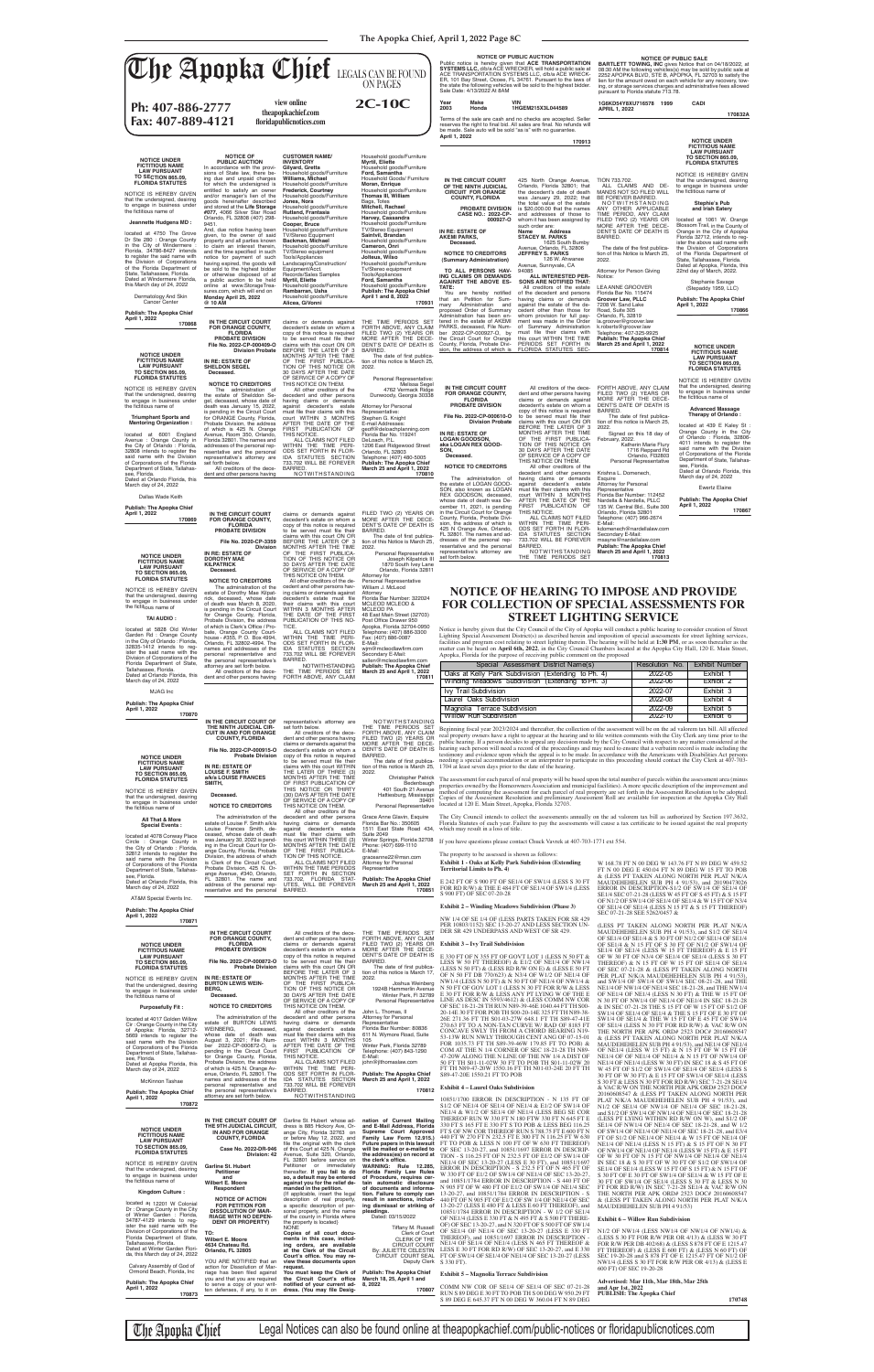**The Apopka Chief, April 1, 2022 Page 8C**

IDA STATUTES SECTION<br>733.702 WILL BE FOREVER<br>BARRED.<br>NOTWITHSTANDING THE TIME PERIODS SET

### **NOTICE TO CREDITORS** The administration of the estate of Dorothy Mae Kilpatrick, deceased, whose date of death was March 8, 2020, is pending in the Circuit Court for Orange County, Florida,<br>Probate Division, the address<br>of which is Clerk's Office / Probate, Orange County Court-house - #355, P. O. Box 4994, Orlando, FL 32802-4994. The decedent's estate must file

resentative and the personal representative's attorney are

set forth below.

.<br>Personal Representative Joseph Kilpatrick III 1870 South Ivey Lane Orlando, Florida 32811

wjm@mcleodlawfirm.com<br>Secondary E-Mail:<br>sallen@mcleodlawfirm.com<br>**Publish: The Apopka Chief March 25 and April 1, 2022**

representative's attorney are set forth below. All creditors of the decedent and other persons having claims or demands against the decedent's estate on whom a copy of this notice is required<br>to be served must file their Secondary E-Mail: msayne@nardellalaw.com **Publish: The Apopka Chief March 25 and April 1, 2022**

**170813**

Notice is hereby given that the City Council of the City of Apopka will conduct a public hearing to consider creation of Street<br>Lighting Special Assessment District(s) as described herein and imposition of special assessme Apopka, Florida for the purpose of receiving public comment on the proposed

**File No. 2020-CP-3359 Division** 

**IN RE: ESTATE OF DOROTHY MAE KILPATRICK Deceased.**

claims with this court ON OR BEFORE THE LATER OF 3 MONTHS AFTER THE TIME OF THE FIRST PUBLICA-TION OF THIS NOTICE OR 30 DAYS AFTER THE DATE

OF SERVICE OF A COPY OF<br>
THIS NOTICE ON THEM.<br>
cedent and other persons hav-<br>
cedent and other persons hav-<br>
ing claims or demands against

names and addresses of the personal representative and the personal representative's attorney are set forth below. All creditors of the decedent and other persons having their claims with this court WITHIN 3 MONTHS AFTER THE DATE OF THE FIRST<br>PUBLICATION OF THIS NO-<br>TICE. ALL CLAIMS NOT FILED WITHIN THE TIME PERI-ODS SET FORTH IN FLOR-IDA STATUTES SECTION 733.702 WILL BE FOREVER BARRED. NOTWITHSTANDING THE TIME PERIODS SET FORTH ABOVE, ANY CLAIM tion of this Notice is March 25,

2022.

will be mailed or e-mailed to<br>the address(es) on record at<br>the clerk's office. **WARNING: Rule 12.285, Florida Family Law Rules of Procedure, requires certain automatic disclosure of documents and information. Failure to comply can result in sanctions, includ-**Tiffany M. Russell Clerk of Court CLERK OF THE CIRCUIT COURT Deputy Clerk OF SEC 13-20-27, and 10851/1697 ERROR IN DESCRIP-TION - S 116.25 FT OF N 232.5 FT OF E1/2 OF SW1/4 OF NE1/4 OF SEC 13-20-27 (LESS E 30 FT), and 10851/1697 ERROR IN DESCRIPTION - S 232.5 FT OF N 465 FT OF W 330 FT OF E1/2 OF SW1/4 OF NE1/4 OF SEC 13-20-27, and 10851/1784 ERROR IN DESCRIPTION - S 440 FT OF N 905 FT OF W 480 FT OF E1/2 OF SW1/4 OF NE1/4 SEC 13-20-27, and 10851/1784 ERROR IN DESCRIPTION - S 440 FT OF N 905 FT OF E1/2 OF SW 1/4 OF NE1/4 OF SEC 13-20-27 (LESS E 480 FT & LESS E 60 FT THEREOF), and 10851/1784 ERROR IN DESCRIPTION - W 1/2 OF SE1/4 OF NE1/4 (LESS E 330 FT & N 495 FT & S 500 FT THERE-OF) OF SEC 13-20-27, and N 320 FT OF S 500 FT OF SW1/4 OF SE1/4 OF NE1/4 OF SEC 13-20-27 (LESS E 330 FT THEREOF), and 10851/1697 ERROR IN DESCRIPTION - NE1/4 OF SE1/4 OF NE1/4 (LESS N 465 FT THEREOF & LESS E 30 FT FOR RD R/W) OF SEC 13-20-27, and E 330 FT OF SW1/4 OF SE1/4 OF NE1/4 OF SEC 13-20-27 (LESS S 330 FT).

Attorney for Personal Representative William J. McLeod Attorney Florida Bar Number: 322024 MCLEOD MCLEOD & MCLEOD PA 48 East Main Street (32703) Post Office Drawer 950<br>Apopka, Florida 32704-0950<br>Telephone: (407) 886-3300 Fax: (407) 886-0087 E-Mail:

**170811**

**IN THE CIRCUIT COURT OF THE NINTH JUDICIAL CIR-CUIT IN AND FOR ORANGE COUNTY, FLORIDA**

**File No. 2022-CP-000915-O Probate Division**

NOTWITHSTANDING<br>THE TIME PERIODS SET<br>FORTH ABOVE, ANY CLAIM<br>FILED TWO (2) YEARS OR<br>MORE AFTER THE DECE-<br>DENT'S DATE OF DEATH IS BARRED.<br>- The date of first publica

**Garline St. Hubert Petitioner and Wilbert E. Moore Respondent**

**against you for the relief demanded in the petition.**  {If applicable, insert the legal

**NOTICE OF ACTION FOR PETITION FOR DISSOLUTION OF MAR-RIAGE WITH NO DEPEN-DENT OR PROPERTY) TO: Wilbert E. Moore 4634 Chateau Rd. Orlando, FL 32805** YOU ARE NOTIFIED that an action for Dissolution of Mar-<br>riage has been filed against<br>you and that you are required to serve a copy of your written defenses, if any, to it on description of real property,<br>a specific description of per-<br>sonal property, and the name of the county in Florida where the property is located} NONE **Copies of all court docu-ments in this case, includ-ing orders, are available at the Clerk of the Circuit**  Court's office. You may re**view these documents upon request.** You must keep the Clerk of<br>the Circuit Court's office notified of your current address. (You may file Desig**ing dismissal or striking of pleadings.** Dated: 03/15/2022 By: JULIETTE CELESTIN CIRCUIT COURT SEAL **Publish: The Apopka Chief March 18, 25, April 1 and 8, 2022**

**170807**

## **NOTICE OF HEARING TO IMPOSE AND PROVIDE FOR COLLECTION OF SPECIAL ASSESSMENTS FOR STREET LIGHTING SERVICE**

NOTICE IS HEREBY GIVEN that the undersigned, desiring<br>to engage in business under<br>the fictitious name of

located at 5828 Old Winter<br>Garden Rd : Orange County<br>in the City of Orlando : Florida,<br>32835-1412 intends to reg-<br>ister the said name with the<br>Division of Corporations of the Florida Department of State, Tallahassee, Florida. Dated at Orlando Florida, this March day of 24, 2022

NOTICE IS HEREBY GIVEN that the undersigned, desiring to engage in business under the fictitious name of



| <b>FICTITIOUS NAME</b><br><b>LAW PURSUANT</b><br><b>TO SECTION 865.09,</b><br><b>FLORIDA STATUTES</b><br>NOTICE IS HEREBY GIVEN<br>that the undersigned, desiring<br>to engage in business under<br>the fictitious name of<br>All That & More<br><b>Special Events:</b><br>located at 4078 Conway Place<br>Circle : Orange County in<br>the City of Orlando: Florida,<br>32812 intends to register the<br>said name with the Division<br>of Corporations of the Florida<br>Department of State, Tallahas-<br>see, Florida.<br>Dated at Orlando Florida, this<br>March day of 24, 2022 | IN RE: ESTATE OF<br><b>LOUISE F. SMITH</b><br>a/k/a LOUISE FRANCES<br>SMITH,<br>Deceased.<br><b>NOTICE TO CREDITORS</b><br>The administration of the<br>estate of Louise F. Smith a/k/a<br>Louise Frances Smith, de-<br>ceased, whose date of death<br>was January 30, 2022 is pend-<br>ing in the Circuit Court for Or-<br>ange County, Florida, Probate<br>Division, the address of which<br>is Clerk of the Circuit Court,<br>Probate Division, 425 N. Or-<br>ange Avenue, #340, Orlando,<br>FL 32801. The name and<br>address of the personal rep-<br>resentative and the personal | to be served must me their<br>claims with this court WITHIN<br>THE LATER OF THREE (3)<br>MONTHS AFTER THE TIME<br>OF FIRST PUBLICATION OF<br>THIS NOTICE OR THIRTY<br>(30) DAYS AFTER THE DATE<br>OF SERVICE OF A COPY OF<br>THIS NOTICE ON THEM.<br>All other creditors of the<br>decedent and other persons<br>having claims or demands<br>against decedent's estate<br>must file their claims with<br>this court WITHIN THREE (3)<br>MONTHS AFTER THE DATE<br>OF THE FIRST PUBLICA-<br>TION OF THIS NOTICE.<br>ALL CLAIMS NOT FILED<br>WITHIN THE TIME PERIODS<br>SET FORTH IN SECTION<br>733.702, FLORIDA STAT-<br>UTES, WILL BE FOREVER<br>BARRED. | 2022.<br><b>Christopher Patrick</b><br>Bedenbaugh<br>401 South 21 Avenue<br>Hattiesburg, Mississippi<br>39401<br>Personal Representative<br>Grace Anne Glavin, Esquire<br>Florida Bar No.: 350605<br>1511 East State Road 434,<br><b>Suite 2049</b><br>Winter Springs, Florida 32708<br>Phone: (407) 699-1110<br>E-Mail:<br>graceanne22@msn.com<br>Attorney for Personal<br>Representative<br><b>Publish: The Apopka Chief</b><br>March 25 and April 1, 2022<br>170851 | The date of mist publica- hecamg a special accommodation of an interpreter to participate in this proceding should contact the City Clerk at 407-700<br>tion of this notice is March 25, 1704 at least seven days prior to the date of the hearing.<br>The assessment for each parcel of real property will be based upon the total number of parcels within the assessment area (minus<br>located at 120 E. Main Street, Apopka, Florida 32703.<br>The City Council intends to collect the assessments annually on the ad valorem tax bill as authorized by Section 197.3632.<br>which may result in a loss of title.<br>If you have questions please contact Chuck Vavrek at 407-703-1771 ext 554.<br>The property to be assessed is shown as follows:<br><b>Exhibit 1 - Oaks at Kelly Park Subdivision (Extending</b><br><b>Territorial Limits to Ph. 4)</b><br>E 242 FT OF S 900 FT OF SE1/4 OF SW1/4 (LESS S 30 FT<br>FOR RD R/W) & THE E 484 FT OF SE1/4 OF SW1/4 (LESS | properties owned by the Homeowners Association and municipal facilities). A more specific description of the improvement and<br>method of computing the assessment for each parcel of real property are set forth in the Assessment Resolution to be adopted.<br>Copies of the Assessment Resolution and preliminary Assessment Roll are available for inspection at the Apopka City Hall<br>Florida Statutes of each year. Failure to pay the assessments will cause a tax certificate to be issued against the real property<br>W 168.78 FT N 00 DEG W 143.76 FT N 89 DEG W 459.52<br>FT N 00 DEG E 450.04 FT N 89 DEG W 15 FT TO POB<br>& (LESS PT TAKEN ALONG NORTH PER PLAT N/K/A<br>MAUDEHEHELEN SUB PH 4 91/53), and 20190473026<br>ERROR IN DESCRIPTION-S1/2 OF SW1/4 OF SE1/4 OF |
|---------------------------------------------------------------------------------------------------------------------------------------------------------------------------------------------------------------------------------------------------------------------------------------------------------------------------------------------------------------------------------------------------------------------------------------------------------------------------------------------------------------------------------------------------------------------------------------|----------------------------------------------------------------------------------------------------------------------------------------------------------------------------------------------------------------------------------------------------------------------------------------------------------------------------------------------------------------------------------------------------------------------------------------------------------------------------------------------------------------------------------------------------------------------------------------|---------------------------------------------------------------------------------------------------------------------------------------------------------------------------------------------------------------------------------------------------------------------------------------------------------------------------------------------------------------------------------------------------------------------------------------------------------------------------------------------------------------------------------------------------------------------------------------------------------------------------------------------------------|------------------------------------------------------------------------------------------------------------------------------------------------------------------------------------------------------------------------------------------------------------------------------------------------------------------------------------------------------------------------------------------------------------------------------------------------------------------------|-------------------------------------------------------------------------------------------------------------------------------------------------------------------------------------------------------------------------------------------------------------------------------------------------------------------------------------------------------------------------------------------------------------------------------------------------------------------------------------------------------------------------------------------------------------------------------------------------------------------------------------------------------------------------------------------------------------------------------------------------------------------------------------------------------------------------------------------------------------------------------------------------------------------------------------------------------------------------------|-------------------------------------------------------------------------------------------------------------------------------------------------------------------------------------------------------------------------------------------------------------------------------------------------------------------------------------------------------------------------------------------------------------------------------------------------------------------------------------------------------------------------------------------------------------------------------------------------------------------------------------------------------------------------------------------------------------------------------------------------------------------------------------------|
| AT&M Special Events Inc.                                                                                                                                                                                                                                                                                                                                                                                                                                                                                                                                                              |                                                                                                                                                                                                                                                                                                                                                                                                                                                                                                                                                                                        |                                                                                                                                                                                                                                                                                                                                                                                                                                                                                                                                                                                                                                                         |                                                                                                                                                                                                                                                                                                                                                                                                                                                                        | S 900 FT) OF SEC 07-20-28                                                                                                                                                                                                                                                                                                                                                                                                                                                                                                                                                                                                                                                                                                                                                                                                                                                                                                                                                     | SE1/4 SEC 07-21-28 (LESS W 45 FT OF S 45 FT) & S 15 F1<br>OF N1/2 OF SW1/4 OF SE1/4 OF SE1/4 & W 15 FT OF N3/4                                                                                                                                                                                                                                                                                                                                                                                                                                                                                                                                                                                                                                                                            |
| Publish: The Apopka Chief                                                                                                                                                                                                                                                                                                                                                                                                                                                                                                                                                             |                                                                                                                                                                                                                                                                                                                                                                                                                                                                                                                                                                                        |                                                                                                                                                                                                                                                                                                                                                                                                                                                                                                                                                                                                                                                         |                                                                                                                                                                                                                                                                                                                                                                                                                                                                        | <b>Exhibit 2 – Winding Meadows Subdivision (Phase 3)</b>                                                                                                                                                                                                                                                                                                                                                                                                                                                                                                                                                                                                                                                                                                                                                                                                                                                                                                                      | OF SE1/4 OF SE1/4 (LESS N 15 FT & S 15 FT THEREOF)<br>SEC 07-21-28 SEE 5262/0457 &                                                                                                                                                                                                                                                                                                                                                                                                                                                                                                                                                                                                                                                                                                        |
| April 1, 2022<br>170871                                                                                                                                                                                                                                                                                                                                                                                                                                                                                                                                                               |                                                                                                                                                                                                                                                                                                                                                                                                                                                                                                                                                                                        |                                                                                                                                                                                                                                                                                                                                                                                                                                                                                                                                                                                                                                                         |                                                                                                                                                                                                                                                                                                                                                                                                                                                                        | NW 1/4 OF SE 1/4 OF (LESS PARTS TAKEN FOR SR 429)<br>PER 10803/1152) SEC 13-20-27 AND LESS SECTION UN-                                                                                                                                                                                                                                                                                                                                                                                                                                                                                                                                                                                                                                                                                                                                                                                                                                                                        | (LESS PT TAKEN ALONG NORTH PER PLAT N/K/A                                                                                                                                                                                                                                                                                                                                                                                                                                                                                                                                                                                                                                                                                                                                                 |
|                                                                                                                                                                                                                                                                                                                                                                                                                                                                                                                                                                                       | IN THE CIRCUIT COURT<br>FOR ORANGE COUNTY,                                                                                                                                                                                                                                                                                                                                                                                                                                                                                                                                             | All creditors of the dece-<br>dent and other persons having                                                                                                                                                                                                                                                                                                                                                                                                                                                                                                                                                                                             | THE TIME PERIODS SET<br>FORTH ABOVE, ANY CLAIM                                                                                                                                                                                                                                                                                                                                                                                                                         | DER SR 429 UNDERPASS AND WEST OF SR 429.                                                                                                                                                                                                                                                                                                                                                                                                                                                                                                                                                                                                                                                                                                                                                                                                                                                                                                                                      | MAUDEHEHELEN SUB PH 4 91/53), and S1/2 OF SE1/4<br>OF SE1/4 OF SE1/4 & S 30 FT OF N1/2 OF SE1/4 OF SE1/4                                                                                                                                                                                                                                                                                                                                                                                                                                                                                                                                                                                                                                                                                  |
| <b>NOTICE UNDER</b>                                                                                                                                                                                                                                                                                                                                                                                                                                                                                                                                                                   | <b>FLORIDA</b><br><b>PROBATE DIVISION</b>                                                                                                                                                                                                                                                                                                                                                                                                                                                                                                                                              | claims or demands against<br>decedent's estate on whom a                                                                                                                                                                                                                                                                                                                                                                                                                                                                                                                                                                                                | FILED TWO (2) YEARS OR<br>MORE AFTER THE DECE-                                                                                                                                                                                                                                                                                                                                                                                                                         | <b>Exhibit 3 – Ivy Trail Subdivision</b>                                                                                                                                                                                                                                                                                                                                                                                                                                                                                                                                                                                                                                                                                                                                                                                                                                                                                                                                      | OF SE1/4 & N 15 FT OF S 30 FT OF N1/2 OF SW1/4 OF                                                                                                                                                                                                                                                                                                                                                                                                                                                                                                                                                                                                                                                                                                                                         |
| <b>FICTITIOUS NAME</b><br><b>LAW PURSUANT</b><br><b>TO SECTION 865.09,</b><br><b>FLORIDA STATUTES</b>                                                                                                                                                                                                                                                                                                                                                                                                                                                                                 | File No. 2022-CP-000872-O<br><b>Probate Division</b>                                                                                                                                                                                                                                                                                                                                                                                                                                                                                                                                   | copy of this notice is required<br>to be served must file their<br>claims with this court ON OR                                                                                                                                                                                                                                                                                                                                                                                                                                                                                                                                                         | DENT'S DATE OF DEATH IS<br>BARRED.<br>The date of first publica-                                                                                                                                                                                                                                                                                                                                                                                                       | E 330 FT OF N 355 FT OF GOVT LOT 1 (LESS N 50 FT &<br>LESS W 50 FT THEREOF) & E1/2 OF NE1/4 OF NW1/4<br>(LESS N 50 FT) & (LESS RD R/W ON E) & (LESS E 50 FT)                                                                                                                                                                                                                                                                                                                                                                                                                                                                                                                                                                                                                                                                                                                                                                                                                  | SE1/4 OF SE1/4 (LESS W 15 FT THEREOF) & E 15 FT<br>OF W 30 FT OF N3/4 OF SE1/4 OF SE1/4 (LESS S 30 FT<br>THEREOF) & N 15 FT OF W 15 FT OF SE1/4 OF SE1/4<br>OF SEC 07-21-28 & (LESS PT TAKEN ALONG NORTH                                                                                                                                                                                                                                                                                                                                                                                                                                                                                                                                                                                  |
| NOTICE IS HEREBY GIVEN                                                                                                                                                                                                                                                                                                                                                                                                                                                                                                                                                                | IN RE: ESTATE OF                                                                                                                                                                                                                                                                                                                                                                                                                                                                                                                                                                       | BEFORE THE LATER OF 3<br>MONTHS AFTER THE TIME                                                                                                                                                                                                                                                                                                                                                                                                                                                                                                                                                                                                          | tion of this notice is March 17,<br>2022.                                                                                                                                                                                                                                                                                                                                                                                                                              | OF N 50 FT DB 770/623) & N3/4 OF W1/2 OF NE1/4 OF<br>NW1/4 (LESS N 50 FT) & N 50 FT OF NE1/4 OF NW1/4 &                                                                                                                                                                                                                                                                                                                                                                                                                                                                                                                                                                                                                                                                                                                                                                                                                                                                       | PER PLAT N/K/A MAUDEHEHELEN SUB PH 4 91/53)                                                                                                                                                                                                                                                                                                                                                                                                                                                                                                                                                                                                                                                                                                                                               |
| that the undersigned, desiring<br>to engage in business under                                                                                                                                                                                                                                                                                                                                                                                                                                                                                                                         | <b>BURTON LEWIS WEIN-</b><br>BERG,                                                                                                                                                                                                                                                                                                                                                                                                                                                                                                                                                     | OF THE FIRST PUBLICA-<br>TION OF THIS NOTICE OR                                                                                                                                                                                                                                                                                                                                                                                                                                                                                                                                                                                                         | Joshua Weinberg<br>1924B Hammerlin Avenue                                                                                                                                                                                                                                                                                                                                                                                                                              | N 50 FT OF GOV LOT 1 (LESS N 30 FT FOR R/W & LESS                                                                                                                                                                                                                                                                                                                                                                                                                                                                                                                                                                                                                                                                                                                                                                                                                                                                                                                             | and SW1/4 OF SW1/4 OF SW1/4 SEC 08-21-28, and THE<br>NE1/4 OF NW1/4 OF NE1/4 SEC 18-21-28, and THE NW1/4                                                                                                                                                                                                                                                                                                                                                                                                                                                                                                                                                                                                                                                                                  |
| the fictitious name of                                                                                                                                                                                                                                                                                                                                                                                                                                                                                                                                                                | Deceased.                                                                                                                                                                                                                                                                                                                                                                                                                                                                                                                                                                              | 30 DAYS AFTER THE DATE<br>OF SERVICE OF A COPY OF                                                                                                                                                                                                                                                                                                                                                                                                                                                                                                                                                                                                       | Winter Park, FI 32789<br>Personal Representative                                                                                                                                                                                                                                                                                                                                                                                                                       | E 30 FT FOR R/W & LESS ANY PT LYING W OF THE E<br>LINE AS DESC IN 5593/4612) & (LESS COMM NW COR                                                                                                                                                                                                                                                                                                                                                                                                                                                                                                                                                                                                                                                                                                                                                                                                                                                                              | OF NE1/4 OF NE1/4 (LESS N 30 FT) & THE W 15 FT OF<br>N 30 FT OF NW1/4 OF NE1/4 OF NE1/4 IN SEC 18-21-28                                                                                                                                                                                                                                                                                                                                                                                                                                                                                                                                                                                                                                                                                   |
| <b>Purposefully Fit:</b>                                                                                                                                                                                                                                                                                                                                                                                                                                                                                                                                                              | <b>NOTICE TO CREDITORS</b>                                                                                                                                                                                                                                                                                                                                                                                                                                                                                                                                                             | THIS NOTICE ON THEM.                                                                                                                                                                                                                                                                                                                                                                                                                                                                                                                                                                                                                                    |                                                                                                                                                                                                                                                                                                                                                                                                                                                                        | OF SEC 18-21-28 TH RUN N89-39-46E 1040.44 FT TH S00-                                                                                                                                                                                                                                                                                                                                                                                                                                                                                                                                                                                                                                                                                                                                                                                                                                                                                                                          | & IN SEC 07-21-28 THE S 15 FT OF W 15 FT OF S1/2 OI                                                                                                                                                                                                                                                                                                                                                                                                                                                                                                                                                                                                                                                                                                                                       |
| located at 4017 Golden Willow                                                                                                                                                                                                                                                                                                                                                                                                                                                                                                                                                         | The administration of the                                                                                                                                                                                                                                                                                                                                                                                                                                                                                                                                                              | All other creditors of the<br>decedent and other persons                                                                                                                                                                                                                                                                                                                                                                                                                                                                                                                                                                                                | John L. Thomas, II<br>Attorney for Personal                                                                                                                                                                                                                                                                                                                                                                                                                            | 20-14E 30 FT FOR POB TH S00-20-14E 325 FT TH N89-38-<br>26E 271.36 FT TH S01-03-27W 648.1 FT TH S89-47-41E                                                                                                                                                                                                                                                                                                                                                                                                                                                                                                                                                                                                                                                                                                                                                                                                                                                                    | SW1/4 OF SE1/4 OF SE1/4 & THE S 15 FT OF E 30 FT OF<br>SW1/4 OF SE1/4 & THE W 15 FT OF E 45 FT OF SW1/4                                                                                                                                                                                                                                                                                                                                                                                                                                                                                                                                                                                                                                                                                   |
| Cir: Orange County in the City<br>of Apopka: Florida, 32712-                                                                                                                                                                                                                                                                                                                                                                                                                                                                                                                          | estate of BURTON LEWIS<br>WEINBERG,<br>deceased,                                                                                                                                                                                                                                                                                                                                                                                                                                                                                                                                       | having claims or demands<br>against decedent's estate                                                                                                                                                                                                                                                                                                                                                                                                                                                                                                                                                                                                   | Representative<br>Florida Bar Number: 80836                                                                                                                                                                                                                                                                                                                                                                                                                            | 270.63 FT TO A NON-TAN CURVE W/ RAD OF 8185 FT<br>CONCAVE SWLY TH FROM A CHORD BEARING N19-                                                                                                                                                                                                                                                                                                                                                                                                                                                                                                                                                                                                                                                                                                                                                                                                                                                                                   | OF SE1/4 (LESS N 30 FT FOR RD R/W) & VAC R/W ON                                                                                                                                                                                                                                                                                                                                                                                                                                                                                                                                                                                                                                                                                                                                           |
| 5669 intends to register the                                                                                                                                                                                                                                                                                                                                                                                                                                                                                                                                                          | whose date of death was<br>August 3, 2021; File Num-                                                                                                                                                                                                                                                                                                                                                                                                                                                                                                                                   | must file their claims with this<br>court WITHIN 3 MONTHS                                                                                                                                                                                                                                                                                                                                                                                                                                                                                                                                                                                               | 611 N. Wymore Road, Suite<br>105                                                                                                                                                                                                                                                                                                                                                                                                                                       | 53-13W RUN NWLY THROUGH CENT ANG OF 07-15-01                                                                                                                                                                                                                                                                                                                                                                                                                                                                                                                                                                                                                                                                                                                                                                                                                                                                                                                                  | THE NORTH PER APK ORD# 2523 DOC# 20160608547<br>& (LESS PT TAKEN ALONG NORTH PER PLAT N/K/A                                                                                                                                                                                                                                                                                                                                                                                                                                                                                                                                                                                                                                                                                               |
| said name with the Division<br>of Corporations of the Florida                                                                                                                                                                                                                                                                                                                                                                                                                                                                                                                         | ber 2022-CP-000872-O, is                                                                                                                                                                                                                                                                                                                                                                                                                                                                                                                                                               | AFTER THE DATE OF THE                                                                                                                                                                                                                                                                                                                                                                                                                                                                                                                                                                                                                                   | Winter Park, Florida 32789                                                                                                                                                                                                                                                                                                                                                                                                                                             | FOR 1035.73 FT TH S89-39-46W 179.85 FT TO POB) &<br>COM AT THE N 1/4 CORNER OF SEC 18-21-28 TH N89-                                                                                                                                                                                                                                                                                                                                                                                                                                                                                                                                                                                                                                                                                                                                                                                                                                                                           | MAUDEHEHELEN SUB PH 4 91/53), and NE1/4 OF NE1/4                                                                                                                                                                                                                                                                                                                                                                                                                                                                                                                                                                                                                                                                                                                                          |
| Department of State, Tallahas-<br>see, Florida.                                                                                                                                                                                                                                                                                                                                                                                                                                                                                                                                       | pending in the Circuit Court<br>for Orange County, Florida,                                                                                                                                                                                                                                                                                                                                                                                                                                                                                                                            | PUBLICATION OF<br><b>FIRST</b><br>THIS NOTICE.                                                                                                                                                                                                                                                                                                                                                                                                                                                                                                                                                                                                          | Telephone: (407) 843-1290<br>E-Mail:                                                                                                                                                                                                                                                                                                                                                                                                                                   | 47-20W ALONG THE N LINE OF THE NW 1/4 A DIST OF                                                                                                                                                                                                                                                                                                                                                                                                                                                                                                                                                                                                                                                                                                                                                                                                                                                                                                                               | OF NE1/4 (LESS W 15 FT) & N 15 FT OF W 15 FT OF<br>NE1/4 OF OF NE1/4 OF NE1/4 & N 15 FT OF NW1/4 OF                                                                                                                                                                                                                                                                                                                                                                                                                                                                                                                                                                                                                                                                                       |
| Dated at Apopka Florida, this                                                                                                                                                                                                                                                                                                                                                                                                                                                                                                                                                         | Probate Division, the address<br>of which is 425 N. Orange Av-                                                                                                                                                                                                                                                                                                                                                                                                                                                                                                                         | ALL CLAIMS NOT FILED<br>WITHIN THE TIME PERI-                                                                                                                                                                                                                                                                                                                                                                                                                                                                                                                                                                                                           | john@jlthomaslaw.com                                                                                                                                                                                                                                                                                                                                                                                                                                                   | 50 FT TH S01-11-02W 30 FT TO POB TH S01-11-02W 20<br>FT TH N89-47-20W 1550.16 FT TH N01-03-24E 20 FT TH                                                                                                                                                                                                                                                                                                                                                                                                                                                                                                                                                                                                                                                                                                                                                                                                                                                                       | NE1/4 OF NE1/4 (LESS W 30 FT) IN SEC 18 & S 45 FT OF<br>W 45 FT OF S1/2 OF SW1/4 OF SE1/4 OF SE1/4 (LESS S                                                                                                                                                                                                                                                                                                                                                                                                                                                                                                                                                                                                                                                                                |
| March day of 24, 2022                                                                                                                                                                                                                                                                                                                                                                                                                                                                                                                                                                 | enue, Orlando, FL 32801. The                                                                                                                                                                                                                                                                                                                                                                                                                                                                                                                                                           | ODS SET FORTH IN FLOR-                                                                                                                                                                                                                                                                                                                                                                                                                                                                                                                                                                                                                                  | <b>Publish: The Apopka Chief</b>                                                                                                                                                                                                                                                                                                                                                                                                                                       | S89-47-20E 1550.21 FT TO POB                                                                                                                                                                                                                                                                                                                                                                                                                                                                                                                                                                                                                                                                                                                                                                                                                                                                                                                                                  | 30 FT OF W 30 FT) & E 15 FT OF SW1/4 OF SE1/4 (LESS                                                                                                                                                                                                                                                                                                                                                                                                                                                                                                                                                                                                                                                                                                                                       |
| <b>McKinnon Tashae</b>                                                                                                                                                                                                                                                                                                                                                                                                                                                                                                                                                                | names and addresses of the<br>personal representative and                                                                                                                                                                                                                                                                                                                                                                                                                                                                                                                              | IDA STATUTES SECTION<br>733.702 WILL BE FOREVER                                                                                                                                                                                                                                                                                                                                                                                                                                                                                                                                                                                                         | March 25 and April 1, 2022                                                                                                                                                                                                                                                                                                                                                                                                                                             | <b>Exhibit 4 – Laurel Oaks Subdivision</b>                                                                                                                                                                                                                                                                                                                                                                                                                                                                                                                                                                                                                                                                                                                                                                                                                                                                                                                                    | S 30 FT & LESS N 30 FT FOR RD R/W) SEC 7-21-28 SE1/4<br>& VAC R/W ON THE NORTH PER APK ORD# 2523 DOC#                                                                                                                                                                                                                                                                                                                                                                                                                                                                                                                                                                                                                                                                                     |
| <b>Publish: The Apopka Chief</b><br>April 1, 2022                                                                                                                                                                                                                                                                                                                                                                                                                                                                                                                                     | the personal representative's<br>attorney are set forth below.                                                                                                                                                                                                                                                                                                                                                                                                                                                                                                                         | BARRED.<br>NOTWITHSTANDING                                                                                                                                                                                                                                                                                                                                                                                                                                                                                                                                                                                                                              | 170812                                                                                                                                                                                                                                                                                                                                                                                                                                                                 |                                                                                                                                                                                                                                                                                                                                                                                                                                                                                                                                                                                                                                                                                                                                                                                                                                                                                                                                                                               | 20160608547 & (LESS PT TAKEN ALONG NORTH PER                                                                                                                                                                                                                                                                                                                                                                                                                                                                                                                                                                                                                                                                                                                                              |
| 170872                                                                                                                                                                                                                                                                                                                                                                                                                                                                                                                                                                                |                                                                                                                                                                                                                                                                                                                                                                                                                                                                                                                                                                                        |                                                                                                                                                                                                                                                                                                                                                                                                                                                                                                                                                                                                                                                         |                                                                                                                                                                                                                                                                                                                                                                                                                                                                        | 10851/1700 ERROR IN DESCRIPTION - N 135 FT OF<br>S1/2 OF NE1/4 OF SE1/4 OF NE1/4 & E1/2 OF SW1/4 OF                                                                                                                                                                                                                                                                                                                                                                                                                                                                                                                                                                                                                                                                                                                                                                                                                                                                           | PLAT N/K/A MAUDEHEHELEN SUB PH 4 91/53), and<br>N1/2 OF SE1/4 OF NW1/4 OF NE1/4 OF SEC 18-21-28                                                                                                                                                                                                                                                                                                                                                                                                                                                                                                                                                                                                                                                                                           |
|                                                                                                                                                                                                                                                                                                                                                                                                                                                                                                                                                                                       |                                                                                                                                                                                                                                                                                                                                                                                                                                                                                                                                                                                        |                                                                                                                                                                                                                                                                                                                                                                                                                                                                                                                                                                                                                                                         |                                                                                                                                                                                                                                                                                                                                                                                                                                                                        | NE1/4 & W1/2 OF SE1/4 OF NE1/4 (LESS BEG SE COR                                                                                                                                                                                                                                                                                                                                                                                                                                                                                                                                                                                                                                                                                                                                                                                                                                                                                                                               | and S1/2 OF SW1/4 OF NW1/4 OF NE1/4 OF SEC 18-21-28                                                                                                                                                                                                                                                                                                                                                                                                                                                                                                                                                                                                                                                                                                                                       |
|                                                                                                                                                                                                                                                                                                                                                                                                                                                                                                                                                                                       | IN THE CIRCUIT COURT OF<br>THE 9TH JUDICIAL CIRCUIT,                                                                                                                                                                                                                                                                                                                                                                                                                                                                                                                                   | Garline St. Hubert whose ad-<br>dress is 885 Hickory Ave, Or-                                                                                                                                                                                                                                                                                                                                                                                                                                                                                                                                                                                           | nation of Current Mailing<br>and E-Mail Address, Florida                                                                                                                                                                                                                                                                                                                                                                                                               | THEREOF RUN W 330 FT N 180 FTW 330 FT N 645 FT E<br>330 FT S 165 FT E 330 FT S TO POB & LESS BEG 116.25                                                                                                                                                                                                                                                                                                                                                                                                                                                                                                                                                                                                                                                                                                                                                                                                                                                                       | (LESS PT LYING WITHIN RD R/W ON W), and S1/2 OF<br>SE1/4 OF NW1/4 OF NE1/4 OF SEC 18-21-28, and W 1/2                                                                                                                                                                                                                                                                                                                                                                                                                                                                                                                                                                                                                                                                                     |
| <b>NOTICE UNDER</b><br><b>FICTITIOUS NAME</b>                                                                                                                                                                                                                                                                                                                                                                                                                                                                                                                                         | IN AND FOR ORANGE                                                                                                                                                                                                                                                                                                                                                                                                                                                                                                                                                                      | ange City, Florida 32763 on                                                                                                                                                                                                                                                                                                                                                                                                                                                                                                                                                                                                                             | Supreme Court Approved                                                                                                                                                                                                                                                                                                                                                                                                                                                 | FT S OF NW COR THEREOF RUN S 788.75 FT E 600 FT N                                                                                                                                                                                                                                                                                                                                                                                                                                                                                                                                                                                                                                                                                                                                                                                                                                                                                                                             | OF SW1/4 OF NE1/4 OF NE1/4 OF SEC 18-21-28, and E3/4                                                                                                                                                                                                                                                                                                                                                                                                                                                                                                                                                                                                                                                                                                                                      |
| <b>LAW PURSUANT</b>                                                                                                                                                                                                                                                                                                                                                                                                                                                                                                                                                                   | <b>COUNTY, FLORIDA</b>                                                                                                                                                                                                                                                                                                                                                                                                                                                                                                                                                                 | or before May 12, 2022, and<br>file the original with the clerk                                                                                                                                                                                                                                                                                                                                                                                                                                                                                                                                                                                         | Family Law Form 12.915.)<br>Future papers in this lawsuit                                                                                                                                                                                                                                                                                                                                                                                                              | 440 FT W 270 FT N 232.5 FT E 300 FT N 116.25 FT W 630<br>FT TO POB & LESS N 100 FT OF W 630 FT THEREOF)                                                                                                                                                                                                                                                                                                                                                                                                                                                                                                                                                                                                                                                                                                                                                                                                                                                                       | FT OF \$1/2 OF NE1/4 OF NE1/4 & W 15 FT OF NE1/4 OF<br>NE1/4 OF NE1/4 (LESS N 15 FT) & S 15 FT OF N 30 FT                                                                                                                                                                                                                                                                                                                                                                                                                                                                                                                                                                                                                                                                                 |
| <b>TO SECTION 865.09,</b><br><b>FLORIDA STATUTES</b>                                                                                                                                                                                                                                                                                                                                                                                                                                                                                                                                  | Case No. 2022-DR-946<br>Division: 42                                                                                                                                                                                                                                                                                                                                                                                                                                                                                                                                                   | of this Court at 425 N. Orange<br>Avenue, Suite 320, Orlando,                                                                                                                                                                                                                                                                                                                                                                                                                                                                                                                                                                                           | will be mailed or e-mailed to<br>the address(es) on record at                                                                                                                                                                                                                                                                                                                                                                                                          | OF SEC 13-20-27, and 10851/1697 ERROR IN DESCRIP-                                                                                                                                                                                                                                                                                                                                                                                                                                                                                                                                                                                                                                                                                                                                                                                                                                                                                                                             | OF NW1/4 OF NE1/4 OF NE1/4 (LESS W 15 FT) & E 15 FT                                                                                                                                                                                                                                                                                                                                                                                                                                                                                                                                                                                                                                                                                                                                       |
| NOTICE IS HEREBY GIVEN                                                                                                                                                                                                                                                                                                                                                                                                                                                                                                                                                                |                                                                                                                                                                                                                                                                                                                                                                                                                                                                                                                                                                                        | FL 32801 before service on                                                                                                                                                                                                                                                                                                                                                                                                                                                                                                                                                                                                                              | the clerk's office.                                                                                                                                                                                                                                                                                                                                                                                                                                                    | TION - S 116.25 FT OF N 232.5 FT OF E1/2 OF SW1/4 OF<br>NE1/4 OF SEC 13-20-27 (LESS E 30 FT), and 10851/1697                                                                                                                                                                                                                                                                                                                                                                                                                                                                                                                                                                                                                                                                                                                                                                                                                                                                  | OF W 30 FT OF N 15 FT OF NW1/4 OF NE1/4 OF NE1/4<br>IN SEC 18 & S 30 FT OF W 30 FT OF S1/2 OF SW1/4 OF                                                                                                                                                                                                                                                                                                                                                                                                                                                                                                                                                                                                                                                                                    |
| that the undersigned, desiring                                                                                                                                                                                                                                                                                                                                                                                                                                                                                                                                                        | Garline St. Hubert<br>Petitioner                                                                                                                                                                                                                                                                                                                                                                                                                                                                                                                                                       | Petitioner or immediately<br>thereafter. If you fail to do                                                                                                                                                                                                                                                                                                                                                                                                                                                                                                                                                                                              | WARNING: Rule 12.285,<br>Florida Family Law Rules                                                                                                                                                                                                                                                                                                                                                                                                                      | ERROR IN DESCRIPTION - S 232.5 FT OF N 465 FT OF                                                                                                                                                                                                                                                                                                                                                                                                                                                                                                                                                                                                                                                                                                                                                                                                                                                                                                                              | SE1/4 OF SE1/4 (LESS W 15 FT OF S 15 FT) & N 15 FT OF                                                                                                                                                                                                                                                                                                                                                                                                                                                                                                                                                                                                                                                                                                                                     |
| to engage in business under                                                                                                                                                                                                                                                                                                                                                                                                                                                                                                                                                           | and                                                                                                                                                                                                                                                                                                                                                                                                                                                                                                                                                                                    | so, a default may be entered                                                                                                                                                                                                                                                                                                                                                                                                                                                                                                                                                                                                                            | of Procedure, requires cer-                                                                                                                                                                                                                                                                                                                                                                                                                                            | W 330 FT OF E1/2 OF SW1/4 OF NE1/4 OF SEC 13-20-27,                                                                                                                                                                                                                                                                                                                                                                                                                                                                                                                                                                                                                                                                                                                                                                                                                                                                                                                           | S 30 FT OF E 30 FT OF SW1/4 OF SE1/4 & W 15 FT OF E                                                                                                                                                                                                                                                                                                                                                                                                                                                                                                                                                                                                                                                                                                                                       |

### **Exhibit 5 – Magnolia Terrace Subdivision**

COMM NW COR OF SE1/4 OF SE1/4 OF SEC 07-21-28 RUN S 89 DEG E 30 FT TO POB TH S 00 DEG W 950.29 FT S 89 DEG E 645.37 FT N 00 DEG W 360.04 FT N 89 DEG

SE1/4 OF SE1/4 (LESS W 15 FT OF S 15 FT) & N 15 FT OF S 30 FT OF E 30 FT OF SW1/4 OF SE1/4 & W 15 FT OF E 30 FT OF SW1/4 OF SE1/4 (LESS S 30 FT & LESS N 30 FT FOR RD R/W) IN SEC 7-21-28 SE1/4 & VAC R/W ON THE NORTH PER APK ORD# 2523 DOC# 20160608547 & (LESS PT TAKEN ALONG NORTH PER PLAT N/K/A MAUDEHEHELEN SUB PH 4 91/53) **Exhibit 6 – Willow Run Subdivision** N1/2 OF NW1/4 (LESS NW1/4 OF NW1/4 OF NW1/4) & (LESS S 30 FT FOR R/W PER OR 4/13) & (LESS W 30 FT FOR R/W PER DB 402/68) & (LESS S 878 FT OF E 1215.47 FT THEREOF) & (LESS E 600 FT) & (LESS N 60 FT) OF SEC 19-20-28 and S 878 FT OF E 1215.47 FT OF N1/2 OF

NW1/4 (LESS S 30 FT FOR R/W PER OR 4/13) & (LESS E

600 FT) OF SEC 19-20-28 **Advertised: Mar 11th, Mar 18th, Mar 25th and Apr 1st, 2022 PUBLISH: The Apopka Chief** 

 **170748**

The Apopka Chief Legal Notices can also be found online at theapopkachief.com/public-notices or floridapublicnotices.com

| Special Assessment District Name(s)                 |                | Resolution No. Exhibit Number |
|-----------------------------------------------------|----------------|-------------------------------|
| Oaks at Kelly Park Subdivision (Extending to Ph. 4) | $2022 - 05$    | Exhibit 1                     |
| Winding Meadows Subdivision (Extending to Ph. 3)    | <b>ZUZZ-U6</b> | Exhibit 2                     |
| Ivy Trail Subdivision                               | 2022-07        | Fxhibit 3                     |
| Laurel Oaks Subdivision                             | $2022 - 08$    | Exhibit 4                     |
| Magnolia Terrace Subdivision                        | $2022 - 0.9$   | Exhibit 5                     |
| Willow Run Subdivision                              | 2022-10        | Exhibit 6                     |

Beginning fiscal year 2023/2024 and thereafter, the collection of the assessment will be on the ad valorem tax bill. All affected real property owners have a right to appear at the hearing and to file written comments with the City Clerk any time prior to the<br>public hearing. If a person decides to appeal any decision made by the City Council with res testimony and evidence upon which the appeal is to be made. In accordance with the Americans with Disabilities Act persons<br>needing a special accommodation or an interpreter to participate in this proceeding should contact

**NOTICE UNDER FICTITIOUS NAME LAW PURSUANT TO SECTION 865.09, FLORIDA STATUTES**

**TAI AUDIO :**

MJAG Inc

### **Publish: The Apopka Chief April 1, 2022**

## **170870**

**NOTICE UNDER** 

### **Kingdom Culture :**

located at 12201 W Colonial Dr : Orange County in the City of Winter Garden : Florida, 34787-4129 intends to reg-ister the said name with the Division of Corporations of the Florida Department of State, Tallahassee, Florida. Dated at Winter Garden Florida, this March day of 24, 2022

Calvary Assembly of God of Ormond Beach, Florida, Inc **Publish: The Apopka Chief**

**April 1, 2022 170873**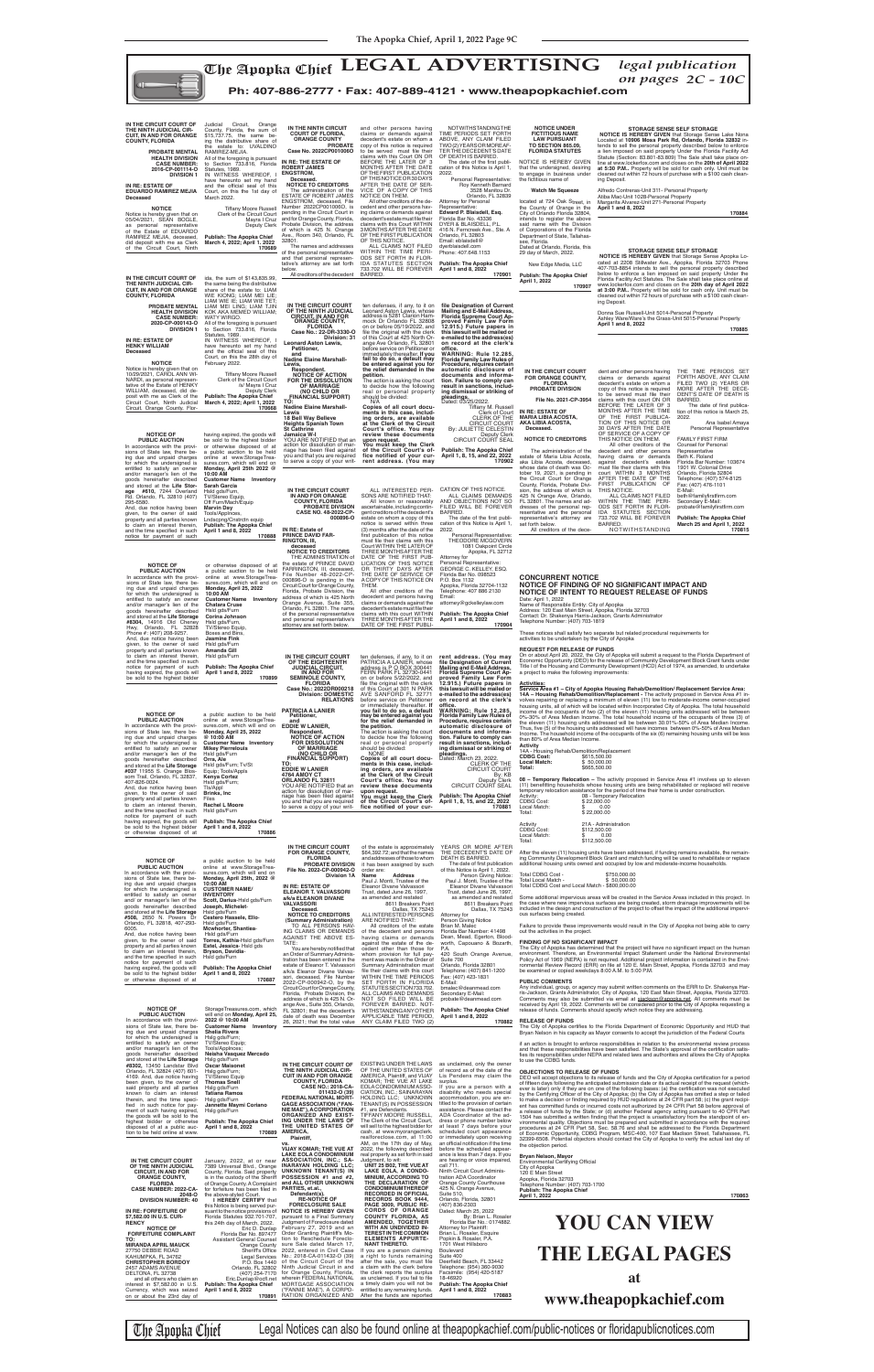**NOTICE OF INTENT TO REQUEST RELEASE OF FUNDS** Date: April 1, 2022

Name of Responsible Entity: City of Apopka<br>Address: 120 East Main Street, Apopka, Florida 32703<br>Contact: Dr. Shakenya Harris-Jackson, Grants Administrator<br>Telephone Number: (407) 703-1819

**Service Area #1 – City of Apopka Housing Rehab/Demolition/ Replacement Service Area: 14A – Housing Rehab/Demolition/Replacement -** The activity proposed in Service Area #1 involves repairing or replacing a minimum of eleven (11) low to moderate-income owner-occupied<br>housing units, all of which will be located within Incorporated City of Apopka. The total household<br>income of the occupants of tw

These notices shall satisfy two separate but related procedural requirements for

activities to be undertaken by the City of Apopka **REQUEST FOR RELEASE OF FUNDS**

On or about April 20, 2022, the City of Apopka will submit a request to the Florida Department of<br>Economic Opportunity (DEO) for the release of Community Development Block Grant funds under<br>Title I of the Housing and Commu

**Activities:**

than 80% of Area Median Income. **Activity**  14A - Housing Rehab/Demolition/Replacement **CDBG Cost:** \$615,500.00 **Local Match:** \$ 50,000.00

**NOTICE OF PUBLIC AUCTION** In accordance with the provi-sions of State law, there being due and unpaid charges for which the undersigned is entitled to satisfy an owner and/or manager's lien of the goods hereinafter described and stored at the **Life Storage #037** 11955 S. Orange Blos-som Trail, Orlando, FL 32837, a public auction to be held online at www.StorageTreasures.com, which will end on **Monday, April 25, 2022 @ 10:00 AM Customer Name Inventory Mikey Pierrelouis** Hsld gds/Furn **Orra, Ale**<br>Hsld gds/Furn; Tv/St Equip; Tools/Appls

**FLORIDA Case No.: 2022DR000218 Division: DOMESTIC RELATIONS** ten defenses, if any, to it on<br>PATRICIA A LANIER, whose<br>address is P O BOX 300441<br>FERN PARK FL 32730-0441<br>on or before 5/22/2022, and file the original with the clerk<br>of this Court at 301 N PARK<br>AVE SANFORD FL 32771<br>before service on Petitioner or immediately thereafter. **If you fail to do so, a default may be entered against you for the relief demanded in the action is asking the court**<br>to decide how the following<br>real or personal property<br>should be divided:<br>NONE<br>**Copies of all court docu-**

rent address. (You may<br>file Designation of Current<br>Mailing and E-Mail Address,<br>Florida Supreme Court Ap-<br>proved Family Law Form **12.915.) Future papers in this lawsuit will be mailed or e-mailed to the address(es) on record at the clerk's**  office.<br>WARNING: Rule 12.285, **Florida Family Law Rules of Procedure, requires certain** 

In accordance with the provi-sions of State law, there be-ing due and unpaid charges for which the undersigned is entitled to satisfy an owner<br>goods hereinafter described<br>and stored at the **Life Stor-<br>age #610**, 7244 Overland<br>**Rd.** Orlando, FL 32810 (407) 295-6580. And, due notice having been given, to the owner of said property and all parties known to claim an interest therein, and the time specified in such notice for payment of such **NOTICE OF<br>
<b>PUBLIC AUCTION**<br>
In accordance with the provi-<br>
sions of State law, there being due and unpaid charges for which the undersigned is

All other creditors of the<br>decedent and persons having<br>claims or demands against the<br>decedent's estate must file their P.O. Box 1132 Apopka, Florida 32704-1132 Telephone: 407 886 2130 Email:

entitled to satisfy an owner and/or manager's lien of the goods hereinafter described and stored at the **Life Storage #8304,** 14916 Old Cheney Hwy, Orlando, FL 32828 Phone #: (407) 208-9257. And, due notice having been given, to the owner of said property and all parties known to claim an interest therein, and the time specified in such notice for payment of such having expired, the goods will be sold to the highest bidder **Monday, April 25, 2022 10:00 AM Corina Johnson** Boxes and Bins,

**Customer Name Inventory Chatara Cruse** Hsld gds/Furn

Hsld gds/Furn,<br>TV/Stereo Equip,

**Jasmine Fink** Hsld gds/Furn **Amanda Gill** Hsld gds/Furn **Publish: The Apopka Chief**

### **April 1 and 8, 2022 170899**



| and stored at the Life Storage<br>#037 11955 S. Orange Blos-<br>som Trail, Orlando, FL 32837,<br>407-826-0024.<br>And, due notice having been<br>given, to the owner of said<br>property and all parties known<br>to claim an interest therein,<br>and the time specified in such                                                                                                                                                                                                                                                                                                                                                                                                 | Hsld gds/Furn; Tv/St<br>Equip; Tools/Appls<br>Kenya Cortez<br>Hsld gds/Furn;<br>Tls/Appl<br>Brinks, Inc<br>Files<br>Rachel L Moore<br>Hsld gds/Furn                                                                                                                                                                                                                                                                                                                                                                                                                                                                                               | TO:<br><b>EDDIE W LANIER</b><br>4764 AMOY CT<br>ORLANDO FL 32811<br>YOU ARE NOTIFIED that an<br>action for dissolution of mar-<br>riage has been filed against<br>you and that you are required<br>to serve a copy of your writ-                                                                                                                                                                                                                                                                                                                                                                                                                                                                                                                                                                                                                                                            | ments in this case, includ-<br>ing orders, are available<br>at the Clerk of the Circuit<br>Court's office. You may<br>review these documents<br>upon request.<br>You must keep the Clerk<br>of the Circuit Court's of-<br>fice notified of your cur-                                                                                                                                                                                                                                                                                                                                                                                                                                                                                                                                                                                                                                                                                                | <b>CLERK OF THE</b><br><b>CIRCUIT COURT</b><br>By: KB<br>Deputy Clerk<br>CIRCUIT COURT SEAL<br><b>Publish: The Apopka Chief</b><br>April 1, 8, 15, and 22, 2022<br>170881                                                                                                                                                                                                                                                                                                                                                                                                                                                                                                                                                                                                                                                        | LUCAI MALCII.<br>ຈະບຸບບບ.ບບ<br>Total:<br>\$665,500.00<br>08 - Temporary Relocation - The activity proposed in Service Area #1 involves up to eleven<br>(11) benefitting households whose housing units are being rehabilitated or replaced will receive<br>temporary relocation assistance for the period of time their home is under construction.<br>Activity:<br>08 - Temporary Relocation<br>CDBG Cost:<br>\$22,000.00<br>Local Match:<br>\$<br>0.00                                                                                                                                                                                                                                                                                                                                                                                                                                                                                                                                                                                                                                                                                                                                                                                                                                                                                                                                                                                                                                                                                                                                                                                                                                                                                                                                                                                                                                                                                                                                                                                              |
|-----------------------------------------------------------------------------------------------------------------------------------------------------------------------------------------------------------------------------------------------------------------------------------------------------------------------------------------------------------------------------------------------------------------------------------------------------------------------------------------------------------------------------------------------------------------------------------------------------------------------------------------------------------------------------------|---------------------------------------------------------------------------------------------------------------------------------------------------------------------------------------------------------------------------------------------------------------------------------------------------------------------------------------------------------------------------------------------------------------------------------------------------------------------------------------------------------------------------------------------------------------------------------------------------------------------------------------------------|---------------------------------------------------------------------------------------------------------------------------------------------------------------------------------------------------------------------------------------------------------------------------------------------------------------------------------------------------------------------------------------------------------------------------------------------------------------------------------------------------------------------------------------------------------------------------------------------------------------------------------------------------------------------------------------------------------------------------------------------------------------------------------------------------------------------------------------------------------------------------------------------|-----------------------------------------------------------------------------------------------------------------------------------------------------------------------------------------------------------------------------------------------------------------------------------------------------------------------------------------------------------------------------------------------------------------------------------------------------------------------------------------------------------------------------------------------------------------------------------------------------------------------------------------------------------------------------------------------------------------------------------------------------------------------------------------------------------------------------------------------------------------------------------------------------------------------------------------------------|----------------------------------------------------------------------------------------------------------------------------------------------------------------------------------------------------------------------------------------------------------------------------------------------------------------------------------------------------------------------------------------------------------------------------------------------------------------------------------------------------------------------------------------------------------------------------------------------------------------------------------------------------------------------------------------------------------------------------------------------------------------------------------------------------------------------------------|-------------------------------------------------------------------------------------------------------------------------------------------------------------------------------------------------------------------------------------------------------------------------------------------------------------------------------------------------------------------------------------------------------------------------------------------------------------------------------------------------------------------------------------------------------------------------------------------------------------------------------------------------------------------------------------------------------------------------------------------------------------------------------------------------------------------------------------------------------------------------------------------------------------------------------------------------------------------------------------------------------------------------------------------------------------------------------------------------------------------------------------------------------------------------------------------------------------------------------------------------------------------------------------------------------------------------------------------------------------------------------------------------------------------------------------------------------------------------------------------------------------------------------------------------------------------------------------------------------------------------------------------------------------------------------------------------------------------------------------------------------------------------------------------------------------------------------------------------------------------------------------------------------------------------------------------------------------------------------------------------------------------------------------------------------|
| notice for payment of such<br>having expired, the goods will<br>be sold to the highest bidder<br>or otherwise disposed of at                                                                                                                                                                                                                                                                                                                                                                                                                                                                                                                                                      | <b>Publish: The Apopka Chief</b><br>April 1 and 8, 2022<br>170886                                                                                                                                                                                                                                                                                                                                                                                                                                                                                                                                                                                 |                                                                                                                                                                                                                                                                                                                                                                                                                                                                                                                                                                                                                                                                                                                                                                                                                                                                                             |                                                                                                                                                                                                                                                                                                                                                                                                                                                                                                                                                                                                                                                                                                                                                                                                                                                                                                                                                     |                                                                                                                                                                                                                                                                                                                                                                                                                                                                                                                                                                                                                                                                                                                                                                                                                                  | Total:<br>\$22,000.00<br>21A - Administration<br>Activity<br><b>CDBG Cost:</b><br>\$112,500.00<br>Local Match:<br>0.00<br>S.<br>\$112,500.00<br>Total:                                                                                                                                                                                                                                                                                                                                                                                                                                                                                                                                                                                                                                                                                                                                                                                                                                                                                                                                                                                                                                                                                                                                                                                                                                                                                                                                                                                                                                                                                                                                                                                                                                                                                                                                                                                                                                                                                                |
| <b>NOTICE OF</b><br><b>PUBLIC AUCTION</b><br>In accordance with the provi-<br>sions of State law, there be-<br>ing due and unpaid charges<br>for which the undersigned is<br>entitled to satisfy an owner<br>and/ or manager's lien of the<br>goods hereinafter described<br>and stored at the Life Storage<br>#508, 2650 N. Powers Dr<br>Orlando, FL 32818, 407-293-<br>6005.<br>And, due notice having been<br>given, to the owner of said<br>property and all parties known<br>to claim an interest therein,<br>and the time specified in such<br>notice for payment of such<br>having expired, the goods will<br>be sold to the highest bidder<br>or otherwise disposed of at | a public auction to be held<br>online at www.StorageTrea-<br>sures.com, which will end on<br>Monday, April 25th, 2022 @<br>10:00 AM<br><b>CUSTOMER NAME/</b><br><b>INVENTORY</b><br>Scott, Darius-Hsld gds/Furn<br>Joseph, Michelet-<br>Hsld gds/Furn<br>Cestero Hassele, Ello-<br>Hsld gds/Furn<br>Mcwhorter, Shantiea-<br>Hsld gds/Furn<br>Torres, Kathia-Hsld gds/Furn<br>Estel, Jessica-Hsld gds<br>Bryson, Davidia-<br>Hsld gds/Furn<br><b>Publish: The Apopka Chief</b><br>April 1 and 8, 2022<br>170887                                                                                                                                    | IN THE CIRCUIT COURT<br>FOR ORANGE COUNTY,<br><b>FLORIDA</b><br>PROBATE DIVISION<br>File No. 2022-CP-000942-O<br>Division 1A<br>IN RE: ESTATE OF<br><b>ELEANOR T. VALVASSORI</b><br>a/k/a ELEANOR DIVANE<br><b>VALVASSORI</b><br>Deceased.<br><b>NOTICE TO CREDITORS</b><br>(Summary Administration)<br>TO ALL PERSONS HAV-<br>ING CLAIMS OR DEMANDS<br><b>AGAINST THE ABOVE ES-</b><br>TATE:<br>You are hereby notified that<br>an Order of Summary Adminis-<br>tration has been entered in the<br>estate of Eleanor T. Valvassori<br>a/k/a Eleanor Divane Valvas-<br>sori, deceased, File Number<br>2022-CP-000942-O, by the                                                                                                                                                                                                                                                              | of the estate is approximately<br>\$64,392.72; and that the names<br>and addresses of those to whom<br>it has been assigned by such<br>order are:<br>Name<br>Address<br>Paul J. Monti, Trustee of the<br>Eleanor Divane Valvassori<br>Trust, dated June 26, 1997,<br>as amended and restated<br>8611 Breakers Point<br>Dallas, TX 75243<br>ALL INTERESTED PERSONS<br>ARE NOTIFIED THAT:<br>All creditors of the estate<br>of the decedent and persons<br>having claims or demands<br>against the estate of the de-<br>cedent other than those for<br>whom provision for full pay-<br>ment was made in the Order of<br>Summary Administration must<br>file their claims with this court<br>WITHIN THE TIME PERIODS<br>SET FORTH IN FLORIDA                                                                                                                                                                                                           | YEARS OR MORE AFTER<br>THE DECEDENT'S DATE OF<br><b>DEATH IS BARRED</b><br>The date of first publication<br>of this Notice is April 1, 2022.<br>Person Giving Notice:<br>Paul J. Monti, Trustee of the<br>Eleanor Divane Valvassori<br>Trust, dated June 26, 1997,<br>as amended and restated<br>8611 Breakers Point<br>Dallas, TX 75243<br>Attorney for<br>Person Giving Notice<br>Brian M. Malec<br>Florida Bar Number: 41498<br>Dean, Mead, Egerton, Blood-<br>worth, Capouano & Bozarth,<br>P.A.<br>420 South Orange Avenue,<br>Suite 700<br>Orlando, Florida 32801<br>Telephone: (407) 841-1200<br>Fax: (407) 423-1831<br>E-Mail:                                                                                                                                                                                           | After the eleven (11) housing units have been addressed, if funding remains available, the remain-<br>ing Community Development Block Grant and match funding will be used to rehabilitate or replace<br>additional housing units owned and occupied by low and moderate-income households.<br>Total CDBG Cost -<br>\$750,000.00<br>Total Local Match -<br>\$50,000.00<br>Total CDBG Cost and Local Match - \$800,000.00<br>Some additional impervious areas will be created in the Service Areas included in this project. In<br>the case where new impervious surfaces are being created, storm drainage improvements will be<br>included in the design and construction of the project to offset the impact of the additional impervi-<br>ous surfaces being created.<br>Failure to provide these improvements would result in the City of Apopka not being able to carry<br>out the activities in the project.<br>FINDING OF NO SIGNIFICANT IMPACT<br>The City of Apopka has determined that the project will have no significant impact on the human<br>environment. Therefore, an Environmental Impact Statement under the National Environmental<br>Policy Act of 1969 (NEPA) is not required. Additional project information is contained in the Envi-<br>ronmental Review Record (ERR) on file at 120 E. Main Street, Apopka, Florida 32703 and may<br>be examined or copied weekdays 8:00 A.M. to 5:00 P.M.<br><b>PUBLIC COMMENTS</b>                                                                                                                                                                                                                                                                                                                                                                                                                                                                                                                                                                                                       |
| <b>NOTICE OF</b><br><b>PUBLIC AUCTION</b><br>In accordance with the provi-<br>sions of State law, there be-<br>ing due and unpaid charges<br>for which the undersigned is<br>entitled to satisfy an owner<br>and/or manager's lien of the<br>goods hereinafter described<br>and stored at the Life Storage<br>#8302, 13450 Landstar Blvd<br>Orlando, FL 32824 (407) 601-<br>4169. And, due notice having<br>been given, to the owner of<br>said property and all parties<br>known to claim an interest<br>therein, and the time speci-<br>fied in such notice for pay-<br>ment of such having expired,<br>the goods will be sold to the<br>highest bidder or otherwise            | StorageTreasures.com, which<br>will end on Monday, April 25,<br>2022 @ 10:00 AM<br><b>Customer Name</b><br>Inventory<br><b>Shelia Rivera</b><br>Hslg gds/Furn;<br>TV/Stereo Equip;<br>Tools/AppInces;<br>Neisha Vasquez Mercado<br>Hslg gds/Furn<br><b>Oscar Maisonet</b><br>Hslg gds/Furn;<br><b>TV/Stereo Equip</b><br><b>Thomas Snell</b><br>Hslg gds/Furn<br><b>Tatiana Ramos</b><br>Hslg gds/Furn<br>Jannette Maymi Coriano<br>Hslg gds/Furn<br><b>Publish: The Apopka Chief</b>                                                                                                                                                             | Circuit Court for Orange County,<br>Florida, Probate Division, the<br>address of which is 425 N. Or-<br>ange Ave., Suite 355, Orlando,<br>FL 32801; that the decedent's<br>date of death was December<br>26, 2021; that the total value<br>IN THE CIRCUIT COURT OF<br>THE NINTH JUDICIAL CIR-<br><b>CUIT IN AND FOR ORANGE</b><br><b>COUNTY, FLORIDA</b><br><b>CASE NO.: 2018-CA-</b><br>011432-0 (39)<br><b>FEDERAL NATIONAL MORT-</b><br><b>GAGE ASSOCIATION ("FAN-</b><br>NIE MAE"), ACORPORATION<br><b>ORGANIZED AND EXIST-</b><br>ING UNDER THE LAWS OF                                                                                                                                                                                                                                                                                                                                | STATUTES SECTION 733.702.<br>ALL CLAIMS AND DEMANDS<br>NOT SO FILED WILL BE<br>FOREVER BARRED. NOT-<br>WITHSTANDING ANY OTHER<br>APPLICABLE TIME PERIOD,<br>ANY CLAIM FILED TWO (2)<br>EXISTING UNDER THE LAWS<br>OF THE UNITED STATES OF<br>AMERICA, Plaintiff, and VIJAY<br>KOMAR; THE VUE AT LAKE<br>EOLA CONDOMINIUM ASSO-<br>CIATION, INC.; SAINARAYAN<br>HOLDING LLC; UNKNOWN<br>TENANT(S) IN POSSESSION<br>#1, are Defendants.<br>TIFFANY MOORE RUSSELL,<br>The Clerk of the Circuit Court,                                                                                                                                                                                                                                                                                                                                                                                                                                                  | bmalec@deanmead.com<br>Secondary E-Mail:<br>probate@deanmead.com<br><b>Publish: The Apopka Chief</b><br>April 1 and 8, 2022<br>170882<br>as unclaimed, only the owner<br>of record as of the date of the<br>Lis Pendens may claim the<br>surplus.<br>If you are a person with a<br>disability who needs special<br>accommodation, you are en-<br>titled to the provision of certain<br>assistance. Please contact the<br>ADA Coordinator at the ad-<br>dress or phone number below                                                                                                                                                                                                                                                                                                                                               | Any individual, group, or agency may submit written comments on the ERR to Dr. Shakenya Har-<br>ris-Jackson, Grants Administrator, City of Apopka, 120 East Main Street, Apopka, Florida 32703.<br>Comments may also be submitted via email at sjackson@apopka.net. All comments must be<br>received by April 19, 2022. Comments will be considered prior to the City of Apopka requesting a<br>release of funds. Comments should specify which notice they are addressing.<br><b>RELEASE OF FUNDS</b><br>The City of Apopka certifies to the Florida Department of Economic Opportunity and HUD that<br>Bryan Nelson in his capacity as Mayor consents to accept the jurisdiction of the Federal Courts<br>if an action is brought to enforce responsibilities in relation to the environmental review process<br>and that these responsibilities have been satisfied. The State's approval of the certification satis-<br>fies its responsibilities under NEPA and related laws and authorities and allows the City of Apopka<br>to use the CDBG funds.<br><b>OBJECTIONS TO RELEASE OF FUNDS</b><br>DEO will accept objections to its release of funds and the City of Apopka certification for a period<br>of fifteen days following the anticipated submission date or its actual receipt of the request (which-<br>ever is later) only if they are on one of the following bases: (a) the certification was not executed<br>by the Certifying Officer of the City of Apopka; (b) the City of Apopka has omitted a step or failed<br>to make a decision or finding required by HUD regulations at 24 CFR part 58; (c) the grant recipi-<br>ent has committed funds or incurred costs not authorized by 24 CFR Part 58 before approval of<br>a release of funds by the State; or (d) another Federal agency acting pursuant to 40 CFR Part<br>1504 has submitted a written finding that the project is unsatisfactory from the standpoint of en-<br>vironmental quality. Objections must be prepared and submitted in accordance with the required |
| disposed of at a public auc-<br>tion to be held online at www.<br>IN THE CIRCUIT COURT<br>OF THE NINTH JUDICIAL<br><b>CIRCUIT. IN AND FOR</b><br><b>ORANGE COUNTY,</b><br><b>FLORIDA</b><br>CASE NUMBER: 2022-CA-<br>2048-O<br><b>DIVISION NUMBER: 40</b><br>IN RE: FORFEITURE OF<br>\$7,582.00 IN U.S. CUR-<br><b>RENCY</b><br><b>NOTICE OF</b><br><b>FORFEITURE COMPLAINT</b><br>TO:<br><b>MIRANDA APRIL MAUCK</b><br>27750 DEBBIE ROAD<br>KAHUMPKA, FL 34762<br><b>CHRISTOPHER BORDOY</b><br>2457 ADAMS AVENUE<br>DELTONA, FL 32738<br>and all others who claim an<br>interest in \$7,582.00 in U.S.<br>Currency, which was seized<br>on or about the 23rd day of              | April 1 and 8, 2022<br>January, 2022, at or near<br>7389 Universal Blvd., Orange<br>County, Florida. Said property<br>is in the custody of the Sheriff<br>of Orange County. A Complaint<br>for forfeiture has been filed in PARTIES, et.al.,<br>the above-styled Court.<br>I HEREBY CERTIFY that<br>this Notice is being served pur-<br>Florida Statutes 932.701-707,<br>this 24th day of March, 2022.<br>Eric D. Dunlap<br>Florida Bar No. 897477<br>Assistant General Counsel<br>Orange County<br>Sheriff's Office<br>Orlando, FL 32802<br>(407) 254-7170<br>Eric.Dunlap@ocfl.net<br>Publish: The Apopka Chief<br>April 1 and 8, 2022<br>170891 | THE UNITED STATES OF<br>170889 AMERICA<br>Plaintiff,<br>vs.<br><b>VIJAY KOMAR; THE VUE AT</b><br><b>LAKE EOLA CONDOMINIUM</b><br>ASSOCIATION, INC.; SA-<br><b>INARAYAN HOLDING LLC:</b><br>UNKNOWN TENANT(S) IN<br>POSSESSION #1 and #2,<br>and ALL OTHER UNKNOWN<br>Defendant(s).<br><b>RE-NOTICE OF</b><br><b>FORECLOSURE SALE</b><br>suant to the notice provisions of NOTICE IS HEREBY GIVEN<br>pursuant to a Final Summary<br>Judgment of Foreclosure dated<br>February 27, 2019 and an<br>Order Granting Plaintiff's Mo-<br>tion to Reschedule Foreclo-<br>sure Sale dated March 17,<br>2022, entered in Civil Case<br>Legal Services No.: 2018-CA-011432-O (39)<br>P.O. Box 1440 of the Circuit Court of the<br>Ninth Judicial Circuit in and<br>for Orange County, Florida,<br>wherein FEDERAL NATIONAL<br>MORTGAGE ASSOCIATION<br>("FANNIE MAE"), A CORPO-<br>RATION ORGANIZED AND | will sell to the highest bidder for<br>cash, at www.myorangeclerk.<br>realforeclose.com, at 11:00<br>AM, on the 17th day of May,<br>2022, the following described<br>real property as set forth in said<br>Judgment, to wit:<br>UNIT 25 B02, THE VUE AT<br>LAKE EOLA, A CONDO-<br><b>MINIUM, ACCORDING TO</b><br>THE DECLARATION OF<br><b>CONDOMINIUM THEREOF</b><br><b>RECORDED IN OFFICIAL</b><br>RECORDS BOOK 9444,<br>PAGE 3009, PUBLIC RE-<br><b>CORDS OF ORANGE</b><br><b>COUNTY FLORIDA, AS</b><br>AMENDED, TOGETHER<br>WITH AN UNDIVIDED IN-<br><b>TEREST IN THE COMMON</b><br><b>ELEMENTS APPURTE-</b><br><b>NANT THERETO.</b><br>If you are a person claiming<br>a right to funds remaining<br>after the sale, you must file<br>a claim with the clerk before<br>the clerk reports the surplus<br>as unclaimed. If you fail to file<br>a timely claim you will not be<br>entitled to any remaining funds.<br>After the funds are reported | at least 7 days before your<br>scheduled court appearance<br>or immediately upon receiving<br>an official notification if the time<br>before the scheduled appear-<br>ance is less than 7 days. If you<br>are hearing or voice impaired,<br>call 711.<br>Ninth Circuit Court Adminis-<br>tration ADA Coordinator<br>Orange County Courthouse<br>425 N. Orange Avenue,<br>Suite 510,<br>Orlando, Florida, 32801<br>(407) 836-2303<br>Dated: March 25, 2022<br>By: Brian L. Rosaler<br>Florida Bar No.: 0174882.<br>Attorney for Plaintiff:<br>Brian L. Rosaler, Esquire<br>Popkin & Rosaler, P.A.<br>1701 West Hillsboro<br><b>Boulevard</b><br>Suite 400<br>Deerfield Beach, FL 33442<br>Telephone: (954) 360-9030<br>Facsimile: (954) 420-5187<br>18-46920<br><b>Publish: The Apopka Chief</b><br>April 1 and 8, 2022<br>170883 | procedures at 24 CFR Part 58, Sec. 58.76 and shall be addressed to the Florida Department<br>of Economic Opportunity, CDBG Program, MSC-400, 107 East Madison Street, Tallahassee, FL<br>32399-6508. Potential objectors should contact the City of Apopka to verify the actual last day of<br>the objection period.<br>Bryan Nelson, Mayor<br><b>Environmental Certifying Official</b><br>City of Apopka<br>120 E Main Street<br>Apopka, Florida 32703<br>Telephone Number: (407) 703-1700<br>Publish: The Apopka Chief<br>170863<br>April 1, 2022<br><b>YOU CAN VIEW</b><br><b>THE LEGAL PAGES</b><br>at<br>www.theapopkachief.com                                                                                                                                                                                                                                                                                                                                                                                                                                                                                                                                                                                                                                                                                                                                                                                                                                                                                                                                                                                                                                                                                                                                                                                                                                                                                                                                                                                                                  |

The Apopka Chief Legal Notices can also be found online at theapopkachief.com/public-notices or floridapublicnotices.com

**IN THE CIRCUIT COURT OF THE EIGHTEENTH JUDICIAL CIRCUIT, IN AND FOR SEMINOLE COUNTY,** 

**PATRICIA A LANIER Petitioner, and EDDIE W LANIER, Respondent. NOTICE OF ACTION FOR DISSOLUTION OF MARRIAGE (NO CHILD OR FINANCIAL SUPPORT)**

**TO: EDDIE W LANIER 4764 AMOY CT**

**automatic disclosure of documents and informa-tion. Failure to comply can result in sanctions, including dismissal or striking of pleadings.** Dated: March 23, 2022.

CLERK OF THE<br>CIRCUIT COURT<br>By: KB

**Total:** \$665,500.00

Circuit Court for Orange County, Florida, Probate Division, the address of which is 425 North Orange Avenue, Suite 355, Orlando, FL 32801. The name

of the personal representative and personal representative's attorney are set forth below.

THEM.

claims with this court WITHIN THREE MONTHS AFTER THE DATE OF THE FIRST PUBLIattorney@gckelleylaw.com **Publish: The Apopka Chief April 1 and 8, 2022 170904**